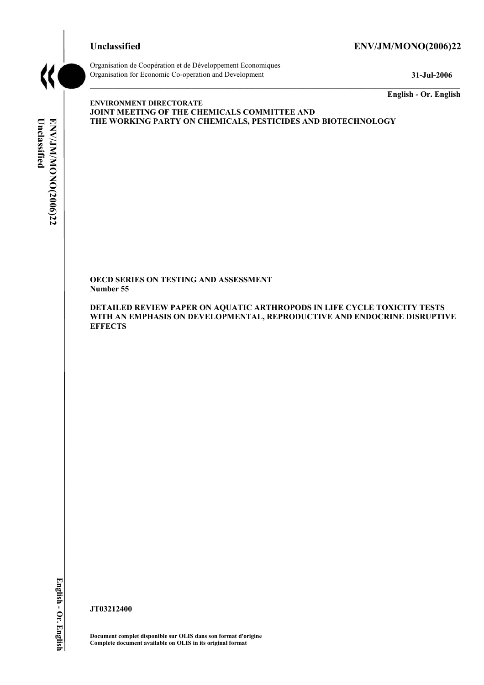# **Unclassified ENV/JM/MONO(2006)22**



Organisation de Coopération et de Développement Economiques Organisation for Economic Co-operation and Development **31-Jul-2006** 

**English - Or. English** 

# Unclassified **Unclassified**  ENV/JM/MONO(2006)22 **ENV/JM/MONO(2006)22 English - Or. English**

**ENVIRONMENT DIRECTORATE JOINT MEETING OF THE CHEMICALS COMMITTEE AND THE WORKING PARTY ON CHEMICALS, PESTICIDES AND BIOTECHNOLOGY** 

**OECD SERIES ON TESTING AND ASSESSMENT Number 55** 

**DETAILED REVIEW PAPER ON AQUATIC ARTHROPODS IN LIFE CYCLE TOXICITY TESTS WITH AN EMPHASIS ON DEVELOPMENTAL, REPRODUCTIVE AND ENDOCRINE DISRUPTIVE EFFECTS** 

**JT03212400** 

**Document complet disponible sur OLIS dans son format d'origine Complete document available on OLIS in its original format**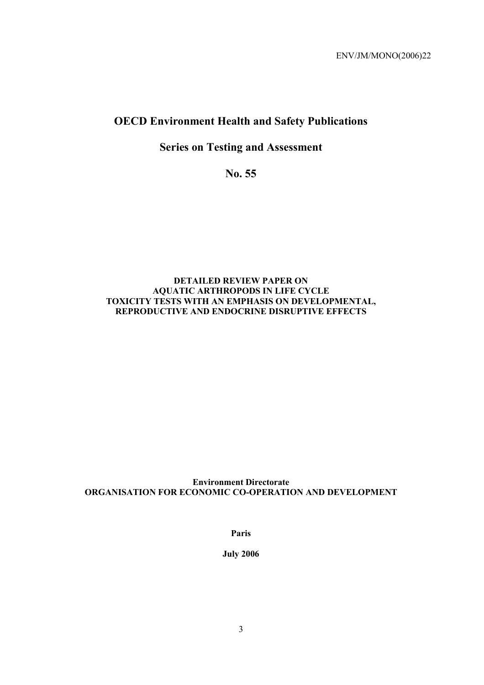# **OECD Environment Health and Safety Publications**

# **Series on Testing and Assessment**

**No. 55** 

# **DETAILED REVIEW PAPER ON AQUATIC ARTHROPODS IN LIFE CYCLE TOXICITY TESTS WITH AN EMPHASIS ON DEVELOPMENTAL, REPRODUCTIVE AND ENDOCRINE DISRUPTIVE EFFECTS**

# **Environment Directorate ORGANISATION FOR ECONOMIC CO-OPERATION AND DEVELOPMENT**

**Paris** 

**July 2006**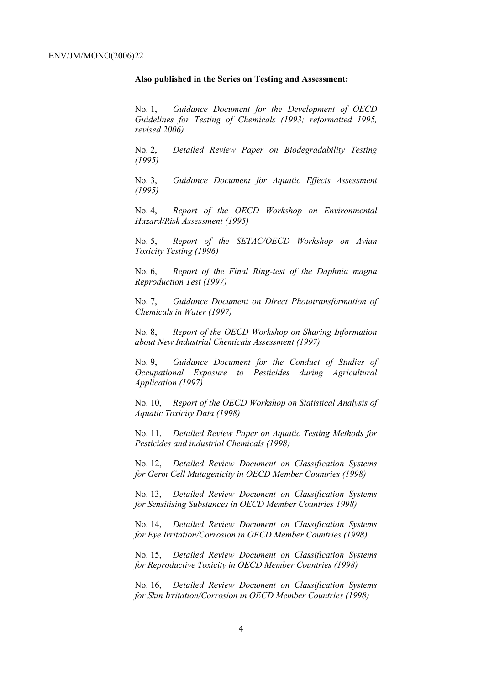#### **Also published in the Series on Testing and Assessment:**

No. 1, *Guidance Document for the Development of OECD Guidelines for Testing of Chemicals (1993; reformatted 1995, revised 2006)*

No. 2, *Detailed Review Paper on Biodegradability Testing (1995)*

No. 3, *Guidance Document for Aquatic Effects Assessment (1995)* 

No. 4, *Report of the OECD Workshop on Environmental Hazard/Risk Assessment (1995)*

No. 5, *Report of the SETAC/OECD Workshop on Avian Toxicity Testing (1996)*

No. 6, *Report of the Final Ring-test of the Daphnia magna Reproduction Test (1997)*

No. 7, *Guidance Document on Direct Phototransformation of Chemicals in Water (1997)* 

No. 8, *Report of the OECD Workshop on Sharing Information about New Industrial Chemicals Assessment (1997)*

No. 9, *Guidance Document for the Conduct of Studies of Occupational Exposure to Pesticides during Agricultural Application (1997)*

No. 10, *Report of the OECD Workshop on Statistical Analysis of Aquatic Toxicity Data (1998)*

No. 11, *Detailed Review Paper on Aquatic Testing Methods for Pesticides and industrial Chemicals (1998)*

No. 12, *Detailed Review Document on Classification Systems for Germ Cell Mutagenicity in OECD Member Countries (1998)*

No. 13, *Detailed Review Document on Classification Systems for Sensitising Substances in OECD Member Countries 1998)*

No. 14, *Detailed Review Document on Classification Systems for Eye Irritation/Corrosion in OECD Member Countries (1998)*

No. 15, *Detailed Review Document on Classification Systems for Reproductive Toxicity in OECD Member Countries (1998)*

No. 16, *Detailed Review Document on Classification Systems for Skin Irritation/Corrosion in OECD Member Countries (1998)*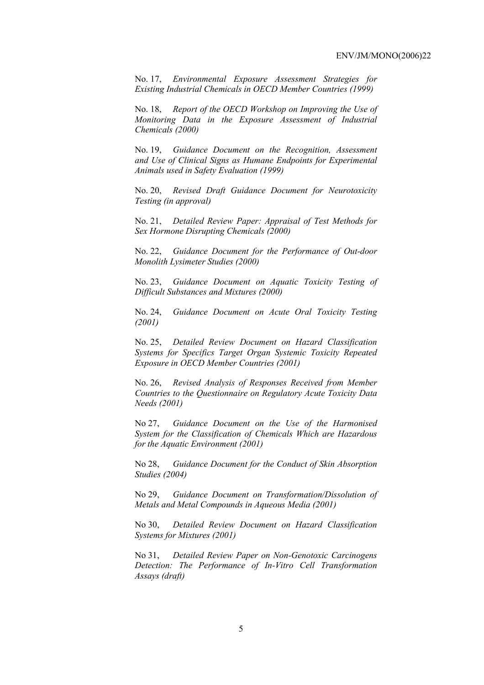No. 17, *Environmental Exposure Assessment Strategies for Existing Industrial Chemicals in OECD Member Countries (1999)*

No. 18, *Report of the OECD Workshop on Improving the Use of Monitoring Data in the Exposure Assessment of Industrial Chemicals (2000)*

No. 19, *Guidance Document on the Recognition, Assessment and Use of Clinical Signs as Humane Endpoints for Experimental Animals used in Safety Evaluation (1999)*

No. 20, *Revised Draft Guidance Document for Neurotoxicity Testing (in approval)*

No. 21, *Detailed Review Paper: Appraisal of Test Methods for Sex Hormone Disrupting Chemicals (2000)*

No. 22, *Guidance Document for the Performance of Out-door Monolith Lysimeter Studies (2000)*

No. 23, *Guidance Document on Aquatic Toxicity Testing of Difficult Substances and Mixtures (2000)*

No. 24, *Guidance Document on Acute Oral Toxicity Testing (2001)*

No. 25, *Detailed Review Document on Hazard Classification Systems for Specifics Target Organ Systemic Toxicity Repeated Exposure in OECD Member Countries (2001)*

No. 26, *Revised Analysis of Responses Received from Member Countries to the Questionnaire on Regulatory Acute Toxicity Data Needs (2001)*

No 27, *Guidance Document on the Use of the Harmonised System for the Classification of Chemicals Which are Hazardous for the Aquatic Environment (2001)*

No 28, *Guidance Document for the Conduct of Skin Absorption Studies (2004)*

No 29, *Guidance Document on Transformation/Dissolution of Metals and Metal Compounds in Aqueous Media (2001)*

No 30, *Detailed Review Document on Hazard Classification Systems for Mixtures (2001)*

No 31, *Detailed Review Paper on Non-Genotoxic Carcinogens Detection: The Performance of In-Vitro Cell Transformation Assays (draft)*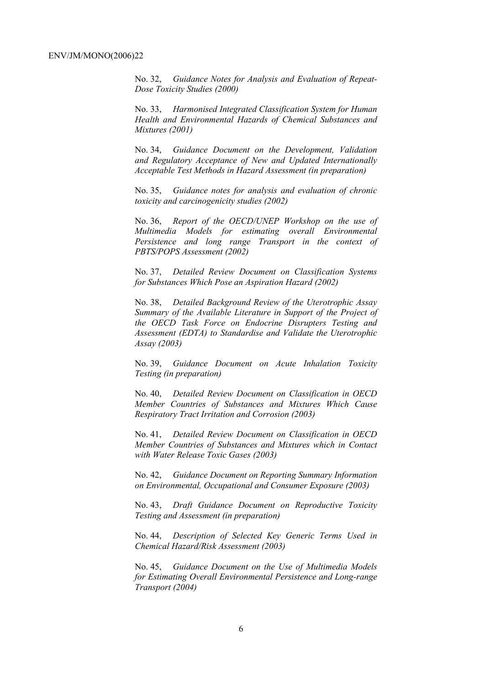No. 32, *Guidance Notes for Analysis and Evaluation of Repeat-Dose Toxicity Studies (2000)*

No. 33, *Harmonised Integrated Classification System for Human Health and Environmental Hazards of Chemical Substances and Mixtures (2001)*

No. 34, *Guidance Document on the Development, Validation and Regulatory Acceptance of New and Updated Internationally Acceptable Test Methods in Hazard Assessment (in preparation)*

No. 35, *Guidance notes for analysis and evaluation of chronic toxicity and carcinogenicity studies (2002)*

No. 36, *Report of the OECD/UNEP Workshop on the use of Multimedia Models for estimating overall Environmental Persistence and long range Transport in the context of PBTS/POPS Assessment (2002)*

No. 37, *Detailed Review Document on Classification Systems for Substances Which Pose an Aspiration Hazard (2002)*

No. 38, *Detailed Background Review of the Uterotrophic Assay Summary of the Available Literature in Support of the Project of the OECD Task Force on Endocrine Disrupters Testing and Assessment (EDTA) to Standardise and Validate the Uterotrophic Assay (2003)*

No. 39, *Guidance Document on Acute Inhalation Toxicity Testing (in preparation)*

No. 40, *Detailed Review Document on Classification in OECD Member Countries of Substances and Mixtures Which Cause Respiratory Tract Irritation and Corrosion (2003)*

No. 41, *Detailed Review Document on Classification in OECD Member Countries of Substances and Mixtures which in Contact with Water Release Toxic Gases (2003)*

No. 42, *Guidance Document on Reporting Summary Information on Environmental, Occupational and Consumer Exposure (2003)*

No. 43, *Draft Guidance Document on Reproductive Toxicity Testing and Assessment (in preparation)*

No. 44, *Description of Selected Key Generic Terms Used in Chemical Hazard/Risk Assessment (2003)* 

No. 45, *Guidance Document on the Use of Multimedia Models for Estimating Overall Environmental Persistence and Long-range Transport (2004)*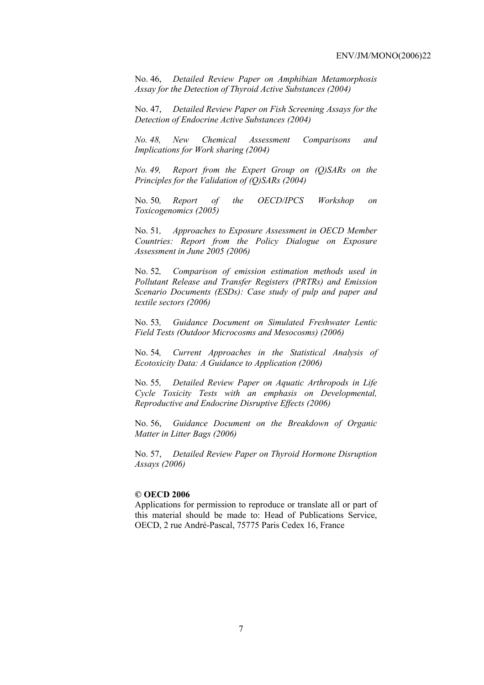No. 46, *Detailed Review Paper on Amphibian Metamorphosis Assay for the Detection of Thyroid Active Substances (2004)* 

No. 47, *Detailed Review Paper on Fish Screening Assays for the Detection of Endocrine Active Substances (2004)* 

*No. 48, New Chemical Assessment Comparisons and Implications for Work sharing (2004)* 

*No. 49, Report from the Expert Group on (Q)SARs on the Principles for the Validation of (Q)SARs (2004)* 

No. 50*, Report of the OECD/IPCS Workshop on Toxicogenomics (2005)* 

No. 51*, Approaches to Exposure Assessment in OECD Member Countries: Report from the Policy Dialogue on Exposure Assessment in June 2005 (2006)* 

No. 52*, Comparison of emission estimation methods used in Pollutant Release and Transfer Registers (PRTRs) and Emission Scenario Documents (ESDs): Case study of pulp and paper and textile sectors (2006)* 

No. 53*, Guidance Document on Simulated Freshwater Lentic Field Tests (Outdoor Microcosms and Mesocosms) (2006)* 

No. 54*, Current Approaches in the Statistical Analysis of Ecotoxicity Data: A Guidance to Application (2006)* 

No. 55*, Detailed Review Paper on Aquatic Arthropods in Life Cycle Toxicity Tests with an emphasis on Developmental, Reproductive and Endocrine Disruptive Effects (2006)* 

No. 56, *Guidance Document on the Breakdown of Organic Matter in Litter Bags (2006)* 

No. 57, *Detailed Review Paper on Thyroid Hormone Disruption Assays (2006)* 

#### **© OECD 2006**

Applications for permission to reproduce or translate all or part of this material should be made to: Head of Publications Service, OECD, 2 rue André-Pascal, 75775 Paris Cedex 16, France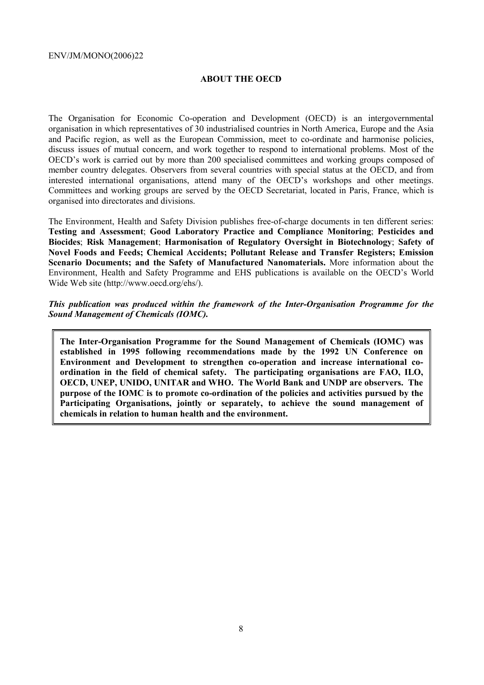#### **ABOUT THE OECD**

The Organisation for Economic Co-operation and Development (OECD) is an intergovernmental organisation in which representatives of 30 industrialised countries in North America, Europe and the Asia and Pacific region, as well as the European Commission, meet to co-ordinate and harmonise policies, discuss issues of mutual concern, and work together to respond to international problems. Most of the OECD's work is carried out by more than 200 specialised committees and working groups composed of member country delegates. Observers from several countries with special status at the OECD, and from interested international organisations, attend many of the OECD's workshops and other meetings. Committees and working groups are served by the OECD Secretariat, located in Paris, France, which is organised into directorates and divisions.

The Environment, Health and Safety Division publishes free-of-charge documents in ten different series: **Testing and Assessment**; **Good Laboratory Practice and Compliance Monitoring**; **Pesticides and Biocides**; **Risk Management**; **Harmonisation of Regulatory Oversight in Biotechnology**; **Safety of Novel Foods and Feeds; Chemical Accidents; Pollutant Release and Transfer Registers; Emission Scenario Documents; and the Safety of Manufactured Nanomaterials.** More information about the Environment, Health and Safety Programme and EHS publications is available on the OECD's World Wide Web site (http://www.oecd.org/ehs/).

#### *This publication was produced within the framework of the Inter-Organisation Programme for the Sound Management of Chemicals (IOMC).*

**The Inter-Organisation Programme for the Sound Management of Chemicals (IOMC) was established in 1995 following recommendations made by the 1992 UN Conference on Environment and Development to strengthen co-operation and increase international coordination in the field of chemical safety. The participating organisations are FAO, ILO, OECD, UNEP, UNIDO, UNITAR and WHO. The World Bank and UNDP are observers. The purpose of the IOMC is to promote co-ordination of the policies and activities pursued by the Participating Organisations, jointly or separately, to achieve the sound management of chemicals in relation to human health and the environment.**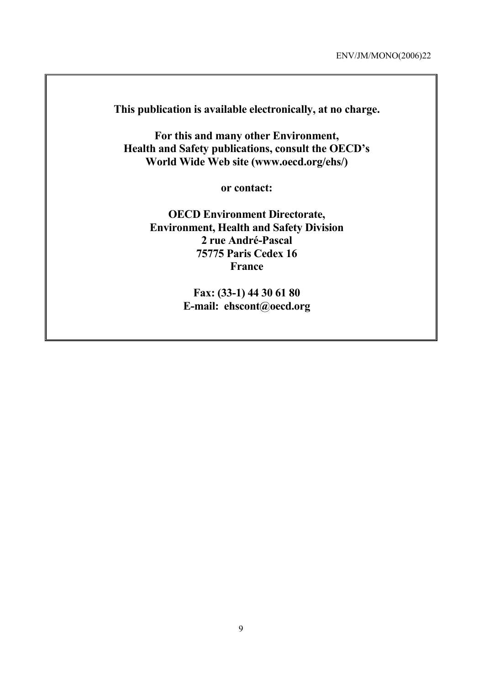**This publication is available electronically, at no charge.** 

**For this and many other Environment, Health and Safety publications, consult the OECD's World Wide Web site (www.oecd.org/ehs/)** 

**or contact:** 

**OECD Environment Directorate, Environment, Health and Safety Division 2 rue André-Pascal 75775 Paris Cedex 16 France** 

> **Fax: (33-1) 44 30 61 80 E-mail: ehscont@oecd.org**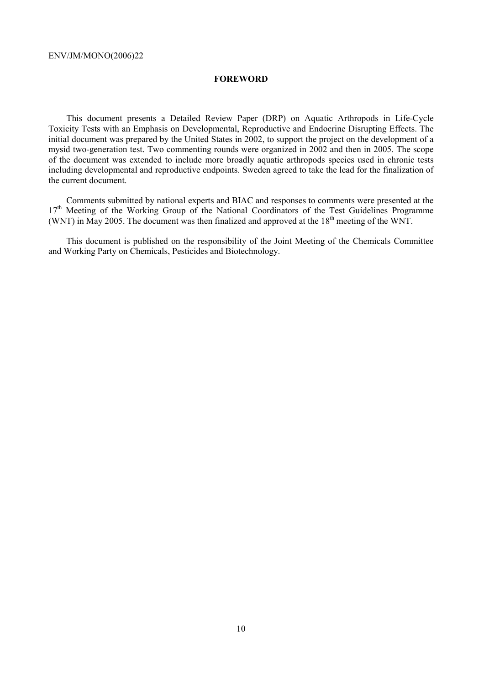#### **FOREWORD**

This document presents a Detailed Review Paper (DRP) on Aquatic Arthropods in Life-Cycle Toxicity Tests with an Emphasis on Developmental, Reproductive and Endocrine Disrupting Effects. The initial document was prepared by the United States in 2002, to support the project on the development of a mysid two-generation test. Two commenting rounds were organized in 2002 and then in 2005. The scope of the document was extended to include more broadly aquatic arthropods species used in chronic tests including developmental and reproductive endpoints. Sweden agreed to take the lead for the finalization of the current document.

Comments submitted by national experts and BIAC and responses to comments were presented at the 17<sup>th</sup> Meeting of the Working Group of the National Coordinators of the Test Guidelines Programme (WNT) in May 2005. The document was then finalized and approved at the  $18<sup>th</sup>$  meeting of the WNT.

This document is published on the responsibility of the Joint Meeting of the Chemicals Committee and Working Party on Chemicals, Pesticides and Biotechnology.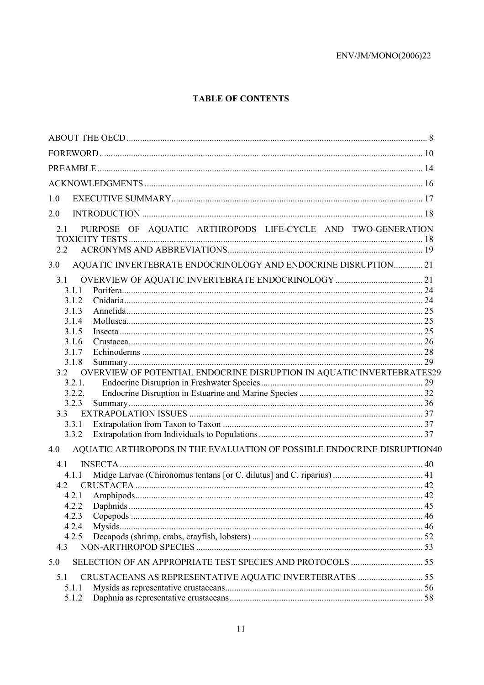# **TABLE OF CONTENTS**

| 1.0                                                                            |  |
|--------------------------------------------------------------------------------|--|
| 2.0                                                                            |  |
| PURPOSE OF AQUATIC ARTHROPODS LIFE-CYCLE AND TWO-GENERATION<br>2.1             |  |
| AQUATIC INVERTEBRATE ENDOCRINOLOGY AND ENDOCRINE DISRUPTION 21<br>3.0          |  |
| 3.1                                                                            |  |
| 3.1.1                                                                          |  |
| 3.1.2                                                                          |  |
| 3.1.3                                                                          |  |
| 3.1.4                                                                          |  |
| 3.1.5                                                                          |  |
| 3.1.6                                                                          |  |
| 3.1.7                                                                          |  |
| 3.1.8                                                                          |  |
| 3.2 OVERVIEW OF POTENTIAL ENDOCRINE DISRUPTION IN AQUATIC INVERTEBRATES29      |  |
| 3.2.1.                                                                         |  |
| 3.2.2.<br>3.2.3                                                                |  |
|                                                                                |  |
| 3.3.1                                                                          |  |
| 3.3.2                                                                          |  |
| AQUATIC ARTHROPODS IN THE EVALUATION OF POSSIBLE ENDOCRINE DISRUPTION40<br>4.0 |  |
| 4.1                                                                            |  |
| 4.1.1                                                                          |  |
| 4.2                                                                            |  |
|                                                                                |  |
| 4.2.2                                                                          |  |
| 4.2.3                                                                          |  |
| 4.2.4                                                                          |  |
| 4.2.5                                                                          |  |
| 4.3                                                                            |  |
| 5.0                                                                            |  |
| 5.1                                                                            |  |
| 5.1.1                                                                          |  |
| 5.1.2                                                                          |  |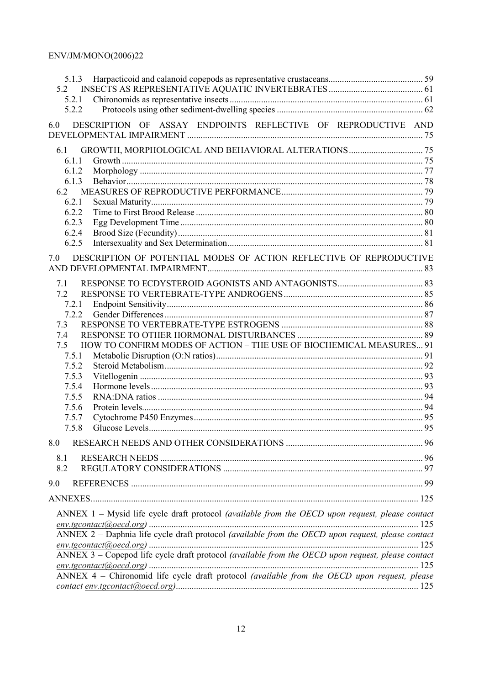| 5.2<br>5.2.1<br>5.2.2<br>DESCRIPTION OF ASSAY ENDPOINTS REFLECTIVE OF REPRODUCTIVE AND<br>6.0<br>6.1<br>6.1.1<br>6.1.2<br>6.1.3<br>6.2<br>6.2.1<br>6.2.2<br>6.2.3<br>6.2.4<br>6.2.5<br>DESCRIPTION OF POTENTIAL MODES OF ACTION REFLECTIVE OF REPRODUCTIVE<br>7.0<br>7.1<br>7.2<br>7.2.1<br>7.2.2<br>7.3<br>7.4<br>HOW TO CONFIRM MODES OF ACTION - THE USE OF BIOCHEMICAL MEASURES 91<br>7.5<br>7.5.1<br>7.5.2<br>7.5.3<br>7.5.4<br>7.5.5<br>7.5.6<br>7.5.7<br>7.5.8<br>8.0<br>8.1<br>8.2<br>9.0<br>ANNEX 1 - Mysid life cycle draft protocol (available from the OECD upon request, please contact<br>ANNEX $2$ – Daphnia life cycle draft protocol (available from the OECD upon request, please contact<br>ANNEX 3 - Copepod life cycle draft protocol (available from the OECD upon request, please contact<br>ANNEX 4 - Chironomid life cycle draft protocol (available from the OECD upon request, please |  |
|------------------------------------------------------------------------------------------------------------------------------------------------------------------------------------------------------------------------------------------------------------------------------------------------------------------------------------------------------------------------------------------------------------------------------------------------------------------------------------------------------------------------------------------------------------------------------------------------------------------------------------------------------------------------------------------------------------------------------------------------------------------------------------------------------------------------------------------------------------------------------------------------------------------|--|
|                                                                                                                                                                                                                                                                                                                                                                                                                                                                                                                                                                                                                                                                                                                                                                                                                                                                                                                  |  |
|                                                                                                                                                                                                                                                                                                                                                                                                                                                                                                                                                                                                                                                                                                                                                                                                                                                                                                                  |  |
|                                                                                                                                                                                                                                                                                                                                                                                                                                                                                                                                                                                                                                                                                                                                                                                                                                                                                                                  |  |
|                                                                                                                                                                                                                                                                                                                                                                                                                                                                                                                                                                                                                                                                                                                                                                                                                                                                                                                  |  |
|                                                                                                                                                                                                                                                                                                                                                                                                                                                                                                                                                                                                                                                                                                                                                                                                                                                                                                                  |  |
|                                                                                                                                                                                                                                                                                                                                                                                                                                                                                                                                                                                                                                                                                                                                                                                                                                                                                                                  |  |
|                                                                                                                                                                                                                                                                                                                                                                                                                                                                                                                                                                                                                                                                                                                                                                                                                                                                                                                  |  |
|                                                                                                                                                                                                                                                                                                                                                                                                                                                                                                                                                                                                                                                                                                                                                                                                                                                                                                                  |  |
|                                                                                                                                                                                                                                                                                                                                                                                                                                                                                                                                                                                                                                                                                                                                                                                                                                                                                                                  |  |
|                                                                                                                                                                                                                                                                                                                                                                                                                                                                                                                                                                                                                                                                                                                                                                                                                                                                                                                  |  |
|                                                                                                                                                                                                                                                                                                                                                                                                                                                                                                                                                                                                                                                                                                                                                                                                                                                                                                                  |  |
|                                                                                                                                                                                                                                                                                                                                                                                                                                                                                                                                                                                                                                                                                                                                                                                                                                                                                                                  |  |
|                                                                                                                                                                                                                                                                                                                                                                                                                                                                                                                                                                                                                                                                                                                                                                                                                                                                                                                  |  |
|                                                                                                                                                                                                                                                                                                                                                                                                                                                                                                                                                                                                                                                                                                                                                                                                                                                                                                                  |  |
|                                                                                                                                                                                                                                                                                                                                                                                                                                                                                                                                                                                                                                                                                                                                                                                                                                                                                                                  |  |
|                                                                                                                                                                                                                                                                                                                                                                                                                                                                                                                                                                                                                                                                                                                                                                                                                                                                                                                  |  |
|                                                                                                                                                                                                                                                                                                                                                                                                                                                                                                                                                                                                                                                                                                                                                                                                                                                                                                                  |  |
|                                                                                                                                                                                                                                                                                                                                                                                                                                                                                                                                                                                                                                                                                                                                                                                                                                                                                                                  |  |
|                                                                                                                                                                                                                                                                                                                                                                                                                                                                                                                                                                                                                                                                                                                                                                                                                                                                                                                  |  |
|                                                                                                                                                                                                                                                                                                                                                                                                                                                                                                                                                                                                                                                                                                                                                                                                                                                                                                                  |  |
|                                                                                                                                                                                                                                                                                                                                                                                                                                                                                                                                                                                                                                                                                                                                                                                                                                                                                                                  |  |
|                                                                                                                                                                                                                                                                                                                                                                                                                                                                                                                                                                                                                                                                                                                                                                                                                                                                                                                  |  |
|                                                                                                                                                                                                                                                                                                                                                                                                                                                                                                                                                                                                                                                                                                                                                                                                                                                                                                                  |  |
|                                                                                                                                                                                                                                                                                                                                                                                                                                                                                                                                                                                                                                                                                                                                                                                                                                                                                                                  |  |
|                                                                                                                                                                                                                                                                                                                                                                                                                                                                                                                                                                                                                                                                                                                                                                                                                                                                                                                  |  |
|                                                                                                                                                                                                                                                                                                                                                                                                                                                                                                                                                                                                                                                                                                                                                                                                                                                                                                                  |  |
|                                                                                                                                                                                                                                                                                                                                                                                                                                                                                                                                                                                                                                                                                                                                                                                                                                                                                                                  |  |
|                                                                                                                                                                                                                                                                                                                                                                                                                                                                                                                                                                                                                                                                                                                                                                                                                                                                                                                  |  |
|                                                                                                                                                                                                                                                                                                                                                                                                                                                                                                                                                                                                                                                                                                                                                                                                                                                                                                                  |  |
|                                                                                                                                                                                                                                                                                                                                                                                                                                                                                                                                                                                                                                                                                                                                                                                                                                                                                                                  |  |
|                                                                                                                                                                                                                                                                                                                                                                                                                                                                                                                                                                                                                                                                                                                                                                                                                                                                                                                  |  |
|                                                                                                                                                                                                                                                                                                                                                                                                                                                                                                                                                                                                                                                                                                                                                                                                                                                                                                                  |  |
|                                                                                                                                                                                                                                                                                                                                                                                                                                                                                                                                                                                                                                                                                                                                                                                                                                                                                                                  |  |
|                                                                                                                                                                                                                                                                                                                                                                                                                                                                                                                                                                                                                                                                                                                                                                                                                                                                                                                  |  |
|                                                                                                                                                                                                                                                                                                                                                                                                                                                                                                                                                                                                                                                                                                                                                                                                                                                                                                                  |  |
|                                                                                                                                                                                                                                                                                                                                                                                                                                                                                                                                                                                                                                                                                                                                                                                                                                                                                                                  |  |
|                                                                                                                                                                                                                                                                                                                                                                                                                                                                                                                                                                                                                                                                                                                                                                                                                                                                                                                  |  |
|                                                                                                                                                                                                                                                                                                                                                                                                                                                                                                                                                                                                                                                                                                                                                                                                                                                                                                                  |  |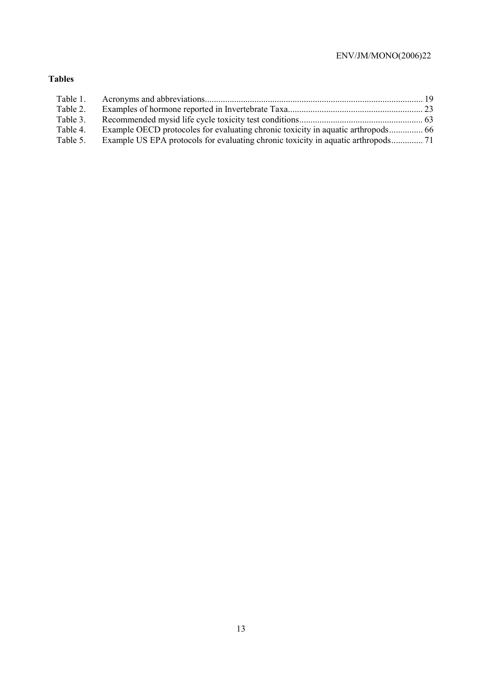# **Tables**

| Table 1. |  |
|----------|--|
| Table 2. |  |
| Table 3. |  |
| Table 4. |  |
| Table 5. |  |
|          |  |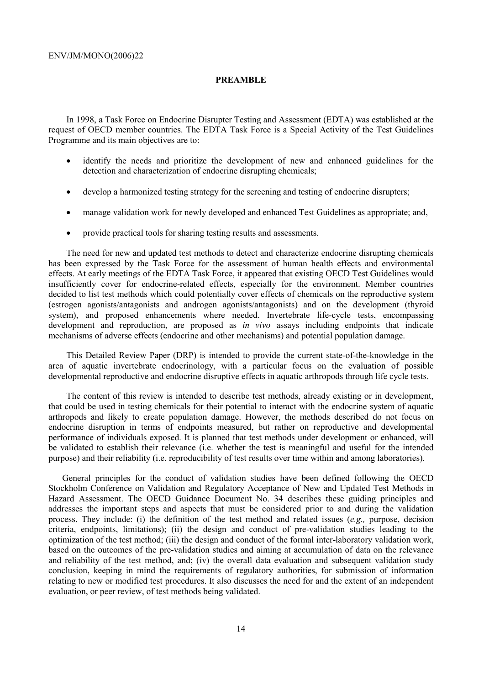#### **PREAMBLE**

In 1998, a Task Force on Endocrine Disrupter Testing and Assessment (EDTA) was established at the request of OECD member countries. The EDTA Task Force is a Special Activity of the Test Guidelines Programme and its main objectives are to:

- identify the needs and prioritize the development of new and enhanced guidelines for the detection and characterization of endocrine disrupting chemicals;
- develop a harmonized testing strategy for the screening and testing of endocrine disrupters;
- manage validation work for newly developed and enhanced Test Guidelines as appropriate; and,
- provide practical tools for sharing testing results and assessments.

The need for new and updated test methods to detect and characterize endocrine disrupting chemicals has been expressed by the Task Force for the assessment of human health effects and environmental effects. At early meetings of the EDTA Task Force, it appeared that existing OECD Test Guidelines would insufficiently cover for endocrine-related effects, especially for the environment. Member countries decided to list test methods which could potentially cover effects of chemicals on the reproductive system (estrogen agonists/antagonists and androgen agonists/antagonists) and on the development (thyroid system), and proposed enhancements where needed. Invertebrate life-cycle tests, encompassing development and reproduction, are proposed as *in vivo* assays including endpoints that indicate mechanisms of adverse effects (endocrine and other mechanisms) and potential population damage.

This Detailed Review Paper (DRP) is intended to provide the current state-of-the-knowledge in the area of aquatic invertebrate endocrinology, with a particular focus on the evaluation of possible developmental reproductive and endocrine disruptive effects in aquatic arthropods through life cycle tests.

The content of this review is intended to describe test methods, already existing or in development, that could be used in testing chemicals for their potential to interact with the endocrine system of aquatic arthropods and likely to create population damage. However, the methods described do not focus on endocrine disruption in terms of endpoints measured, but rather on reproductive and developmental performance of individuals exposed. It is planned that test methods under development or enhanced, will be validated to establish their relevance (i.e. whether the test is meaningful and useful for the intended purpose) and their reliability (i.e. reproducibility of test results over time within and among laboratories).

General principles for the conduct of validation studies have been defined following the OECD Stockholm Conference on Validation and Regulatory Acceptance of New and Updated Test Methods in Hazard Assessment. The OECD Guidance Document No. 34 describes these guiding principles and addresses the important steps and aspects that must be considered prior to and during the validation process. They include: (i) the definition of the test method and related issues (*e.g.,* purpose, decision criteria, endpoints, limitations); (ii) the design and conduct of pre-validation studies leading to the optimization of the test method; (iii) the design and conduct of the formal inter-laboratory validation work, based on the outcomes of the pre-validation studies and aiming at accumulation of data on the relevance and reliability of the test method, and; (iv) the overall data evaluation and subsequent validation study conclusion, keeping in mind the requirements of regulatory authorities, for submission of information relating to new or modified test procedures. It also discusses the need for and the extent of an independent evaluation, or peer review, of test methods being validated.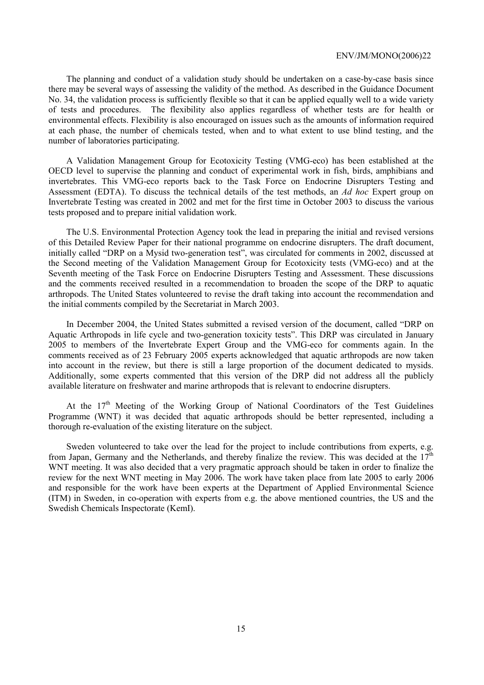The planning and conduct of a validation study should be undertaken on a case-by-case basis since there may be several ways of assessing the validity of the method. As described in the Guidance Document No. 34, the validation process is sufficiently flexible so that it can be applied equally well to a wide variety of tests and procedures. The flexibility also applies regardless of whether tests are for health or environmental effects. Flexibility is also encouraged on issues such as the amounts of information required at each phase, the number of chemicals tested, when and to what extent to use blind testing, and the number of laboratories participating.

A Validation Management Group for Ecotoxicity Testing (VMG-eco) has been established at the OECD level to supervise the planning and conduct of experimental work in fish, birds, amphibians and invertebrates. This VMG-eco reports back to the Task Force on Endocrine Disrupters Testing and Assessment (EDTA). To discuss the technical details of the test methods, an *Ad hoc* Expert group on Invertebrate Testing was created in 2002 and met for the first time in October 2003 to discuss the various tests proposed and to prepare initial validation work.

The U.S. Environmental Protection Agency took the lead in preparing the initial and revised versions of this Detailed Review Paper for their national programme on endocrine disrupters. The draft document, initially called "DRP on a Mysid two-generation test", was circulated for comments in 2002, discussed at the Second meeting of the Validation Management Group for Ecotoxicity tests (VMG-eco) and at the Seventh meeting of the Task Force on Endocrine Disrupters Testing and Assessment. These discussions and the comments received resulted in a recommendation to broaden the scope of the DRP to aquatic arthropods. The United States volunteered to revise the draft taking into account the recommendation and the initial comments compiled by the Secretariat in March 2003.

In December 2004, the United States submitted a revised version of the document, called "DRP on Aquatic Arthropods in life cycle and two-generation toxicity tests". This DRP was circulated in January 2005 to members of the Invertebrate Expert Group and the VMG-eco for comments again. In the comments received as of 23 February 2005 experts acknowledged that aquatic arthropods are now taken into account in the review, but there is still a large proportion of the document dedicated to mysids. Additionally, some experts commented that this version of the DRP did not address all the publicly available literature on freshwater and marine arthropods that is relevant to endocrine disrupters.

At the  $17<sup>th</sup>$  Meeting of the Working Group of National Coordinators of the Test Guidelines Programme (WNT) it was decided that aquatic arthropods should be better represented, including a thorough re-evaluation of the existing literature on the subject.

Sweden volunteered to take over the lead for the project to include contributions from experts, e.g. from Japan, Germany and the Netherlands, and thereby finalize the review. This was decided at the  $17<sup>th</sup>$ WNT meeting. It was also decided that a very pragmatic approach should be taken in order to finalize the review for the next WNT meeting in May 2006. The work have taken place from late 2005 to early 2006 and responsible for the work have been experts at the Department of Applied Environmental Science (ITM) in Sweden, in co-operation with experts from e.g. the above mentioned countries, the US and the Swedish Chemicals Inspectorate (KemI).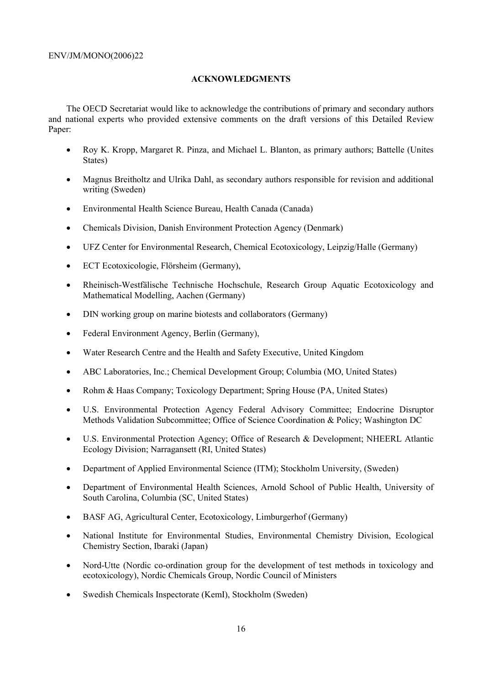#### **ACKNOWLEDGMENTS**

The OECD Secretariat would like to acknowledge the contributions of primary and secondary authors and national experts who provided extensive comments on the draft versions of this Detailed Review Paper:

- Roy K. Kropp, Margaret R. Pinza, and Michael L. Blanton, as primary authors; Battelle (Unites States)
- Magnus Breitholtz and Ulrika Dahl, as secondary authors responsible for revision and additional writing (Sweden)
- Environmental Health Science Bureau, Health Canada (Canada)
- Chemicals Division, Danish Environment Protection Agency (Denmark)
- UFZ Center for Environmental Research, Chemical Ecotoxicology, Leipzig/Halle (Germany)
- ECT Ecotoxicologie, Flörsheim (Germany),
- Rheinisch-Westfälische Technische Hochschule, Research Group Aquatic Ecotoxicology and Mathematical Modelling, Aachen (Germany)
- DIN working group on marine biotests and collaborators (Germany)
- Federal Environment Agency, Berlin (Germany),
- Water Research Centre and the Health and Safety Executive, United Kingdom
- ABC Laboratories, Inc.; Chemical Development Group; Columbia (MO, United States)
- Rohm & Haas Company; Toxicology Department; Spring House (PA, United States)
- U.S. Environmental Protection Agency Federal Advisory Committee; Endocrine Disruptor Methods Validation Subcommittee; Office of Science Coordination & Policy; Washington DC
- U.S. Environmental Protection Agency; Office of Research & Development; NHEERL Atlantic Ecology Division; Narragansett (RI, United States)
- Department of Applied Environmental Science (ITM); Stockholm University, (Sweden)
- Department of Environmental Health Sciences, Arnold School of Public Health, University of South Carolina, Columbia (SC, United States)
- BASF AG, Agricultural Center, Ecotoxicology, Limburgerhof (Germany)
- National Institute for Environmental Studies, Environmental Chemistry Division, Ecological Chemistry Section, Ibaraki (Japan)
- Nord-Utte (Nordic co-ordination group for the development of test methods in toxicology and ecotoxicology), Nordic Chemicals Group, Nordic Council of Ministers
- Swedish Chemicals Inspectorate (KemI), Stockholm (Sweden)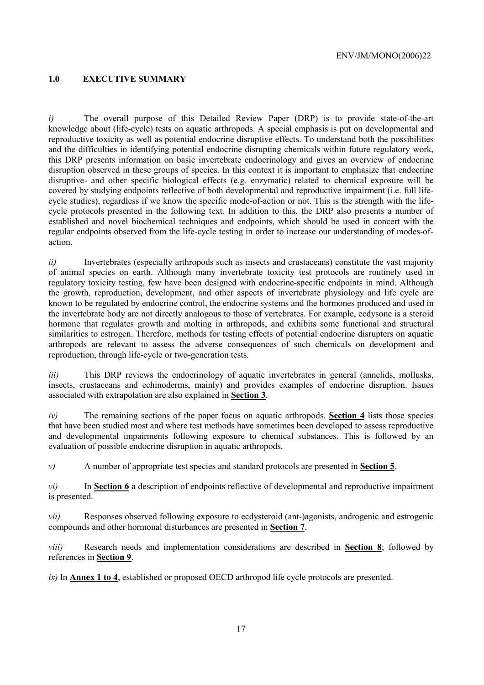# **1.0 EXECUTIVE SUMMARY**

*i*) The overall purpose of this Detailed Review Paper (DRP) is to provide state-of-the-art knowledge about (life-cycle) tests on aquatic arthropods. A special emphasis is put on developmental and reproductive toxicity as well as potential endocrine disruptive effects. To understand both the possibilities and the difficulties in identifying potential endocrine disrupting chemicals within future regulatory work, this DRP presents information on basic invertebrate endocrinology and gives an overview of endocrine disruption observed in these groups of species. In this context it is important to emphasize that endocrine disruptive- and other specific biological effects (e.g. enzymatic) related to chemical exposure will be covered by studying endpoints reflective of both developmental and reproductive impairment (i.e. full lifecycle studies), regardless if we know the specific mode-of-action or not. This is the strength with the lifecycle protocols presented in the following text. In addition to this, the DRP also presents a number of established and novel biochemical techniques and endpoints, which should be used in concert with the regular endpoints observed from the life-cycle testing in order to increase our understanding of modes-ofaction.

*ii*) Invertebrates (especially arthropods such as insects and crustaceans) constitute the vast majority of animal species on earth. Although many invertebrate toxicity test protocols are routinely used in regulatory toxicity testing, few have been designed with endocrine-specific endpoints in mind. Although the growth, reproduction, development, and other aspects of invertebrate physiology and life cycle are known to be regulated by endocrine control, the endocrine systems and the hormones produced and used in the invertebrate body are not directly analogous to those of vertebrates. For example, ecdysone is a steroid hormone that regulates growth and molting in arthropods, and exhibits some functional and structural similarities to estrogen. Therefore, methods for testing effects of potential endocrine disrupters on aquatic arthropods are relevant to assess the adverse consequences of such chemicals on development and reproduction, through life-cycle or two-generation tests.

*iii*) This DRP reviews the endocrinology of aquatic invertebrates in general (annelids, mollusks, insects, crustaceans and echinoderms, mainly) and provides examples of endocrine disruption. Issues associated with extrapolation are also explained in **Section 3**.

*iv)* The remaining sections of the paper focus on aquatic arthropods. **Section 4** lists those species that have been studied most and where test methods have sometimes been developed to assess reproductive and developmental impairments following exposure to chemical substances. This is followed by an evaluation of possible endocrine disruption in aquatic arthropods.

*v)* A number of appropriate test species and standard protocols are presented in **Section 5**.

*vi)* In **Section 6** a description of endpoints reflective of developmental and reproductive impairment is presented.

*vii)* Responses observed following exposure to ecdysteroid (ant-)agonists, androgenic and estrogenic compounds and other hormonal disturbances are presented in **Section 7**.

*viii)* Research needs and implementation considerations are described in **Section 8**; followed by references in **Section 9**.

*ix)* In **Annex 1 to 4**, established or proposed OECD arthropod life cycle protocols are presented.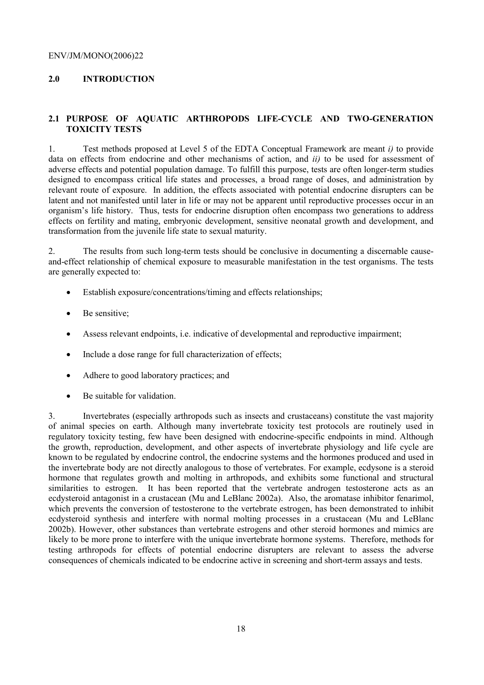# **2.0 INTRODUCTION**

# **2.1 PURPOSE OF AQUATIC ARTHROPODS LIFE-CYCLE AND TWO-GENERATION TOXICITY TESTS**

1. Test methods proposed at Level 5 of the EDTA Conceptual Framework are meant *i)* to provide data on effects from endocrine and other mechanisms of action, and *ii)* to be used for assessment of adverse effects and potential population damage. To fulfill this purpose, tests are often longer-term studies designed to encompass critical life states and processes, a broad range of doses, and administration by relevant route of exposure. In addition, the effects associated with potential endocrine disrupters can be latent and not manifested until later in life or may not be apparent until reproductive processes occur in an organism's life history. Thus, tests for endocrine disruption often encompass two generations to address effects on fertility and mating, embryonic development, sensitive neonatal growth and development, and transformation from the juvenile life state to sexual maturity.

2. The results from such long-term tests should be conclusive in documenting a discernable causeand-effect relationship of chemical exposure to measurable manifestation in the test organisms. The tests are generally expected to:

- Establish exposure/concentrations/timing and effects relationships:
- Be sensitive:
- Assess relevant endpoints, i.e. indicative of developmental and reproductive impairment;
- Include a dose range for full characterization of effects;
- Adhere to good laboratory practices; and
- Be suitable for validation.

3. Invertebrates (especially arthropods such as insects and crustaceans) constitute the vast majority of animal species on earth. Although many invertebrate toxicity test protocols are routinely used in regulatory toxicity testing, few have been designed with endocrine-specific endpoints in mind. Although the growth, reproduction, development, and other aspects of invertebrate physiology and life cycle are known to be regulated by endocrine control, the endocrine systems and the hormones produced and used in the invertebrate body are not directly analogous to those of vertebrates. For example, ecdysone is a steroid hormone that regulates growth and molting in arthropods, and exhibits some functional and structural similarities to estrogen. It has been reported that the vertebrate androgen testosterone acts as an ecdysteroid antagonist in a crustacean (Mu and LeBlanc 2002a). Also, the aromatase inhibitor fenarimol, which prevents the conversion of testosterone to the vertebrate estrogen, has been demonstrated to inhibit ecdysteroid synthesis and interfere with normal molting processes in a crustacean (Mu and LeBlanc 2002b). However, other substances than vertebrate estrogens and other steroid hormones and mimics are likely to be more prone to interfere with the unique invertebrate hormone systems. Therefore, methods for testing arthropods for effects of potential endocrine disrupters are relevant to assess the adverse consequences of chemicals indicated to be endocrine active in screening and short-term assays and tests.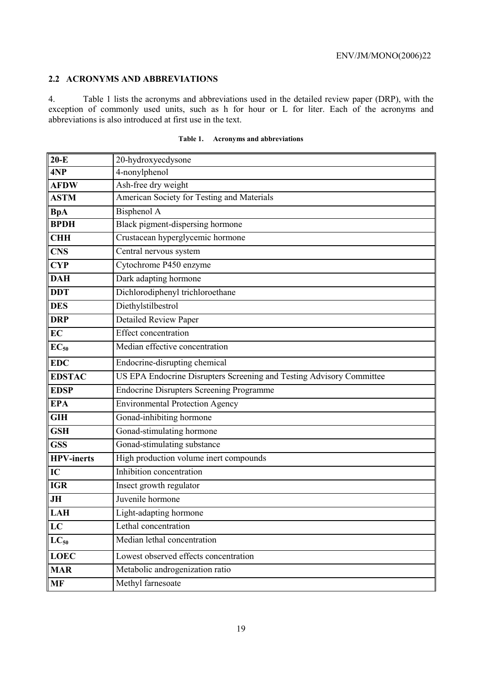# **2.2 ACRONYMS AND ABBREVIATIONS**

4. Table 1 lists the acronyms and abbreviations used in the detailed review paper (DRP), with the exception of commonly used units, such as h for hour or L for liter. Each of the acronyms and abbreviations is also introduced at first use in the text.

| $20-E$            | 20-hydroxyecdysone                                                   |  |  |
|-------------------|----------------------------------------------------------------------|--|--|
| 4NP               | 4-nonylphenol                                                        |  |  |
| <b>AFDW</b>       | Ash-free dry weight                                                  |  |  |
| <b>ASTM</b>       | American Society for Testing and Materials                           |  |  |
| <b>BpA</b>        | Bisphenol A                                                          |  |  |
| <b>BPDH</b>       | Black pigment-dispersing hormone                                     |  |  |
| <b>CHH</b>        | Crustacean hyperglycemic hormone                                     |  |  |
| <b>CNS</b>        | Central nervous system                                               |  |  |
| <b>CYP</b>        | Cytochrome P450 enzyme                                               |  |  |
| <b>DAH</b>        | Dark adapting hormone                                                |  |  |
| <b>DDT</b>        | Dichlorodiphenyl trichloroethane                                     |  |  |
| <b>DES</b>        | Diethylstilbestrol                                                   |  |  |
| <b>DRP</b>        | <b>Detailed Review Paper</b>                                         |  |  |
| <b>EC</b>         | <b>Effect</b> concentration                                          |  |  |
| $EC_{50}$         | Median effective concentration                                       |  |  |
| <b>EDC</b>        | Endocrine-disrupting chemical                                        |  |  |
| <b>EDSTAC</b>     | US EPA Endocrine Disrupters Screening and Testing Advisory Committee |  |  |
| <b>EDSP</b>       | <b>Endocrine Disrupters Screening Programme</b>                      |  |  |
| <b>EPA</b>        | <b>Environmental Protection Agency</b>                               |  |  |
| <b>GIH</b>        | Gonad-inhibiting hormone                                             |  |  |
| <b>GSH</b>        | Gonad-stimulating hormone                                            |  |  |
| <b>GSS</b>        | Gonad-stimulating substance                                          |  |  |
| <b>HPV-inerts</b> | High production volume inert compounds                               |  |  |
| IC                | Inhibition concentration                                             |  |  |
| <b>IGR</b>        | Insect growth regulator                                              |  |  |
| JH                | Juvenile hormone                                                     |  |  |
| <b>LAH</b>        | Light-adapting hormone                                               |  |  |
| LC                | Lethal concentration                                                 |  |  |
| $LC_{50}$         | Median lethal concentration                                          |  |  |
| <b>LOEC</b>       | Lowest observed effects concentration                                |  |  |
| <b>MAR</b>        | Metabolic androgenization ratio                                      |  |  |
| <b>MF</b>         | Methyl farnesoate                                                    |  |  |

| Table 1. |  | <b>Acronyms and abbreviations</b> |
|----------|--|-----------------------------------|
|----------|--|-----------------------------------|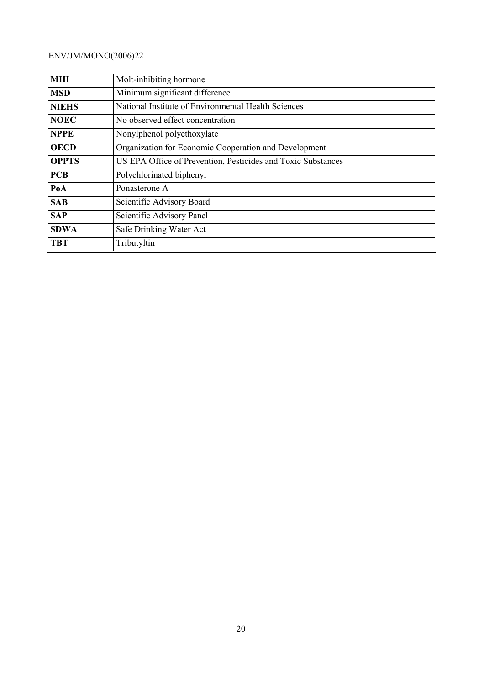| <b>MIH</b>   | Molt-inhibiting hormone                                      |  |  |  |
|--------------|--------------------------------------------------------------|--|--|--|
| <b>MSD</b>   | Minimum significant difference                               |  |  |  |
| <b>NIEHS</b> | National Institute of Environmental Health Sciences          |  |  |  |
| <b>NOEC</b>  | No observed effect concentration                             |  |  |  |
| <b>NPPE</b>  | Nonylphenol polyethoxylate                                   |  |  |  |
| <b>OECD</b>  | Organization for Economic Cooperation and Development        |  |  |  |
| <b>OPPTS</b> | US EPA Office of Prevention, Pesticides and Toxic Substances |  |  |  |
| <b>PCB</b>   | Polychlorinated biphenyl                                     |  |  |  |
| PoA          | Ponasterone A                                                |  |  |  |
| <b>SAB</b>   | Scientific Advisory Board                                    |  |  |  |
| <b>SAP</b>   | Scientific Advisory Panel                                    |  |  |  |
| <b>SDWA</b>  | Safe Drinking Water Act                                      |  |  |  |
| <b>TBT</b>   | Tributyltin                                                  |  |  |  |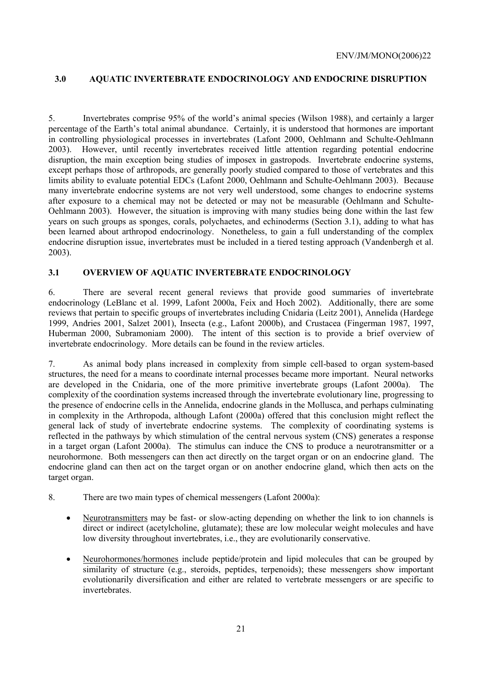# **3.0 AQUATIC INVERTEBRATE ENDOCRINOLOGY AND ENDOCRINE DISRUPTION**

5. Invertebrates comprise 95% of the world's animal species (Wilson 1988), and certainly a larger percentage of the Earth's total animal abundance. Certainly, it is understood that hormones are important in controlling physiological processes in invertebrates (Lafont 2000, Oehlmann and Schulte-Oehlmann 2003). However, until recently invertebrates received little attention regarding potential endocrine disruption, the main exception being studies of imposex in gastropods. Invertebrate endocrine systems, except perhaps those of arthropods, are generally poorly studied compared to those of vertebrates and this limits ability to evaluate potential EDCs (Lafont 2000, Oehlmann and Schulte-Oehlmann 2003). Because many invertebrate endocrine systems are not very well understood, some changes to endocrine systems after exposure to a chemical may not be detected or may not be measurable (Oehlmann and Schulte-Oehlmann 2003). However, the situation is improving with many studies being done within the last few years on such groups as sponges, corals, polychaetes, and echinoderms (Section 3.1), adding to what has been learned about arthropod endocrinology. Nonetheless, to gain a full understanding of the complex endocrine disruption issue, invertebrates must be included in a tiered testing approach (Vandenbergh et al. 2003).

# **3.1 OVERVIEW OF AQUATIC INVERTEBRATE ENDOCRINOLOGY**

6. There are several recent general reviews that provide good summaries of invertebrate endocrinology (LeBlanc et al. 1999, Lafont 2000a, Feix and Hoch 2002). Additionally, there are some reviews that pertain to specific groups of invertebrates including Cnidaria (Leitz 2001), Annelida (Hardege 1999, Andries 2001, Salzet 2001), Insecta (e.g., Lafont 2000b), and Crustacea (Fingerman 1987, 1997, Huberman 2000, Subramoniam 2000). The intent of this section is to provide a brief overview of invertebrate endocrinology. More details can be found in the review articles.

7. As animal body plans increased in complexity from simple cell-based to organ system-based structures, the need for a means to coordinate internal processes became more important. Neural networks are developed in the Cnidaria, one of the more primitive invertebrate groups (Lafont 2000a). The complexity of the coordination systems increased through the invertebrate evolutionary line, progressing to the presence of endocrine cells in the Annelida, endocrine glands in the Mollusca, and perhaps culminating in complexity in the Arthropoda, although Lafont (2000a) offered that this conclusion might reflect the general lack of study of invertebrate endocrine systems. The complexity of coordinating systems is reflected in the pathways by which stimulation of the central nervous system (CNS) generates a response in a target organ (Lafont 2000a). The stimulus can induce the CNS to produce a neurotransmitter or a neurohormone. Both messengers can then act directly on the target organ or on an endocrine gland. The endocrine gland can then act on the target organ or on another endocrine gland, which then acts on the target organ.

- 8. There are two main types of chemical messengers (Lafont 2000a):
	- Neurotransmitters may be fast- or slow-acting depending on whether the link to ion channels is direct or indirect (acetylcholine, glutamate); these are low molecular weight molecules and have low diversity throughout invertebrates, i.e., they are evolutionarily conservative.
	- Neurohormones/hormones include peptide/protein and lipid molecules that can be grouped by similarity of structure (e.g., steroids, peptides, terpenoids); these messengers show important evolutionarily diversification and either are related to vertebrate messengers or are specific to invertebrates.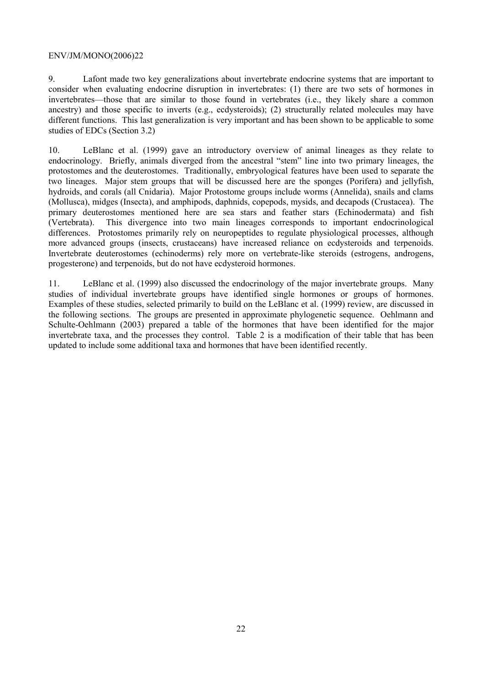9. Lafont made two key generalizations about invertebrate endocrine systems that are important to consider when evaluating endocrine disruption in invertebrates: (1) there are two sets of hormones in invertebrates—those that are similar to those found in vertebrates (i.e., they likely share a common ancestry) and those specific to inverts (e.g., ecdysteroids); (2) structurally related molecules may have different functions. This last generalization is very important and has been shown to be applicable to some studies of EDCs (Section 3.2)

10. LeBlanc et al. (1999) gave an introductory overview of animal lineages as they relate to endocrinology. Briefly, animals diverged from the ancestral "stem" line into two primary lineages, the protostomes and the deuterostomes. Traditionally, embryological features have been used to separate the two lineages. Major stem groups that will be discussed here are the sponges (Porifera) and jellyfish, hydroids, and corals (all Cnidaria). Major Protostome groups include worms (Annelida), snails and clams (Mollusca), midges (Insecta), and amphipods, daphnids, copepods, mysids, and decapods (Crustacea). The primary deuterostomes mentioned here are sea stars and feather stars (Echinodermata) and fish (Vertebrata). This divergence into two main lineages corresponds to important endocrinological differences. Protostomes primarily rely on neuropeptides to regulate physiological processes, although more advanced groups (insects, crustaceans) have increased reliance on ecdysteroids and terpenoids. Invertebrate deuterostomes (echinoderms) rely more on vertebrate-like steroids (estrogens, androgens, progesterone) and terpenoids, but do not have ecdysteroid hormones.

11. LeBlanc et al. (1999) also discussed the endocrinology of the major invertebrate groups. Many studies of individual invertebrate groups have identified single hormones or groups of hormones. Examples of these studies, selected primarily to build on the LeBlanc et al. (1999) review, are discussed in the following sections. The groups are presented in approximate phylogenetic sequence. Oehlmann and Schulte-Oehlmann (2003) prepared a table of the hormones that have been identified for the major invertebrate taxa, and the processes they control. Table 2 is a modification of their table that has been updated to include some additional taxa and hormones that have been identified recently.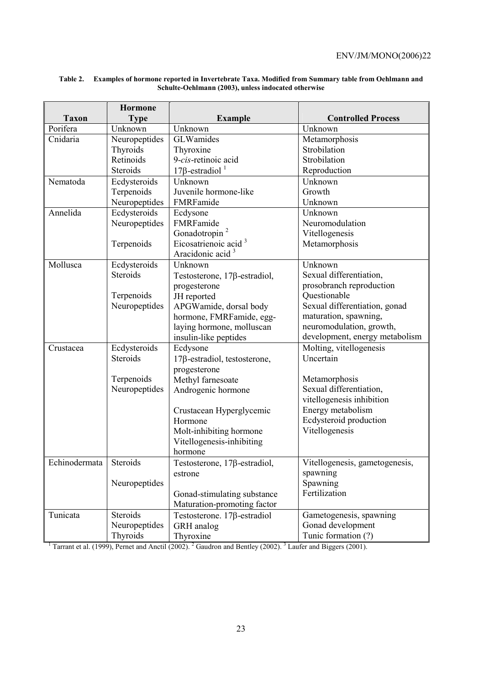|               | <b>Hormone</b> |                                                                                                                                   |                                |
|---------------|----------------|-----------------------------------------------------------------------------------------------------------------------------------|--------------------------------|
| <b>Taxon</b>  | <b>Type</b>    | <b>Example</b>                                                                                                                    | <b>Controlled Process</b>      |
| Porifera      | Unknown        | Unknown                                                                                                                           | Unknown                        |
| Cnidaria      | Neuropeptides  | GLWamides                                                                                                                         | Metamorphosis                  |
|               | Thyroids       | Thyroxine                                                                                                                         | Strobilation                   |
|               | Retinoids      | 9-cis-retinoic acid                                                                                                               | Strobilation                   |
|               | Steroids       | $17\beta$ -estradiol <sup>1</sup>                                                                                                 | Reproduction                   |
| Nematoda      | Ecdysteroids   | Unknown                                                                                                                           | Unknown                        |
|               | Terpenoids     | Juvenile hormone-like                                                                                                             | Growth                         |
|               | Neuropeptides  | FMRFamide                                                                                                                         | Unknown                        |
| Annelida      | Ecdysteroids   | Ecdysone                                                                                                                          | Unknown                        |
|               | Neuropeptides  | FMRFamide                                                                                                                         | Neuromodulation                |
|               |                | Gonadotropin <sup>2</sup>                                                                                                         | Vitellogenesis                 |
|               | Terpenoids     | Eicosatrienoic acid <sup>3</sup>                                                                                                  | Metamorphosis                  |
|               |                | Aracidonic acid <sup>3</sup>                                                                                                      |                                |
| Mollusca      | Ecdysteroids   | Unknown                                                                                                                           | Unknown                        |
|               | Steroids       | Testosterone, $17\beta$ -estradiol,                                                                                               | Sexual differentiation,        |
|               |                | progesterone                                                                                                                      | prosobranch reproduction       |
|               | Terpenoids     | JH reported                                                                                                                       | Questionable                   |
|               | Neuropeptides  | APGWamide, dorsal body                                                                                                            | Sexual differentiation, gonad  |
|               |                | hormone, FMRFamide, egg-                                                                                                          | maturation, spawning,          |
|               |                | laying hormone, molluscan                                                                                                         | neuromodulation, growth,       |
|               |                | insulin-like peptides                                                                                                             | development, energy metabolism |
| Crustacea     | Ecdysteroids   | Ecdysone                                                                                                                          | Molting, vitellogenesis        |
|               | Steroids       | 17ß-estradiol, testosterone,                                                                                                      | Uncertain                      |
|               |                | progesterone                                                                                                                      |                                |
|               | Terpenoids     | Methyl farnesoate                                                                                                                 | Metamorphosis                  |
|               | Neuropeptides  | Androgenic hormone                                                                                                                | Sexual differentiation,        |
|               |                |                                                                                                                                   | vitellogenesis inhibition      |
|               |                | Crustacean Hyperglycemic                                                                                                          | Energy metabolism              |
|               |                | Hormone                                                                                                                           | Ecdysteroid production         |
|               |                | Molt-inhibiting hormone                                                                                                           | Vitellogenesis                 |
|               |                | Vitellogenesis-inhibiting                                                                                                         |                                |
|               |                | hormone                                                                                                                           |                                |
| Echinodermata | Steroids       | Testosterone, $17\beta$ -estradiol,                                                                                               | Vitellogenesis, gametogenesis, |
|               |                | estrone                                                                                                                           | spawning                       |
|               | Neuropeptides  |                                                                                                                                   | Spawning                       |
|               |                | Gonad-stimulating substance                                                                                                       | Fertilization                  |
|               |                | Maturation-promoting factor                                                                                                       |                                |
| Tunicata      | Steroids       | Testosterone. $17\beta$ -estradiol                                                                                                | Gametogenesis, spawning        |
|               | Neuropeptides  | GRH analog                                                                                                                        | Gonad development              |
|               | Thyroids       | Thyroxine                                                                                                                         | Tunic formation (?)            |
|               |                | Tarrant et al. (1999), Pernet and Anctil (2002). <sup>2</sup> Gaudron and Bentley (2002). <sup>3</sup> Laufer and Biggers (2001). |                                |

#### **Table 2. Examples of hormone reported in Invertebrate Taxa. Modified from Summary table from Oehlmann and Schulte-Oehlmann (2003), unless indocated otherwise**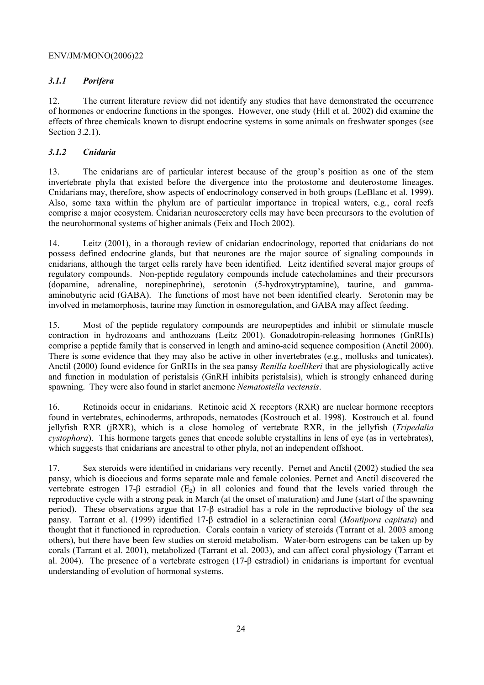# *3.1.1 Porifera*

12. The current literature review did not identify any studies that have demonstrated the occurrence of hormones or endocrine functions in the sponges. However, one study (Hill et al. 2002) did examine the effects of three chemicals known to disrupt endocrine systems in some animals on freshwater sponges (see Section 3.2.1).

# *3.1.2 Cnidaria*

13. The cnidarians are of particular interest because of the group's position as one of the stem invertebrate phyla that existed before the divergence into the protostome and deuterostome lineages. Cnidarians may, therefore, show aspects of endocrinology conserved in both groups (LeBlanc et al. 1999). Also, some taxa within the phylum are of particular importance in tropical waters, e.g., coral reefs comprise a major ecosystem. Cnidarian neurosecretory cells may have been precursors to the evolution of the neurohormonal systems of higher animals (Feix and Hoch 2002).

14. Leitz (2001), in a thorough review of cnidarian endocrinology, reported that cnidarians do not possess defined endocrine glands, but that neurones are the major source of signaling compounds in cnidarians, although the target cells rarely have been identified. Leitz identified several major groups of regulatory compounds. Non-peptide regulatory compounds include catecholamines and their precursors (dopamine, adrenaline, norepinephrine), serotonin (5-hydroxytryptamine), taurine, and gammaaminobutyric acid (GABA). The functions of most have not been identified clearly. Serotonin may be involved in metamorphosis, taurine may function in osmoregulation, and GABA may affect feeding.

15. Most of the peptide regulatory compounds are neuropeptides and inhibit or stimulate muscle contraction in hydrozoans and anthozoans (Leitz 2001). Gonadotropin-releasing hormones (GnRHs) comprise a peptide family that is conserved in length and amino-acid sequence composition (Anctil 2000). There is some evidence that they may also be active in other invertebrates (e.g., mollusks and tunicates). Anctil (2000) found evidence for GnRHs in the sea pansy *Renilla koellikeri* that are physiologically active and function in modulation of peristalsis (GnRH inhibits peristalsis), which is strongly enhanced during spawning. They were also found in starlet anemone *Nematostella vectensis*.

16. Retinoids occur in cnidarians. Retinoic acid X receptors (RXR) are nuclear hormone receptors found in vertebrates, echinoderms, arthropods, nematodes (Kostrouch et al. 1998). Kostrouch et al. found jellyfish RXR (jRXR), which is a close homolog of vertebrate RXR, in the jellyfish (*Tripedalia cystophora*). This hormone targets genes that encode soluble crystallins in lens of eye (as in vertebrates), which suggests that cnidarians are ancestral to other phyla, not an independent offshoot.

17. Sex steroids were identified in cnidarians very recently. Pernet and Anctil (2002) studied the sea pansy, which is dioecious and forms separate male and female colonies. Pernet and Anctil discovered the vertebrate estrogen 17-β estradiol  $(E_2)$  in all colonies and found that the levels varied through the reproductive cycle with a strong peak in March (at the onset of maturation) and June (start of the spawning period). These observations argue that 17-β estradiol has a role in the reproductive biology of the sea pansy. Tarrant et al. (1999) identified 17-β estradiol in a scleractinian coral (*Montipora capitata*) and thought that it functioned in reproduction. Corals contain a variety of steroids (Tarrant et al. 2003 among others), but there have been few studies on steroid metabolism. Water-born estrogens can be taken up by corals (Tarrant et al. 2001), metabolized (Tarrant et al. 2003), and can affect coral physiology (Tarrant et al. 2004). The presence of a vertebrate estrogen (17-β estradiol) in cnidarians is important for eventual understanding of evolution of hormonal systems.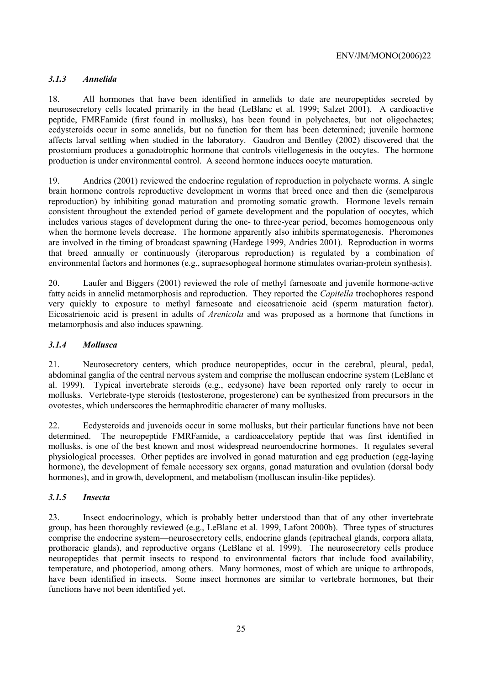# *3.1.3 Annelida*

18. All hormones that have been identified in annelids to date are neuropeptides secreted by neurosecretory cells located primarily in the head (LeBlanc et al. 1999; Salzet 2001). A cardioactive peptide, FMRFamide (first found in mollusks), has been found in polychaetes, but not oligochaetes; ecdysteroids occur in some annelids, but no function for them has been determined; juvenile hormone affects larval settling when studied in the laboratory. Gaudron and Bentley (2002) discovered that the prostomium produces a gonadotrophic hormone that controls vitellogenesis in the oocytes. The hormone production is under environmental control. A second hormone induces oocyte maturation.

19. Andries (2001) reviewed the endocrine regulation of reproduction in polychaete worms. A single brain hormone controls reproductive development in worms that breed once and then die (semelparous reproduction) by inhibiting gonad maturation and promoting somatic growth. Hormone levels remain consistent throughout the extended period of gamete development and the population of oocytes, which includes various stages of development during the one- to three-year period, becomes homogeneous only when the hormone levels decrease. The hormone apparently also inhibits spermatogenesis. Pheromones are involved in the timing of broadcast spawning (Hardege 1999, Andries 2001). Reproduction in worms that breed annually or continuously (iteroparous reproduction) is regulated by a combination of environmental factors and hormones (e.g., supraesophogeal hormone stimulates ovarian-protein synthesis).

20. Laufer and Biggers (2001) reviewed the role of methyl farnesoate and juvenile hormone-active fatty acids in annelid metamorphosis and reproduction. They reported the *Capitella* trochophores respond very quickly to exposure to methyl farnesoate and eicosatrienoic acid (sperm maturation factor). Eicosatrienoic acid is present in adults of *Arenicola* and was proposed as a hormone that functions in metamorphosis and also induces spawning.

#### *3.1.4 Mollusca*

21. Neurosecretory centers, which produce neuropeptides, occur in the cerebral, pleural, pedal, abdominal ganglia of the central nervous system and comprise the molluscan endocrine system (LeBlanc et al. 1999). Typical invertebrate steroids (e.g., ecdysone) have been reported only rarely to occur in mollusks. Vertebrate-type steroids (testosterone, progesterone) can be synthesized from precursors in the ovotestes, which underscores the hermaphroditic character of many mollusks.

22. Ecdysteroids and juvenoids occur in some mollusks, but their particular functions have not been determined. The neuropeptide FMRFamide, a cardioaccelatory peptide that was first identified in mollusks, is one of the best known and most widespread neuroendocrine hormones. It regulates several physiological processes. Other peptides are involved in gonad maturation and egg production (egg-laying hormone), the development of female accessory sex organs, gonad maturation and ovulation (dorsal body hormones), and in growth, development, and metabolism (molluscan insulin-like peptides).

# *3.1.5 Insecta*

23. Insect endocrinology, which is probably better understood than that of any other invertebrate group, has been thoroughly reviewed (e.g., LeBlanc et al. 1999, Lafont 2000b). Three types of structures comprise the endocrine system—neurosecretory cells, endocrine glands (epitracheal glands, corpora allata, prothoracic glands), and reproductive organs (LeBlanc et al. 1999). The neurosecretory cells produce neuropeptides that permit insects to respond to environmental factors that include food availability, temperature, and photoperiod, among others. Many hormones, most of which are unique to arthropods, have been identified in insects. Some insect hormones are similar to vertebrate hormones, but their functions have not been identified yet.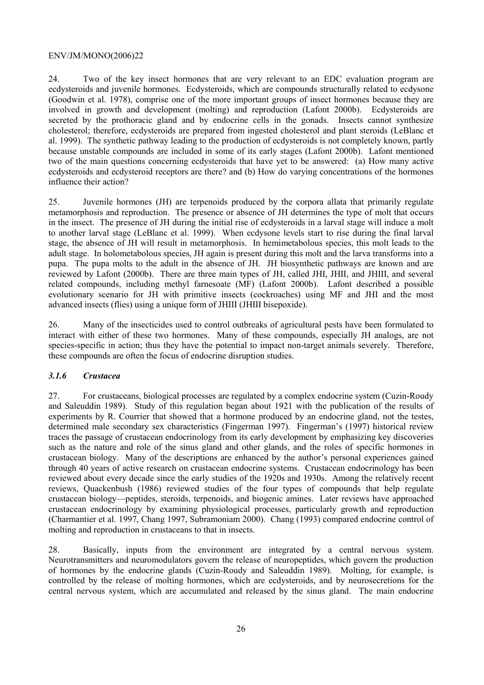24. Two of the key insect hormones that are very relevant to an EDC evaluation program are ecdysteroids and juvenile hormones. Ecdysteroids, which are compounds structurally related to ecdysone (Goodwin et al. 1978), comprise one of the more important groups of insect hormones because they are involved in growth and development (molting) and reproduction (Lafont 2000b). Ecdysteroids are secreted by the prothoracic gland and by endocrine cells in the gonads. Insects cannot synthesize cholesterol; therefore, ecdysteroids are prepared from ingested cholesterol and plant steroids (LeBlanc et al. 1999). The synthetic pathway leading to the production of ecdysteroids is not completely known, partly because unstable compounds are included in some of its early stages (Lafont 2000b). Lafont mentioned two of the main questions concerning ecdysteroids that have yet to be answered: (a) How many active ecdysteroids and ecdysteroid receptors are there? and (b) How do varying concentrations of the hormones influence their action?

25. Juvenile hormones (JH) are terpenoids produced by the corpora allata that primarily regulate metamorphosis and reproduction. The presence or absence of JH determines the type of molt that occurs in the insect. The presence of JH during the initial rise of ecdysteroids in a larval stage will induce a molt to another larval stage (LeBlanc et al. 1999). When ecdysone levels start to rise during the final larval stage, the absence of JH will result in metamorphosis. In hemimetabolous species, this molt leads to the adult stage. In holometabolous species, JH again is present during this molt and the larva transforms into a pupa. The pupa molts to the adult in the absence of JH. JH biosynthetic pathways are known and are reviewed by Lafont (2000b). There are three main types of JH, called JHI, JHII, and JHIII, and several related compounds, including methyl farnesoate (MF) (Lafont 2000b). Lafont described a possible evolutionary scenario for JH with primitive insects (cockroaches) using MF and JHI and the most advanced insects (flies) using a unique form of JHIII (JHIII bisepoxide).

26. Many of the insecticides used to control outbreaks of agricultural pests have been formulated to interact with either of these two hormones. Many of these compounds, especially JH analogs, are not species-specific in action; thus they have the potential to impact non-target animals severely. Therefore, these compounds are often the focus of endocrine disruption studies.

#### *3.1.6 Crustacea*

27. For crustaceans, biological processes are regulated by a complex endocrine system (Cuzin-Roudy and Saleuddin 1989). Study of this regulation began about 1921 with the publication of the results of experiments by R. Courrier that showed that a hormone produced by an endocrine gland, not the testes, determined male secondary sex characteristics (Fingerman 1997). Fingerman's (1997) historical review traces the passage of crustacean endocrinology from its early development by emphasizing key discoveries such as the nature and role of the sinus gland and other glands, and the roles of specific hormones in crustacean biology. Many of the descriptions are enhanced by the author's personal experiences gained through 40 years of active research on crustacean endocrine systems. Crustacean endocrinology has been reviewed about every decade since the early studies of the 1920s and 1930s. Among the relatively recent reviews, Quackenbush (1986) reviewed studies of the four types of compounds that help regulate crustacean biology—peptides, steroids, terpenoids, and biogenic amines. Later reviews have approached crustacean endocrinology by examining physiological processes, particularly growth and reproduction (Charmantier et al. 1997, Chang 1997, Subramoniam 2000). Chang (1993) compared endocrine control of molting and reproduction in crustaceans to that in insects.

28. Basically, inputs from the environment are integrated by a central nervous system. Neurotransmitters and neuromodulators govern the release of neuropeptides, which govern the production of hormones by the endocrine glands (Cuzin-Roudy and Saleuddin 1989). Molting, for example, is controlled by the release of molting hormones, which are ecdysteroids, and by neurosecretions for the central nervous system, which are accumulated and released by the sinus gland. The main endocrine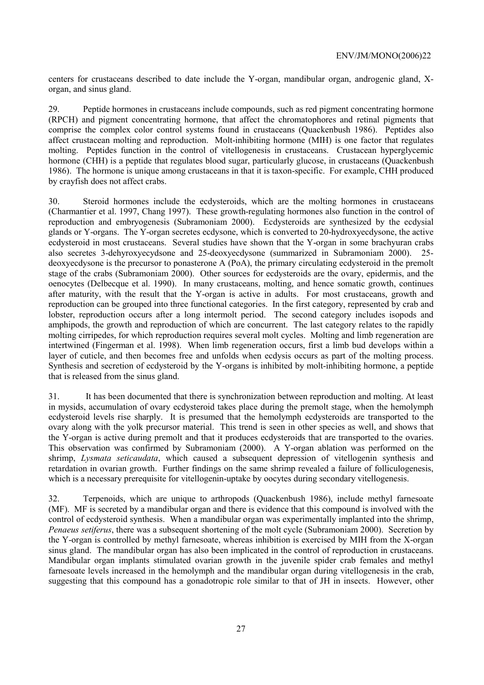centers for crustaceans described to date include the Y-organ, mandibular organ, androgenic gland, Xorgan, and sinus gland.

29. Peptide hormones in crustaceans include compounds, such as red pigment concentrating hormone (RPCH) and pigment concentrating hormone, that affect the chromatophores and retinal pigments that comprise the complex color control systems found in crustaceans (Quackenbush 1986). Peptides also affect crustacean molting and reproduction. Molt-inhibiting hormone (MIH) is one factor that regulates molting. Peptides function in the control of vitellogenesis in crustaceans. Crustacean hyperglycemic hormone (CHH) is a peptide that regulates blood sugar, particularly glucose, in crustaceans (Quackenbush 1986). The hormone is unique among crustaceans in that it is taxon-specific. For example, CHH produced by crayfish does not affect crabs.

30. Steroid hormones include the ecdysteroids, which are the molting hormones in crustaceans (Charmantier et al. 1997, Chang 1997). These growth-regulating hormones also function in the control of reproduction and embryogenesis (Subramoniam 2000). Ecdysteroids are synthesized by the ecdysial glands or Y-organs. The Y-organ secretes ecdysone, which is converted to 20-hydroxyecdysone, the active ecdysteroid in most crustaceans. Several studies have shown that the Y-organ in some brachyuran crabs also secretes 3-dehyroxyecydsone and 25-deoxyecdysone (summarized in Subramoniam 2000). 25 deoxyecdysone is the precursor to ponasterone A (PoA), the primary circulating ecdysteroid in the premolt stage of the crabs (Subramoniam 2000). Other sources for ecdysteroids are the ovary, epidermis, and the oenocytes (Delbecque et al. 1990). In many crustaceans, molting, and hence somatic growth, continues after maturity, with the result that the Y-organ is active in adults. For most crustaceans, growth and reproduction can be grouped into three functional categories. In the first category, represented by crab and lobster, reproduction occurs after a long intermolt period. The second category includes isopods and amphipods, the growth and reproduction of which are concurrent. The last category relates to the rapidly molting cirripedes, for which reproduction requires several molt cycles. Molting and limb regeneration are intertwined (Fingerman et al. 1998). When limb regeneration occurs, first a limb bud develops within a layer of cuticle, and then becomes free and unfolds when ecdysis occurs as part of the molting process. Synthesis and secretion of ecdysteroid by the Y-organs is inhibited by molt-inhibiting hormone, a peptide that is released from the sinus gland.

31. It has been documented that there is synchronization between reproduction and molting. At least in mysids, accumulation of ovary ecdysteroid takes place during the premolt stage, when the hemolymph ecdysteroid levels rise sharply. It is presumed that the hemolymph ecdysteroids are transported to the ovary along with the yolk precursor material. This trend is seen in other species as well, and shows that the Y-organ is active during premolt and that it produces ecdysteroids that are transported to the ovaries. This observation was confirmed by Subramoniam (2000). A Y-organ ablation was performed on the shrimp, *Lysmata seticaudata*, which caused a subsequent depression of vitellogenin synthesis and retardation in ovarian growth. Further findings on the same shrimp revealed a failure of folliculogenesis, which is a necessary prerequisite for vitellogenin-uptake by oocytes during secondary vitellogenesis.

32. Terpenoids, which are unique to arthropods (Quackenbush 1986), include methyl farnesoate (MF). MF is secreted by a mandibular organ and there is evidence that this compound is involved with the control of ecdysteroid synthesis. When a mandibular organ was experimentally implanted into the shrimp, *Penaeus setiferus*, there was a subsequent shortening of the molt cycle (Subramoniam 2000). Secretion by the Y-organ is controlled by methyl farnesoate, whereas inhibition is exercised by MIH from the X-organ sinus gland. The mandibular organ has also been implicated in the control of reproduction in crustaceans. Mandibular organ implants stimulated ovarian growth in the juvenile spider crab females and methyl farnesoate levels increased in the hemolymph and the mandibular organ during vitellogenesis in the crab, suggesting that this compound has a gonadotropic role similar to that of JH in insects. However, other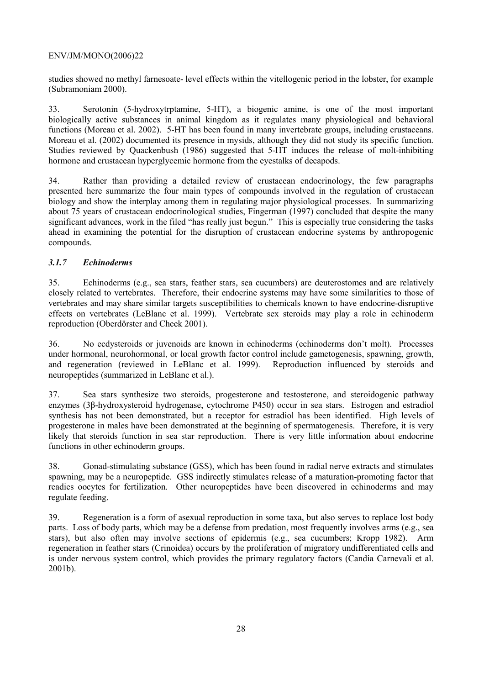studies showed no methyl farnesoate- level effects within the vitellogenic period in the lobster, for example (Subramoniam 2000).

33. Serotonin (5-hydroxytrptamine, 5-HT), a biogenic amine, is one of the most important biologically active substances in animal kingdom as it regulates many physiological and behavioral functions (Moreau et al. 2002). 5-HT has been found in many invertebrate groups, including crustaceans. Moreau et al. (2002) documented its presence in mysids, although they did not study its specific function. Studies reviewed by Quackenbush (1986) suggested that 5-HT induces the release of molt-inhibiting hormone and crustacean hyperglycemic hormone from the eyestalks of decapods.

34. Rather than providing a detailed review of crustacean endocrinology, the few paragraphs presented here summarize the four main types of compounds involved in the regulation of crustacean biology and show the interplay among them in regulating major physiological processes. In summarizing about 75 years of crustacean endocrinological studies, Fingerman (1997) concluded that despite the many significant advances, work in the filed "has really just begun." This is especially true considering the tasks ahead in examining the potential for the disruption of crustacean endocrine systems by anthropogenic compounds.

# *3.1.7 Echinoderms*

35. Echinoderms (e.g., sea stars, feather stars, sea cucumbers) are deuterostomes and are relatively closely related to vertebrates. Therefore, their endocrine systems may have some similarities to those of vertebrates and may share similar targets susceptibilities to chemicals known to have endocrine-disruptive effects on vertebrates (LeBlanc et al. 1999). Vertebrate sex steroids may play a role in echinoderm reproduction (Oberdörster and Cheek 2001).

36. No ecdysteroids or juvenoids are known in echinoderms (echinoderms don't molt). Processes under hormonal, neurohormonal, or local growth factor control include gametogenesis, spawning, growth, and regeneration (reviewed in LeBlanc et al. 1999). Reproduction influenced by steroids and neuropeptides (summarized in LeBlanc et al.).

37. Sea stars synthesize two steroids, progesterone and testosterone, and steroidogenic pathway enzymes (3β-hydroxysteroid hydrogenase, cytochrome P450) occur in sea stars. Estrogen and estradiol synthesis has not been demonstrated, but a receptor for estradiol has been identified. High levels of progesterone in males have been demonstrated at the beginning of spermatogenesis. Therefore, it is very likely that steroids function in sea star reproduction. There is very little information about endocrine functions in other echinoderm groups.

38. Gonad-stimulating substance (GSS), which has been found in radial nerve extracts and stimulates spawning, may be a neuropeptide. GSS indirectly stimulates release of a maturation-promoting factor that readies oocytes for fertilization. Other neuropeptides have been discovered in echinoderms and may regulate feeding.

39. Regeneration is a form of asexual reproduction in some taxa, but also serves to replace lost body parts. Loss of body parts, which may be a defense from predation, most frequently involves arms (e.g., sea stars), but also often may involve sections of epidermis (e.g., sea cucumbers; Kropp 1982). Arm regeneration in feather stars (Crinoidea) occurs by the proliferation of migratory undifferentiated cells and is under nervous system control, which provides the primary regulatory factors (Candia Carnevali et al. 2001b).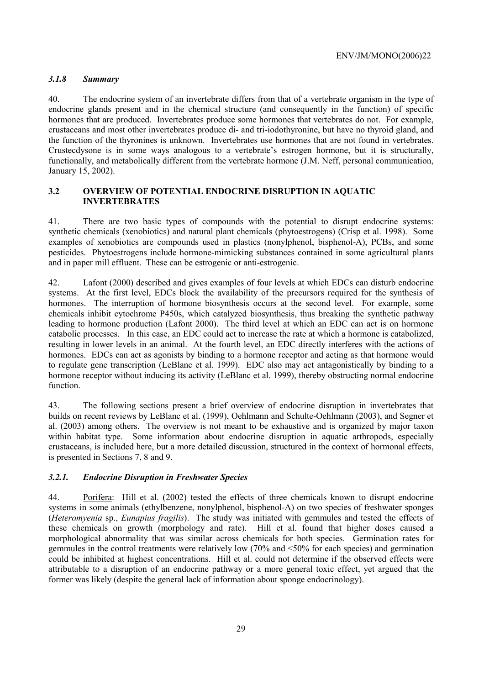#### *3.1.8 Summary*

40. The endocrine system of an invertebrate differs from that of a vertebrate organism in the type of endocrine glands present and in the chemical structure (and consequently in the function) of specific hormones that are produced. Invertebrates produce some hormones that vertebrates do not. For example, crustaceans and most other invertebrates produce di- and tri-iodothyronine, but have no thyroid gland, and the function of the thyronines is unknown. Invertebrates use hormones that are not found in vertebrates. Crustecdysone is in some ways analogous to a vertebrate's estrogen hormone, but it is structurally, functionally, and metabolically different from the vertebrate hormone (J.M. Neff, personal communication, January 15, 2002).

#### **3.2 OVERVIEW OF POTENTIAL ENDOCRINE DISRUPTION IN AQUATIC INVERTEBRATES**

41. There are two basic types of compounds with the potential to disrupt endocrine systems: synthetic chemicals (xenobiotics) and natural plant chemicals (phytoestrogens) (Crisp et al. 1998). Some examples of xenobiotics are compounds used in plastics (nonylphenol, bisphenol-A), PCBs, and some pesticides. Phytoestrogens include hormone-mimicking substances contained in some agricultural plants and in paper mill effluent. These can be estrogenic or anti-estrogenic.

42. Lafont (2000) described and gives examples of four levels at which EDCs can disturb endocrine systems. At the first level, EDCs block the availability of the precursors required for the synthesis of hormones. The interruption of hormone biosynthesis occurs at the second level. For example, some chemicals inhibit cytochrome P450s, which catalyzed biosynthesis, thus breaking the synthetic pathway leading to hormone production (Lafont 2000). The third level at which an EDC can act is on hormone catabolic processes. In this case, an EDC could act to increase the rate at which a hormone is catabolized, resulting in lower levels in an animal. At the fourth level, an EDC directly interferes with the actions of hormones. EDCs can act as agonists by binding to a hormone receptor and acting as that hormone would to regulate gene transcription (LeBlanc et al. 1999). EDC also may act antagonistically by binding to a hormone receptor without inducing its activity (LeBlanc et al. 1999), thereby obstructing normal endocrine function.

43. The following sections present a brief overview of endocrine disruption in invertebrates that builds on recent reviews by LeBlanc et al. (1999), Oehlmann and Schulte-Oehlmann (2003), and Segner et al. (2003) among others. The overview is not meant to be exhaustive and is organized by major taxon within habitat type. Some information about endocrine disruption in aquatic arthropods, especially crustaceans, is included here, but a more detailed discussion, structured in the context of hormonal effects, is presented in Sections 7, 8 and 9.

#### *3.2.1. Endocrine Disruption in Freshwater Species*

44. Porifera: Hill et al. (2002) tested the effects of three chemicals known to disrupt endocrine systems in some animals (ethylbenzene, nonylphenol, bisphenol-A) on two species of freshwater sponges (*Heteromyenia* sp., *Eunapius fragilis*). The study was initiated with gemmules and tested the effects of these chemicals on growth (morphology and rate). Hill et al. found that higher doses caused a morphological abnormality that was similar across chemicals for both species. Germination rates for gemmules in the control treatments were relatively low (70% and <50% for each species) and germination could be inhibited at highest concentrations. Hill et al. could not determine if the observed effects were attributable to a disruption of an endocrine pathway or a more general toxic effect, yet argued that the former was likely (despite the general lack of information about sponge endocrinology).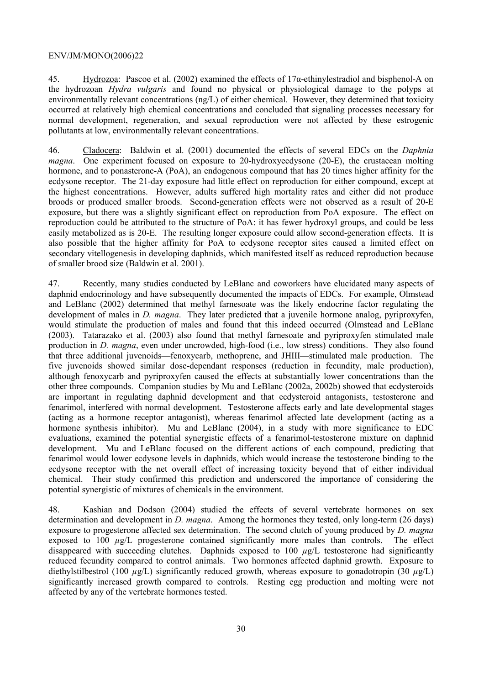45. Hydrozoa: Pascoe et al. (2002) examined the effects of  $17\alpha$ -ethinylestradiol and bisphenol-A on the hydrozoan *Hydra vulgaris* and found no physical or physiological damage to the polyps at environmentally relevant concentrations (ng/L) of either chemical. However, they determined that toxicity occurred at relatively high chemical concentrations and concluded that signaling processes necessary for normal development, regeneration, and sexual reproduction were not affected by these estrogenic pollutants at low, environmentally relevant concentrations.

46. Cladocera: Baldwin et al. (2001) documented the effects of several EDCs on the *Daphnia magna*. One experiment focused on exposure to 20-hydroxyecdysone (20-E), the crustacean molting hormone, and to ponasterone-A (PoA), an endogenous compound that has 20 times higher affinity for the ecdysone receptor. The 21-day exposure had little effect on reproduction for either compound, except at the highest concentrations. However, adults suffered high mortality rates and either did not produce broods or produced smaller broods. Second-generation effects were not observed as a result of 20-E exposure, but there was a slightly significant effect on reproduction from PoA exposure. The effect on reproduction could be attributed to the structure of PoA: it has fewer hydroxyl groups, and could be less easily metabolized as is 20-E. The resulting longer exposure could allow second-generation effects. It is also possible that the higher affinity for PoA to ecdysone receptor sites caused a limited effect on secondary vitellogenesis in developing daphnids, which manifested itself as reduced reproduction because of smaller brood size (Baldwin et al. 2001).

47. Recently, many studies conducted by LeBlanc and coworkers have elucidated many aspects of daphnid endocrinology and have subsequently documented the impacts of EDCs. For example, Olmstead and LeBlanc (2002) determined that methyl farnesoate was the likely endocrine factor regulating the development of males in *D. magna*. They later predicted that a juvenile hormone analog, pyriproxyfen, would stimulate the production of males and found that this indeed occurred (Olmstead and LeBlanc (2003). Tatarazako et al. (2003) also found that methyl farnesoate and pyriproxyfen stimulated male production in *D. magna*, even under uncrowded, high-food (i.e., low stress) conditions. They also found that three additional juvenoids—fenoxycarb, methoprene, and JHIII—stimulated male production. The five juvenoids showed similar dose-dependant responses (reduction in fecundity, male production), although fenoxycarb and pyriproxyfen caused the effects at substantially lower concentrations than the other three compounds. Companion studies by Mu and LeBlanc (2002a, 2002b) showed that ecdysteroids are important in regulating daphnid development and that ecdysteroid antagonists, testosterone and fenarimol, interfered with normal development. Testosterone affects early and late developmental stages (acting as a hormone receptor antagonist), whereas fenarimol affected late development (acting as a hormone synthesis inhibitor). Mu and LeBlanc (2004), in a study with more significance to EDC evaluations, examined the potential synergistic effects of a fenarimol-testosterone mixture on daphnid development. Mu and LeBlanc focused on the different actions of each compound, predicting that fenarimol would lower ecdysone levels in daphnids, which would increase the testosterone binding to the ecdysone receptor with the net overall effect of increasing toxicity beyond that of either individual chemical. Their study confirmed this prediction and underscored the importance of considering the potential synergistic of mixtures of chemicals in the environment.

48. Kashian and Dodson (2004) studied the effects of several vertebrate hormones on sex determination and development in *D. magna*. Among the hormones they tested, only long-term (26 days) exposure to progesterone affected sex determination. The second clutch of young produced by *D. magna* exposed to 100  $\mu$ g/L progesterone contained significantly more males than controls. The effect disappeared with succeeding clutches. Daphnids exposed to  $100 \mu g/L$  testosterone had significantly reduced fecundity compared to control animals. Two hormones affected daphnid growth. Exposure to diethylstilbestrol (100 *µ*g/L) significantly reduced growth, whereas exposure to gonadotropin (30 *µ*g/L) significantly increased growth compared to controls. Resting egg production and molting were not affected by any of the vertebrate hormones tested.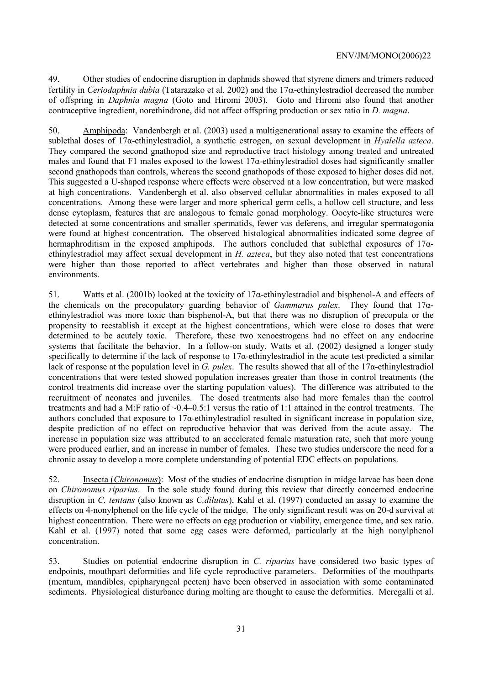49. Other studies of endocrine disruption in daphnids showed that styrene dimers and trimers reduced fertility in *Ceriodaphnia dubia* (Tatarazako et al. 2002) and the 17α-ethinylestradiol decreased the number of offspring in *Daphnia magna* (Goto and Hiromi 2003). Goto and Hiromi also found that another contraceptive ingredient, norethindrone, did not affect offspring production or sex ratio in *D. magna*.

50. Amphipoda: Vandenbergh et al. (2003) used a multigenerational assay to examine the effects of sublethal doses of 17α-ethinylestradiol, a synthetic estrogen, on sexual development in *Hyalella azteca*. They compared the second gnathopod size and reproductive tract histology among treated and untreated males and found that F1 males exposed to the lowest  $17\alpha$ -ethinylestradiol doses had significantly smaller second gnathopods than controls, whereas the second gnathopods of those exposed to higher doses did not. This suggested a U-shaped response where effects were observed at a low concentration, but were masked at high concentrations. Vandenbergh et al. also observed cellular abnormalities in males exposed to all concentrations. Among these were larger and more spherical germ cells, a hollow cell structure, and less dense cytoplasm, features that are analogous to female gonad morphology. Oocyte-like structures were detected at some concentrations and smaller spermatids, fewer vas deferens, and irregular spermatogonia were found at highest concentration. The observed histological abnormalities indicated some degree of hermaphroditism in the exposed amphipods. The authors concluded that sublethal exposures of 17αethinylestradiol may affect sexual development in *H. azteca*, but they also noted that test concentrations were higher than those reported to affect vertebrates and higher than those observed in natural environments.

51. Watts et al. (2001b) looked at the toxicity of 17α-ethinylestradiol and bisphenol-A and effects of the chemicals on the precopulatory guarding behavior of *Gammarus pulex*. They found that 17αethinylestradiol was more toxic than bisphenol-A, but that there was no disruption of precopula or the propensity to reestablish it except at the highest concentrations, which were close to doses that were determined to be acutely toxic. Therefore, these two xenoestrogens had no effect on any endocrine systems that facilitate the behavior. In a follow-on study, Watts et al. (2002) designed a longer study specifically to determine if the lack of response to 17α-ethinylestradiol in the acute test predicted a similar lack of response at the population level in *G. pulex*. The results showed that all of the 17α-ethinylestradiol concentrations that were tested showed population increases greater than those in control treatments (the control treatments did increase over the starting population values). The difference was attributed to the recruitment of neonates and juveniles. The dosed treatments also had more females than the control treatments and had a M:F ratio of ~0.4–0.5:1 versus the ratio of 1:1 attained in the control treatments. The authors concluded that exposure to  $17\alpha$ -ethinylestradiol resulted in significant increase in population size, despite prediction of no effect on reproductive behavior that was derived from the acute assay. The increase in population size was attributed to an accelerated female maturation rate, such that more young were produced earlier, and an increase in number of females. These two studies underscore the need for a chronic assay to develop a more complete understanding of potential EDC effects on populations.

52. Insecta (*Chironomus*): Most of the studies of endocrine disruption in midge larvae has been done on *Chironomus riparius*. In the sole study found during this review that directly concerned endocrine disruption in *C. tentans* (also known as *C.dilutus*), Kahl et al. (1997) conducted an assay to examine the effects on 4-nonylphenol on the life cycle of the midge. The only significant result was on 20-d survival at highest concentration. There were no effects on egg production or viability, emergence time, and sex ratio. Kahl et al. (1997) noted that some egg cases were deformed, particularly at the high nonylphenol concentration.

53. Studies on potential endocrine disruption in *C. riparius* have considered two basic types of endpoints, mouthpart deformities and life cycle reproductive parameters. Deformities of the mouthparts (mentum, mandibles, epipharyngeal pecten) have been observed in association with some contaminated sediments. Physiological disturbance during molting are thought to cause the deformities. Meregalli et al.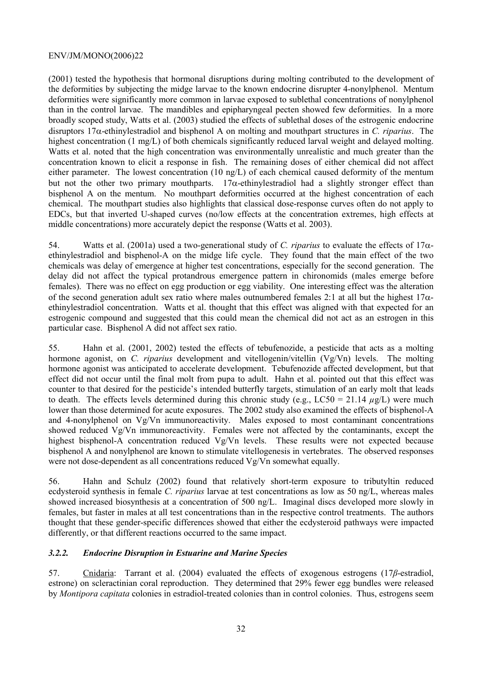(2001) tested the hypothesis that hormonal disruptions during molting contributed to the development of the deformities by subjecting the midge larvae to the known endocrine disrupter 4-nonylphenol. Mentum deformities were significantly more common in larvae exposed to sublethal concentrations of nonylphenol than in the control larvae. The mandibles and epipharyngeal pecten showed few deformities. In a more broadly scoped study, Watts et al. (2003) studied the effects of sublethal doses of the estrogenic endocrine disruptors 17α-ethinylestradiol and bisphenol A on molting and mouthpart structures in *C. riparius*. The highest concentration (1 mg/L) of both chemicals significantly reduced larval weight and delayed molting. Watts et al. noted that the high concentration was environmentally unrealistic and much greater than the concentration known to elicit a response in fish. The remaining doses of either chemical did not affect either parameter. The lowest concentration (10 ng/L) of each chemical caused deformity of the mentum but not the other two primary mouthparts.  $17\alpha$ -ethinylestradiol had a slightly stronger effect than bisphenol A on the mentum. No mouthpart deformities occurred at the highest concentration of each chemical. The mouthpart studies also highlights that classical dose-response curves often do not apply to EDCs, but that inverted U-shaped curves (no/low effects at the concentration extremes, high effects at middle concentrations) more accurately depict the response (Watts et al. 2003).

54. Watts et al. (2001a) used a two-generational study of *C. riparius* to evaluate the effects of 17αethinylestradiol and bisphenol-A on the midge life cycle. They found that the main effect of the two chemicals was delay of emergence at higher test concentrations, especially for the second generation. The delay did not affect the typical protandrous emergence pattern in chironomids (males emerge before females). There was no effect on egg production or egg viability. One interesting effect was the alteration of the second generation adult sex ratio where males outnumbered females 2:1 at all but the highest  $17\alpha$ ethinylestradiol concentration. Watts et al. thought that this effect was aligned with that expected for an estrogenic compound and suggested that this could mean the chemical did not act as an estrogen in this particular case. Bisphenol A did not affect sex ratio.

55. Hahn et al. (2001, 2002) tested the effects of tebufenozide, a pesticide that acts as a molting hormone agonist, on *C. riparius* development and vitellogenin/vitellin (Vg/Vn) levels. The molting hormone agonist was anticipated to accelerate development. Tebufenozide affected development, but that effect did not occur until the final molt from pupa to adult. Hahn et al. pointed out that this effect was counter to that desired for the pesticide's intended butterfly targets, stimulation of an early molt that leads to death. The effects levels determined during this chronic study (e.g.,  $LC50 = 21.14 \mu g/L$ ) were much lower than those determined for acute exposures. The 2002 study also examined the effects of bisphenol-A and 4-nonylphenol on Vg/Vn immunoreactivity. Males exposed to most contaminant concentrations showed reduced Vg/Vn immunoreactivity. Females were not affected by the contaminants, except the highest bisphenol-A concentration reduced Vg/Vn levels. These results were not expected because bisphenol A and nonylphenol are known to stimulate vitellogenesis in vertebrates. The observed responses were not dose-dependent as all concentrations reduced Vg/Vn somewhat equally.

56. Hahn and Schulz (2002) found that relatively short-term exposure to tributyltin reduced ecdysteroid synthesis in female *C. riparius* larvae at test concentrations as low as 50 ng/L, whereas males showed increased biosynthesis at a concentration of 500 ng/L. Imaginal discs developed more slowly in females, but faster in males at all test concentrations than in the respective control treatments. The authors thought that these gender-specific differences showed that either the ecdysteroid pathways were impacted differently, or that different reactions occurred to the same impact.

#### *3.2.2. Endocrine Disruption in Estuarine and Marine Species*

57. Cnidaria: Tarrant et al. (2004) evaluated the effects of exogenous estrogens (17*β*-estradiol, estrone) on scleractinian coral reproduction. They determined that 29% fewer egg bundles were released by *Montipora capitata* colonies in estradiol-treated colonies than in control colonies. Thus, estrogens seem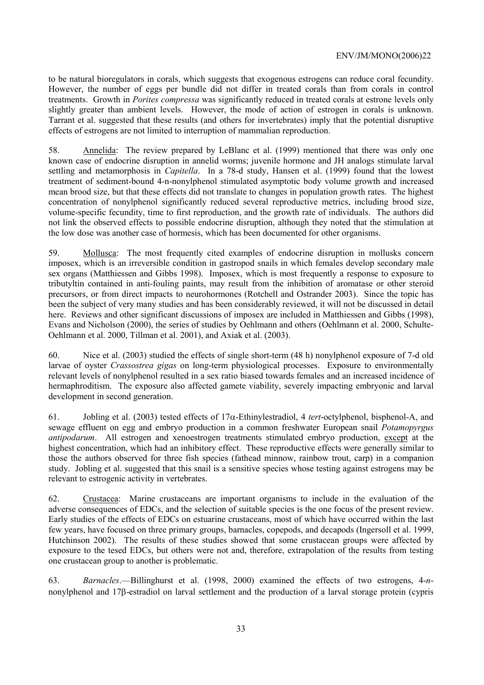to be natural bioregulators in corals, which suggests that exogenous estrogens can reduce coral fecundity. However, the number of eggs per bundle did not differ in treated corals than from corals in control treatments. Growth in *Porites compressa* was significantly reduced in treated corals at estrone levels only slightly greater than ambient levels. However, the mode of action of estrogen in corals is unknown. Tarrant et al. suggested that these results (and others for invertebrates) imply that the potential disruptive effects of estrogens are not limited to interruption of mammalian reproduction.

58. Annelida: The review prepared by LeBlanc et al. (1999) mentioned that there was only one known case of endocrine disruption in annelid worms; juvenile hormone and JH analogs stimulate larval settling and metamorphosis in *Capitella*. In a 78-d study, Hansen et al. (1999) found that the lowest treatment of sediment-bound 4-n-nonylphenol stimulated asymptotic body volume growth and increased mean brood size, but that these effects did not translate to changes in population growth rates. The highest concentration of nonylphenol significantly reduced several reproductive metrics, including brood size, volume-specific fecundity, time to first reproduction, and the growth rate of individuals. The authors did not link the observed effects to possible endocrine disruption, although they noted that the stimulation at the low dose was another case of hormesis, which has been documented for other organisms.

59. Mollusca: The most frequently cited examples of endocrine disruption in mollusks concern imposex, which is an irreversible condition in gastropod snails in which females develop secondary male sex organs (Matthiessen and Gibbs 1998). Imposex, which is most frequently a response to exposure to tributyltin contained in anti-fouling paints, may result from the inhibition of aromatase or other steroid precursors, or from direct impacts to neurohormones (Rotchell and Ostrander 2003). Since the topic has been the subject of very many studies and has been considerably reviewed, it will not be discussed in detail here. Reviews and other significant discussions of imposex are included in Matthiessen and Gibbs (1998), Evans and Nicholson (2000), the series of studies by Oehlmann and others (Oehlmann et al. 2000, Schulte-Oehlmann et al. 2000, Tillman et al. 2001), and Axiak et al. (2003).

60. Nice et al. (2003) studied the effects of single short-term (48 h) nonylphenol exposure of 7-d old larvae of oyster *Crassostrea gigas* on long-term physiological processes. Exposure to environmentally relevant levels of nonylphenol resulted in a sex ratio biased towards females and an increased incidence of hermaphroditism. The exposure also affected gamete viability, severely impacting embryonic and larval development in second generation.

61. Jobling et al. (2003) tested effects of 17α-Ethinylestradiol, 4 *tert*-octylphenol, bisphenol-A, and sewage effluent on egg and embryo production in a common freshwater European snail *Potamopyrgus antipodarum*. All estrogen and xenoestrogen treatments stimulated embryo production, except at the highest concentration, which had an inhibitory effect. These reproductive effects were generally similar to those the authors observed for three fish species (fathead minnow, rainbow trout, carp) in a companion study. Jobling et al. suggested that this snail is a sensitive species whose testing against estrogens may be relevant to estrogenic activity in vertebrates.

62. Crustacea: Marine crustaceans are important organisms to include in the evaluation of the adverse consequences of EDCs, and the selection of suitable species is the one focus of the present review. Early studies of the effects of EDCs on estuarine crustaceans, most of which have occurred within the last few years, have focused on three primary groups, barnacles, copepods, and decapods (Ingersoll et al. 1999, Hutchinson 2002). The results of these studies showed that some crustacean groups were affected by exposure to the tesed EDCs, but others were not and, therefore, extrapolation of the results from testing one crustacean group to another is problematic.

63. *Barnacles*.—Billinghurst et al. (1998, 2000) examined the effects of two estrogens, 4-*n*nonylphenol and 17β-estradiol on larval settlement and the production of a larval storage protein (cypris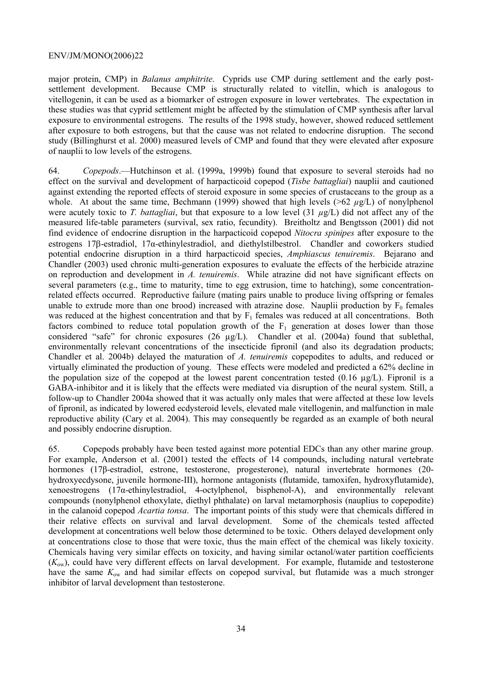major protein, CMP) in *Balanus amphitrite*. Cyprids use CMP during settlement and the early postsettlement development. Because CMP is structurally related to vitellin, which is analogous to vitellogenin, it can be used as a biomarker of estrogen exposure in lower vertebrates. The expectation in these studies was that cyprid settlement might be affected by the stimulation of CMP synthesis after larval exposure to environmental estrogens. The results of the 1998 study, however, showed reduced settlement after exposure to both estrogens, but that the cause was not related to endocrine disruption. The second study (Billinghurst et al. 2000) measured levels of CMP and found that they were elevated after exposure of nauplii to low levels of the estrogens.

64. *Copepods*.—Hutchinson et al. (1999a, 1999b) found that exposure to several steroids had no effect on the survival and development of harpacticoid copepod (*Tisbe battagliai*) nauplii and cautioned against extending the reported effects of steroid exposure in some species of crustaceans to the group as a whole. At about the same time, Bechmann (1999) showed that high levels (>62 *µ*g/L) of nonylphenol were acutely toxic to *T. battagliai*, but that exposure to a low level  $(31 \mu g/L)$  did not affect any of the measured life-table parameters (survival, sex ratio, fecundity). Breitholtz and Bengtsson (2001) did not find evidence of endocrine disruption in the harpacticoid copepod *Nitocra spinipes* after exposure to the estrogens 17β-estradiol, 17α-ethinylestradiol, and diethylstilbestrol. Chandler and coworkers studied potential endocrine disruption in a third harpacticoid species, *Amphiascus tenuiremis*. Bejarano and Chandler (2003) used chronic multi-generation exposures to evaluate the effects of the herbicide atrazine on reproduction and development in *A. tenuiremis*. While atrazine did not have significant effects on several parameters (e.g., time to maturity, time to egg extrusion, time to hatching), some concentrationrelated effects occurred. Reproductive failure (mating pairs unable to produce living offspring or females unable to extrude more than one brood) increased with atrazine dose. Nauplii production by  $F_0$  females was reduced at the highest concentration and that by  $F_1$  females was reduced at all concentrations. Both factors combined to reduce total population growth of the  $F_1$  generation at doses lower than those considered "safe" for chronic exposures (26 µg/L). Chandler et al. (2004a) found that sublethal, environmentally relevant concentrations of the insecticide fipronil (and also its degradation products; Chandler et al. 2004b) delayed the maturation of *A. tenuiremis* copepodites to adults, and reduced or virtually eliminated the production of young. These effects were modeled and predicted a 62% decline in the population size of the copepod at the lowest parent concentration tested  $(0.16 \mu g/L)$ . Fipronil is a GABA-inhibitor and it is likely that the effects were mediated via disruption of the neural system. Still, a follow-up to Chandler 2004a showed that it was actually only males that were affected at these low levels of fipronil, as indicated by lowered ecdysteroid levels, elevated male vitellogenin, and malfunction in male reproductive ability (Cary et al. 2004). This may consequently be regarded as an example of both neural and possibly endocrine disruption.

65. Copepods probably have been tested against more potential EDCs than any other marine group. For example, Anderson et al. (2001) tested the effects of 14 compounds, including natural vertebrate hormones (17β-estradiol, estrone, testosterone, progesterone), natural invertebrate hormones (20 hydroxyecdysone, juvenile hormone-III), hormone antagonists (flutamide, tamoxifen, hydroxyflutamide), xenoestrogens (17α-ethinylestradiol, 4-octylphenol, bisphenol-A), and environmentally relevant compounds (nonylphenol ethoxylate, diethyl phthalate) on larval metamorphosis (nauplius to copepodite) in the calanoid copepod *Acartia tonsa*. The important points of this study were that chemicals differed in their relative effects on survival and larval development. Some of the chemicals tested affected development at concentrations well below those determined to be toxic. Others delayed development only at concentrations close to those that were toxic, thus the main effect of the chemical was likely toxicity. Chemicals having very similar effects on toxicity, and having similar octanol/water partition coefficients (*K*ow), could have very different effects on larval development. For example, flutamide and testosterone have the same  $K_{ow}$  and had similar effects on copepod survival, but flutamide was a much stronger inhibitor of larval development than testosterone.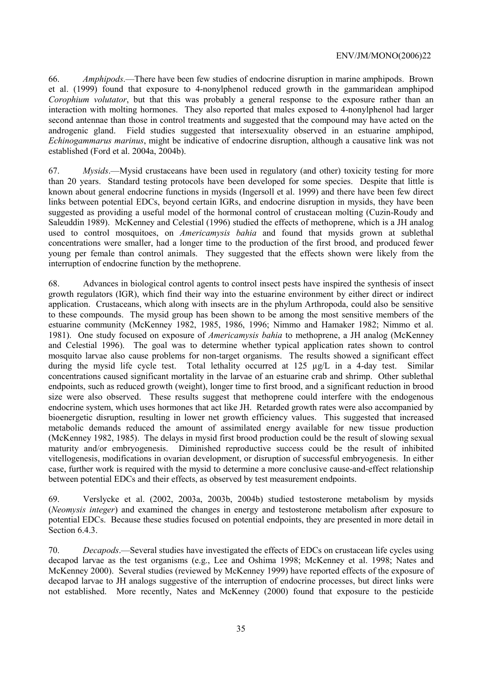66. *Amphipods*.—There have been few studies of endocrine disruption in marine amphipods. Brown et al. (1999) found that exposure to 4-nonylphenol reduced growth in the gammaridean amphipod *Corophium volutator*, but that this was probably a general response to the exposure rather than an interaction with molting hormones. They also reported that males exposed to 4-nonylphenol had larger second antennae than those in control treatments and suggested that the compound may have acted on the androgenic gland. Field studies suggested that intersexuality observed in an estuarine amphipod, *Echinogammarus marinus*, might be indicative of endocrine disruption, although a causative link was not established (Ford et al. 2004a, 2004b).

67. *Mysids*.—Mysid crustaceans have been used in regulatory (and other) toxicity testing for more than 20 years. Standard testing protocols have been developed for some species. Despite that little is known about general endocrine functions in mysids (Ingersoll et al. 1999) and there have been few direct links between potential EDCs, beyond certain IGRs, and endocrine disruption in mysids, they have been suggested as providing a useful model of the hormonal control of crustacean molting (Cuzin-Roudy and Saleuddin 1989). McKenney and Celestial (1996) studied the effects of methoprene, which is a JH analog used to control mosquitoes, on *Americamysis bahia* and found that mysids grown at sublethal concentrations were smaller, had a longer time to the production of the first brood, and produced fewer young per female than control animals. They suggested that the effects shown were likely from the interruption of endocrine function by the methoprene.

68. Advances in biological control agents to control insect pests have inspired the synthesis of insect growth regulators (IGR), which find their way into the estuarine environment by either direct or indirect application. Crustaceans, which along with insects are in the phylum Arthropoda, could also be sensitive to these compounds. The mysid group has been shown to be among the most sensitive members of the estuarine community (McKenney 1982, 1985, 1986, 1996; Nimmo and Hamaker 1982; Nimmo et al. 1981). One study focused on exposure of *Americamysis bahia* to methoprene, a JH analog (McKenney and Celestial 1996). The goal was to determine whether typical application rates shown to control mosquito larvae also cause problems for non-target organisms. The results showed a significant effect during the mysid life cycle test. Total lethality occurred at 125 µg/L in a 4-day test. Similar concentrations caused significant mortality in the larvae of an estuarine crab and shrimp. Other sublethal endpoints, such as reduced growth (weight), longer time to first brood, and a significant reduction in brood size were also observed. These results suggest that methoprene could interfere with the endogenous endocrine system, which uses hormones that act like JH. Retarded growth rates were also accompanied by bioenergetic disruption, resulting in lower net growth efficiency values. This suggested that increased metabolic demands reduced the amount of assimilated energy available for new tissue production (McKenney 1982, 1985). The delays in mysid first brood production could be the result of slowing sexual maturity and/or embryogenesis. Diminished reproductive success could be the result of inhibited vitellogenesis, modifications in ovarian development, or disruption of successful embryogenesis. In either case, further work is required with the mysid to determine a more conclusive cause-and-effect relationship between potential EDCs and their effects, as observed by test measurement endpoints.

69. Verslycke et al. (2002, 2003a, 2003b, 2004b) studied testosterone metabolism by mysids (*Neomysis integer*) and examined the changes in energy and testosterone metabolism after exposure to potential EDCs. Because these studies focused on potential endpoints, they are presented in more detail in Section 6.4.3.

70. *Decapods*.—Several studies have investigated the effects of EDCs on crustacean life cycles using decapod larvae as the test organisms (e.g., Lee and Oshima 1998; McKenney et al. 1998; Nates and McKenney 2000). Several studies (reviewed by McKenney 1999) have reported effects of the exposure of decapod larvae to JH analogs suggestive of the interruption of endocrine processes, but direct links were not established. More recently, Nates and McKenney (2000) found that exposure to the pesticide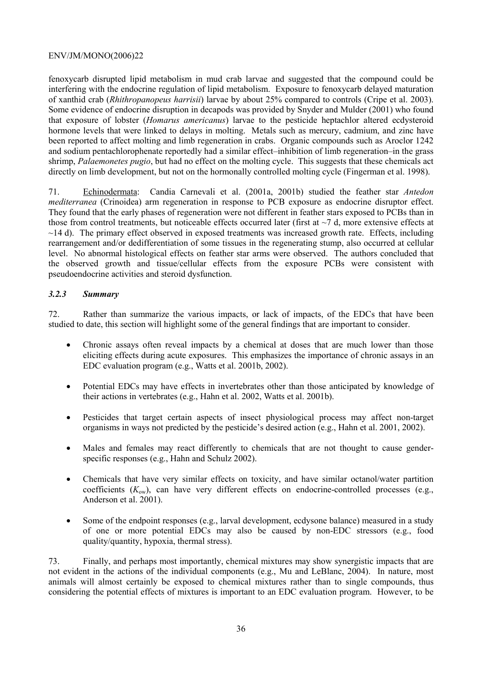fenoxycarb disrupted lipid metabolism in mud crab larvae and suggested that the compound could be interfering with the endocrine regulation of lipid metabolism. Exposure to fenoxycarb delayed maturation of xanthid crab (*Rhithropanopeus harrisii*) larvae by about 25% compared to controls (Cripe et al. 2003). Some evidence of endocrine disruption in decapods was provided by Snyder and Mulder (2001) who found that exposure of lobster (*Homarus americanus*) larvae to the pesticide heptachlor altered ecdysteroid hormone levels that were linked to delays in molting. Metals such as mercury, cadmium, and zinc have been reported to affect molting and limb regeneration in crabs. Organic compounds such as Aroclor 1242 and sodium pentachlorophenate reportedly had a similar effect–inhibition of limb regeneration–in the grass shrimp, *Palaemonetes pugio*, but had no effect on the molting cycle. This suggests that these chemicals act directly on limb development, but not on the hormonally controlled molting cycle (Fingerman et al. 1998).

71. Echinodermata: Candia Carnevali et al. (2001a, 2001b) studied the feather star *Antedon mediterranea* (Crinoidea) arm regeneration in response to PCB exposure as endocrine disruptor effect. They found that the early phases of regeneration were not different in feather stars exposed to PCBs than in those from control treatments, but noticeable effects occurred later (first at  $\sim$ 7 d, more extensive effects at  $\sim$ 14 d). The primary effect observed in exposed treatments was increased growth rate. Effects, including rearrangement and/or dedifferentiation of some tissues in the regenerating stump, also occurred at cellular level. No abnormal histological effects on feather star arms were observed. The authors concluded that the observed growth and tissue/cellular effects from the exposure PCBs were consistent with pseudoendocrine activities and steroid dysfunction.

# *3.2.3 Summary*

72. Rather than summarize the various impacts, or lack of impacts, of the EDCs that have been studied to date, this section will highlight some of the general findings that are important to consider.

- Chronic assays often reveal impacts by a chemical at doses that are much lower than those eliciting effects during acute exposures. This emphasizes the importance of chronic assays in an EDC evaluation program (e.g., Watts et al. 2001b, 2002).
- Potential EDCs may have effects in invertebrates other than those anticipated by knowledge of their actions in vertebrates (e.g., Hahn et al. 2002, Watts et al. 2001b).
- Pesticides that target certain aspects of insect physiological process may affect non-target organisms in ways not predicted by the pesticide's desired action (e.g., Hahn et al. 2001, 2002).
- Males and females may react differently to chemicals that are not thought to cause genderspecific responses (e.g., Hahn and Schulz 2002).
- Chemicals that have very similar effects on toxicity, and have similar octanol/water partition coefficients (*K*ow), can have very different effects on endocrine-controlled processes (e.g., Anderson et al. 2001).
- Some of the endpoint responses (e.g., larval development, ecdysone balance) measured in a study of one or more potential EDCs may also be caused by non-EDC stressors (e.g., food quality/quantity, hypoxia, thermal stress).

73. Finally, and perhaps most importantly, chemical mixtures may show synergistic impacts that are not evident in the actions of the individual components (e.g., Mu and LeBlanc, 2004). In nature, most animals will almost certainly be exposed to chemical mixtures rather than to single compounds, thus considering the potential effects of mixtures is important to an EDC evaluation program. However, to be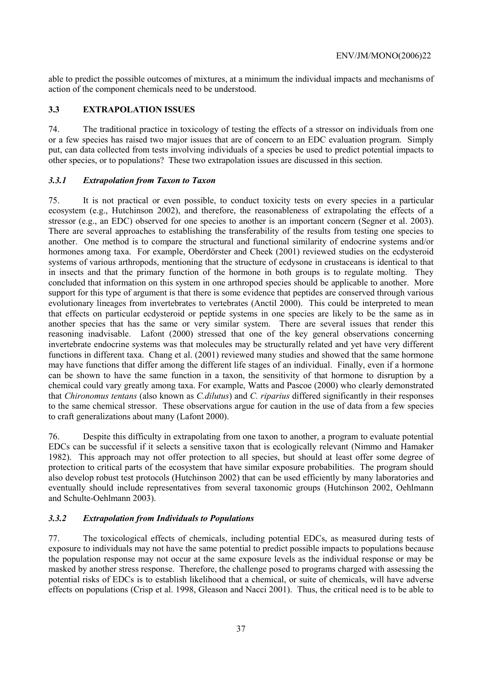able to predict the possible outcomes of mixtures, at a minimum the individual impacts and mechanisms of action of the component chemicals need to be understood.

# **3.3 EXTRAPOLATION ISSUES**

74. The traditional practice in toxicology of testing the effects of a stressor on individuals from one or a few species has raised two major issues that are of concern to an EDC evaluation program. Simply put, can data collected from tests involving individuals of a species be used to predict potential impacts to other species, or to populations? These two extrapolation issues are discussed in this section.

# *3.3.1 Extrapolation from Taxon to Taxon*

75. It is not practical or even possible, to conduct toxicity tests on every species in a particular ecosystem (e.g., Hutchinson 2002), and therefore, the reasonableness of extrapolating the effects of a stressor (e.g., an EDC) observed for one species to another is an important concern (Segner et al. 2003). There are several approaches to establishing the transferability of the results from testing one species to another. One method is to compare the structural and functional similarity of endocrine systems and/or hormones among taxa. For example, Oberdörster and Cheek (2001) reviewed studies on the ecdysteroid systems of various arthropods, mentioning that the structure of ecdysone in crustaceans is identical to that in insects and that the primary function of the hormone in both groups is to regulate molting. They concluded that information on this system in one arthropod species should be applicable to another. More support for this type of argument is that there is some evidence that peptides are conserved through various evolutionary lineages from invertebrates to vertebrates (Anctil 2000). This could be interpreted to mean that effects on particular ecdysteroid or peptide systems in one species are likely to be the same as in another species that has the same or very similar system. There are several issues that render this reasoning inadvisable. Lafont (2000) stressed that one of the key general observations concerning invertebrate endocrine systems was that molecules may be structurally related and yet have very different functions in different taxa. Chang et al. (2001) reviewed many studies and showed that the same hormone may have functions that differ among the different life stages of an individual. Finally, even if a hormone can be shown to have the same function in a taxon, the sensitivity of that hormone to disruption by a chemical could vary greatly among taxa. For example, Watts and Pascoe (2000) who clearly demonstrated that *Chironomus tentans* (also known as *C.dilutus*) and *C. riparius* differed significantly in their responses to the same chemical stressor. These observations argue for caution in the use of data from a few species to craft generalizations about many (Lafont 2000).

76. Despite this difficulty in extrapolating from one taxon to another, a program to evaluate potential EDCs can be successful if it selects a sensitive taxon that is ecologically relevant (Nimmo and Hamaker 1982). This approach may not offer protection to all species, but should at least offer some degree of protection to critical parts of the ecosystem that have similar exposure probabilities. The program should also develop robust test protocols (Hutchinson 2002) that can be used efficiently by many laboratories and eventually should include representatives from several taxonomic groups (Hutchinson 2002, Oehlmann and Schulte-Oehlmann 2003).

#### *3.3.2 Extrapolation from Individuals to Populations*

77. The toxicological effects of chemicals, including potential EDCs, as measured during tests of exposure to individuals may not have the same potential to predict possible impacts to populations because the population response may not occur at the same exposure levels as the individual response or may be masked by another stress response. Therefore, the challenge posed to programs charged with assessing the potential risks of EDCs is to establish likelihood that a chemical, or suite of chemicals, will have adverse effects on populations (Crisp et al. 1998, Gleason and Nacci 2001). Thus, the critical need is to be able to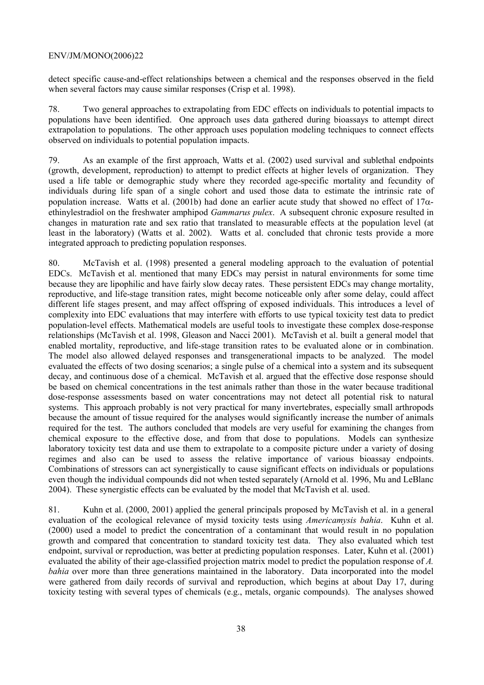detect specific cause-and-effect relationships between a chemical and the responses observed in the field when several factors may cause similar responses (Crisp et al. 1998).

78. Two general approaches to extrapolating from EDC effects on individuals to potential impacts to populations have been identified. One approach uses data gathered during bioassays to attempt direct extrapolation to populations. The other approach uses population modeling techniques to connect effects observed on individuals to potential population impacts.

79. As an example of the first approach, Watts et al. (2002) used survival and sublethal endpoints (growth, development, reproduction) to attempt to predict effects at higher levels of organization. They used a life table or demographic study where they recorded age-specific mortality and fecundity of individuals during life span of a single cohort and used those data to estimate the intrinsic rate of population increase. Watts et al. (2001b) had done an earlier acute study that showed no effect of  $17\alpha$ ethinylestradiol on the freshwater amphipod *Gammarus pulex*. A subsequent chronic exposure resulted in changes in maturation rate and sex ratio that translated to measurable effects at the population level (at least in the laboratory) (Watts et al. 2002). Watts et al. concluded that chronic tests provide a more integrated approach to predicting population responses.

80. McTavish et al. (1998) presented a general modeling approach to the evaluation of potential EDCs. McTavish et al. mentioned that many EDCs may persist in natural environments for some time because they are lipophilic and have fairly slow decay rates. These persistent EDCs may change mortality, reproductive, and life-stage transition rates, might become noticeable only after some delay, could affect different life stages present, and may affect offspring of exposed individuals. This introduces a level of complexity into EDC evaluations that may interfere with efforts to use typical toxicity test data to predict population-level effects. Mathematical models are useful tools to investigate these complex dose-response relationships (McTavish et al. 1998, Gleason and Nacci 2001). McTavish et al. built a general model that enabled mortality, reproductive, and life-stage transition rates to be evaluated alone or in combination. The model also allowed delayed responses and transgenerational impacts to be analyzed. The model evaluated the effects of two dosing scenarios; a single pulse of a chemical into a system and its subsequent decay, and continuous dose of a chemical. McTavish et al. argued that the effective dose response should be based on chemical concentrations in the test animals rather than those in the water because traditional dose-response assessments based on water concentrations may not detect all potential risk to natural systems. This approach probably is not very practical for many invertebrates, especially small arthropods because the amount of tissue required for the analyses would significantly increase the number of animals required for the test. The authors concluded that models are very useful for examining the changes from chemical exposure to the effective dose, and from that dose to populations. Models can synthesize laboratory toxicity test data and use them to extrapolate to a composite picture under a variety of dosing regimes and also can be used to assess the relative importance of various bioassay endpoints. Combinations of stressors can act synergistically to cause significant effects on individuals or populations even though the individual compounds did not when tested separately (Arnold et al. 1996, Mu and LeBlanc 2004). These synergistic effects can be evaluated by the model that McTavish et al. used.

81. Kuhn et al. (2000, 2001) applied the general principals proposed by McTavish et al. in a general evaluation of the ecological relevance of mysid toxicity tests using *Americamysis bahia*. Kuhn et al. (2000) used a model to predict the concentration of a contaminant that would result in no population growth and compared that concentration to standard toxicity test data. They also evaluated which test endpoint, survival or reproduction, was better at predicting population responses. Later, Kuhn et al. (2001) evaluated the ability of their age-classified projection matrix model to predict the population response of *A. bahia* over more than three generations maintained in the laboratory. Data incorporated into the model were gathered from daily records of survival and reproduction, which begins at about Day 17, during toxicity testing with several types of chemicals (e.g., metals, organic compounds). The analyses showed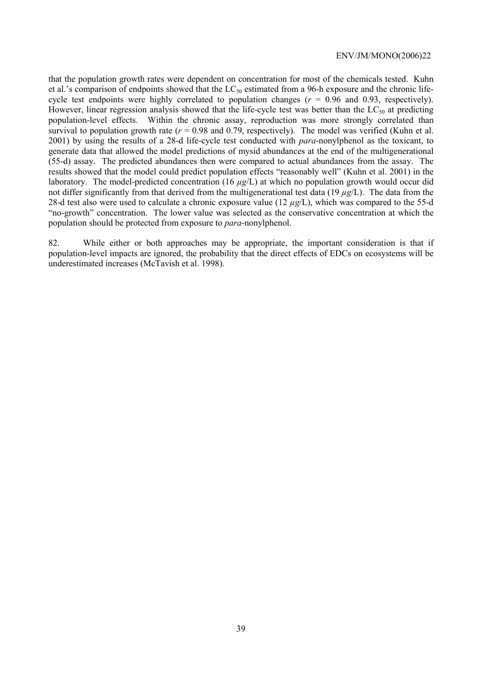that the population growth rates were dependent on concentration for most of the chemicals tested. Kuhn et al.'s comparison of endpoints showed that the  $LC_{50}$  estimated from a 96-h exposure and the chronic lifecycle test endpoints were highly correlated to population changes  $(r = 0.96$  and 0.93, respectively). However, linear regression analysis showed that the life-cycle test was better than the  $LC_{50}$  at predicting population-level effects. Within the chronic assay, reproduction was more strongly correlated than survival to population growth rate  $(r = 0.98$  and 0.79, respectively). The model was verified (Kuhn et al. 2001) by using the results of a 28-d life-cycle test conducted with *para*-nonylphenol as the toxicant, to generate data that allowed the model predictions of mysid abundances at the end of the multigenerational (55-d) assay. The predicted abundances then were compared to actual abundances from the assay. The results showed that the model could predict population effects "reasonably well" (Kuhn et al. 2001) in the laboratory. The model-predicted concentration (16 *µg*/L) at which no population growth would occur did not differ significantly from that derived from the multigenerational test data (19 *µg*/L). The data from the 28-d test also were used to calculate a chronic exposure value (12 *µg*/L), which was compared to the 55-d "no-growth" concentration. The lower value was selected as the conservative concentration at which the population should be protected from exposure to *para*-nonylphenol.

82. While either or both approaches may be appropriate, the important consideration is that if population-level impacts are ignored, the probability that the direct effects of EDCs on ecosystems will be underestimated increases (McTavish et al. 1998).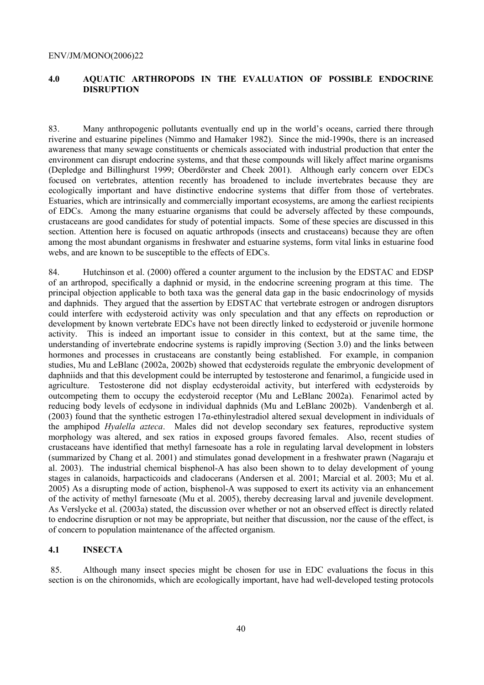#### **4.0 AQUATIC ARTHROPODS IN THE EVALUATION OF POSSIBLE ENDOCRINE DISRUPTION**

83. Many anthropogenic pollutants eventually end up in the world's oceans, carried there through riverine and estuarine pipelines (Nimmo and Hamaker 1982). Since the mid-1990s, there is an increased awareness that many sewage constituents or chemicals associated with industrial production that enter the environment can disrupt endocrine systems, and that these compounds will likely affect marine organisms (Depledge and Billinghurst 1999; Oberdörster and Cheek 2001). Although early concern over EDCs focused on vertebrates, attention recently has broadened to include invertebrates because they are ecologically important and have distinctive endocrine systems that differ from those of vertebrates. Estuaries, which are intrinsically and commercially important ecosystems, are among the earliest recipients of EDCs. Among the many estuarine organisms that could be adversely affected by these compounds, crustaceans are good candidates for study of potential impacts. Some of these species are discussed in this section. Attention here is focused on aquatic arthropods (insects and crustaceans) because they are often among the most abundant organisms in freshwater and estuarine systems, form vital links in estuarine food webs, and are known to be susceptible to the effects of EDCs.

84. Hutchinson et al. (2000) offered a counter argument to the inclusion by the EDSTAC and EDSP of an arthropod, specifically a daphnid or mysid, in the endocrine screening program at this time. The principal objection applicable to both taxa was the general data gap in the basic endocrinology of mysids and daphnids. They argued that the assertion by EDSTAC that vertebrate estrogen or androgen disruptors could interfere with ecdysteroid activity was only speculation and that any effects on reproduction or development by known vertebrate EDCs have not been directly linked to ecdysteroid or juvenile hormone activity. This is indeed an important issue to consider in this context, but at the same time, the understanding of invertebrate endocrine systems is rapidly improving (Section 3.0) and the links between hormones and processes in crustaceans are constantly being established. For example, in companion studies, Mu and LeBlanc (2002a, 2002b) showed that ecdysteroids regulate the embryonic development of daphniids and that this development could be interrupted by testosterone and fenarimol, a fungicide used in agriculture. Testosterone did not display ecdysteroidal activity, but interfered with ecdysteroids by outcompeting them to occupy the ecdysteroid receptor (Mu and LeBlanc 2002a). Fenarimol acted by reducing body levels of ecdysone in individual daphnids (Mu and LeBlanc 2002b). Vandenbergh et al. (2003) found that the synthetic estrogen 17α-ethinylestradiol altered sexual development in individuals of the amphipod *Hyalella azteca*. Males did not develop secondary sex features, reproductive system morphology was altered, and sex ratios in exposed groups favored females. Also, recent studies of crustaceans have identified that methyl farnesoate has a role in regulating larval development in lobsters (summarized by Chang et al. 2001) and stimulates gonad development in a freshwater prawn (Nagaraju et al. 2003). The industrial chemical bisphenol-A has also been shown to to delay development of young stages in calanoids, harpacticoids and cladocerans (Andersen et al. 2001; Marcial et al. 2003; Mu et al. 2005) As a disrupting mode of action, bisphenol-A was supposed to exert its activity via an enhancement of the activity of methyl farnesoate (Mu et al. 2005), thereby decreasing larval and juvenile development. As Verslycke et al. (2003a) stated, the discussion over whether or not an observed effect is directly related to endocrine disruption or not may be appropriate, but neither that discussion, nor the cause of the effect, is of concern to population maintenance of the affected organism.

## **4.1 INSECTA**

 85. Although many insect species might be chosen for use in EDC evaluations the focus in this section is on the chironomids, which are ecologically important, have had well-developed testing protocols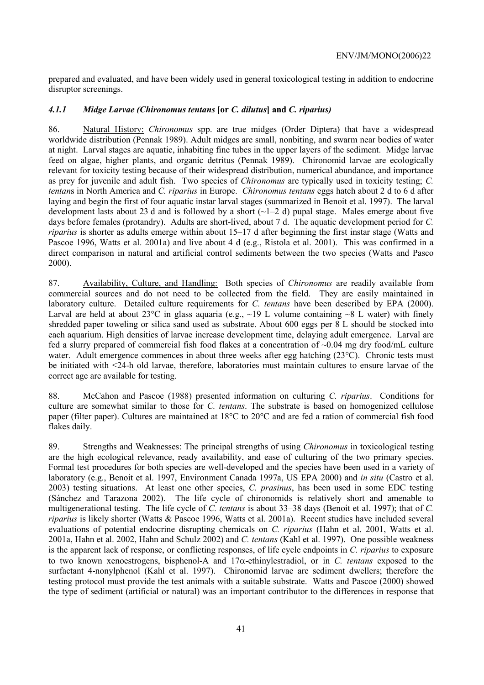prepared and evaluated, and have been widely used in general toxicological testing in addition to endocrine disruptor screenings.

#### *4.1.1 Midge Larvae (Chironomus tentans* **[or** *C. dilutus***] and** *C. riparius)*

86. Natural History: *Chironomus* spp. are true midges (Order Diptera) that have a widespread worldwide distribution (Pennak 1989). Adult midges are small, nonbiting, and swarm near bodies of water at night. Larval stages are aquatic, inhabiting fine tubes in the upper layers of the sediment. Midge larvae feed on algae, higher plants, and organic detritus (Pennak 1989). Chironomid larvae are ecologically relevant for toxicity testing because of their widespread distribution, numerical abundance, and importance as prey for juvenile and adult fish. Two species of *Chironomus* are typically used in toxicity testing; *C. tentan*s in North America and *C. riparius* in Europe. *Chironomus tentans* eggs hatch about 2 d to 6 d after laying and begin the first of four aquatic instar larval stages (summarized in Benoit et al. 1997). The larval development lasts about 23 d and is followed by a short  $(\sim 1-2$  d) pupal stage. Males emerge about five days before females (protandry). Adults are short-lived, about 7 d. The aquatic development period for *C. riparius* is shorter as adults emerge within about 15–17 d after beginning the first instar stage (Watts and Pascoe 1996, Watts et al. 2001a) and live about 4 d (e.g., Ristola et al. 2001). This was confirmed in a direct comparison in natural and artificial control sediments between the two species (Watts and Pasco 2000).

87. Availability, Culture, and Handling: Both species of *Chironomus* are readily available from commercial sources and do not need to be collected from the field. They are easily maintained in laboratory culture. Detailed culture requirements for *C. tentans* have been described by EPA (2000). Larval are held at about 23°C in glass aquaria (e.g., ~19 L volume containing ~8 L water) with finely shredded paper toweling or silica sand used as substrate. About 600 eggs per 8 L should be stocked into each aquarium. High densities of larvae increase development time, delaying adult emergence. Larval are fed a slurry prepared of commercial fish food flakes at a concentration of ~0.04 mg dry food/mL culture water. Adult emergence commences in about three weeks after egg hatching  $(23^{\circ}C)$ . Chronic tests must be initiated with <24-h old larvae, therefore, laboratories must maintain cultures to ensure larvae of the correct age are available for testing.

88. McCahon and Pascoe (1988) presented information on culturing *C. riparius*. Conditions for culture are somewhat similar to those for *C. tentans*. The substrate is based on homogenized cellulose paper (filter paper). Cultures are maintained at 18°C to 20°C and are fed a ration of commercial fish food flakes daily.

89. Strengths and Weaknesses: The principal strengths of using *Chironomus* in toxicological testing are the high ecological relevance, ready availability, and ease of culturing of the two primary species. Formal test procedures for both species are well-developed and the species have been used in a variety of laboratory (e.g., Benoit et al. 1997, Environment Canada 1997a, US EPA 2000) and *in situ* (Castro et al. 2003) testing situations. At least one other species, *C. prasinus*, has been used in some EDC testing (Sánchez and Tarazona 2002). The life cycle of chironomids is relatively short and amenable to multigenerational testing. The life cycle of *C. tentans* is about 33–38 days (Benoit et al. 1997); that of *C. riparius* is likely shorter (Watts & Pascoe 1996, Watts et al. 2001a). Recent studies have included several evaluations of potential endocrine disrupting chemicals on *C. riparius* (Hahn et al. 2001, Watts et al. 2001a, Hahn et al. 2002, Hahn and Schulz 2002) and *C. tentans* (Kahl et al. 1997). One possible weakness is the apparent lack of response, or conflicting responses, of life cycle endpoints in *C. riparius* to exposure to two known xenoestrogens, bisphenol-A and 17α-ethinylestradiol, or in *C. tentans* exposed to the surfactant 4-nonylphenol (Kahl et al. 1997). Chironomid larvae are sediment dwellers; therefore the testing protocol must provide the test animals with a suitable substrate. Watts and Pascoe (2000) showed the type of sediment (artificial or natural) was an important contributor to the differences in response that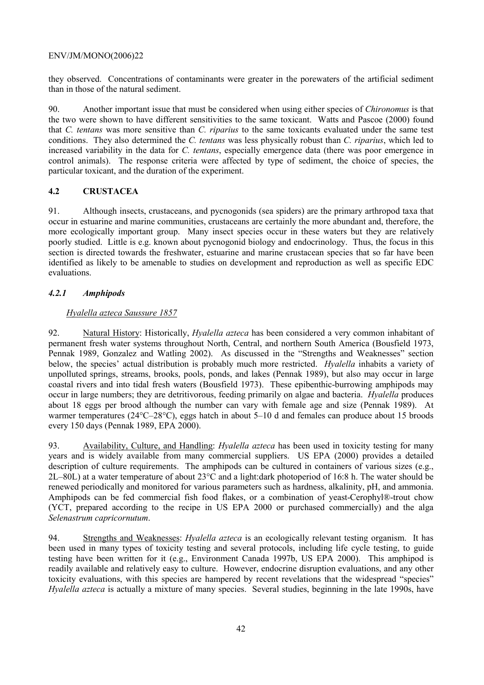they observed. Concentrations of contaminants were greater in the porewaters of the artificial sediment than in those of the natural sediment.

90. Another important issue that must be considered when using either species of *Chironomus* is that the two were shown to have different sensitivities to the same toxicant. Watts and Pascoe (2000) found that *C. tentans* was more sensitive than *C. riparius* to the same toxicants evaluated under the same test conditions. They also determined the *C. tentans* was less physically robust than *C. riparius*, which led to increased variability in the data for *C. tentans*, especially emergence data (there was poor emergence in control animals). The response criteria were affected by type of sediment, the choice of species, the particular toxicant, and the duration of the experiment.

# **4.2 CRUSTACEA**

91. Although insects, crustaceans, and pycnogonids (sea spiders) are the primary arthropod taxa that occur in estuarine and marine communities, crustaceans are certainly the more abundant and, therefore, the more ecologically important group. Many insect species occur in these waters but they are relatively poorly studied. Little is e.g. known about pycnogonid biology and endocrinology. Thus, the focus in this section is directed towards the freshwater, estuarine and marine crustacean species that so far have been identified as likely to be amenable to studies on development and reproduction as well as specific EDC evaluations.

# *4.2.1 Amphipods*

# *Hyalella azteca Saussure 1857*

92. Natural History: Historically, *Hyalella azteca* has been considered a very common inhabitant of permanent fresh water systems throughout North, Central, and northern South America (Bousfield 1973, Pennak 1989, Gonzalez and Watling 2002). As discussed in the "Strengths and Weaknesses" section below, the species' actual distribution is probably much more restricted. *Hyalella* inhabits a variety of unpolluted springs, streams, brooks, pools, ponds, and lakes (Pennak 1989), but also may occur in large coastal rivers and into tidal fresh waters (Bousfield 1973). These epibenthic-burrowing amphipods may occur in large numbers; they are detritivorous, feeding primarily on algae and bacteria. *Hyalella* produces about 18 eggs per brood although the number can vary with female age and size (Pennak 1989). At warmer temperatures (24°C–28°C), eggs hatch in about 5–10 d and females can produce about 15 broods every 150 days (Pennak 1989, EPA 2000).

93. Availability, Culture, and Handling: *Hyalella azteca* has been used in toxicity testing for many years and is widely available from many commercial suppliers. US EPA (2000) provides a detailed description of culture requirements. The amphipods can be cultured in containers of various sizes (e.g., 2L–80L) at a water temperature of about 23°C and a light:dark photoperiod of 16:8 h. The water should be renewed periodically and monitored for various parameters such as hardness, alkalinity, pH, and ammonia. Amphipods can be fed commercial fish food flakes, or a combination of yeast-Cerophyl®-trout chow (YCT, prepared according to the recipe in US EPA 2000 or purchased commercially) and the alga *Selenastrum capricornutum*.

94. Strengths and Weaknesses: *Hyalella azteca* is an ecologically relevant testing organism. It has been used in many types of toxicity testing and several protocols, including life cycle testing, to guide testing have been written for it (e.g., Environment Canada 1997b, US EPA 2000). This amphipod is readily available and relatively easy to culture. However, endocrine disruption evaluations, and any other toxicity evaluations, with this species are hampered by recent revelations that the widespread "species" *Hyalella azteca* is actually a mixture of many species. Several studies, beginning in the late 1990s, have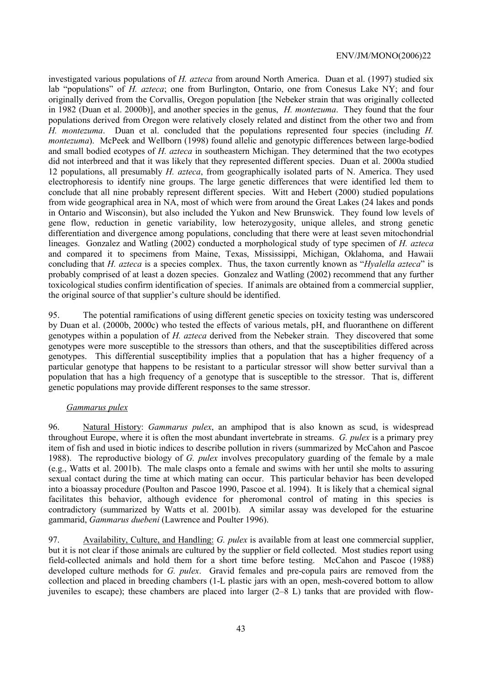investigated various populations of *H. azteca* from around North America. Duan et al. (1997) studied six lab "populations" of *H. azteca*; one from Burlington, Ontario, one from Conesus Lake NY; and four originally derived from the Corvallis, Oregon population [the Nebeker strain that was originally collected in 1982 (Duan et al. 2000b)], and another species in the genus, *H. montezuma*. They found that the four populations derived from Oregon were relatively closely related and distinct from the other two and from *H. montezuma*. Duan et al. concluded that the populations represented four species (including *H. montezuma*). McPeek and Wellborn (1998) found allelic and genotypic differences between large-bodied and small bodied ecotypes of *H. azteca* in southeastern Michigan. They determined that the two ecotypes did not interbreed and that it was likely that they represented different species. Duan et al. 2000a studied 12 populations, all presumably *H. azteca*, from geographically isolated parts of N. America. They used electrophoresis to identify nine groups. The large genetic differences that were identified led them to conclude that all nine probably represent different species. Witt and Hebert (2000) studied populations from wide geographical area in NA, most of which were from around the Great Lakes (24 lakes and ponds in Ontario and Wisconsin), but also included the Yukon and New Brunswick. They found low levels of gene flow, reduction in genetic variability, low heterozygosity, unique alleles, and strong genetic differentiation and divergence among populations, concluding that there were at least seven mitochondrial lineages. Gonzalez and Watling (2002) conducted a morphological study of type specimen of *H. azteca* and compared it to specimens from Maine, Texas, Mississippi, Michigan, Oklahoma, and Hawaii concluding that *H. azteca* is a species complex. Thus, the taxon currently known as "*Hyalella azteca*" is probably comprised of at least a dozen species. Gonzalez and Watling (2002) recommend that any further toxicological studies confirm identification of species. If animals are obtained from a commercial supplier, the original source of that supplier's culture should be identified.

95. The potential ramifications of using different genetic species on toxicity testing was underscored by Duan et al. (2000b, 2000c) who tested the effects of various metals, pH, and fluoranthene on different genotypes within a population of *H. azteca* derived from the Nebeker strain. They discovered that some genotypes were more susceptible to the stressors than others, and that the susceptibilities differed across genotypes. This differential susceptibility implies that a population that has a higher frequency of a particular genotype that happens to be resistant to a particular stressor will show better survival than a population that has a high frequency of a genotype that is susceptible to the stressor. That is, different genetic populations may provide different responses to the same stressor.

#### *Gammarus pulex*

96. Natural History: *Gammarus pulex*, an amphipod that is also known as scud, is widespread throughout Europe, where it is often the most abundant invertebrate in streams. *G. pulex* is a primary prey item of fish and used in biotic indices to describe pollution in rivers (summarized by McCahon and Pascoe 1988). The reproductive biology of *G. pulex* involves precopulatory guarding of the female by a male (e.g., Watts et al. 2001b). The male clasps onto a female and swims with her until she molts to assuring sexual contact during the time at which mating can occur. This particular behavior has been developed into a bioassay procedure (Poulton and Pascoe 1990, Pascoe et al. 1994). It is likely that a chemical signal facilitates this behavior, although evidence for pheromonal control of mating in this species is contradictory (summarized by Watts et al. 2001b). A similar assay was developed for the estuarine gammarid, *Gammarus duebeni* (Lawrence and Poulter 1996).

97. Availability, Culture, and Handling: *G. pulex* is available from at least one commercial supplier, but it is not clear if those animals are cultured by the supplier or field collected. Most studies report using field-collected animals and hold them for a short time before testing. McCahon and Pascoe (1988) developed culture methods for *G. pulex*. Gravid females and pre-copula pairs are removed from the collection and placed in breeding chambers (1-L plastic jars with an open, mesh-covered bottom to allow juveniles to escape); these chambers are placed into larger (2–8 L) tanks that are provided with flow-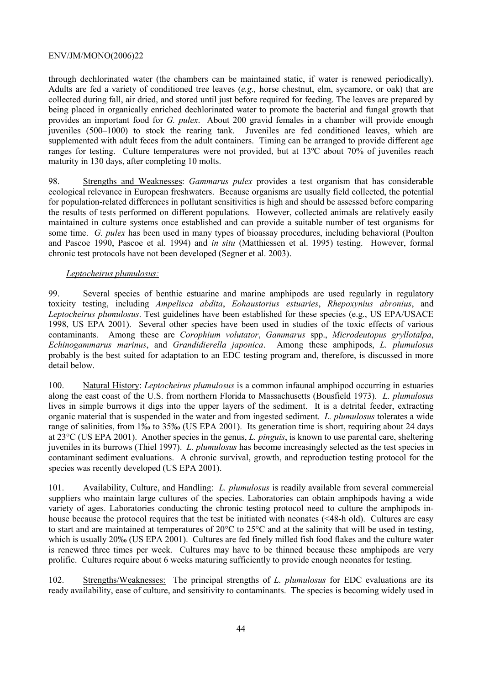through dechlorinated water (the chambers can be maintained static, if water is renewed periodically). Adults are fed a variety of conditioned tree leaves (*e.g.,* horse chestnut, elm, sycamore, or oak) that are collected during fall, air dried, and stored until just before required for feeding. The leaves are prepared by being placed in organically enriched dechlorinated water to promote the bacterial and fungal growth that provides an important food for *G. pulex*. About 200 gravid females in a chamber will provide enough juveniles (500–1000) to stock the rearing tank. Juveniles are fed conditioned leaves, which are supplemented with adult feces from the adult containers. Timing can be arranged to provide different age ranges for testing. Culture temperatures were not provided, but at 13ºC about 70% of juveniles reach maturity in 130 days, after completing 10 molts.

98. Strengths and Weaknesses: *Gammarus pulex* provides a test organism that has considerable ecological relevance in European freshwaters. Because organisms are usually field collected, the potential for population-related differences in pollutant sensitivities is high and should be assessed before comparing the results of tests performed on different populations. However, collected animals are relatively easily maintained in culture systems once established and can provide a suitable number of test organisms for some time. *G. pulex* has been used in many types of bioassay procedures, including behavioral (Poulton and Pascoe 1990, Pascoe et al. 1994) and *in situ* (Matthiessen et al. 1995) testing. However, formal chronic test protocols have not been developed (Segner et al. 2003).

# *Leptocheirus plumulosus:*

99. Several species of benthic estuarine and marine amphipods are used regularly in regulatory toxicity testing, including *Ampelisca abdita*, *Eohaustorius estuaries*, *Rhepoxynius abronius*, and *Leptocheirus plumulosus*. Test guidelines have been established for these species (e.g., US EPA/USACE 1998, US EPA 2001). Several other species have been used in studies of the toxic effects of various contaminants. Among these are *Corophium volutator*, *Gammarus* spp., *Microdeutopus gryllotalpa*, *Echinogammarus marinus*, and *Grandidierella japonica*. Among these amphipods, *L. plumulosus*  probably is the best suited for adaptation to an EDC testing program and, therefore, is discussed in more detail below.

100. Natural History: *Leptocheirus plumulosus* is a common infaunal amphipod occurring in estuaries along the east coast of the U.S. from northern Florida to Massachusetts (Bousfield 1973). *L. plumulosus* lives in simple burrows it digs into the upper layers of the sediment. It is a detrital feeder, extracting organic material that is suspended in the water and from ingested sediment. *L. plumulosus* tolerates a wide range of salinities, from 1‰ to 35‰ (US EPA 2001). Its generation time is short, requiring about 24 days at 23°C (US EPA 2001). Another species in the genus, *L. pinguis*, is known to use parental care, sheltering juveniles in its burrows (Thiel 1997). *L. plumulosus* has become increasingly selected as the test species in contaminant sediment evaluations. A chronic survival, growth, and reproduction testing protocol for the species was recently developed (US EPA 2001).

101. Availability, Culture, and Handling: *L. plumulosus* is readily available from several commercial suppliers who maintain large cultures of the species. Laboratories can obtain amphipods having a wide variety of ages. Laboratories conducting the chronic testing protocol need to culture the amphipods inhouse because the protocol requires that the test be initiated with neonates (<48-h old). Cultures are easy to start and are maintained at temperatures of 20°C to 25°C and at the salinity that will be used in testing, which is usually 20‰ (US EPA 2001). Cultures are fed finely milled fish food flakes and the culture water is renewed three times per week. Cultures may have to be thinned because these amphipods are very prolific. Cultures require about 6 weeks maturing sufficiently to provide enough neonates for testing.

102. Strengths/Weaknesses: The principal strengths of *L. plumulosus* for EDC evaluations are its ready availability, ease of culture, and sensitivity to contaminants. The species is becoming widely used in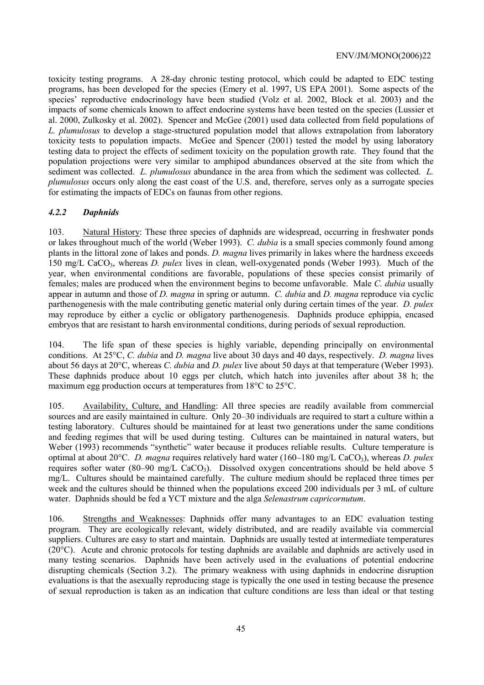toxicity testing programs. A 28-day chronic testing protocol, which could be adapted to EDC testing programs, has been developed for the species (Emery et al. 1997, US EPA 2001). Some aspects of the species' reproductive endocrinology have been studied (Volz et al. 2002, Block et al. 2003) and the impacts of some chemicals known to affect endocrine systems have been tested on the species (Lussier et al. 2000, Zulkosky et al. 2002). Spencer and McGee (2001) used data collected from field populations of *L. plumulosus* to develop a stage-structured population model that allows extrapolation from laboratory toxicity tests to population impacts. McGee and Spencer (2001) tested the model by using laboratory testing data to project the effects of sediment toxicity on the population growth rate. They found that the population projections were very similar to amphipod abundances observed at the site from which the sediment was collected. *L. plumulosus* abundance in the area from which the sediment was collected. *L. plumulosus* occurs only along the east coast of the U.S. and, therefore, serves only as a surrogate species for estimating the impacts of EDCs on faunas from other regions.

# *4.2.2 Daphnids*

103. Natural History: These three species of daphnids are widespread, occurring in freshwater ponds or lakes throughout much of the world (Weber 1993). *C. dubia* is a small species commonly found among plants in the littoral zone of lakes and ponds. *D. magna* lives primarily in lakes where the hardness exceeds 150 mg/L CaCO3, whereas *D. pulex* lives in clean, well-oxygenated ponds (Weber 1993). Much of the year, when environmental conditions are favorable, populations of these species consist primarily of females; males are produced when the environment begins to become unfavorable. Male *C. dubia* usually appear in autumn and those of *D. magna* in spring or autumn. *C. dubia* and *D. magna* reproduce via cyclic parthenogenesis with the male contributing genetic material only during certain times of the year. *D. pulex* may reproduce by either a cyclic or obligatory parthenogenesis. Daphnids produce ephippia, encased embryos that are resistant to harsh environmental conditions, during periods of sexual reproduction.

104. The life span of these species is highly variable, depending principally on environmental conditions. At 25°C, *C. dubia* and *D. magna* live about 30 days and 40 days, respectively. *D. magna* lives about 56 days at 20°C, whereas *C. dubia* and *D. pulex* live about 50 days at that temperature (Weber 1993). These daphnids produce about 10 eggs per clutch, which hatch into juveniles after about 38 h; the maximum egg production occurs at temperatures from 18°C to 25°C.

105. Availability, Culture, and Handling: All three species are readily available from commercial sources and are easily maintained in culture. Only 20–30 individuals are required to start a culture within a testing laboratory. Cultures should be maintained for at least two generations under the same conditions and feeding regimes that will be used during testing. Cultures can be maintained in natural waters, but Weber (1993) recommends "synthetic" water because it produces reliable results. Culture temperature is optimal at about 20°C. *D. magna* requires relatively hard water (160–180 mg/L CaCO<sub>3</sub>), whereas *D. pulex* requires softer water (80–90 mg/L CaCO<sub>3</sub>). Dissolved oxygen concentrations should be held above 5 mg/L. Cultures should be maintained carefully. The culture medium should be replaced three times per week and the cultures should be thinned when the populations exceed 200 individuals per 3 mL of culture water. Daphnids should be fed a YCT mixture and the alga *Selenastrum capricornutum*.

106. Strengths and Weaknesses: Daphnids offer many advantages to an EDC evaluation testing program. They are ecologically relevant, widely distributed, and are readily available via commercial suppliers. Cultures are easy to start and maintain. Daphnids are usually tested at intermediate temperatures (20°C). Acute and chronic protocols for testing daphnids are available and daphnids are actively used in many testing scenarios. Daphnids have been actively used in the evaluations of potential endocrine disrupting chemicals (Section 3.2). The primary weakness with using daphnids in endocrine disruption evaluations is that the asexually reproducing stage is typically the one used in testing because the presence of sexual reproduction is taken as an indication that culture conditions are less than ideal or that testing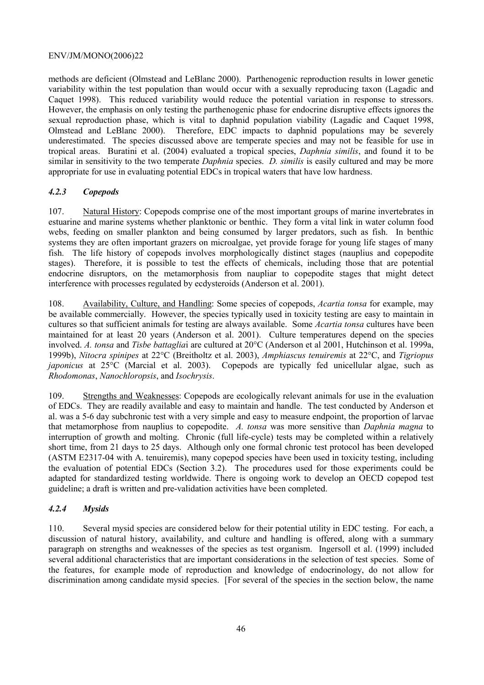methods are deficient (Olmstead and LeBlanc 2000). Parthenogenic reproduction results in lower genetic variability within the test population than would occur with a sexually reproducing taxon (Lagadic and Caquet 1998). This reduced variability would reduce the potential variation in response to stressors. However, the emphasis on only testing the parthenogenic phase for endocrine disruptive effects ignores the sexual reproduction phase, which is vital to daphnid population viability (Lagadic and Caquet 1998, Olmstead and LeBlanc 2000). Therefore, EDC impacts to daphnid populations may be severely underestimated. The species discussed above are temperate species and may not be feasible for use in tropical areas. Buratini et al. (2004) evaluated a tropical species, *Daphnia similis*, and found it to be similar in sensitivity to the two temperate *Daphnia* species. *D. similis* is easily cultured and may be more appropriate for use in evaluating potential EDCs in tropical waters that have low hardness.

# *4.2.3 Copepods*

107. Natural History: Copepods comprise one of the most important groups of marine invertebrates in estuarine and marine systems whether planktonic or benthic. They form a vital link in water column food webs, feeding on smaller plankton and being consumed by larger predators, such as fish. In benthic systems they are often important grazers on microalgae, yet provide forage for young life stages of many fish. The life history of copepods involves morphologically distinct stages (nauplius and copepodite stages). Therefore, it is possible to test the effects of chemicals, including those that are potential endocrine disruptors, on the metamorphosis from naupliar to copepodite stages that might detect interference with processes regulated by ecdysteroids (Anderson et al. 2001).

108. Availability, Culture, and Handling: Some species of copepods, *Acartia tonsa* for example, may be available commercially. However, the species typically used in toxicity testing are easy to maintain in cultures so that sufficient animals for testing are always available. Some *Acartia tonsa* cultures have been maintained for at least 20 years (Anderson et al. 2001). Culture temperatures depend on the species involved. *A. tonsa* and *Tisbe battaglia*i are cultured at 20°C (Anderson et al 2001, Hutchinson et al. 1999a, 1999b), *Nitocra spinipes* at 22°C (Breitholtz et al. 2003), *Amphiascus tenuiremis* at 22°C, and *Tigriopus japonicus* at 25°C (Marcial et al. 2003). Copepods are typically fed unicellular algae, such as *Rhodomonas*, *Nanochloropsis*, and *Isochrysis*.

109. Strengths and Weaknesses: Copepods are ecologically relevant animals for use in the evaluation of EDCs. They are readily available and easy to maintain and handle. The test conducted by Anderson et al. was a 5-6 day subchronic test with a very simple and easy to measure endpoint, the proportion of larvae that metamorphose from nauplius to copepodite. *A. tonsa* was more sensitive than *Daphnia magna* to interruption of growth and molting. Chronic (full life-cycle) tests may be completed within a relatively short time, from 21 days to 25 days. Although only one formal chronic test protocol has been developed (ASTM E2317-04 with A. tenuiremis), many copepod species have been used in toxicity testing, including the evaluation of potential EDCs (Section 3.2). The procedures used for those experiments could be adapted for standardized testing worldwide. There is ongoing work to develop an OECD copepod test guideline; a draft is written and pre-validation activities have been completed.

# *4.2.4 Mysids*

110. Several mysid species are considered below for their potential utility in EDC testing. For each, a discussion of natural history, availability, and culture and handling is offered, along with a summary paragraph on strengths and weaknesses of the species as test organism. Ingersoll et al. (1999) included several additional characteristics that are important considerations in the selection of test species. Some of the features, for example mode of reproduction and knowledge of endocrinology, do not allow for discrimination among candidate mysid species. [For several of the species in the section below, the name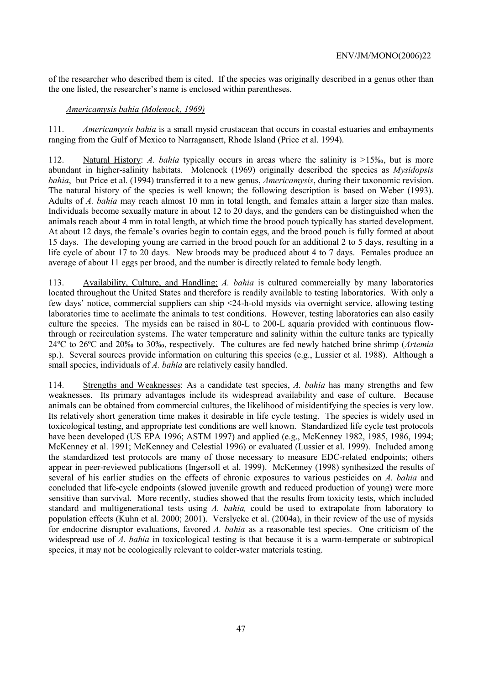of the researcher who described them is cited. If the species was originally described in a genus other than the one listed, the researcher's name is enclosed within parentheses.

#### *Americamysis bahia (Molenock, 1969)*

111. *Americamysis bahia* is a small mysid crustacean that occurs in coastal estuaries and embayments ranging from the Gulf of Mexico to Narragansett, Rhode Island (Price et al. 1994).

112. Natural History: *A. bahia* typically occurs in areas where the salinity is >15‰, but is more abundant in higher-salinity habitats. Molenock (1969) originally described the species as *Mysidopsis bahia*, but Price et al. (1994) transferred it to a new genus, *Americamysis*, during their taxonomic revision. The natural history of the species is well known; the following description is based on Weber (1993). Adults of *A. bahia* may reach almost 10 mm in total length, and females attain a larger size than males. Individuals become sexually mature in about 12 to 20 days, and the genders can be distinguished when the animals reach about 4 mm in total length, at which time the brood pouch typically has started development. At about 12 days, the female's ovaries begin to contain eggs, and the brood pouch is fully formed at about 15 days. The developing young are carried in the brood pouch for an additional 2 to 5 days, resulting in a life cycle of about 17 to 20 days. New broods may be produced about 4 to 7 days. Females produce an average of about 11 eggs per brood, and the number is directly related to female body length.

113. Availability, Culture, and Handling: *A. bahia* is cultured commercially by many laboratories located throughout the United States and therefore is readily available to testing laboratories. With only a few days' notice, commercial suppliers can ship <24-h-old mysids via overnight service, allowing testing laboratories time to acclimate the animals to test conditions. However, testing laboratories can also easily culture the species. The mysids can be raised in 80-L to 200-L aquaria provided with continuous flowthrough or recirculation systems. The water temperature and salinity within the culture tanks are typically 24ºC to 26ºC and 20‰ to 30‰, respectively. The cultures are fed newly hatched brine shrimp (*Artemia* sp.). Several sources provide information on culturing this species (e.g., Lussier et al. 1988). Although a small species, individuals of *A. bahia* are relatively easily handled.

114. Strengths and Weaknesses: As a candidate test species, *A. bahia* has many strengths and few weaknesses. Its primary advantages include its widespread availability and ease of culture. Because animals can be obtained from commercial cultures, the likelihood of misidentifying the species is very low. Its relatively short generation time makes it desirable in life cycle testing. The species is widely used in toxicological testing, and appropriate test conditions are well known. Standardized life cycle test protocols have been developed (US EPA 1996; ASTM 1997) and applied (e.g., McKenney 1982, 1985, 1986, 1994; McKenney et al. 1991; McKenney and Celestial 1996) or evaluated (Lussier et al. 1999). Included among the standardized test protocols are many of those necessary to measure EDC-related endpoints; others appear in peer-reviewed publications (Ingersoll et al. 1999). McKenney (1998) synthesized the results of several of his earlier studies on the effects of chronic exposures to various pesticides on *A. bahia* and concluded that life-cycle endpoints (slowed juvenile growth and reduced production of young) were more sensitive than survival. More recently, studies showed that the results from toxicity tests, which included standard and multigenerational tests using *A. bahia,* could be used to extrapolate from laboratory to population effects (Kuhn et al. 2000; 2001). Verslycke et al. (2004a), in their review of the use of mysids for endocrine disruptor evaluations, favored *A. bahia* as a reasonable test species. One criticism of the widespread use of *A. bahia* in toxicological testing is that because it is a warm-temperate or subtropical species, it may not be ecologically relevant to colder-water materials testing.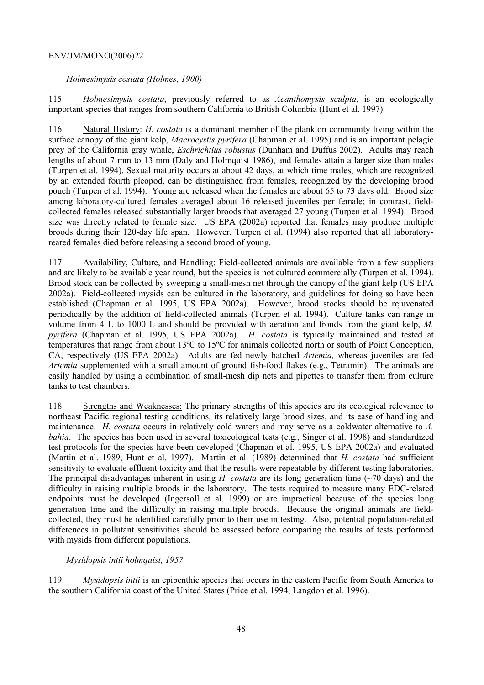# *Holmesimysis costata (Holmes, 1900)*

115. *Holmesimysis costata*, previously referred to as *Acanthomysis sculpta*, is an ecologically important species that ranges from southern California to British Columbia (Hunt et al. 1997).

116. Natural History: *H. costata* is a dominant member of the plankton community living within the surface canopy of the giant kelp, *Macrocystis pyrifera* (Chapman et al. 1995) and is an important pelagic prey of the California gray whale, *Eschrichtius robustus* (Dunham and Duffus 2002). Adults may reach lengths of about 7 mm to 13 mm (Daly and Holmquist 1986), and females attain a larger size than males (Turpen et al. 1994). Sexual maturity occurs at about 42 days, at which time males, which are recognized by an extended fourth pleopod, can be distinguished from females, recognized by the developing brood pouch (Turpen et al. 1994). Young are released when the females are about 65 to 73 days old. Brood size among laboratory-cultured females averaged about 16 released juveniles per female; in contrast, fieldcollected females released substantially larger broods that averaged 27 young (Turpen et al. 1994). Brood size was directly related to female size. US EPA (2002a) reported that females may produce multiple broods during their 120-day life span. However, Turpen et al. (1994) also reported that all laboratoryreared females died before releasing a second brood of young.

117. Availability, Culture, and Handling: Field-collected animals are available from a few suppliers and are likely to be available year round, but the species is not cultured commercially (Turpen et al. 1994). Brood stock can be collected by sweeping a small-mesh net through the canopy of the giant kelp (US EPA 2002a). Field-collected mysids can be cultured in the laboratory, and guidelines for doing so have been established (Chapman et al. 1995, US EPA 2002a). However, brood stocks should be rejuvenated periodically by the addition of field-collected animals (Turpen et al. 1994). Culture tanks can range in volume from 4 L to 1000 L and should be provided with aeration and fronds from the giant kelp, *M. pyrifera* (Chapman et al. 1995, US EPA 2002a). *H. costata* is typically maintained and tested at temperatures that range from about 13ºC to 15ºC for animals collected north or south of Point Conception, CA, respectively (US EPA 2002a). Adults are fed newly hatched *Artemia,* whereas juveniles are fed *Artemia* supplemented with a small amount of ground fish-food flakes (e.g., Tetramin). The animals are easily handled by using a combination of small-mesh dip nets and pipettes to transfer them from culture tanks to test chambers.

118. Strengths and Weaknesses: The primary strengths of this species are its ecological relevance to northeast Pacific regional testing conditions, its relatively large brood sizes, and its ease of handling and maintenance. *H. costata* occurs in relatively cold waters and may serve as a coldwater alternative to *A. bahia*. The species has been used in several toxicological tests (e.g., Singer et al. 1998) and standardized test protocols for the species have been developed (Chapman et al. 1995, US EPA 2002a) and evaluated (Martin et al. 1989, Hunt et al. 1997). Martin et al. (1989) determined that *H. costata* had sufficient sensitivity to evaluate effluent toxicity and that the results were repeatable by different testing laboratories. The principal disadvantages inherent in using *H. costata* are its long generation time (~70 days) and the difficulty in raising multiple broods in the laboratory. The tests required to measure many EDC-related endpoints must be developed (Ingersoll et al. 1999) or are impractical because of the species long generation time and the difficulty in raising multiple broods. Because the original animals are fieldcollected, they must be identified carefully prior to their use in testing. Also, potential population-related differences in pollutant sensitivities should be assessed before comparing the results of tests performed with mysids from different populations.

# *Mysidopsis intii holmquist, 1957*

119. *Mysidopsis intii* is an epibenthic species that occurs in the eastern Pacific from South America to the southern California coast of the United States (Price et al. 1994; Langdon et al. 1996).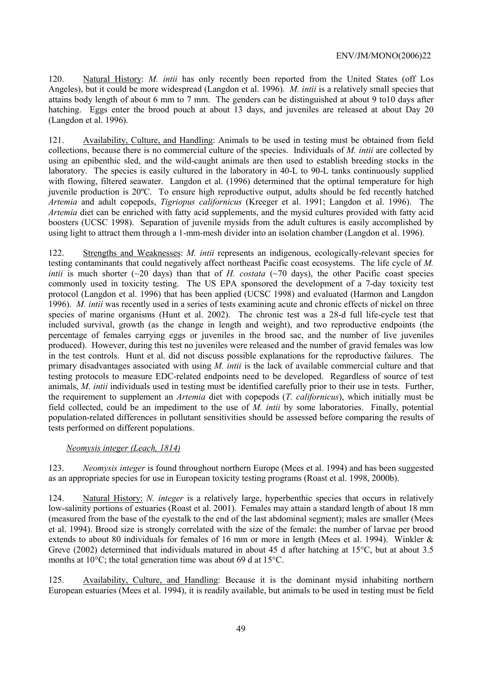120. Natural History: *M. intii* has only recently been reported from the United States (off Los Angeles), but it could be more widespread (Langdon et al. 1996). *M. intii* is a relatively small species that attains body length of about 6 mm to 7 mm. The genders can be distinguished at about 9 to10 days after hatching. Eggs enter the brood pouch at about 13 days, and juveniles are released at about Day 20 (Langdon et al. 1996).

121. Availability, Culture, and Handling: Animals to be used in testing must be obtained from field collections, because there is no commercial culture of the species. Individuals of *M. intii* are collected by using an epibenthic sled, and the wild-caught animals are then used to establish breeding stocks in the laboratory. The species is easily cultured in the laboratory in 40-L to 90-L tanks continuously supplied with flowing, filtered seawater. Langdon et al. (1996) determined that the optimal temperature for high juvenile production is 20ºC. To ensure high reproductive output, adults should be fed recently hatched *Artemia* and adult copepods, *Tigriopus californicus* (Kreeger et al. 1991; Langdon et al. 1996). The *Artemia* diet can be enriched with fatty acid supplements, and the mysid cultures provided with fatty acid boosters (UCSC 1998). Separation of juvenile mysids from the adult cultures is easily accomplished by using light to attract them through a 1-mm-mesh divider into an isolation chamber (Langdon et al. 1996).

122. Strengths and Weaknesses: *M. intii* represents an indigenous, ecologically-relevant species for testing contaminants that could negatively affect northeast Pacific coast ecosystems. The life cycle of *M. intii* is much shorter ( $\sim$ 20 days) than that of *H. costata* ( $\sim$ 70 days), the other Pacific coast species commonly used in toxicity testing. The US EPA sponsored the development of a 7-day toxicity test protocol (Langdon et al. 1996) that has been applied (UCSC 1998) and evaluated (Harmon and Langdon 1996). *M. intii* was recently used in a series of tests examining acute and chronic effects of nickel on three species of marine organisms (Hunt et al. 2002). The chronic test was a 28-d full life-cycle test that included survival, growth (as the change in length and weight), and two reproductive endpoints (the percentage of females carrying eggs or juveniles in the brood sac, and the number of live juveniles produced). However, during this test no juveniles were released and the number of gravid females was low in the test controls. Hunt et al. did not discuss possible explanations for the reproductive failures. The primary disadvantages associated with using *M. intii* is the lack of available commercial culture and that testing protocols to measure EDC-related endpoints need to be developed. Regardless of source of test animals, *M. intii* individuals used in testing must be identified carefully prior to their use in tests. Further, the requirement to supplement an *Artemia* diet with copepods (*T. californicus*), which initially must be field collected, could be an impediment to the use of *M. intii* by some laboratories. Finally, potential population-related differences in pollutant sensitivities should be assessed before comparing the results of tests performed on different populations.

#### *Neomysis integer (Leach, 1814)*

123. *Neomysis integer* is found throughout northern Europe (Mees et al. 1994) and has been suggested as an appropriate species for use in European toxicity testing programs (Roast et al. 1998, 2000b).

124. Natural History: *N. integer* is a relatively large, hyperbenthic species that occurs in relatively low-salinity portions of estuaries (Roast et al. 2001). Females may attain a standard length of about 18 mm (measured from the base of the eyestalk to the end of the last abdominal segment); males are smaller (Mees et al. 1994). Brood size is strongly correlated with the size of the female: the number of larvae per brood extends to about 80 individuals for females of 16 mm or more in length (Mees et al. 1994). Winkler & Greve (2002) determined that individuals matured in about 45 d after hatching at 15°C, but at about 3.5 months at 10°C; the total generation time was about 69 d at 15°C.

125. Availability, Culture, and Handling: Because it is the dominant mysid inhabiting northern European estuaries (Mees et al. 1994), it is readily available, but animals to be used in testing must be field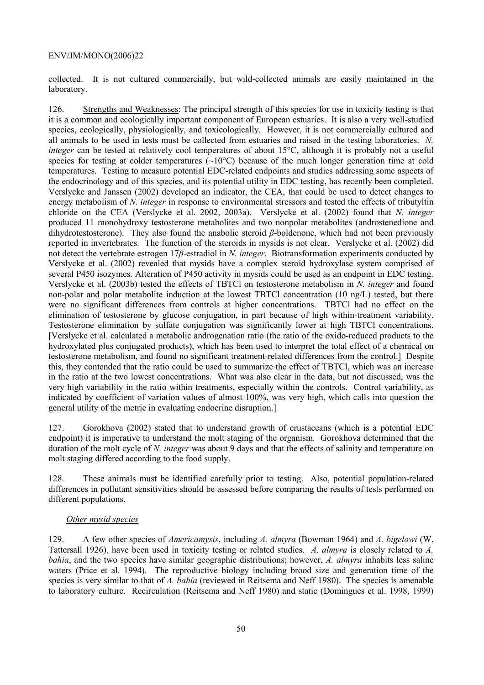collected. It is not cultured commercially, but wild-collected animals are easily maintained in the laboratory.

126. Strengths and Weaknesses: The principal strength of this species for use in toxicity testing is that it is a common and ecologically important component of European estuaries. It is also a very well-studied species, ecologically, physiologically, and toxicologically. However, it is not commercially cultured and all animals to be used in tests must be collected from estuaries and raised in the testing laboratories. *N. integer* can be tested at relatively cool temperatures of about 15°C, although it is probably not a useful species for testing at colder temperatures  $\sim 10^{\circ}$ C) because of the much longer generation time at cold temperatures. Testing to measure potential EDC-related endpoints and studies addressing some aspects of the endocrinology and of this species, and its potential utility in EDC testing, has recently been completed. Verslycke and Janssen (2002) developed an indicator, the CEA, that could be used to detect changes to energy metabolism of *N. integer* in response to environmental stressors and tested the effects of tributyltin chloride on the CEA (Verslycke et al. 2002, 2003a). Verslycke et al. (2002) found that *N. integer* produced 11 monohydroxy testosterone metabolites and two nonpolar metabolites (androstenedione and dihydrotestosterone). They also found the anabolic steroid *β*-boldenone, which had not been previously reported in invertebrates. The function of the steroids in mysids is not clear. Verslycke et al. (2002) did not detect the vertebrate estrogen 17*β*-estradiol in *N. integer*. Biotransformation experiments conducted by Verslycke et al. (2002) revealed that mysids have a complex steroid hydroxylase system comprised of several P450 isozymes. Alteration of P450 activity in mysids could be used as an endpoint in EDC testing. Verslycke et al. (2003b) tested the effects of TBTCl on testosterone metabolism in *N. integer* and found non-polar and polar metabolite induction at the lowest TBTCl concentration (10 ng/L) tested, but there were no significant differences from controls at higher concentrations. TBTCl had no effect on the elimination of testosterone by glucose conjugation, in part because of high within-treatment variability. Testosterone elimination by sulfate conjugation was significantly lower at high TBTCl concentrations. [Verslycke et al. calculated a metabolic androgenation ratio (the ratio of the oxido-reduced products to the hydroxylated plus conjugated products), which has been used to interpret the total effect of a chemical on testosterone metabolism, and found no significant treatment-related differences from the control.] Despite this, they contended that the ratio could be used to summarize the effect of TBTCl, which was an increase in the ratio at the two lowest concentrations. What was also clear in the data, but not discussed, was the very high variability in the ratio within treatments, especially within the controls. Control variability, as indicated by coefficient of variation values of almost 100%, was very high, which calls into question the general utility of the metric in evaluating endocrine disruption.]

127. Gorokhova (2002) stated that to understand growth of crustaceans (which is a potential EDC endpoint) it is imperative to understand the molt staging of the organism. Gorokhova determined that the duration of the molt cycle of *N. integer* was about 9 days and that the effects of salinity and temperature on molt staging differed according to the food supply.

128. These animals must be identified carefully prior to testing. Also, potential population-related differences in pollutant sensitivities should be assessed before comparing the results of tests performed on different populations.

#### *Other mysid species*

129. A few other species of *Americamysis*, including *A. almyra* (Bowman 1964) and *A. bigelowi* (W. Tattersall 1926), have been used in toxicity testing or related studies. *A. almyra* is closely related to *A. bahia*, and the two species have similar geographic distributions; however, *A. almyra* inhabits less saline waters (Price et al. 1994). The reproductive biology including brood size and generation time of the species is very similar to that of *A. bahia* (reviewed in Reitsema and Neff 1980). The species is amenable to laboratory culture. Recirculation (Reitsema and Neff 1980) and static (Domingues et al. 1998, 1999)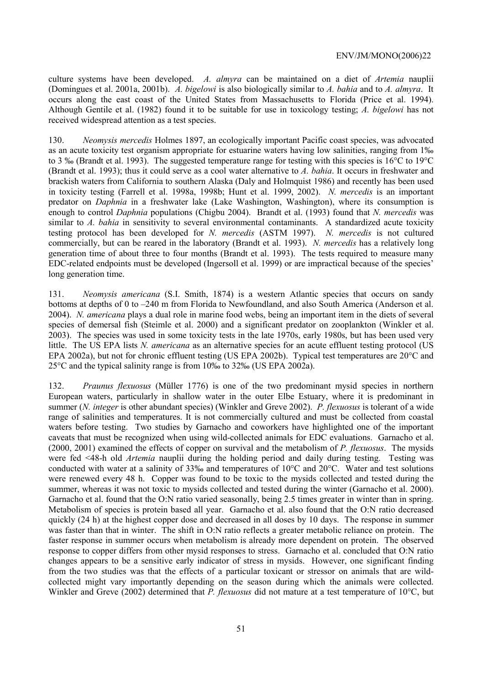culture systems have been developed. *A. almyra* can be maintained on a diet of *Artemia* nauplii (Domingues et al. 2001a, 2001b). *A. bigelowi* is also biologically similar to *A. bahia* and to *A. almyra*. It occurs along the east coast of the United States from Massachusetts to Florida (Price et al. 1994). Although Gentile et al. (1982) found it to be suitable for use in toxicology testing; *A. bigelowi* has not received widespread attention as a test species.

130. *Neomysis mercedis* Holmes 1897, an ecologically important Pacific coast species, was advocated as an acute toxicity test organism appropriate for estuarine waters having low salinities, ranging from 1‰ to 3 ‰ (Brandt et al. 1993). The suggested temperature range for testing with this species is 16°C to 19°C (Brandt et al. 1993); thus it could serve as a cool water alternative to *A. bahia*. It occurs in freshwater and brackish waters from California to southern Alaska (Daly and Holmquist 1986) and recently has been used in toxicity testing (Farrell et al. 1998a, 1998b; Hunt et al. 1999, 2002). *N. mercedis* is an important predator on *Daphnia* in a freshwater lake (Lake Washington, Washington), where its consumption is enough to control *Daphnia* populations (Chigbu 2004). Brandt et al. (1993) found that *N. mercedis* was similar to *A. bahia* in sensitivity to several environmental contaminants. A standardized acute toxicity testing protocol has been developed for *N. mercedis* (ASTM 1997). *N. mercedis* is not cultured commercially, but can be reared in the laboratory (Brandt et al. 1993). *N. mercedis* has a relatively long generation time of about three to four months (Brandt et al. 1993). The tests required to measure many EDC-related endpoints must be developed (Ingersoll et al. 1999) or are impractical because of the species' long generation time.

131. *Neomysis americana* (S.I. Smith, 1874) is a western Atlantic species that occurs on sandy bottoms at depths of 0 to –240 m from Florida to Newfoundland, and also South America (Anderson et al. 2004). *N. americana* plays a dual role in marine food webs, being an important item in the diets of several species of demersal fish (Steimle et al. 2000) and a significant predator on zooplankton (Winkler et al. 2003). The species was used in some toxicity tests in the late 1970s, early 1980s, but has been used very little. The US EPA lists *N. americana* as an alternative species for an acute effluent testing protocol (US EPA 2002a), but not for chronic effluent testing (US EPA 2002b). Typical test temperatures are 20°C and 25°C and the typical salinity range is from 10‰ to 32‰ (US EPA 2002a).

132. *Praunus flexuosus* (Müller 1776) is one of the two predominant mysid species in northern European waters, particularly in shallow water in the outer Elbe Estuary, where it is predominant in summer (*N. integer* is other abundant species) (Winkler and Greve 2002). *P. flexuosus* is tolerant of a wide range of salinities and temperatures. It is not commercially cultured and must be collected from coastal waters before testing. Two studies by Garnacho and coworkers have highlighted one of the important caveats that must be recognized when using wild-collected animals for EDC evaluations. Garnacho et al. (2000, 2001) examined the effects of copper on survival and the metabolism of *P. flexuosus*. The mysids were fed <48-h old *Artemia* nauplii during the holding period and daily during testing. Testing was conducted with water at a salinity of 33‰ and temperatures of 10°C and 20°C. Water and test solutions were renewed every 48 h. Copper was found to be toxic to the mysids collected and tested during the summer, whereas it was not toxic to mysids collected and tested during the winter (Garnacho et al. 2000). Garnacho et al. found that the O:N ratio varied seasonally, being 2.5 times greater in winter than in spring. Metabolism of species is protein based all year. Garnacho et al. also found that the O:N ratio decreased quickly (24 h) at the highest copper dose and decreased in all doses by 10 days. The response in summer was faster than that in winter. The shift in O:N ratio reflects a greater metabolic reliance on protein. The faster response in summer occurs when metabolism is already more dependent on protein. The observed response to copper differs from other mysid responses to stress. Garnacho et al. concluded that O:N ratio changes appears to be a sensitive early indicator of stress in mysids. However, one significant finding from the two studies was that the effects of a particular toxicant or stressor on animals that are wildcollected might vary importantly depending on the season during which the animals were collected. Winkler and Greve (2002) determined that *P. flexuosus* did not mature at a test temperature of 10°C, but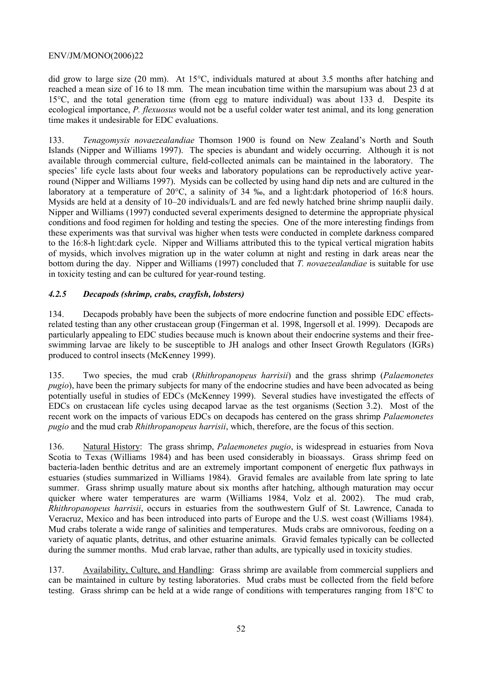did grow to large size (20 mm). At 15°C, individuals matured at about 3.5 months after hatching and reached a mean size of 16 to 18 mm. The mean incubation time within the marsupium was about 23 d at 15°C, and the total generation time (from egg to mature individual) was about 133 d. Despite its ecological importance, *P. flexuosus* would not be a useful colder water test animal, and its long generation time makes it undesirable for EDC evaluations.

133. *Tenagomysis novaezealandiae* Thomson 1900 is found on New Zealand's North and South Islands (Nipper and Williams 1997). The species is abundant and widely occurring. Although it is not available through commercial culture, field-collected animals can be maintained in the laboratory. The species' life cycle lasts about four weeks and laboratory populations can be reproductively active yearround (Nipper and Williams 1997). Mysids can be collected by using hand dip nets and are cultured in the laboratory at a temperature of 20°C, a salinity of 34 ‰, and a light:dark photoperiod of 16:8 hours. Mysids are held at a density of 10–20 individuals/L and are fed newly hatched brine shrimp nauplii daily. Nipper and Williams (1997) conducted several experiments designed to determine the appropriate physical conditions and food regimen for holding and testing the species. One of the more interesting findings from these experiments was that survival was higher when tests were conducted in complete darkness compared to the 16:8-h light:dark cycle. Nipper and Williams attributed this to the typical vertical migration habits of mysids, which involves migration up in the water column at night and resting in dark areas near the bottom during the day. Nipper and Williams (1997) concluded that *T. novaezealandiae* is suitable for use in toxicity testing and can be cultured for year-round testing.

# *4.2.5 Decapods (shrimp, crabs, crayfish, lobsters)*

134. Decapods probably have been the subjects of more endocrine function and possible EDC effectsrelated testing than any other crustacean group (Fingerman et al. 1998, Ingersoll et al. 1999). Decapods are particularly appealing to EDC studies because much is known about their endocrine systems and their freeswimming larvae are likely to be susceptible to JH analogs and other Insect Growth Regulators (IGRs) produced to control insects (McKenney 1999).

135. Two species, the mud crab (*Rhithropanopeus harrisii*) and the grass shrimp (*Palaemonetes pugio*), have been the primary subjects for many of the endocrine studies and have been advocated as being potentially useful in studies of EDCs (McKenney 1999). Several studies have investigated the effects of EDCs on crustacean life cycles using decapod larvae as the test organisms (Section 3.2). Most of the recent work on the impacts of various EDCs on decapods has centered on the grass shrimp *Palaemonetes pugio* and the mud crab *Rhithropanopeus harrisii*, which, therefore, are the focus of this section.

136. Natural History: The grass shrimp, *Palaemonetes pugio*, is widespread in estuaries from Nova Scotia to Texas (Williams 1984) and has been used considerably in bioassays. Grass shrimp feed on bacteria-laden benthic detritus and are an extremely important component of energetic flux pathways in estuaries (studies summarized in Williams 1984). Gravid females are available from late spring to late summer. Grass shrimp usually mature about six months after hatching, although maturation may occur quicker where water temperatures are warm (Williams 1984, Volz et al. 2002). The mud crab, *Rhithropanopeus harrisii*, occurs in estuaries from the southwestern Gulf of St. Lawrence, Canada to Veracruz, Mexico and has been introduced into parts of Europe and the U.S. west coast (Williams 1984). Mud crabs tolerate a wide range of salinities and temperatures. Muds crabs are omnivorous, feeding on a variety of aquatic plants, detritus, and other estuarine animals. Gravid females typically can be collected during the summer months. Mud crab larvae, rather than adults, are typically used in toxicity studies.

137. Availability, Culture, and Handling: Grass shrimp are available from commercial suppliers and can be maintained in culture by testing laboratories. Mud crabs must be collected from the field before testing. Grass shrimp can be held at a wide range of conditions with temperatures ranging from 18°C to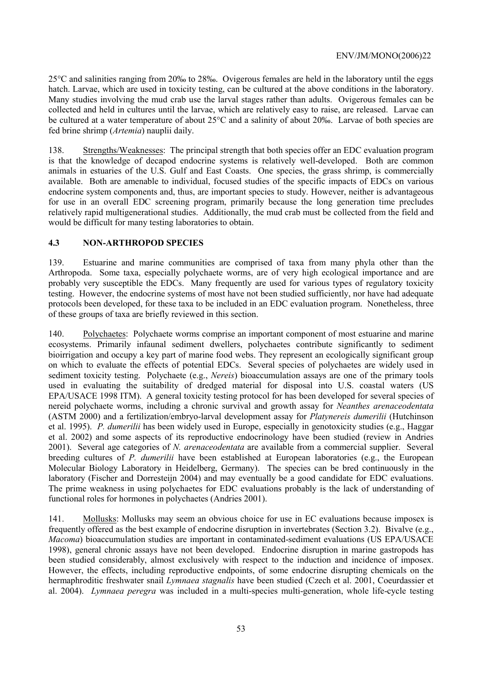25°C and salinities ranging from 20‰ to 28‰. Ovigerous females are held in the laboratory until the eggs hatch. Larvae, which are used in toxicity testing, can be cultured at the above conditions in the laboratory. Many studies involving the mud crab use the larval stages rather than adults. Ovigerous females can be collected and held in cultures until the larvae, which are relatively easy to raise, are released. Larvae can be cultured at a water temperature of about 25°C and a salinity of about 20‰. Larvae of both species are fed brine shrimp (*Artemia*) nauplii daily.

138. Strengths/Weaknesses: The principal strength that both species offer an EDC evaluation program is that the knowledge of decapod endocrine systems is relatively well-developed. Both are common animals in estuaries of the U.S. Gulf and East Coasts. One species, the grass shrimp, is commercially available. Both are amenable to individual, focused studies of the specific impacts of EDCs on various endocrine system components and, thus, are important species to study. However, neither is advantageous for use in an overall EDC screening program, primarily because the long generation time precludes relatively rapid multigenerational studies. Additionally, the mud crab must be collected from the field and would be difficult for many testing laboratories to obtain.

# **4.3 NON-ARTHROPOD SPECIES**

139. Estuarine and marine communities are comprised of taxa from many phyla other than the Arthropoda. Some taxa, especially polychaete worms, are of very high ecological importance and are probably very susceptible the EDCs. Many frequently are used for various types of regulatory toxicity testing. However, the endocrine systems of most have not been studied sufficiently, nor have had adequate protocols been developed, for these taxa to be included in an EDC evaluation program. Nonetheless, three of these groups of taxa are briefly reviewed in this section.

140. Polychaetes: Polychaete worms comprise an important component of most estuarine and marine ecosystems. Primarily infaunal sediment dwellers, polychaetes contribute significantly to sediment bioirrigation and occupy a key part of marine food webs. They represent an ecologically significant group on which to evaluate the effects of potential EDCs. Several species of polychaetes are widely used in sediment toxicity testing. Polychaete (e.g., *Nereis*) bioaccumulation assays are one of the primary tools used in evaluating the suitability of dredged material for disposal into U.S. coastal waters (US EPA/USACE 1998 ITM). A general toxicity testing protocol for has been developed for several species of nereid polychaete worms, including a chronic survival and growth assay for *Neanthes arenaceodentata* (ASTM 2000) and a fertilization/embryo-larval development assay for *Platynereis dumerilii* (Hutchinson et al. 1995). *P. dumerilii* has been widely used in Europe, especially in genotoxicity studies (e.g., Haggar et al. 2002) and some aspects of its reproductive endocrinology have been studied (review in Andries 2001). Several age categories of *N. arenaceodentata* are available from a commercial supplier. Several breeding cultures of *P. dumerilii* have been established at European laboratories (e.g., the European Molecular Biology Laboratory in Heidelberg, Germany). The species can be bred continuously in the laboratory (Fischer and Dorresteijn 2004) and may eventually be a good candidate for EDC evaluations. The prime weakness in using polychaetes for EDC evaluations probably is the lack of understanding of functional roles for hormones in polychaetes (Andries 2001).

141. Mollusks: Mollusks may seem an obvious choice for use in EC evaluations because imposex is frequently offered as the best example of endocrine disruption in invertebrates (Section 3.2). Bivalve (e.g., *Macoma*) bioaccumulation studies are important in contaminated-sediment evaluations (US EPA/USACE 1998), general chronic assays have not been developed. Endocrine disruption in marine gastropods has been studied considerably, almost exclusively with respect to the induction and incidence of imposex. However, the effects, including reproductive endpoints, of some endocrine disrupting chemicals on the hermaphroditic freshwater snail *Lymnaea stagnalis* have been studied (Czech et al. 2001, Coeurdassier et al. 2004). *Lymnaea peregra* was included in a multi-species multi-generation, whole life-cycle testing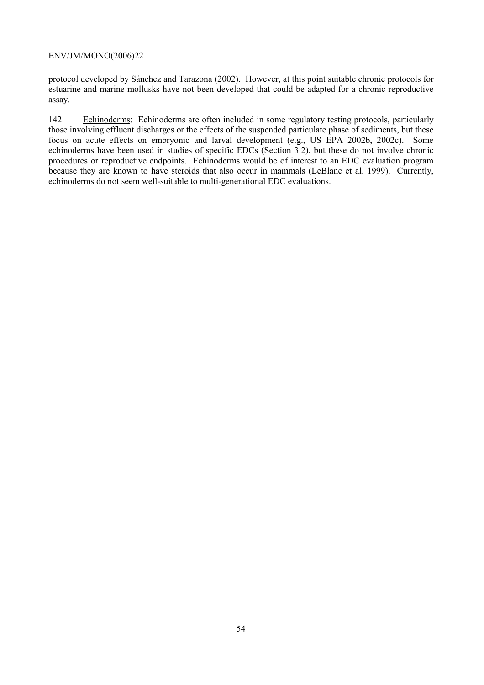protocol developed by Sánchez and Tarazona (2002). However, at this point suitable chronic protocols for estuarine and marine mollusks have not been developed that could be adapted for a chronic reproductive assay.

142. Echinoderms: Echinoderms are often included in some regulatory testing protocols, particularly those involving effluent discharges or the effects of the suspended particulate phase of sediments, but these focus on acute effects on embryonic and larval development (e.g., US EPA 2002b, 2002c). Some echinoderms have been used in studies of specific EDCs (Section 3.2), but these do not involve chronic procedures or reproductive endpoints. Echinoderms would be of interest to an EDC evaluation program because they are known to have steroids that also occur in mammals (LeBlanc et al. 1999). Currently, echinoderms do not seem well-suitable to multi-generational EDC evaluations.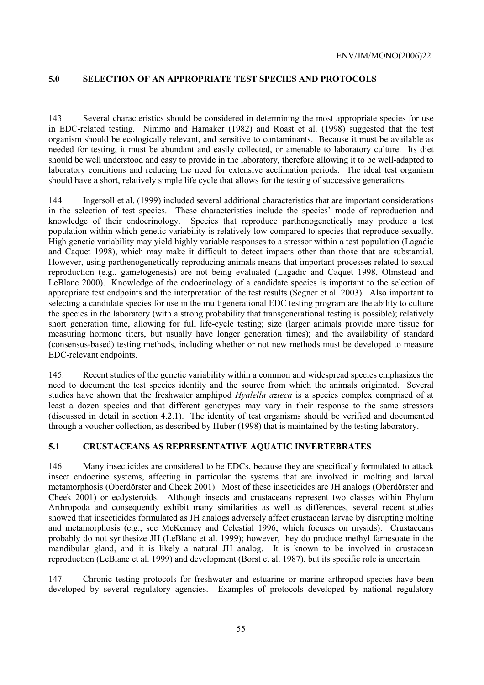# **5.0 SELECTION OF AN APPROPRIATE TEST SPECIES AND PROTOCOLS**

143. Several characteristics should be considered in determining the most appropriate species for use in EDC-related testing. Nimmo and Hamaker (1982) and Roast et al. (1998) suggested that the test organism should be ecologically relevant, and sensitive to contaminants. Because it must be available as needed for testing, it must be abundant and easily collected, or amenable to laboratory culture. Its diet should be well understood and easy to provide in the laboratory, therefore allowing it to be well-adapted to laboratory conditions and reducing the need for extensive acclimation periods. The ideal test organism should have a short, relatively simple life cycle that allows for the testing of successive generations.

144. Ingersoll et al. (1999) included several additional characteristics that are important considerations in the selection of test species. These characteristics include the species' mode of reproduction and knowledge of their endocrinology. Species that reproduce parthenogenetically may produce a test population within which genetic variability is relatively low compared to species that reproduce sexually. High genetic variability may yield highly variable responses to a stressor within a test population (Lagadic and Caquet 1998), which may make it difficult to detect impacts other than those that are substantial. However, using parthenogenetically reproducing animals means that important processes related to sexual reproduction (e.g., gametogenesis) are not being evaluated (Lagadic and Caquet 1998, Olmstead and LeBlanc 2000). Knowledge of the endocrinology of a candidate species is important to the selection of appropriate test endpoints and the interpretation of the test results (Segner et al. 2003). Also important to selecting a candidate species for use in the multigenerational EDC testing program are the ability to culture the species in the laboratory (with a strong probability that transgenerational testing is possible); relatively short generation time, allowing for full life-cycle testing; size (larger animals provide more tissue for measuring hormone titers, but usually have longer generation times); and the availability of standard (consensus-based) testing methods, including whether or not new methods must be developed to measure EDC-relevant endpoints.

145. Recent studies of the genetic variability within a common and widespread species emphasizes the need to document the test species identity and the source from which the animals originated. Several studies have shown that the freshwater amphipod *Hyalella azteca* is a species complex comprised of at least a dozen species and that different genotypes may vary in their response to the same stressors (discussed in detail in section 4.2.1). The identity of test organisms should be verified and documented through a voucher collection, as described by Huber (1998) that is maintained by the testing laboratory.

#### **5.1 CRUSTACEANS AS REPRESENTATIVE AQUATIC INVERTEBRATES**

146. Many insecticides are considered to be EDCs, because they are specifically formulated to attack insect endocrine systems, affecting in particular the systems that are involved in molting and larval metamorphosis (Oberdörster and Cheek 2001). Most of these insecticides are JH analogs (Oberdörster and Cheek 2001) or ecdysteroids. Although insects and crustaceans represent two classes within Phylum Arthropoda and consequently exhibit many similarities as well as differences, several recent studies showed that insecticides formulated as JH analogs adversely affect crustacean larvae by disrupting molting and metamorphosis (e.g., see McKenney and Celestial 1996, which focuses on mysids). Crustaceans probably do not synthesize JH (LeBlanc et al. 1999); however, they do produce methyl farnesoate in the mandibular gland, and it is likely a natural JH analog. It is known to be involved in crustacean reproduction (LeBlanc et al. 1999) and development (Borst et al. 1987), but its specific role is uncertain.

147. Chronic testing protocols for freshwater and estuarine or marine arthropod species have been developed by several regulatory agencies. Examples of protocols developed by national regulatory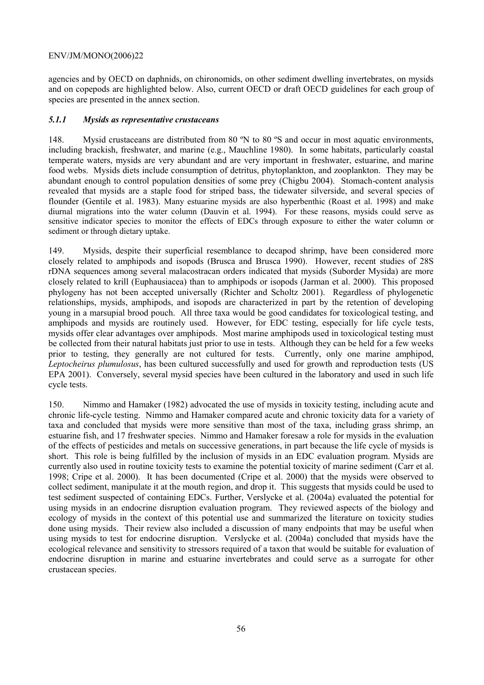agencies and by OECD on daphnids, on chironomids, on other sediment dwelling invertebrates, on mysids and on copepods are highlighted below. Also, current OECD or draft OECD guidelines for each group of species are presented in the annex section.

# *5.1.1 Mysids as representative crustaceans*

148. Mysid crustaceans are distributed from 80 ºN to 80 ºS and occur in most aquatic environments, including brackish, freshwater, and marine (e.g., Mauchline 1980). In some habitats, particularly coastal temperate waters, mysids are very abundant and are very important in freshwater, estuarine, and marine food webs. Mysids diets include consumption of detritus, phytoplankton, and zooplankton. They may be abundant enough to control population densities of some prey (Chigbu 2004). Stomach-content analysis revealed that mysids are a staple food for striped bass, the tidewater silverside, and several species of flounder (Gentile et al. 1983). Many estuarine mysids are also hyperbenthic (Roast et al. 1998) and make diurnal migrations into the water column (Dauvin et al. 1994). For these reasons, mysids could serve as sensitive indicator species to monitor the effects of EDCs through exposure to either the water column or sediment or through dietary uptake.

149. Mysids, despite their superficial resemblance to decapod shrimp, have been considered more closely related to amphipods and isopods (Brusca and Brusca 1990). However, recent studies of 28S rDNA sequences among several malacostracan orders indicated that mysids (Suborder Mysida) are more closely related to krill (Euphausiacea) than to amphipods or isopods (Jarman et al. 2000). This proposed phylogeny has not been accepted universally (Richter and Scholtz 2001). Regardless of phylogenetic relationships, mysids, amphipods, and isopods are characterized in part by the retention of developing young in a marsupial brood pouch. All three taxa would be good candidates for toxicological testing, and amphipods and mysids are routinely used. However, for EDC testing, especially for life cycle tests, mysids offer clear advantages over amphipods. Most marine amphipods used in toxicological testing must be collected from their natural habitats just prior to use in tests. Although they can be held for a few weeks prior to testing, they generally are not cultured for tests. Currently, only one marine amphipod, *Leptocheirus plumulosus*, has been cultured successfully and used for growth and reproduction tests (US EPA 2001). Conversely, several mysid species have been cultured in the laboratory and used in such life cycle tests.

150. Nimmo and Hamaker (1982) advocated the use of mysids in toxicity testing, including acute and chronic life-cycle testing. Nimmo and Hamaker compared acute and chronic toxicity data for a variety of taxa and concluded that mysids were more sensitive than most of the taxa, including grass shrimp, an estuarine fish, and 17 freshwater species. Nimmo and Hamaker foresaw a role for mysids in the evaluation of the effects of pesticides and metals on successive generations, in part because the life cycle of mysids is short. This role is being fulfilled by the inclusion of mysids in an EDC evaluation program. Mysids are currently also used in routine toxicity tests to examine the potential toxicity of marine sediment (Carr et al. 1998; Cripe et al. 2000). It has been documented (Cripe et al. 2000) that the mysids were observed to collect sediment, manipulate it at the mouth region, and drop it. This suggests that mysids could be used to test sediment suspected of containing EDCs. Further, Verslycke et al. (2004a) evaluated the potential for using mysids in an endocrine disruption evaluation program. They reviewed aspects of the biology and ecology of mysids in the context of this potential use and summarized the literature on toxicity studies done using mysids. Their review also included a discussion of many endpoints that may be useful when using mysids to test for endocrine disruption. Verslycke et al. (2004a) concluded that mysids have the ecological relevance and sensitivity to stressors required of a taxon that would be suitable for evaluation of endocrine disruption in marine and estuarine invertebrates and could serve as a surrogate for other crustacean species.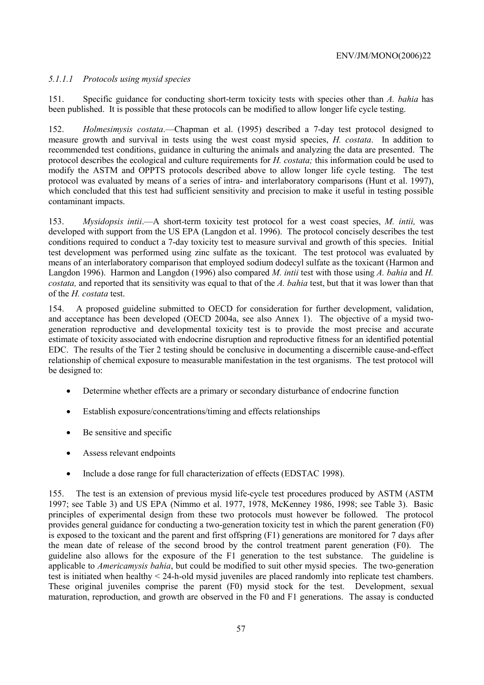# *5.1.1.1 Protocols using mysid species*

151. Specific guidance for conducting short-term toxicity tests with species other than *A. bahia* has been published. It is possible that these protocols can be modified to allow longer life cycle testing.

152. *Holmesimysis costata*.—Chapman et al. (1995) described a 7-day test protocol designed to measure growth and survival in tests using the west coast mysid species, *H. costata*. In addition to recommended test conditions, guidance in culturing the animals and analyzing the data are presented. The protocol describes the ecological and culture requirements for *H. costata;* this information could be used to modify the ASTM and OPPTS protocols described above to allow longer life cycle testing. The test protocol was evaluated by means of a series of intra- and interlaboratory comparisons (Hunt et al. 1997), which concluded that this test had sufficient sensitivity and precision to make it useful in testing possible contaminant impacts.

153. *Mysidopsis intii*.—A short-term toxicity test protocol for a west coast species, *M. intii,* was developed with support from the US EPA (Langdon et al. 1996). The protocol concisely describes the test conditions required to conduct a 7-day toxicity test to measure survival and growth of this species. Initial test development was performed using zinc sulfate as the toxicant. The test protocol was evaluated by means of an interlaboratory comparison that employed sodium dodecyl sulfate as the toxicant (Harmon and Langdon 1996). Harmon and Langdon (1996) also compared *M. intii* test with those using *A. bahia* and *H. costata,* and reported that its sensitivity was equal to that of the *A. bahia* test, but that it was lower than that of the *H. costata* test.

154. A proposed guideline submitted to OECD for consideration for further development, validation, and acceptance has been developed (OECD 2004a, see also Annex 1). The objective of a mysid twogeneration reproductive and developmental toxicity test is to provide the most precise and accurate estimate of toxicity associated with endocrine disruption and reproductive fitness for an identified potential EDC. The results of the Tier 2 testing should be conclusive in documenting a discernible cause-and-effect relationship of chemical exposure to measurable manifestation in the test organisms. The test protocol will be designed to:

- Determine whether effects are a primary or secondary disturbance of endocrine function
- Establish exposure/concentrations/timing and effects relationships
- Be sensitive and specific
- Assess relevant endpoints
- Include a dose range for full characterization of effects (EDSTAC 1998).

155. The test is an extension of previous mysid life-cycle test procedures produced by ASTM (ASTM 1997; see Table 3) and US EPA (Nimmo et al. 1977, 1978, McKenney 1986, 1998; see Table 3). Basic principles of experimental design from these two protocols must however be followed. The protocol provides general guidance for conducting a two-generation toxicity test in which the parent generation (F0) is exposed to the toxicant and the parent and first offspring (F1) generations are monitored for 7 days after the mean date of release of the second brood by the control treatment parent generation (F0). The guideline also allows for the exposure of the F1 generation to the test substance. The guideline is applicable to *Americamysis bahia*, but could be modified to suit other mysid species. The two-generation test is initiated when healthy < 24-h-old mysid juveniles are placed randomly into replicate test chambers. These original juveniles comprise the parent (F0) mysid stock for the test. Development, sexual maturation, reproduction, and growth are observed in the F0 and F1 generations. The assay is conducted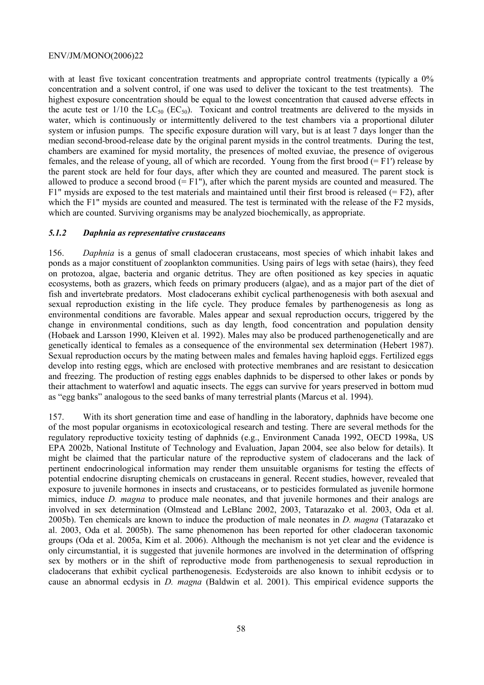with at least five toxicant concentration treatments and appropriate control treatments (typically a  $0\%$ ) concentration and a solvent control, if one was used to deliver the toxicant to the test treatments). The highest exposure concentration should be equal to the lowest concentration that caused adverse effects in the acute test or  $1/10$  the  $LC_{50}$  (EC<sub>50</sub>). Toxicant and control treatments are delivered to the mysids in water, which is continuously or intermittently delivered to the test chambers via a proportional diluter system or infusion pumps. The specific exposure duration will vary, but is at least 7 days longer than the median second-brood-release date by the original parent mysids in the control treatments. During the test, chambers are examined for mysid mortality, the presences of molted exuviae, the presence of ovigerous females, and the release of young, all of which are recorded. Young from the first brood  $(= F1')$  release by the parent stock are held for four days, after which they are counted and measured. The parent stock is allowed to produce a second brood  $(= F1")$ , after which the parent mysids are counted and measured. The F1" mysids are exposed to the test materials and maintained until their first brood is released  $(= F2)$ , after which the F1" mysids are counted and measured. The test is terminated with the release of the F2 mysids, which are counted. Surviving organisms may be analyzed biochemically, as appropriate.

#### *5.1.2 Daphnia as representative crustaceans*

156. *Daphnia* is a genus of small cladoceran crustaceans, most species of which inhabit lakes and ponds as a major constituent of zooplankton communities. Using pairs of legs with setae (hairs), they feed on protozoa, algae, bacteria and organic detritus. They are often positioned as key species in aquatic ecosystems, both as grazers, which feeds on primary producers (algae), and as a major part of the diet of fish and invertebrate predators. Most cladocerans exhibit cyclical parthenogenesis with both asexual and sexual reproduction existing in the life cycle. They produce females by parthenogenesis as long as environmental conditions are favorable. Males appear and sexual reproduction occurs, triggered by the change in environmental conditions, such as day length, food concentration and population density (Hobaek and Larsson 1990, Kleiven et al. 1992). Males may also be produced parthenogenetically and are genetically identical to females as a consequence of the environmental sex determination (Hebert 1987). Sexual reproduction occurs by the mating between males and females having haploid eggs. Fertilized eggs develop into resting eggs, which are enclosed with protective membranes and are resistant to desiccation and freezing. The production of resting eggs enables daphnids to be dispersed to other lakes or ponds by their attachment to waterfowl and aquatic insects. The eggs can survive for years preserved in bottom mud as "egg banks" analogous to the seed banks of many terrestrial plants (Marcus et al. 1994).

157. With its short generation time and ease of handling in the laboratory, daphnids have become one of the most popular organisms in ecotoxicological research and testing. There are several methods for the regulatory reproductive toxicity testing of daphnids (e.g., Environment Canada 1992, OECD 1998a, US EPA 2002b, National Institute of Technology and Evaluation, Japan 2004, see also below for details). It might be claimed that the particular nature of the reproductive system of cladocerans and the lack of pertinent endocrinological information may render them unsuitable organisms for testing the effects of potential endocrine disrupting chemicals on crustaceans in general. Recent studies, however, revealed that exposure to juvenile hormones in insects and crustaceans, or to pesticides formulated as juvenile hormone mimics, induce *D. magna* to produce male neonates, and that juvenile hormones and their analogs are involved in sex determination (Olmstead and LeBlanc 2002, 2003, Tatarazako et al. 2003, Oda et al. 2005b). Ten chemicals are known to induce the production of male neonates in *D. magna* (Tatarazako et al. 2003, Oda et al. 2005b). The same phenomenon has been reported for other cladoceran taxonomic groups (Oda et al. 2005a, Kim et al. 2006). Although the mechanism is not yet clear and the evidence is only circumstantial, it is suggested that juvenile hormones are involved in the determination of offspring sex by mothers or in the shift of reproductive mode from parthenogenesis to sexual reproduction in cladocerans that exhibit cyclical parthenogenesis. Ecdysteroids are also known to inhibit ecdysis or to cause an abnormal ecdysis in *D. magna* (Baldwin et al. 2001). This empirical evidence supports the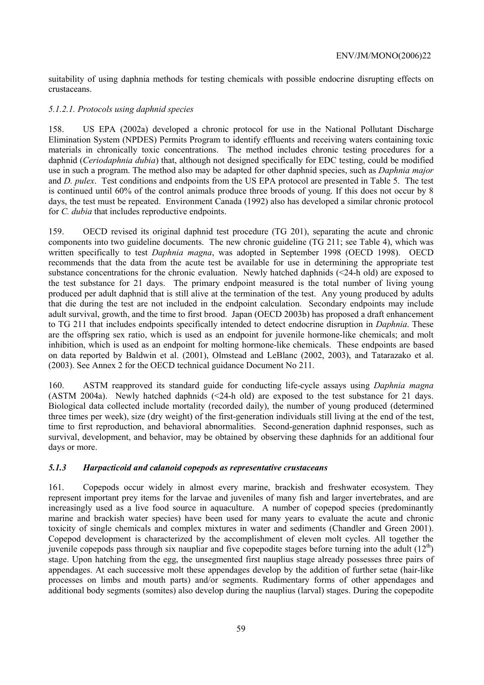suitability of using daphnia methods for testing chemicals with possible endocrine disrupting effects on crustaceans.

#### *5.1.2.1. Protocols using daphnid species*

158. US EPA (2002a) developed a chronic protocol for use in the National Pollutant Discharge Elimination System (NPDES) Permits Program to identify effluents and receiving waters containing toxic materials in chronically toxic concentrations. The method includes chronic testing procedures for a daphnid (*Ceriodaphnia dubia*) that, although not designed specifically for EDC testing, could be modified use in such a program. The method also may be adapted for other daphnid species, such as *Daphnia major* and *D. pulex*. Test conditions and endpoints from the US EPA protocol are presented in Table 5. The test is continued until 60% of the control animals produce three broods of young. If this does not occur by 8 days, the test must be repeated. Environment Canada (1992) also has developed a similar chronic protocol for *C. dubia* that includes reproductive endpoints.

159. OECD revised its original daphnid test procedure (TG 201), separating the acute and chronic components into two guideline documents. The new chronic guideline (TG 211; see Table 4), which was written specifically to test *Daphnia magna*, was adopted in September 1998 (OECD 1998). OECD recommends that the data from the acute test be available for use in determining the appropriate test substance concentrations for the chronic evaluation. Newly hatched daphnids  $\langle 24-h \text{ old} \rangle$  are exposed to the test substance for 21 days. The primary endpoint measured is the total number of living young produced per adult daphnid that is still alive at the termination of the test. Any young produced by adults that die during the test are not included in the endpoint calculation. Secondary endpoints may include adult survival, growth, and the time to first brood. Japan (OECD 2003b) has proposed a draft enhancement to TG 211 that includes endpoints specifically intended to detect endocrine disruption in *Daphnia*. These are the offspring sex ratio, which is used as an endpoint for juvenile hormone-like chemicals; and molt inhibition, which is used as an endpoint for molting hormone-like chemicals. These endpoints are based on data reported by Baldwin et al. (2001), Olmstead and LeBlanc (2002, 2003), and Tatarazako et al. (2003). See Annex 2 for the OECD technical guidance Document No 211.

160. ASTM reapproved its standard guide for conducting life-cycle assays using *Daphnia magna* (ASTM 2004a). Newly hatched daphnids  $(\leq 24$ -h old) are exposed to the test substance for 21 days. Biological data collected include mortality (recorded daily), the number of young produced (determined three times per week), size (dry weight) of the first-generation individuals still living at the end of the test, time to first reproduction, and behavioral abnormalities. Second-generation daphnid responses, such as survival, development, and behavior, may be obtained by observing these daphnids for an additional four days or more.

#### *5.1.3 Harpacticoid and calanoid copepods as representative crustaceans*

161. Copepods occur widely in almost every marine, brackish and freshwater ecosystem. They represent important prey items for the larvae and juveniles of many fish and larger invertebrates, and are increasingly used as a live food source in aquaculture. A number of copepod species (predominantly marine and brackish water species) have been used for many years to evaluate the acute and chronic toxicity of single chemicals and complex mixtures in water and sediments (Chandler and Green 2001). Copepod development is characterized by the accomplishment of eleven molt cycles. All together the juvenile copepods pass through six naupliar and five copepodite stages before turning into the adult  $(12<sup>th</sup>)$ stage. Upon hatching from the egg, the unsegmented first nauplius stage already possesses three pairs of appendages. At each successive molt these appendages develop by the addition of further setae (hair-like processes on limbs and mouth parts) and/or segments. Rudimentary forms of other appendages and additional body segments (somites) also develop during the nauplius (larval) stages. During the copepodite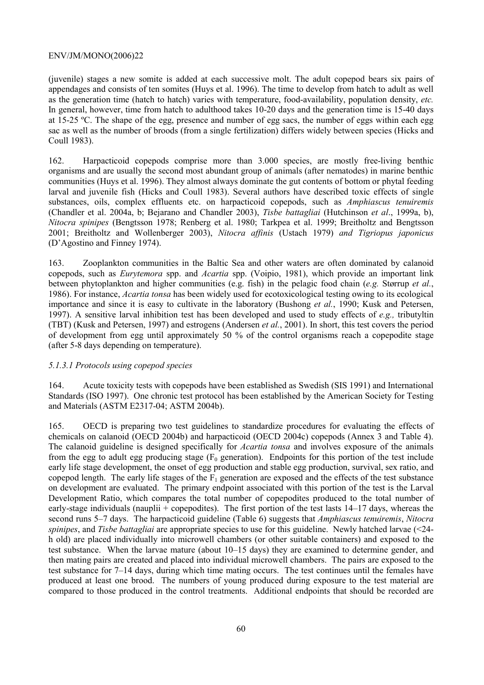(juvenile) stages a new somite is added at each successive molt. The adult copepod bears six pairs of appendages and consists of ten somites (Huys et al. 1996). The time to develop from hatch to adult as well as the generation time (hatch to hatch) varies with temperature, food-availability, population density, *etc.* In general, however, time from hatch to adulthood takes 10-20 days and the generation time is 15-40 days at 15-25 ºC. The shape of the egg, presence and number of egg sacs, the number of eggs within each egg sac as well as the number of broods (from a single fertilization) differs widely between species (Hicks and Coull 1983).

162. Harpacticoid copepods comprise more than 3.000 species, are mostly free-living benthic organisms and are usually the second most abundant group of animals (after nematodes) in marine benthic communities (Huys et al. 1996). They almost always dominate the gut contents of bottom or phytal feeding larval and juvenile fish (Hicks and Coull 1983). Several authors have described toxic effects of single substances, oils, complex effluents etc. on harpacticoid copepods, such as *Amphiascus tenuiremis* (Chandler et al. 2004a, b; Bejarano and Chandler 2003), *Tisbe battagliai* (Hutchinson *et al*., 1999a, b), *Nitocra spinipes* (Bengtsson 1978; Renberg et al. 1980; Tarkpea et al. 1999; Breitholtz and Bengtsson 2001; Breitholtz and Wollenberger 2003), *Nitocra affinis* (Ustach 1979) *and Tigriopus japonicus* (D'Agostino and Finney 1974).

163. Zooplankton communities in the Baltic Sea and other waters are often dominated by calanoid copepods, such as *Eurytemora* spp. and *Acartia* spp. (Voipio, 1981), which provide an important link between phytoplankton and higher communities (e.g. fish) in the pelagic food chain (*e.g.* Størrup *et al.*, 1986). For instance, *Acartia tonsa* has been widely used for ecotoxicological testing owing to its ecological importance and since it is easy to cultivate in the laboratory (Bushong *et al.*, 1990; Kusk and Petersen, 1997). A sensitive larval inhibition test has been developed and used to study effects of *e.g.,* tributyltin (TBT) (Kusk and Petersen, 1997) and estrogens (Andersen *et al.*, 2001). In short, this test covers the period of development from egg until approximately 50 % of the control organisms reach a copepodite stage (after 5-8 days depending on temperature).

#### *5.1.3.1 Protocols using copepod species*

164. Acute toxicity tests with copepods have been established as Swedish (SIS 1991) and International Standards (ISO 1997). One chronic test protocol has been established by the American Society for Testing and Materials (ASTM E2317-04; ASTM 2004b).

165. OECD is preparing two test guidelines to standardize procedures for evaluating the effects of chemicals on calanoid (OECD 2004b) and harpacticoid (OECD 2004c) copepods (Annex 3 and Table 4). The calanoid guideline is designed specifically for *Acartia tonsa* and involves exposure of the animals from the egg to adult egg producing stage  $(F_0$  generation). Endpoints for this portion of the test include early life stage development, the onset of egg production and stable egg production, survival, sex ratio, and copepod length. The early life stages of the  $F_1$  generation are exposed and the effects of the test substance on development are evaluated. The primary endpoint associated with this portion of the test is the Larval Development Ratio, which compares the total number of copepodites produced to the total number of early-stage individuals (nauplii + copepodites). The first portion of the test lasts 14–17 days, whereas the second runs 5–7 days. The harpacticoid guideline (Table 6) suggests that *Amphiascus tenuiremis*, *Nitocra spinipes*, and *Tisbe battagliai* are appropriate species to use for this guideline. Newly hatched larvae (<24 h old) are placed individually into microwell chambers (or other suitable containers) and exposed to the test substance. When the larvae mature (about 10–15 days) they are examined to determine gender, and then mating pairs are created and placed into individual microwell chambers. The pairs are exposed to the test substance for 7–14 days, during which time mating occurs. The test continues until the females have produced at least one brood. The numbers of young produced during exposure to the test material are compared to those produced in the control treatments. Additional endpoints that should be recorded are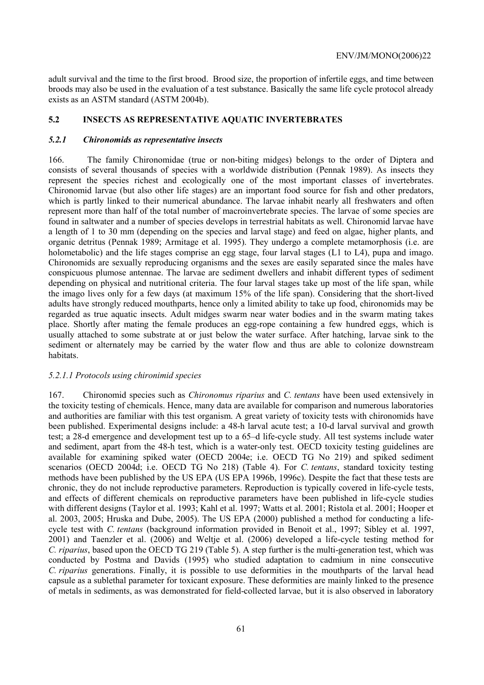adult survival and the time to the first brood. Brood size, the proportion of infertile eggs, and time between broods may also be used in the evaluation of a test substance. Basically the same life cycle protocol already exists as an ASTM standard (ASTM 2004b).

#### **5.2 INSECTS AS REPRESENTATIVE AQUATIC INVERTEBRATES**

#### *5.2.1 Chironomids as representative insects*

166. The family Chironomidae (true or non-biting midges) belongs to the order of Diptera and consists of several thousands of species with a worldwide distribution (Pennak 1989). As insects they represent the species richest and ecologically one of the most important classes of invertebrates. Chironomid larvae (but also other life stages) are an important food source for fish and other predators, which is partly linked to their numerical abundance. The larvae inhabit nearly all freshwaters and often represent more than half of the total number of macroinvertebrate species. The larvae of some species are found in saltwater and a number of species develops in terrestrial habitats as well. Chironomid larvae have a length of 1 to 30 mm (depending on the species and larval stage) and feed on algae, higher plants, and organic detritus (Pennak 1989; Armitage et al. 1995). They undergo a complete metamorphosis (i.e. are holometabolic) and the life stages comprise an egg stage, four larval stages (L1 to L4), pupa and imago. Chironomids are sexually reproducing organisms and the sexes are easily separated since the males have conspicuous plumose antennae. The larvae are sediment dwellers and inhabit different types of sediment depending on physical and nutritional criteria. The four larval stages take up most of the life span, while the imago lives only for a few days (at maximum 15% of the life span). Considering that the short-lived adults have strongly reduced mouthparts, hence only a limited ability to take up food, chironomids may be regarded as true aquatic insects. Adult midges swarm near water bodies and in the swarm mating takes place. Shortly after mating the female produces an egg-rope containing a few hundred eggs, which is usually attached to some substrate at or just below the water surface. After hatching, larvae sink to the sediment or alternately may be carried by the water flow and thus are able to colonize downstream habitats.

#### *5.2.1.1 Protocols using chironimid species*

167. Chironomid species such as *Chironomus riparius* and *C. tentans* have been used extensively in the toxicity testing of chemicals. Hence, many data are available for comparison and numerous laboratories and authorities are familiar with this test organism. A great variety of toxicity tests with chironomids have been published. Experimental designs include: a 48-h larval acute test; a 10-d larval survival and growth test; a 28-d emergence and development test up to a 65–d life-cycle study. All test systems include water and sediment, apart from the 48-h test, which is a water-only test. OECD toxicity testing guidelines are available for examining spiked water (OECD 2004e; i.e. OECD TG No 219) and spiked sediment scenarios (OECD 2004d; i.e. OECD TG No 218) (Table 4). For *C. tentans*, standard toxicity testing methods have been published by the US EPA (US EPA 1996b, 1996c). Despite the fact that these tests are chronic, they do not include reproductive parameters. Reproduction is typically covered in life-cycle tests, and effects of different chemicals on reproductive parameters have been published in life-cycle studies with different designs (Taylor et al. 1993; Kahl et al. 1997; Watts et al. 2001; Ristola et al. 2001; Hooper et al. 2003, 2005; Hruska and Dube, 2005). The US EPA (2000) published a method for conducting a lifecycle test with *C. tentans* (background information provided in Benoit et al., 1997; Sibley et al. 1997, 2001) and Taenzler et al. (2006) and Weltje et al. (2006) developed a life-cycle testing method for *C. riparius*, based upon the OECD TG 219 (Table 5). A step further is the multi-generation test, which was conducted by Postma and Davids (1995) who studied adaptation to cadmium in nine consecutive *C. riparius* generations. Finally, it is possible to use deformities in the mouthparts of the larval head capsule as a sublethal parameter for toxicant exposure. These deformities are mainly linked to the presence of metals in sediments, as was demonstrated for field-collected larvae, but it is also observed in laboratory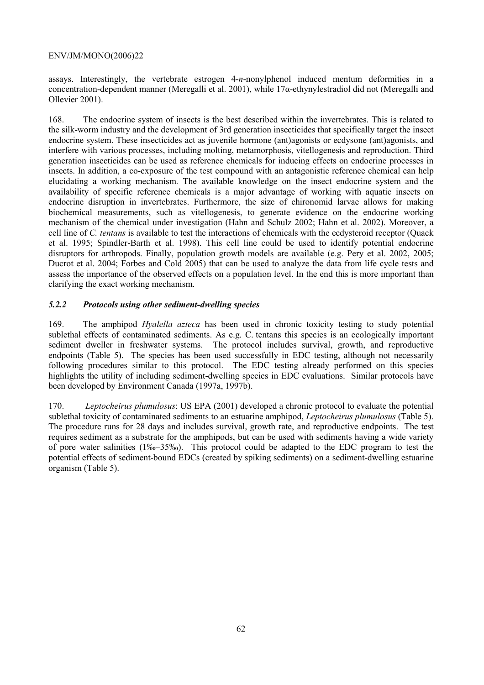assays. Interestingly, the vertebrate estrogen 4-*n*-nonylphenol induced mentum deformities in a concentration-dependent manner (Meregalli et al. 2001), while 17α-ethynylestradiol did not (Meregalli and Ollevier 2001).

168. The endocrine system of insects is the best described within the invertebrates. This is related to the silk-worm industry and the development of 3rd generation insecticides that specifically target the insect endocrine system. These insecticides act as juvenile hormone (ant)agonists or ecdysone (ant)agonists, and interfere with various processes, including molting, metamorphosis, vitellogenesis and reproduction. Third generation insecticides can be used as reference chemicals for inducing effects on endocrine processes in insects. In addition, a co-exposure of the test compound with an antagonistic reference chemical can help elucidating a working mechanism. The available knowledge on the insect endocrine system and the availability of specific reference chemicals is a major advantage of working with aquatic insects on endocrine disruption in invertebrates. Furthermore, the size of chironomid larvae allows for making biochemical measurements, such as vitellogenesis, to generate evidence on the endocrine working mechanism of the chemical under investigation (Hahn and Schulz 2002; Hahn et al. 2002). Moreover, a cell line of *C. tentans* is available to test the interactions of chemicals with the ecdysteroid receptor (Quack et al. 1995; Spindler-Barth et al. 1998). This cell line could be used to identify potential endocrine disruptors for arthropods. Finally, population growth models are available (e.g. Pery et al. 2002, 2005; Ducrot et al. 2004; Forbes and Cold 2005) that can be used to analyze the data from life cycle tests and assess the importance of the observed effects on a population level. In the end this is more important than clarifying the exact working mechanism.

# *5.2.2 Protocols using other sediment-dwelling species*

169. The amphipod *Hyalella azteca* has been used in chronic toxicity testing to study potential sublethal effects of contaminated sediments. As e.g. C. tentans this species is an ecologically important sediment dweller in freshwater systems. The protocol includes survival, growth, and reproductive endpoints (Table 5). The species has been used successfully in EDC testing, although not necessarily following procedures similar to this protocol. The EDC testing already performed on this species highlights the utility of including sediment-dwelling species in EDC evaluations. Similar protocols have been developed by Environment Canada (1997a, 1997b).

170. *Leptocheirus plumulosus*: US EPA (2001) developed a chronic protocol to evaluate the potential sublethal toxicity of contaminated sediments to an estuarine amphipod, *Leptocheirus plumulosus* (Table 5). The procedure runs for 28 days and includes survival, growth rate, and reproductive endpoints. The test requires sediment as a substrate for the amphipods, but can be used with sediments having a wide variety of pore water salinities (1‰–35‰). This protocol could be adapted to the EDC program to test the potential effects of sediment-bound EDCs (created by spiking sediments) on a sediment-dwelling estuarine organism (Table 5).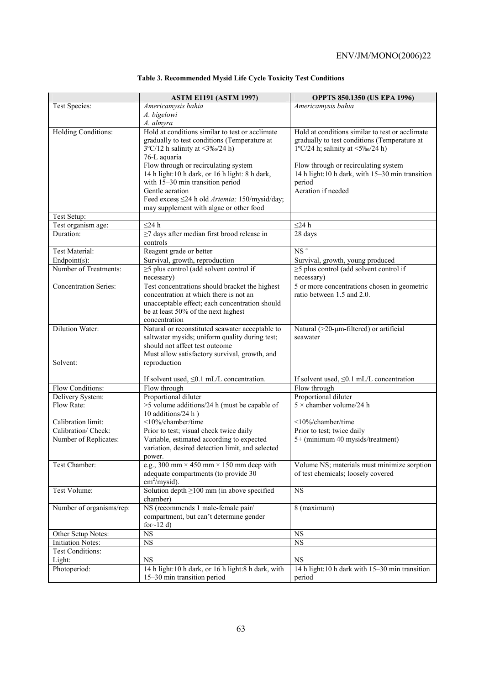|                                | <b>ASTM E1191 (ASTM 1997)</b>                                                            | <b>OPPTS 850.1350 (US EPA 1996)</b>                                                     |
|--------------------------------|------------------------------------------------------------------------------------------|-----------------------------------------------------------------------------------------|
| Test Species:                  | Americamysis bahia                                                                       | Americamysis bahia                                                                      |
|                                | A. bigelowi                                                                              |                                                                                         |
|                                | A. almyra                                                                                |                                                                                         |
| <b>Holding Conditions:</b>     | Hold at conditions similar to test or acclimate                                          | Hold at conditions similar to test or acclimate                                         |
|                                | gradually to test conditions (Temperature at                                             | gradually to test conditions (Temperature at                                            |
|                                | $3^{\circ}$ C/12 h salinity at <3‰/24 h)                                                 | $1^{\circ}$ C/24 h; salinity at <5‰/24 h)                                               |
|                                | 76-L aquaria                                                                             |                                                                                         |
|                                | Flow through or recirculating system<br>14 h light: 10 h dark, or 16 h light: 8 h dark,  | Flow through or recirculating system<br>14 h light:10 h dark, with 15-30 min transition |
|                                | with 15-30 min transition period                                                         | period                                                                                  |
|                                | Gentle aeration                                                                          | Aeration if needed                                                                      |
|                                | Feed excess ≤24 h old Artemia; 150/mysid/day;                                            |                                                                                         |
|                                | may supplement with algae or other food                                                  |                                                                                         |
| Test Setup:                    |                                                                                          |                                                                                         |
| Test organism age:             | $<$ 24 h                                                                                 | $\leq$ 24 h                                                                             |
| Duration:                      | $\geq$ 7 days after median first brood release in                                        | 28 days                                                                                 |
|                                | controls                                                                                 |                                                                                         |
| <b>Test Material:</b>          | Reagent grade or better                                                                  | NS <sup>a</sup>                                                                         |
| $Endpoint(s)$ :                | Survival, growth, reproduction                                                           | Survival, growth, young produced                                                        |
| Number of Treatments:          | $\geq$ 5 plus control (add solvent control if                                            | $\geq$ 5 plus control (add solvent control if                                           |
|                                | necessary)                                                                               | necessary)                                                                              |
| <b>Concentration Series:</b>   | Test concentrations should bracket the highest<br>concentration at which there is not an | 5 or more concentrations chosen in geometric<br>ratio between 1.5 and 2.0.              |
|                                | unacceptable effect; each concentration should                                           |                                                                                         |
|                                | be at least 50% of the next highest                                                      |                                                                                         |
|                                | concentration                                                                            |                                                                                         |
| Dilution Water:                | Natural or reconstituted seawater acceptable to                                          | Natural (>20-µm-filtered) or artificial                                                 |
|                                | saltwater mysids; uniform quality during test;                                           | seawater                                                                                |
|                                | should not affect test outcome                                                           |                                                                                         |
|                                | Must allow satisfactory survival, growth, and                                            |                                                                                         |
| Solvent:                       | reproduction                                                                             |                                                                                         |
|                                |                                                                                          |                                                                                         |
|                                | If solvent used, $\leq 0.1$ mL/L concentration.                                          | If solvent used, $\leq 0.1$ mL/L concentration                                          |
| Flow Conditions:               | Flow through                                                                             | Flow through                                                                            |
| Delivery System:<br>Flow Rate: | Proportional diluter                                                                     | Proportional diluter<br>$5 \times$ chamber volume/24 h                                  |
|                                | >5 volume additions/24 h (must be capable of<br>10 additions/24 h)                       |                                                                                         |
| Calibration limit:             | <10%/chamber/time                                                                        | $\langle 10\% \rangle$ chamber/time                                                     |
| Calibration/ Check:            | Prior to test; visual check twice daily                                                  | Prior to test; twice daily                                                              |
| Number of Replicates:          | Variable, estimated according to expected                                                | 5+ (minimum 40 mysids/treatment)                                                        |
|                                | variation, desired detection limit, and selected                                         |                                                                                         |
|                                | power.                                                                                   |                                                                                         |
| Test Chamber:                  | e.g., 300 mm $\times$ 450 mm $\times$ 150 mm deep with                                   | Volume NS; materials must minimize sorption                                             |
|                                | adequate compartments (to provide 30                                                     | of test chemicals; loosely covered                                                      |
|                                | $\text{cm}^2/\text{mysid}$ ).                                                            |                                                                                         |
| Test Volume:                   | Solution depth $\geq 100$ mm (in above specified                                         | $\overline{\text{NS}}$                                                                  |
|                                | chamber)                                                                                 |                                                                                         |
| Number of organisms/rep:       | NS (recommends 1 male-female pair/                                                       | 8 (maximum)                                                                             |
|                                | compartment, but can't determine gender                                                  |                                                                                         |
| Other Setup Notes:             | for $\sim$ 12 d)<br>$\overline{\text{NS}}$                                               | <b>NS</b>                                                                               |
| <b>Initiation Notes:</b>       | $_{\rm NS}$                                                                              | $_{\rm NS}$                                                                             |
| Test Conditions:               |                                                                                          |                                                                                         |
| Light:                         | <b>NS</b>                                                                                | <b>NS</b>                                                                               |
| Photoperiod:                   | 14 h light:10 h dark, or 16 h light:8 h dark, with                                       | 14 h light:10 h dark with 15-30 min transition                                          |
|                                | 15-30 min transition period                                                              | period                                                                                  |

# **Table 3. Recommended Mysid Life Cycle Toxicity Test Conditions**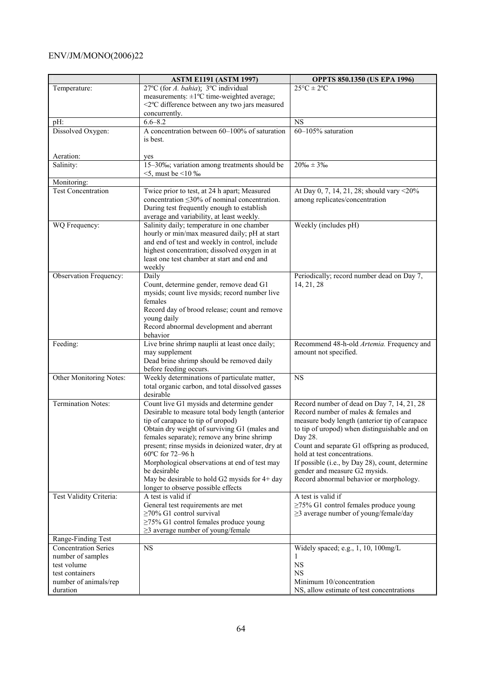|                                          | <b>ASTM E1191 (ASTM 1997)</b>                                                                   | <b>OPPTS 850.1350 (US EPA 1996)</b>                                                |
|------------------------------------------|-------------------------------------------------------------------------------------------------|------------------------------------------------------------------------------------|
| Temperature:                             | 27°C (for A. bahia); $3^{\circ}$ C individual                                                   | $25^{\circ}C \pm 2^{\circ}C$                                                       |
|                                          | measurements: $\pm 1$ °C time-weighted average;                                                 |                                                                                    |
|                                          | <2°C difference between any two jars measured                                                   |                                                                                    |
|                                          | concurrently.                                                                                   |                                                                                    |
| pH:                                      | $6.6 - 8.2$                                                                                     | <b>NS</b>                                                                          |
| Dissolved Oxygen:                        | A concentration between 60-100% of saturation                                                   | 60-105% saturation                                                                 |
|                                          | is best.                                                                                        |                                                                                    |
| Aeration:                                | yes                                                                                             |                                                                                    |
| Salinity:                                | 15-30‰; variation among treatments should be                                                    | $20\% - 3\%$                                                                       |
|                                          | $5$ , must be $510\%$                                                                           |                                                                                    |
| Monitoring:                              |                                                                                                 |                                                                                    |
| <b>Test Concentration</b>                | Twice prior to test, at 24 h apart; Measured                                                    | At Day 0, 7, 14, 21, 28; should vary <20%                                          |
|                                          | concentration $\leq$ 30% of nominal concentration.                                              | among replicates/concentration                                                     |
|                                          | During test frequently enough to establish                                                      |                                                                                    |
|                                          | average and variability, at least weekly.                                                       |                                                                                    |
| WQ Frequency:                            | Salinity daily; temperature in one chamber                                                      | Weekly (includes pH)                                                               |
|                                          | hourly or min/max measured daily; pH at start<br>and end of test and weekly in control, include |                                                                                    |
|                                          | highest concentration; dissolved oxygen in at                                                   |                                                                                    |
|                                          | least one test chamber at start and end and                                                     |                                                                                    |
|                                          | weekly                                                                                          |                                                                                    |
| Observation Frequency:                   | Daily                                                                                           | Periodically; record number dead on Day 7,                                         |
|                                          | Count, determine gender, remove dead G1                                                         | 14, 21, 28                                                                         |
|                                          | mysids; count live mysids; record number live                                                   |                                                                                    |
|                                          | females                                                                                         |                                                                                    |
|                                          | Record day of brood release; count and remove                                                   |                                                                                    |
|                                          | young daily<br>Record abnormal development and aberrant                                         |                                                                                    |
|                                          | behavior                                                                                        |                                                                                    |
| Feeding:                                 | Live brine shrimp nauplii at least once daily;                                                  | Recommend 48-h-old Artemia. Frequency and                                          |
|                                          | may supplement                                                                                  | amount not specified.                                                              |
|                                          | Dead brine shrimp should be removed daily                                                       |                                                                                    |
|                                          | before feeding occurs.                                                                          |                                                                                    |
| Other Monitoring Notes:                  | Weekly determinations of particulate matter,                                                    | <b>NS</b>                                                                          |
|                                          | total organic carbon, and total dissolved gasses                                                |                                                                                    |
|                                          | desirable                                                                                       |                                                                                    |
| <b>Termination Notes:</b>                | Count live G1 mysids and determine gender<br>Desirable to measure total body length (anterior   | Record number of dead on Day 7, 14, 21, 28<br>Record number of males & females and |
|                                          | tip of carapace to tip of uropod)                                                               | measure body length (anterior tip of carapace                                      |
|                                          | Obtain dry weight of surviving G1 (males and                                                    | to tip of uropod) when distinguishable and on                                      |
|                                          | females separate); remove any brine shrimp                                                      | Day 28.                                                                            |
|                                          | present; rinse mysids in deionized water, dry at                                                | Count and separate G1 offspring as produced,                                       |
|                                          | 60°C for 72-96 h                                                                                | hold at test concentrations.                                                       |
|                                          | Morphological observations at end of test may                                                   | If possible (i.e., by Day 28), count, determine                                    |
|                                          | be desirable                                                                                    | gender and measure G2 mysids.                                                      |
|                                          | May be desirable to hold G2 mysids for 4+ day                                                   | Record abnormal behavior or morphology.                                            |
| Test Validity Criteria:                  | longer to observe possible effects<br>A test is valid if                                        | A test is valid if                                                                 |
|                                          | General test requirements are met                                                               | $\geq$ 75% G1 control females produce young                                        |
|                                          | $\geq$ 70% G1 control survival                                                                  | $\geq$ 3 average number of young/female/day                                        |
|                                          | $\geq$ 75% G1 control females produce young                                                     |                                                                                    |
|                                          | $\geq$ 3 average number of young/female                                                         |                                                                                    |
| Range-Finding Test                       |                                                                                                 |                                                                                    |
| <b>Concentration Series</b>              | <b>NS</b>                                                                                       | Widely spaced; e.g., 1, 10, 100mg/L                                                |
| number of samples                        |                                                                                                 |                                                                                    |
| test volume                              |                                                                                                 | <b>NS</b>                                                                          |
| test containers<br>number of animals/rep |                                                                                                 | <b>NS</b><br>Minimum 10/concentration                                              |
| duration                                 |                                                                                                 | NS, allow estimate of test concentrations                                          |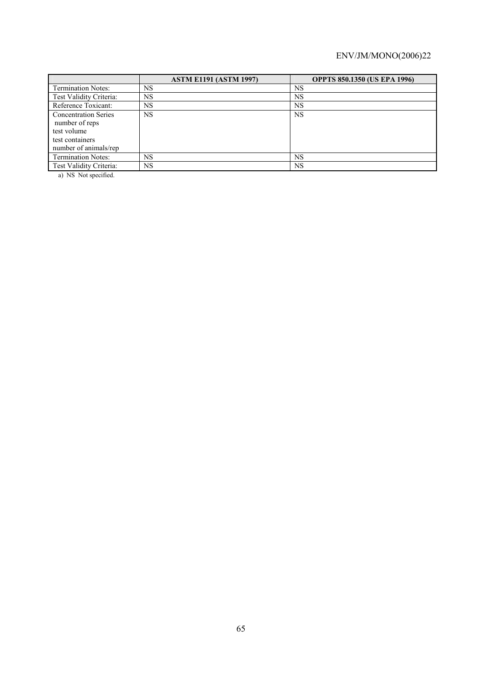|                                                                                                          | <b>ASTM E1191 (ASTM 1997)</b> | <b>OPPTS 850.1350 (US EPA 1996)</b> |
|----------------------------------------------------------------------------------------------------------|-------------------------------|-------------------------------------|
| <b>Termination Notes:</b>                                                                                | <b>NS</b>                     | <b>NS</b>                           |
| Test Validity Criteria:                                                                                  | <b>NS</b>                     | NS                                  |
| Reference Toxicant:                                                                                      | NS                            | <b>NS</b>                           |
| <b>Concentration Series</b><br>number of reps<br>test volume<br>test containers<br>number of animals/rep | NS.                           | <b>NS</b>                           |
| <b>Termination Notes:</b>                                                                                | <b>NS</b>                     | <b>NS</b>                           |
| Test Validity Criteria:                                                                                  | <b>NS</b>                     | <b>NS</b>                           |

a) NS Not specified.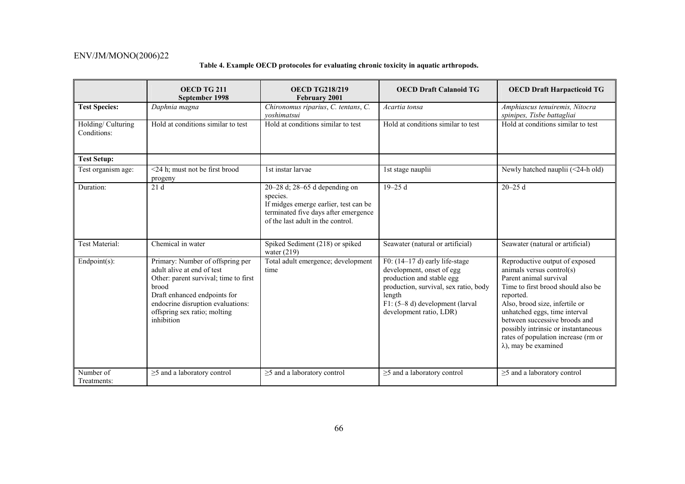# **Table 4. Example OECD protocoles for evaluating chronic toxicity in aquatic arthropods.**

|                                              | OECD TG 211<br>September 1998                                                                                                                                                                                                              | <b>OECD TG218/219</b><br><b>February 2001</b>                                                                                                                       | <b>OECD Draft Calanoid TG</b>                                                                                                                                                                              | <b>OECD Draft Harpacticoid TG</b>                                                                                                                                                                                                                                                                                                                          |
|----------------------------------------------|--------------------------------------------------------------------------------------------------------------------------------------------------------------------------------------------------------------------------------------------|---------------------------------------------------------------------------------------------------------------------------------------------------------------------|------------------------------------------------------------------------------------------------------------------------------------------------------------------------------------------------------------|------------------------------------------------------------------------------------------------------------------------------------------------------------------------------------------------------------------------------------------------------------------------------------------------------------------------------------------------------------|
| <b>Test Species:</b>                         | Daphnia magna                                                                                                                                                                                                                              | Chironomus riparius, C. tentans, C.<br>voshimatsui                                                                                                                  | Acartia tonsa                                                                                                                                                                                              | Amphiascus tenuiremis, Nitocra<br>spinipes, Tisbe battagliai                                                                                                                                                                                                                                                                                               |
| Holding/Culturing<br>Conditions:             | Hold at conditions similar to test                                                                                                                                                                                                         | Hold at conditions similar to test                                                                                                                                  | Hold at conditions similar to test                                                                                                                                                                         | Hold at conditions similar to test                                                                                                                                                                                                                                                                                                                         |
| <b>Test Setup:</b>                           |                                                                                                                                                                                                                                            |                                                                                                                                                                     |                                                                                                                                                                                                            |                                                                                                                                                                                                                                                                                                                                                            |
| Test organism age:                           | <24 h; must not be first brood<br>progeny                                                                                                                                                                                                  | 1st instar larvae                                                                                                                                                   | 1st stage nauplii                                                                                                                                                                                          | Newly hatched nauplii (<24-h old)                                                                                                                                                                                                                                                                                                                          |
| Duration:                                    | 21d                                                                                                                                                                                                                                        | $20-28$ d; $28-65$ d depending on<br>species.<br>If midges emerge earlier, test can be<br>terminated five days after emergence<br>of the last adult in the control. | $19 - 25d$                                                                                                                                                                                                 | $20 - 25$ d                                                                                                                                                                                                                                                                                                                                                |
| Test Material:                               | Chemical in water                                                                                                                                                                                                                          | Spiked Sediment (218) or spiked<br>water $(219)$                                                                                                                    | Seawater (natural or artificial)                                                                                                                                                                           | Seawater (natural or artificial)                                                                                                                                                                                                                                                                                                                           |
| $Endpoint(s)$ :                              | Primary: Number of offspring per<br>adult alive at end of test<br>Other: parent survival; time to first<br><b>brood</b><br>Draft enhanced endpoints for<br>endocrine disruption evaluations:<br>offspring sex ratio; molting<br>inhibition | Total adult emergence; development<br>time                                                                                                                          | F0: $(14-17d)$ early life-stage<br>development, onset of egg<br>production and stable egg<br>production, survival, sex ratio, body<br>length<br>F1: (5-8 d) development (larval<br>development ratio, LDR) | Reproductive output of exposed<br>animals versus control(s)<br>Parent animal survival<br>Time to first brood should also be<br>reported.<br>Also, brood size, infertile or<br>unhatched eggs, time interval<br>between successive broods and<br>possibly intrinsic or instantaneous<br>rates of population increase (rm or<br>$\lambda$ ), may be examined |
| $\overline{\text{Number of}}$<br>Treatments: | $\overline{\geq}$ and a laboratory control                                                                                                                                                                                                 | $\sqrt{\geq}$ and a laboratory control                                                                                                                              | $\overline{\geq}$ and a laboratory control                                                                                                                                                                 | $\sqrt{\geq}$ and a laboratory control                                                                                                                                                                                                                                                                                                                     |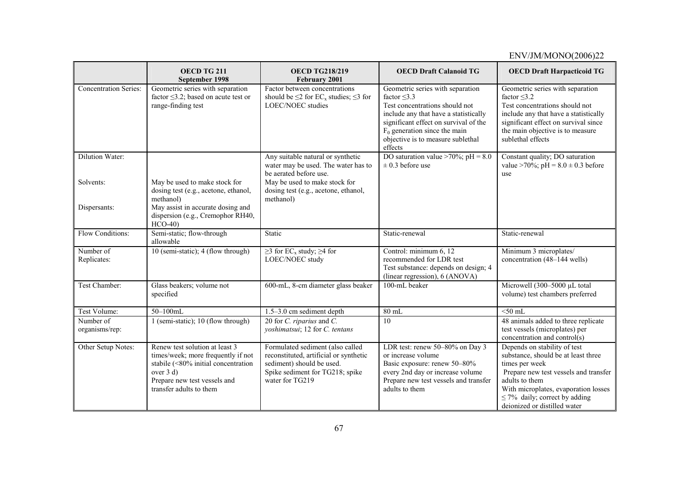|                              | OECD TG 211<br>September 1998                                                                                                                                                       | <b>OECD TG218/219</b><br>February 2001                                                                                                                        | <b>OECD Draft Calanoid TG</b>                                                                                                                                                                                                                                | <b>OECD Draft Harpacticoid TG</b>                                                                                                                                                                                                                              |
|------------------------------|-------------------------------------------------------------------------------------------------------------------------------------------------------------------------------------|---------------------------------------------------------------------------------------------------------------------------------------------------------------|--------------------------------------------------------------------------------------------------------------------------------------------------------------------------------------------------------------------------------------------------------------|----------------------------------------------------------------------------------------------------------------------------------------------------------------------------------------------------------------------------------------------------------------|
| <b>Concentration Series:</b> | Geometric series with separation<br>factor $\leq$ 3.2; based on acute test or<br>range-finding test                                                                                 | Factor between concentrations<br>should be $\leq$ 2 for EC <sub>x</sub> studies; $\leq$ 3 for<br>LOEC/NOEC studies                                            | Geometric series with separation<br>factor $\leq$ 3.3<br>Test concentrations should not<br>include any that have a statistically<br>significant effect on survival of the<br>$F_0$ generation since the main<br>objective is to measure sublethal<br>effects | Geometric series with separation<br>factor $\leq$ 3.2<br>Test concentrations should not<br>include any that have a statistically<br>significant effect on survival since<br>the main objective is to measure<br>sublethal effects                              |
| Dilution Water:              |                                                                                                                                                                                     | Any suitable natural or synthetic<br>water may be used. The water has to<br>be aerated before use.                                                            | DO saturation value >70%; $\overline{pH}$ = 8.0<br>$\pm$ 0.3 before use                                                                                                                                                                                      | Constant quality; DO saturation<br>value >70%; pH = $8.0 \pm 0.3$ before<br>use                                                                                                                                                                                |
| Solvents:<br>Dispersants:    | May be used to make stock for<br>dosing test (e.g., acetone, ethanol,<br>methanol)<br>May assist in accurate dosing and<br>dispersion (e.g., Cremophor RH40,<br>$HCO-40$            | May be used to make stock for<br>dosing test (e.g., acetone, ethanol,<br>methanol)                                                                            |                                                                                                                                                                                                                                                              |                                                                                                                                                                                                                                                                |
| Flow Conditions:             | Semi-static; flow-through<br>allowable                                                                                                                                              | Static                                                                                                                                                        | Static-renewal                                                                                                                                                                                                                                               | Static-renewal                                                                                                                                                                                                                                                 |
| Number of<br>Replicates:     | 10 (semi-static); 4 (flow through)                                                                                                                                                  | $\geq$ 3 for EC <sub>x</sub> study; $\geq$ 4 for<br>LOEC/NOEC study                                                                                           | Control: minimum 6, 12<br>recommended for LDR test<br>Test substance: depends on design; 4<br>(linear regression), 6 (ANOVA)                                                                                                                                 | Minimum 3 microplates/<br>concentration (48-144 wells)                                                                                                                                                                                                         |
| Test Chamber:                | Glass beakers; volume not<br>specified                                                                                                                                              | 600-mL, 8-cm diameter glass beaker                                                                                                                            | 100-mL beaker                                                                                                                                                                                                                                                | Microwell (300-5000 µL total<br>volume) test chambers preferred                                                                                                                                                                                                |
| Test Volume:                 | $50 - 100$ mL                                                                                                                                                                       | $1.5-3.0$ cm sediment depth                                                                                                                                   | 80 mL                                                                                                                                                                                                                                                        | $<$ 50 mL                                                                                                                                                                                                                                                      |
| Number of<br>organisms/rep:  | 1 (semi-static); 10 (flow through)                                                                                                                                                  | 20 for $C$ . <i>riparius</i> and $C$ .<br>yoshimatsui; 12 for C. tentans                                                                                      | 10                                                                                                                                                                                                                                                           | 48 animals added to three replicate<br>test vessels (microplates) per<br>concentration and control(s)                                                                                                                                                          |
| Other Setup Notes:           | Renew test solution at least 3<br>times/week; more frequently if not<br>stabile (<80% initial concentration<br>over 3 d)<br>Prepare new test vessels and<br>transfer adults to them | Formulated sediment (also called<br>reconstituted, artificial or synthetic<br>sediment) should be used.<br>Spike sediment for TG218; spike<br>water for TG219 | LDR test: renew 50-80% on Day 3<br>or increase volume<br>Basic exposure: renew 50-80%<br>every 2nd day or increase volume<br>Prepare new test vessels and transfer<br>adults to them                                                                         | Depends on stability of test<br>substance, should be at least three<br>times per week<br>Prepare new test vessels and transfer<br>adults to them<br>With microplates, evaporation losses<br>$\leq$ 7% daily; correct by adding<br>deionized or distilled water |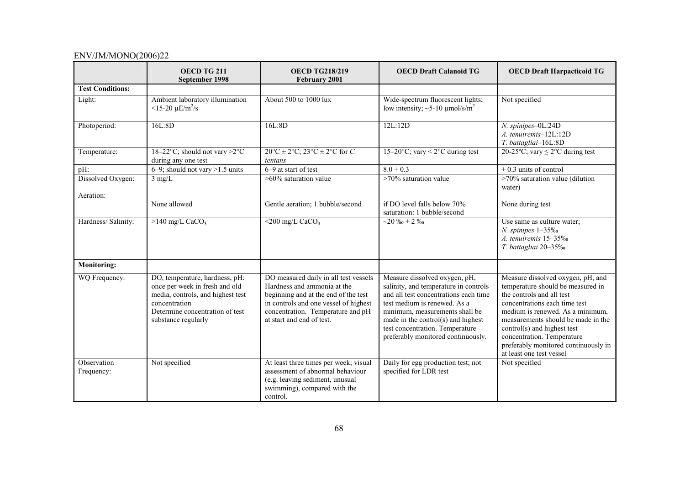|                                | OECD TG 211<br>September 1998                                                                                                                                                    | <b>OECD TG218/219</b><br><b>February 2001</b>                                                                                                                                                                           | <b>OECD Draft Calanoid TG</b>                                                                                                                                                                                                                                                                    | <b>OECD Draft Harpacticoid TG</b>                                                                                                                                                                                                                                                                                                               |
|--------------------------------|----------------------------------------------------------------------------------------------------------------------------------------------------------------------------------|-------------------------------------------------------------------------------------------------------------------------------------------------------------------------------------------------------------------------|--------------------------------------------------------------------------------------------------------------------------------------------------------------------------------------------------------------------------------------------------------------------------------------------------|-------------------------------------------------------------------------------------------------------------------------------------------------------------------------------------------------------------------------------------------------------------------------------------------------------------------------------------------------|
| <b>Test Conditions:</b>        |                                                                                                                                                                                  |                                                                                                                                                                                                                         |                                                                                                                                                                                                                                                                                                  |                                                                                                                                                                                                                                                                                                                                                 |
| Light:                         | Ambient laboratory illumination<br>$<$ 15-20 $\mu$ E/m <sup>2</sup> /s                                                                                                           | About 500 to 1000 lux                                                                                                                                                                                                   | Wide-spectrum fluorescent lights;<br>low intensity; $\sim$ 5-10 µmol/s/m <sup>2</sup>                                                                                                                                                                                                            | Not specified                                                                                                                                                                                                                                                                                                                                   |
| Photoperiod:                   | 16L:8D                                                                                                                                                                           | 16L:8D                                                                                                                                                                                                                  | 12L:12D                                                                                                                                                                                                                                                                                          | N. spinipes-0L:24D<br>A. tenuiremis-12L:12D<br>T. battagliai-16L:8D                                                                                                                                                                                                                                                                             |
| Temperature:                   | 18-22°C; should not vary $>2$ °C<br>during any one test                                                                                                                          | $20^{\circ}C \pm 2^{\circ}C$ ; $23^{\circ}C \pm 2^{\circ}C$ for C.<br>tentans                                                                                                                                           | 15-20 $\degree$ C; vary < 2 $\degree$ C during test                                                                                                                                                                                                                                              | 20-25 <sup>o</sup> C; vary $\leq$ 2 <sup>o</sup> C during test                                                                                                                                                                                                                                                                                  |
| pH:                            | $6-9$ ; should not vary >1.5 units                                                                                                                                               | 6-9 at start of test                                                                                                                                                                                                    | $8.0 \pm 0.3$                                                                                                                                                                                                                                                                                    | $\pm$ 0.3 units of control                                                                                                                                                                                                                                                                                                                      |
| Dissolved Oxygen:<br>Aeration: | $3$ mg/L                                                                                                                                                                         | $>60\%$ saturation value                                                                                                                                                                                                | $>70\%$ saturation value                                                                                                                                                                                                                                                                         | >70% saturation value (dilution<br>water)                                                                                                                                                                                                                                                                                                       |
|                                | None allowed                                                                                                                                                                     | Gentle aeration; 1 bubble/second                                                                                                                                                                                        | if DO level falls below 70%<br>saturation: 1 bubble/second                                                                                                                                                                                                                                       | None during test                                                                                                                                                                                                                                                                                                                                |
| Hardness/ Salinity:            | $>140$ mg/L CaCO <sub>3</sub>                                                                                                                                                    | $<$ 200 mg/L CaCO <sub>3</sub>                                                                                                                                                                                          | $-20 \%$ <sub>0</sub> ± 2 ‰                                                                                                                                                                                                                                                                      | Use same as culture water;<br>N. spinipes 1-35%<br>A. tenuiremis 15-35‰<br>T. battagliai 20-35‰                                                                                                                                                                                                                                                 |
| <b>Monitoring:</b>             |                                                                                                                                                                                  |                                                                                                                                                                                                                         |                                                                                                                                                                                                                                                                                                  |                                                                                                                                                                                                                                                                                                                                                 |
| WQ Frequency:                  | DO, temperature, hardness, pH:<br>once per week in fresh and old<br>media, controls, and highest test<br>concentration<br>Determine concentration of test<br>substance regularly | DO measured daily in all test vessels<br>Hardness and ammonia at the<br>beginning and at the end of the test<br>in controls and one vessel of highest<br>concentration. Temperature and pH<br>at start and end of test. | Measure dissolved oxygen, pH,<br>salinity, and temperature in controls<br>and all test concentrations each time<br>test medium is renewed. As a<br>minimum, measurements shall be<br>made in the control(s) and highest<br>test concentration. Temperature<br>preferably monitored continuously. | Measure dissolved oxygen, pH, and<br>temperature should be measured in<br>the controls and all test<br>concentrations each time test<br>medium is renewed. As a minimum,<br>measurements should be made in the<br>control(s) and highest test<br>concentration. Temperature<br>preferably monitored continuously in<br>at least one test vessel |
| Observation<br>Frequency:      | Not specified                                                                                                                                                                    | At least three times per week; visual<br>assessment of abnormal behaviour<br>(e.g. leaving sediment, unusual<br>swimming), compared with the<br>control.                                                                | Daily for egg production test; not<br>specified for LDR test                                                                                                                                                                                                                                     | Not specified                                                                                                                                                                                                                                                                                                                                   |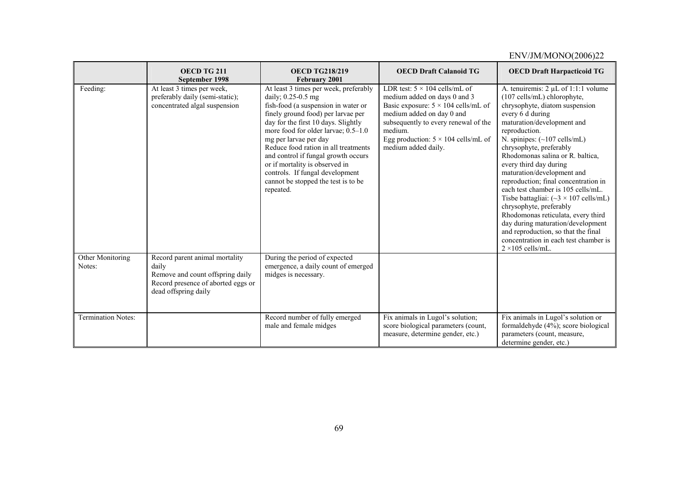#### ENV/JM/MONO(2006)22 **OECD TG 211 September 1998 OECD TG218/219 February 2001 OECD Draft Calanoid TG OECD Draft Harpacticoid TG**  Feeding: At least 3 times per week. preferably daily (semi-static); concentrated algal suspension At least 3 times per week, preferably daily; 0.25-0.5 mg fish-food (a suspension in water or finely ground food) per larvae per day for the first 10 days. Slightly more food for older larvae; 0.5–1.0 mg per larvae per day Reduce food ration in all treatments and control if fungal growth occurs or if mortality is observed in controls. If fungal development cannot be stopped the test is to be repeated. LDR test:  $5 \times 104$  cells/mL of medium added on days 0 and 3 Basic exposure:  $5 \times 104$  cells/mL of medium added on day 0 and subsequently to every renewal of the medium. Egg production:  $5 \times 104$  cells/mL of medium added daily. A. tenuiremis: 2 uL of 1:1:1 volume (107 cells/mL) chlorophyte, chrysophyte, diatom suspension every 6 d during maturation/development and reproduction. N. spinipes:  $(\sim 107 \text{ cells/mL})$ chrysophyte, preferably Rhodomonas salina or R. baltica, every third day during maturation/development and reproduction; final concentration in each test chamber is 105 cells/mL. Tisbe battagliai:  $({\sim}3 \times 107 \text{ cells/mL})$ chrysophyte, preferably Rhodomonas reticulata, every third day during maturation/development and reproduction, so that the final concentration in each test chamber is  $2 \times 105$  cells/mL. Other Monitoring Notes: Record parent animal mortality daily Remove and count offspring daily Record presence of aborted eggs or dead offspring daily During the period of expected emergence, a daily count of emerged midges is necessary. Termination Notes: Record number of fully emerged male and female midges Fix animals in Lugol's solution; score biological parameters (count, measure, determine gender, etc.) Fix animals in Lugol's solution or formaldehyde (4%); score biological parameters (count, measure, determine gender, etc.)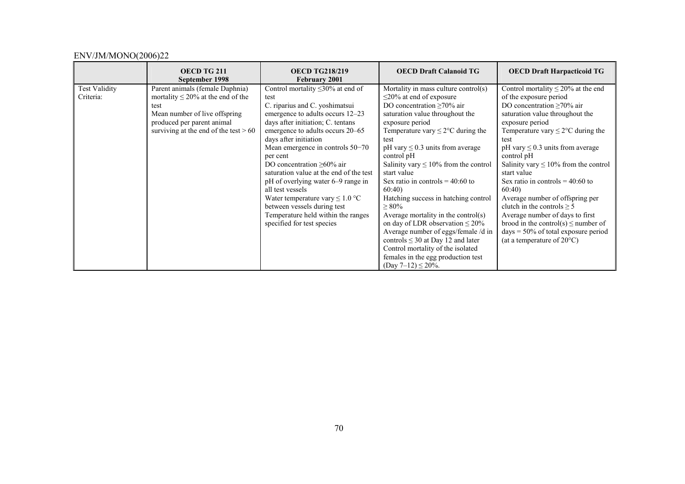|                                   | OECD TG 211<br>September 1998                                                                                                                                                               | <b>OECD TG218/219</b><br>February 2001                                                                                                                                                                                                                                                                                                                                                                                                                                                                                                                     | <b>OECD Draft Calanoid TG</b>                                                                                                                                                                                                                                                                                                                                                                                                                                                                                                                                                                                                                                                                                      | <b>OECD Draft Harpacticoid TG</b>                                                                                                                                                                                                                                                                                                                                                                                                                                                                                                                                                                                       |
|-----------------------------------|---------------------------------------------------------------------------------------------------------------------------------------------------------------------------------------------|------------------------------------------------------------------------------------------------------------------------------------------------------------------------------------------------------------------------------------------------------------------------------------------------------------------------------------------------------------------------------------------------------------------------------------------------------------------------------------------------------------------------------------------------------------|--------------------------------------------------------------------------------------------------------------------------------------------------------------------------------------------------------------------------------------------------------------------------------------------------------------------------------------------------------------------------------------------------------------------------------------------------------------------------------------------------------------------------------------------------------------------------------------------------------------------------------------------------------------------------------------------------------------------|-------------------------------------------------------------------------------------------------------------------------------------------------------------------------------------------------------------------------------------------------------------------------------------------------------------------------------------------------------------------------------------------------------------------------------------------------------------------------------------------------------------------------------------------------------------------------------------------------------------------------|
| <b>Test Validity</b><br>Criteria: | Parent animals (female Daphnia)<br>mortality $\leq$ 20% at the end of the<br>test<br>Mean number of live offspring<br>produced per parent animal<br>surviving at the end of the test $> 60$ | Control mortality $\leq$ 30% at end of<br>test<br>C. riparius and C. yoshimatsui<br>emergence to adults occurs 12–23<br>days after initiation; C. tentans<br>emergence to adults occurs 20–65<br>days after initiation<br>Mean emergence in controls 50-70<br>per cent<br>DO concentration $\geq 60\%$ air<br>saturation value at the end of the test<br>pH of overlying water 6–9 range in<br>all test vessels<br>Water temperature vary $\leq 1.0$ °C<br>between vessels during test<br>Temperature held within the ranges<br>specified for test species | Mortality in mass culture control(s)<br>$\leq$ 20% at end of exposure<br>DO concentration $\geq 70\%$ air<br>saturation value throughout the<br>exposure period<br>Temperature vary $\leq$ 2°C during the<br>test<br>pH vary $\leq$ 0.3 units from average<br>control pH<br>Salinity vary $\leq 10\%$ from the control<br>start value<br>Sex ratio in controls $= 40:60$ to<br>60:40<br>Hatching success in hatching control<br>$\geq 80\%$<br>Average mortality in the control(s)<br>on day of LDR observation $\leq 20\%$<br>Average number of eggs/female /d in<br>controls $\leq$ 30 at Day 12 and later<br>Control mortality of the isolated<br>females in the egg production test<br>$(Day 7-12) \le 20\%$ . | Control mortality $\leq$ 20% at the end<br>of the exposure period<br>DO concentration $\geq 70\%$ air<br>saturation value throughout the<br>exposure period<br>Temperature vary $\leq$ 2°C during the<br>test<br>pH vary $\leq$ 0.3 units from average<br>control pH<br>Salinity vary $\leq 10\%$ from the control<br>start value<br>Sex ratio in controls = $40:60$ to<br>60:40<br>Average number of offspring per<br>clutch in the controls $\geq 5$<br>Average number of days to first<br>brood in the control(s) $\leq$ number of<br>$days = 50\%$ of total exposure period<br>(at a temperature of $20^{\circ}$ C) |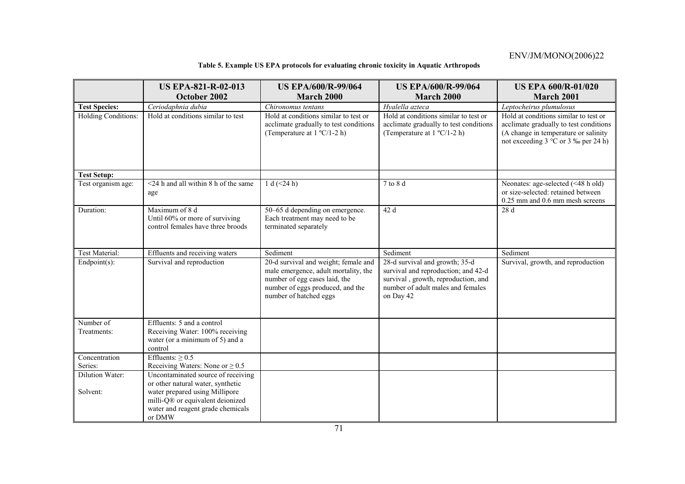# **Table 5. Example US EPA protocols for evaluating chronic toxicity in Aquatic Arthropods**

|                                             | <b>US EPA-821-R-02-013</b><br>October 2002                                                                                                                                                   | <b>US EPA/600/R-99/064</b><br><b>March 2000</b>                                                                                                                             | <b>US EPA/600/R-99/064</b><br><b>March 2000</b>                                                                                                                | <b>US EPA 600/R-01/020</b><br>March 2001                                                                                                                                                              |
|---------------------------------------------|----------------------------------------------------------------------------------------------------------------------------------------------------------------------------------------------|-----------------------------------------------------------------------------------------------------------------------------------------------------------------------------|----------------------------------------------------------------------------------------------------------------------------------------------------------------|-------------------------------------------------------------------------------------------------------------------------------------------------------------------------------------------------------|
|                                             |                                                                                                                                                                                              |                                                                                                                                                                             |                                                                                                                                                                |                                                                                                                                                                                                       |
| <b>Test Species:</b><br>Holding Conditions: | Ceriodaphnia dubia<br>Hold at conditions similar to test                                                                                                                                     | Chironomus tentans<br>Hold at conditions similar to test or<br>acclimate gradually to test conditions<br>(Temperature at $1 \text{°C}/1$ -2 h)                              | Hyalella azteca<br>Hold at conditions similar to test or<br>acclimate gradually to test conditions<br>(Temperature at $1 \text{°C}/1 - 2 \text{h}$ )           | Leptocheirus plumulosus<br>Hold at conditions similar to test or<br>acclimate gradually to test conditions<br>(A change in temperature or salinity)<br>not exceeding $3^{\circ}$ C or $3\%$ per 24 h) |
| <b>Test Setup:</b>                          |                                                                                                                                                                                              |                                                                                                                                                                             |                                                                                                                                                                |                                                                                                                                                                                                       |
| Test organism age:                          | $\leq$ 24 h and all within 8 h of the same<br>age                                                                                                                                            | 1 d $(<24 h)$                                                                                                                                                               | 7 to 8 d                                                                                                                                                       | Neonates: age-selected (<48 h old)<br>or size-selected: retained between<br>0.25 mm and 0.6 mm mesh screens                                                                                           |
| Duration:                                   | Maximum of 8 d<br>Until 60% or more of surviving<br>control females have three broods                                                                                                        | 50–65 d depending on emergence.<br>Each treatment may need to be<br>terminated separately                                                                                   | 42 d                                                                                                                                                           | 28 d                                                                                                                                                                                                  |
| Test Material:                              | Effluents and receiving waters                                                                                                                                                               | Sediment                                                                                                                                                                    | Sediment                                                                                                                                                       | Sediment                                                                                                                                                                                              |
| $Endpoint(s)$ :                             | Survival and reproduction                                                                                                                                                                    | 20-d survival and weight; female and<br>male emergence, adult mortality, the<br>number of egg cases laid, the<br>number of eggs produced, and the<br>number of hatched eggs | 28-d survival and growth; 35-d<br>survival and reproduction; and 42-d<br>survival, growth, reproduction, and<br>number of adult males and females<br>on Day 42 | Survival, growth, and reproduction                                                                                                                                                                    |
| Number of<br>Treatments:                    | Effluents: 5 and a control<br>Receiving Water: 100% receiving<br>water (or a minimum of 5) and a<br>control                                                                                  |                                                                                                                                                                             |                                                                                                                                                                |                                                                                                                                                                                                       |
| Concentration                               | Effluents: $\geq 0.5$                                                                                                                                                                        |                                                                                                                                                                             |                                                                                                                                                                |                                                                                                                                                                                                       |
| Series:                                     | Receiving Waters: None or $\geq 0.5$                                                                                                                                                         |                                                                                                                                                                             |                                                                                                                                                                |                                                                                                                                                                                                       |
| Dilution Water:<br>Solvent:                 | Uncontaminated source of receiving<br>or other natural water, synthetic<br>water prepared using Millipore<br>milli-Q® or equivalent deionized<br>water and reagent grade chemicals<br>or DMW |                                                                                                                                                                             |                                                                                                                                                                |                                                                                                                                                                                                       |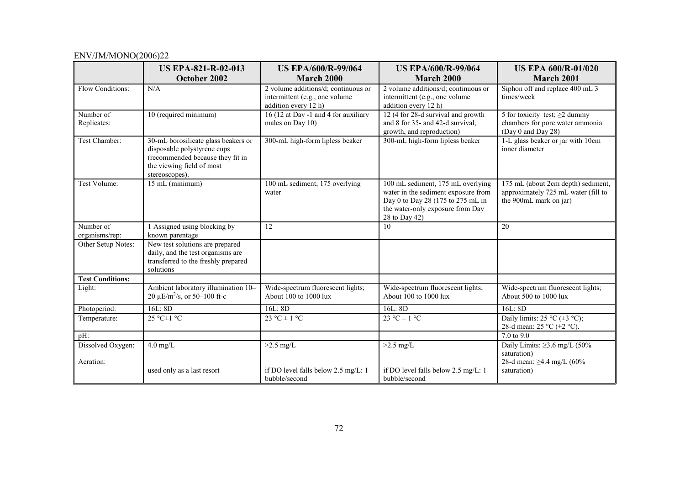|                                | <b>US EPA-821-R-02-013</b>                                                                                                                            | <b>US EPA/600/R-99/064</b>                                                                    | <b>US EPA/600/R-99/064</b>                                                                                                                                         | <b>US EPA 600/R-01/020</b>                                                                          |
|--------------------------------|-------------------------------------------------------------------------------------------------------------------------------------------------------|-----------------------------------------------------------------------------------------------|--------------------------------------------------------------------------------------------------------------------------------------------------------------------|-----------------------------------------------------------------------------------------------------|
|                                | October 2002                                                                                                                                          | March 2000                                                                                    | March 2000                                                                                                                                                         | March 2001                                                                                          |
| Flow Conditions:               | N/A                                                                                                                                                   | 2 volume additions/d; continuous or<br>intermittent (e.g., one volume<br>addition every 12 h) | 2 volume additions/d; continuous or<br>intermittent (e.g., one volume<br>addition every 12 h)                                                                      | Siphon off and replace 400 mL 3<br>times/week                                                       |
| Number of<br>Replicates:       | 10 (required minimum)                                                                                                                                 | 16 (12 at Day -1 and 4 for auxiliary<br>males on Day 10)                                      | 12 (4 for 28-d survival and growth<br>and 8 for 35- and 42-d survival,<br>growth, and reproduction)                                                                | 5 for toxicity test; $\geq$ 2 dummy<br>chambers for pore water ammonia<br>(Day 0 and Day 28)        |
| Test Chamber:                  | 30-mL borosilicate glass beakers or<br>disposable polystyrene cups<br>(recommended because they fit in<br>the viewing field of most<br>stereoscopes). | 300-mL high-form lipless beaker                                                               | 300-mL high-form lipless beaker                                                                                                                                    | 1-L glass beaker or jar with 10cm<br>inner diameter                                                 |
| Test Volume:                   | 15 mL (minimum)                                                                                                                                       | 100 mL sediment, 175 overlying<br>water                                                       | 100 mL sediment, 175 mL overlying<br>water in the sediment exposure from<br>Day 0 to Day 28 (175 to 275 mL in<br>the water-only exposure from Day<br>28 to Day 42) | 175 mL (about 2cm depth) sediment,<br>approximately 725 mL water (fill to<br>the 900mL mark on jar) |
| Number of<br>organisms/rep:    | 1 Assigned using blocking by<br>known parentage                                                                                                       | 12                                                                                            | 10                                                                                                                                                                 | 20                                                                                                  |
| Other Setup Notes:             | New test solutions are prepared<br>daily, and the test organisms are<br>transferred to the freshly prepared<br>solutions                              |                                                                                               |                                                                                                                                                                    |                                                                                                     |
| <b>Test Conditions:</b>        |                                                                                                                                                       |                                                                                               |                                                                                                                                                                    |                                                                                                     |
| Light:                         | Ambient laboratory illumination 10-<br>20 $\mu$ E/m <sup>2</sup> /s, or 50–100 ft-c                                                                   | Wide-spectrum fluorescent lights;<br>About 100 to 1000 lux                                    | Wide-spectrum fluorescent lights;<br>About 100 to 1000 lux                                                                                                         | Wide-spectrum fluorescent lights;<br>About 500 to 1000 lux                                          |
| Photoperiod:                   | 16L:8D                                                                                                                                                | 16L: 8D                                                                                       | 16L: 8D                                                                                                                                                            | 16L:8D                                                                                              |
| Temperature:                   | 25 °C±1 °C                                                                                                                                            | 23 °C $\pm$ 1 °C                                                                              | $23 °C \pm 1 °C$                                                                                                                                                   | Daily limits: $25 \text{ °C} (\pm 3 \text{ °C})$ ;<br>28-d mean: 25 °C (±2 °C).                     |
| pH:                            |                                                                                                                                                       |                                                                                               |                                                                                                                                                                    | 7.0 to 9.0                                                                                          |
| Dissolved Oxygen:<br>Aeration: | $4.0$ mg/L                                                                                                                                            | $>2.5$ mg/L                                                                                   | $>2.5$ mg/L                                                                                                                                                        | Daily Limits: $\geq$ 3.6 mg/L (50%<br>saturation)<br>28-d mean: $\geq$ 4.4 mg/L (60%)               |
|                                | used only as a last resort                                                                                                                            | if DO level falls below 2.5 mg/L: 1<br>bubble/second                                          | if DO level falls below 2.5 mg/L: 1<br>bubble/second                                                                                                               | saturation)                                                                                         |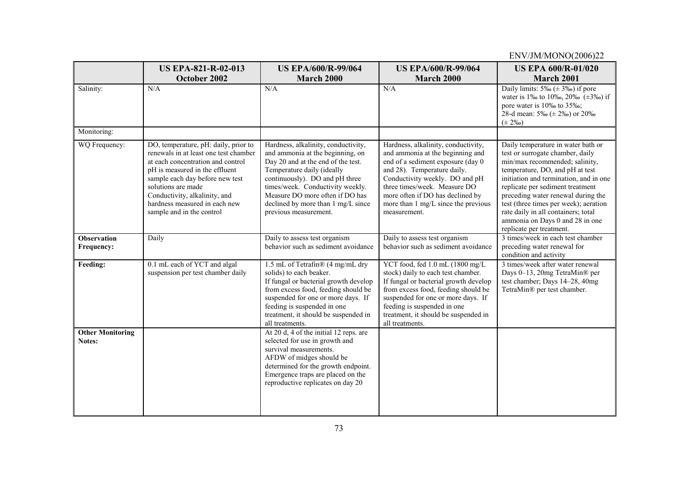|                                   | <b>US EPA-821-R-02-013</b>                                                                                                                                                                                                                                                                                   | <b>US EPA/600/R-99/064</b>                                                                                                                                                                                                                                                                                          | <b>US EPA/600/R-99/064</b>                                                                                                                                                                                                                                                                               | <b>US EPA 600/R-01/020</b>                                                                                                                                                                                                                                                                                                                                                                                     |
|-----------------------------------|--------------------------------------------------------------------------------------------------------------------------------------------------------------------------------------------------------------------------------------------------------------------------------------------------------------|---------------------------------------------------------------------------------------------------------------------------------------------------------------------------------------------------------------------------------------------------------------------------------------------------------------------|----------------------------------------------------------------------------------------------------------------------------------------------------------------------------------------------------------------------------------------------------------------------------------------------------------|----------------------------------------------------------------------------------------------------------------------------------------------------------------------------------------------------------------------------------------------------------------------------------------------------------------------------------------------------------------------------------------------------------------|
| Salinity:                         | October 2002<br>N/A                                                                                                                                                                                                                                                                                          | March 2000<br>N/A                                                                                                                                                                                                                                                                                                   | March 2000<br>N/A                                                                                                                                                                                                                                                                                        | March 2001<br>Daily limits: $5\%$ ( $\pm$ 3%) if pore<br>water is 1% to 10%, 20% ( $\pm$ 3%) if                                                                                                                                                                                                                                                                                                                |
|                                   |                                                                                                                                                                                                                                                                                                              |                                                                                                                                                                                                                                                                                                                     |                                                                                                                                                                                                                                                                                                          | pore water is 10‰ to 35‰;<br>28-d mean: $5\%$ ( $\pm$ 2\%) or 20\%<br>$(\pm 2\%)$                                                                                                                                                                                                                                                                                                                              |
| Monitoring:                       |                                                                                                                                                                                                                                                                                                              |                                                                                                                                                                                                                                                                                                                     |                                                                                                                                                                                                                                                                                                          |                                                                                                                                                                                                                                                                                                                                                                                                                |
| WQ Frequency:                     | DO, temperature, pH: daily, prior to<br>renewals in at least one test chamber<br>at each concentration and control<br>pH is measured in the effluent<br>sample each day before new test<br>solutions are made<br>Conductivity, alkalinity, and<br>hardness measured in each new<br>sample and in the control | Hardness, alkalinity, conductivity,<br>and ammonia at the beginning, on<br>Day 20 and at the end of the test.<br>Temperature daily (ideally<br>continuously). DO and pH three<br>times/week. Conductivity weekly.<br>Measure DO more often if DO has<br>declined by more than 1 mg/L since<br>previous measurement. | Hardness, alkalinity, conductivity,<br>and ammonia at the beginning and<br>end of a sediment exposure (day 0<br>and 28). Temperature daily.<br>Conductivity weekly. DO and pH<br>three times/week. Measure DO<br>more often if DO has declined by<br>more than 1 mg/L since the previous<br>measurement. | Daily temperature in water bath or<br>test or surrogate chamber, daily<br>min/max recommended; salinity,<br>temperature, DO, and pH at test<br>initiation and termination, and in one<br>replicate per sediment treatment<br>preceding water renewal during the<br>test (three times per week); aeration<br>rate daily in all containers; total<br>ammonia on Days 0 and 28 in one<br>replicate per treatment. |
| <b>Observation</b><br>Frequency:  | Daily                                                                                                                                                                                                                                                                                                        | Daily to assess test organism<br>behavior such as sediment avoidance                                                                                                                                                                                                                                                | Daily to assess test organism<br>behavior such as sediment avoidance                                                                                                                                                                                                                                     | 3 times/week in each test chamber<br>preceding water renewal for<br>condition and activity                                                                                                                                                                                                                                                                                                                     |
| Feeding:                          | 0.1 mL each of YCT and algal<br>suspension per test chamber daily                                                                                                                                                                                                                                            | 1.5 mL of Tetrafin® (4 mg/mL dry<br>solids) to each beaker.<br>If fungal or bacterial growth develop<br>from excess food, feeding should be<br>suspended for one or more days. If<br>feeding is suspended in one<br>treatment, it should be suspended in<br>all treatments.                                         | YCT food, fed 1.0 mL (1800 mg/L<br>stock) daily to each test chamber.<br>If fungal or bacterial growth develop<br>from excess food, feeding should be<br>suspended for one or more days. If<br>feeding is suspended in one<br>treatment, it should be suspended in<br>all treatments.                    | 3 times/week after water renewal<br>Days 0-13, 20mg TetraMin® per<br>test chamber; Days 14-28, 40mg<br>TetraMin® per test chamber.                                                                                                                                                                                                                                                                             |
| <b>Other Monitoring</b><br>Notes: |                                                                                                                                                                                                                                                                                                              | At 20 d, 4 of the initial 12 reps. are<br>selected for use in growth and<br>survival measurements.<br>AFDW of midges should be<br>determined for the growth endpoint.<br>Emergence traps are placed on the<br>reproductive replicates on day 20                                                                     |                                                                                                                                                                                                                                                                                                          |                                                                                                                                                                                                                                                                                                                                                                                                                |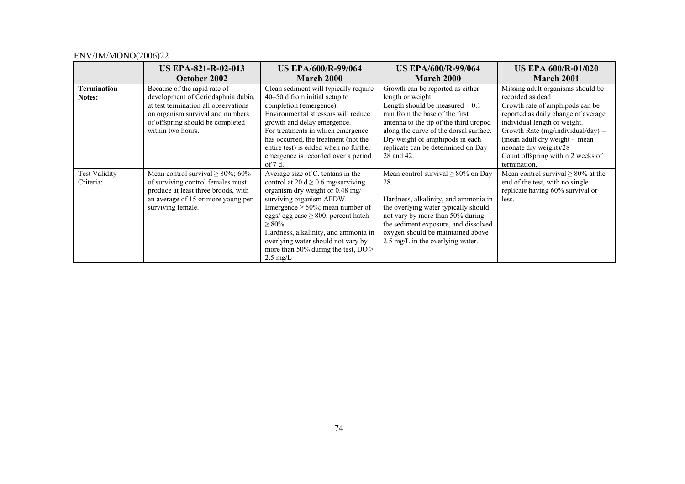|                                   | <b>US EPA-821-R-02-013</b><br>October 2002                                                                                                                                                              | <b>US EPA/600/R-99/064</b><br><b>March 2000</b>                                                                                                                                                                                                                                                                                                                                             | <b>US EPA/600/R-99/064</b><br>March 2000                                                                                                                                                                                                                                                                | <b>US EPA 600/R-01/020</b><br>March 2001                                                                                                                                                                                                                                                                             |
|-----------------------------------|---------------------------------------------------------------------------------------------------------------------------------------------------------------------------------------------------------|---------------------------------------------------------------------------------------------------------------------------------------------------------------------------------------------------------------------------------------------------------------------------------------------------------------------------------------------------------------------------------------------|---------------------------------------------------------------------------------------------------------------------------------------------------------------------------------------------------------------------------------------------------------------------------------------------------------|----------------------------------------------------------------------------------------------------------------------------------------------------------------------------------------------------------------------------------------------------------------------------------------------------------------------|
| <b>Termination</b><br>Notes:      | Because of the rapid rate of<br>development of Ceriodaphnia dubia,<br>at test termination all observations<br>on organism survival and numbers<br>of offspring should be completed<br>within two hours. | Clean sediment will typically require<br>$40-50$ d from initial setup to<br>completion (emergence).<br>Environmental stressors will reduce<br>growth and delay emergence.<br>For treatments in which emergence<br>has occurred, the treatment (not the<br>entire test) is ended when no further<br>emergence is recorded over a period<br>of $7d$ .                                         | Growth can be reported as either<br>length or weight<br>Length should be measured $\pm$ 0.1<br>mm from the base of the first<br>antenna to the tip of the third uropod<br>along the curve of the dorsal surface.<br>Dry weight of amphipods in each<br>replicate can be determined on Day<br>28 and 42. | Missing adult organisms should be<br>recorded as dead<br>Growth rate of amphipods can be<br>reported as daily change of average<br>individual length or weight.<br>Growth Rate (mg/individual/day) =<br>(mean adult dry weight - mean<br>neonate dry weight)/28<br>Count offspring within 2 weeks of<br>termination. |
| <b>Test Validity</b><br>Criteria: | Mean control survival $\geq 80\%$ ; 60%<br>of surviving control females must<br>produce at least three broods, with<br>an average of 15 or more young per<br>surviving female.                          | Average size of C. tentans in the<br>control at 20 d $\geq$ 0.6 mg/surviving<br>organism dry weight or 0.48 mg/<br>surviving organism AFDW.<br>Emergence $\geq 50\%$ ; mean number of<br>eggs/ egg case $\geq 800$ ; percent hatch<br>$> 80\%$<br>Hardness, alkalinity, and ammonia in<br>overlying water should not vary by<br>more than 50% during the test, $DO >$<br>$2.5 \text{ mg/L}$ | Mean control survival $\geq 80\%$ on Day<br>28.<br>Hardness, alkalinity, and ammonia in<br>the overlying water typically should<br>not vary by more than 50% during<br>the sediment exposure, and dissolved<br>oxygen should be maintained above<br>2.5 mg/L in the overlying water.                    | Mean control survival $\geq 80\%$ at the<br>end of the test, with no single<br>replicate having 60% survival or<br>less.                                                                                                                                                                                             |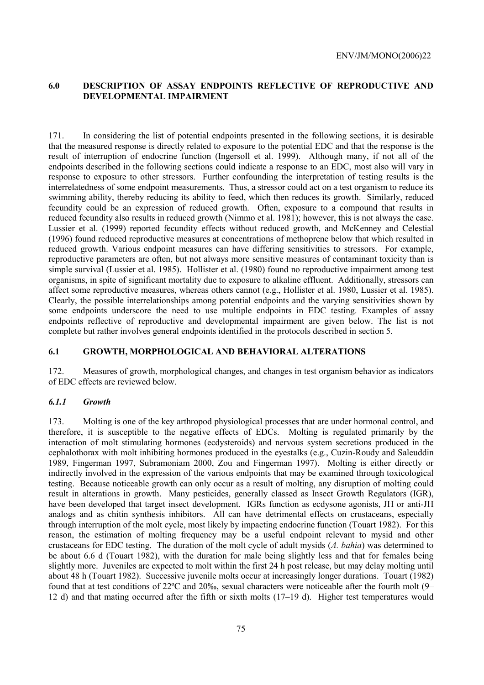# **6.0 DESCRIPTION OF ASSAY ENDPOINTS REFLECTIVE OF REPRODUCTIVE AND DEVELOPMENTAL IMPAIRMENT**

171. In considering the list of potential endpoints presented in the following sections, it is desirable that the measured response is directly related to exposure to the potential EDC and that the response is the result of interruption of endocrine function (Ingersoll et al. 1999). Although many, if not all of the endpoints described in the following sections could indicate a response to an EDC, most also will vary in response to exposure to other stressors. Further confounding the interpretation of testing results is the interrelatedness of some endpoint measurements. Thus, a stressor could act on a test organism to reduce its swimming ability, thereby reducing its ability to feed, which then reduces its growth. Similarly, reduced fecundity could be an expression of reduced growth. Often, exposure to a compound that results in reduced fecundity also results in reduced growth (Nimmo et al. 1981); however, this is not always the case. Lussier et al. (1999) reported fecundity effects without reduced growth, and McKenney and Celestial (1996) found reduced reproductive measures at concentrations of methoprene below that which resulted in reduced growth. Various endpoint measures can have differing sensitivities to stressors. For example, reproductive parameters are often, but not always more sensitive measures of contaminant toxicity than is simple survival (Lussier et al. 1985). Hollister et al. (1980) found no reproductive impairment among test organisms, in spite of significant mortality due to exposure to alkaline effluent. Additionally, stressors can affect some reproductive measures, whereas others cannot (e.g., Hollister et al. 1980, Lussier et al. 1985). Clearly, the possible interrelationships among potential endpoints and the varying sensitivities shown by some endpoints underscore the need to use multiple endpoints in EDC testing. Examples of assay endpoints reflective of reproductive and developmental impairment are given below. The list is not complete but rather involves general endpoints identified in the protocols described in section 5.

### **6.1 GROWTH, MORPHOLOGICAL AND BEHAVIORAL ALTERATIONS**

172. Measures of growth, morphological changes, and changes in test organism behavior as indicators of EDC effects are reviewed below.

### *6.1.1 Growth*

173. Molting is one of the key arthropod physiological processes that are under hormonal control, and therefore, it is susceptible to the negative effects of EDCs. Molting is regulated primarily by the interaction of molt stimulating hormones (ecdysteroids) and nervous system secretions produced in the cephalothorax with molt inhibiting hormones produced in the eyestalks (e.g., Cuzin-Roudy and Saleuddin 1989, Fingerman 1997, Subramoniam 2000, Zou and Fingerman 1997). Molting is either directly or indirectly involved in the expression of the various endpoints that may be examined through toxicological testing. Because noticeable growth can only occur as a result of molting, any disruption of molting could result in alterations in growth. Many pesticides, generally classed as Insect Growth Regulators (IGR), have been developed that target insect development. IGRs function as ecdysone agonists, JH or anti-JH analogs and as chitin synthesis inhibitors. All can have detrimental effects on crustaceans, especially through interruption of the molt cycle, most likely by impacting endocrine function (Touart 1982). For this reason, the estimation of molting frequency may be a useful endpoint relevant to mysid and other crustaceans for EDC testing. The duration of the molt cycle of adult mysids (*A. bahia*) was determined to be about 6.6 d (Touart 1982), with the duration for male being slightly less and that for females being slightly more. Juveniles are expected to molt within the first 24 h post release, but may delay molting until about 48 h (Touart 1982). Successive juvenile molts occur at increasingly longer durations. Touart (1982) found that at test conditions of 22ºC and 20‰, sexual characters were noticeable after the fourth molt (9– 12 d) and that mating occurred after the fifth or sixth molts (17–19 d). Higher test temperatures would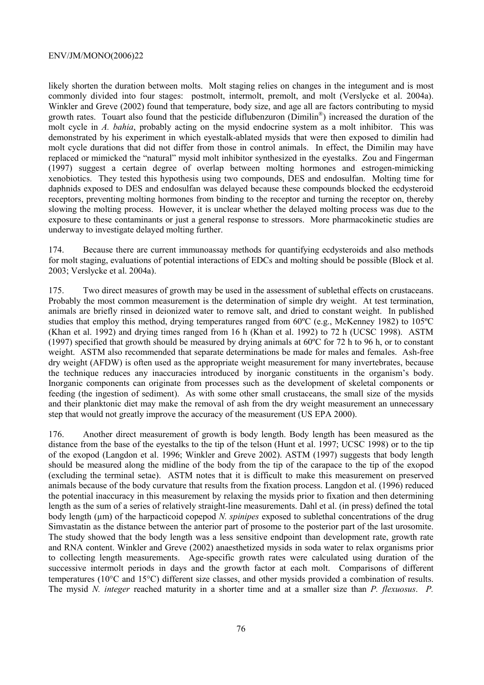likely shorten the duration between molts. Molt staging relies on changes in the integument and is most commonly divided into four stages: postmolt, intermolt, premolt, and molt (Verslycke et al. 2004a). Winkler and Greve (2002) found that temperature, body size, and age all are factors contributing to mysid growth rates. Touart also found that the pesticide diflubenzuron (Dimilin<sup>®</sup>) increased the duration of the molt cycle in *A. bahia*, probably acting on the mysid endocrine system as a molt inhibitor. This was demonstrated by his experiment in which eyestalk-ablated mysids that were then exposed to dimilin had molt cycle durations that did not differ from those in control animals. In effect, the Dimilin may have replaced or mimicked the "natural" mysid molt inhibitor synthesized in the eyestalks. Zou and Fingerman (1997) suggest a certain degree of overlap between molting hormones and estrogen-mimicking xenobiotics. They tested this hypothesis using two compounds, DES and endosulfan. Molting time for daphnids exposed to DES and endosulfan was delayed because these compounds blocked the ecdysteroid receptors, preventing molting hormones from binding to the receptor and turning the receptor on, thereby slowing the molting process. However, it is unclear whether the delayed molting process was due to the exposure to these contaminants or just a general response to stressors. More pharmacokinetic studies are underway to investigate delayed molting further.

174. Because there are current immunoassay methods for quantifying ecdysteroids and also methods for molt staging, evaluations of potential interactions of EDCs and molting should be possible (Block et al. 2003; Verslycke et al. 2004a).

175. Two direct measures of growth may be used in the assessment of sublethal effects on crustaceans. Probably the most common measurement is the determination of simple dry weight. At test termination, animals are briefly rinsed in deionized water to remove salt, and dried to constant weight. In published studies that employ this method, drying temperatures ranged from 60ºC (e.g., McKenney 1982) to 105ºC (Khan et al. 1992) and drying times ranged from 16 h (Khan et al. 1992) to 72 h (UCSC 1998). ASTM (1997) specified that growth should be measured by drying animals at 60ºC for 72 h to 96 h, or to constant weight. ASTM also recommended that separate determinations be made for males and females. Ash-free dry weight (AFDW) is often used as the appropriate weight measurement for many invertebrates, because the technique reduces any inaccuracies introduced by inorganic constituents in the organism's body. Inorganic components can originate from processes such as the development of skeletal components or feeding (the ingestion of sediment). As with some other small crustaceans, the small size of the mysids and their planktonic diet may make the removal of ash from the dry weight measurement an unnecessary step that would not greatly improve the accuracy of the measurement (US EPA 2000).

176. Another direct measurement of growth is body length. Body length has been measured as the distance from the base of the eyestalks to the tip of the telson (Hunt et al. 1997; UCSC 1998) or to the tip of the exopod (Langdon et al. 1996; Winkler and Greve 2002). ASTM (1997) suggests that body length should be measured along the midline of the body from the tip of the carapace to the tip of the exopod (excluding the terminal setae). ASTM notes that it is difficult to make this measurement on preserved animals because of the body curvature that results from the fixation process. Langdon et al. (1996) reduced the potential inaccuracy in this measurement by relaxing the mysids prior to fixation and then determining length as the sum of a series of relatively straight-line measurements. Dahl et al. (in press) defined the total body length (µm) of the harpacticoid copepod *N. spinipes* exposed to sublethal concentrations of the drug Simvastatin as the distance between the anterior part of prosome to the posterior part of the last urosomite. The study showed that the body length was a less sensitive endpoint than development rate, growth rate and RNA content. Winkler and Greve (2002) anaesthetized mysids in soda water to relax organisms prior to collecting length measurements. Age-specific growth rates were calculated using duration of the successive intermolt periods in days and the growth factor at each molt. Comparisons of different temperatures (10°C and 15°C) different size classes, and other mysids provided a combination of results. The mysid *N. integer* reached maturity in a shorter time and at a smaller size than *P. flexuosus*. *P.*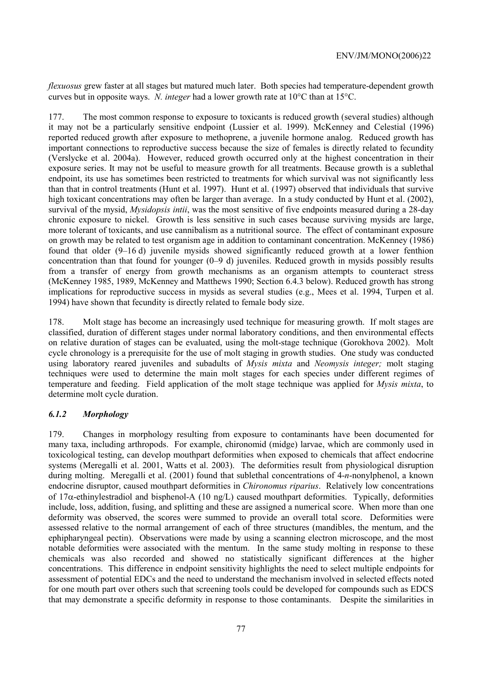*flexuosus* grew faster at all stages but matured much later. Both species had temperature-dependent growth curves but in opposite ways. *N. integer* had a lower growth rate at 10°C than at 15°C.

177. The most common response to exposure to toxicants is reduced growth (several studies) although it may not be a particularly sensitive endpoint (Lussier et al. 1999). McKenney and Celestial (1996) reported reduced growth after exposure to methoprene, a juvenile hormone analog. Reduced growth has important connections to reproductive success because the size of females is directly related to fecundity (Verslycke et al. 2004a). However, reduced growth occurred only at the highest concentration in their exposure series. It may not be useful to measure growth for all treatments. Because growth is a sublethal endpoint, its use has sometimes been restricted to treatments for which survival was not significantly less than that in control treatments (Hunt et al. 1997). Hunt et al. (1997) observed that individuals that survive high toxicant concentrations may often be larger than average. In a study conducted by Hunt et al. (2002), survival of the mysid, *Mysidopsis intii*, was the most sensitive of five endpoints measured during a 28-day chronic exposure to nickel. Growth is less sensitive in such cases because surviving mysids are large, more tolerant of toxicants, and use cannibalism as a nutritional source. The effect of contaminant exposure on growth may be related to test organism age in addition to contaminant concentration. McKenney (1986) found that older (9–16 d) juvenile mysids showed significantly reduced growth at a lower fenthion concentration than that found for younger (0–9 d) juveniles. Reduced growth in mysids possibly results from a transfer of energy from growth mechanisms as an organism attempts to counteract stress (McKenney 1985, 1989, McKenney and Matthews 1990; Section 6.4.3 below). Reduced growth has strong implications for reproductive success in mysids as several studies (e.g., Mees et al. 1994, Turpen et al. 1994) have shown that fecundity is directly related to female body size.

178. Molt stage has become an increasingly used technique for measuring growth. If molt stages are classified, duration of different stages under normal laboratory conditions, and then environmental effects on relative duration of stages can be evaluated, using the molt-stage technique (Gorokhova 2002). Molt cycle chronology is a prerequisite for the use of molt staging in growth studies. One study was conducted using laboratory reared juveniles and subadults of *Mysis mixta* and *Neomysis integer;* molt staging techniques were used to determine the main molt stages for each species under different regimes of temperature and feeding. Field application of the molt stage technique was applied for *Mysis mixta*, to determine molt cycle duration.

# *6.1.2 Morphology*

179. Changes in morphology resulting from exposure to contaminants have been documented for many taxa, including arthropods. For example, chironomid (midge) larvae, which are commonly used in toxicological testing, can develop mouthpart deformities when exposed to chemicals that affect endocrine systems (Meregalli et al. 2001, Watts et al. 2003). The deformities result from physiological disruption during molting. Meregalli et al. (2001) found that sublethal concentrations of 4-*n*-nonylphenol, a known endocrine disruptor, caused mouthpart deformities in *Chironomus riparius*. Relatively low concentrations of 17 $\alpha$ -ethinylestradiol and bisphenol-A (10 ng/L) caused mouthpart deformities. Typically, deformities include, loss, addition, fusing, and splitting and these are assigned a numerical score. When more than one deformity was observed, the scores were summed to provide an overall total score. Deformities were assessed relative to the normal arrangement of each of three structures (mandibles, the mentum, and the ephipharyngeal pectin). Observations were made by using a scanning electron microscope, and the most notable deformities were associated with the mentum. In the same study molting in response to these chemicals was also recorded and showed no statistically significant differences at the higher concentrations. This difference in endpoint sensitivity highlights the need to select multiple endpoints for assessment of potential EDCs and the need to understand the mechanism involved in selected effects noted for one mouth part over others such that screening tools could be developed for compounds such as EDCS that may demonstrate a specific deformity in response to those contaminants. Despite the similarities in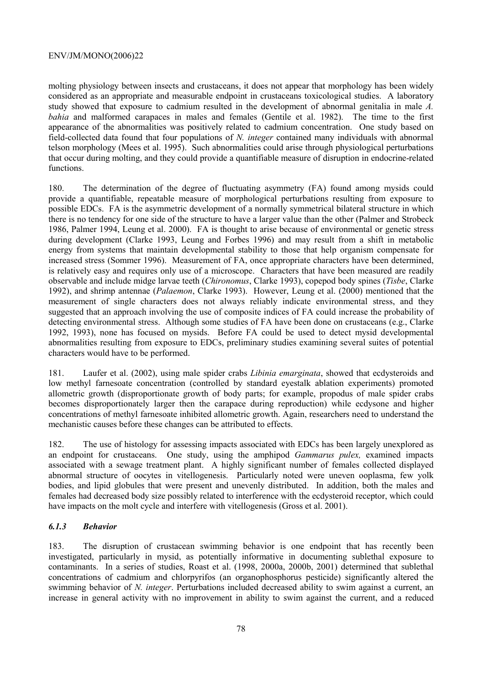molting physiology between insects and crustaceans, it does not appear that morphology has been widely considered as an appropriate and measurable endpoint in crustaceans toxicological studies. A laboratory study showed that exposure to cadmium resulted in the development of abnormal genitalia in male *A. bahia* and malformed carapaces in males and females (Gentile et al. 1982). The time to the first appearance of the abnormalities was positively related to cadmium concentration. One study based on field-collected data found that four populations of *N. integer* contained many individuals with abnormal telson morphology (Mees et al. 1995). Such abnormalities could arise through physiological perturbations that occur during molting, and they could provide a quantifiable measure of disruption in endocrine-related functions.

180. The determination of the degree of fluctuating asymmetry (FA) found among mysids could provide a quantifiable, repeatable measure of morphological perturbations resulting from exposure to possible EDCs. FA is the asymmetric development of a normally symmetrical bilateral structure in which there is no tendency for one side of the structure to have a larger value than the other (Palmer and Strobeck 1986, Palmer 1994, Leung et al. 2000). FA is thought to arise because of environmental or genetic stress during development (Clarke 1993, Leung and Forbes 1996) and may result from a shift in metabolic energy from systems that maintain developmental stability to those that help organism compensate for increased stress (Sommer 1996). Measurement of FA, once appropriate characters have been determined, is relatively easy and requires only use of a microscope. Characters that have been measured are readily observable and include midge larvae teeth (*Chironomus*, Clarke 1993), copepod body spines (*Tisbe*, Clarke 1992), and shrimp antennae (*Palaemon*, Clarke 1993). However, Leung et al. (2000) mentioned that the measurement of single characters does not always reliably indicate environmental stress, and they suggested that an approach involving the use of composite indices of FA could increase the probability of detecting environmental stress. Although some studies of FA have been done on crustaceans (e.g., Clarke 1992, 1993), none has focused on mysids. Before FA could be used to detect mysid developmental abnormalities resulting from exposure to EDCs, preliminary studies examining several suites of potential characters would have to be performed.

181. Laufer et al. (2002), using male spider crabs *Libinia emarginata*, showed that ecdysteroids and low methyl farnesoate concentration (controlled by standard eyestalk ablation experiments) promoted allometric growth (disproportionate growth of body parts; for example, propodus of male spider crabs becomes disproportionately larger then the carapace during reproduction) while ecdysone and higher concentrations of methyl farnesoate inhibited allometric growth. Again, researchers need to understand the mechanistic causes before these changes can be attributed to effects.

182. The use of histology for assessing impacts associated with EDCs has been largely unexplored as an endpoint for crustaceans. One study, using the amphipod *Gammarus pulex,* examined impacts associated with a sewage treatment plant. A highly significant number of females collected displayed abnormal structure of oocytes in vitellogenesis. Particularly noted were uneven ooplasma, few yolk bodies, and lipid globules that were present and unevenly distributed. In addition, both the males and females had decreased body size possibly related to interference with the ecdysteroid receptor, which could have impacts on the molt cycle and interfere with vitellogenesis (Gross et al. 2001).

### *6.1.3 Behavior*

183. The disruption of crustacean swimming behavior is one endpoint that has recently been investigated, particularly in mysid, as potentially informative in documenting sublethal exposure to contaminants. In a series of studies, Roast et al. (1998, 2000a, 2000b, 2001) determined that sublethal concentrations of cadmium and chlorpyrifos (an organophosphorus pesticide) significantly altered the swimming behavior of *N. integer*. Perturbations included decreased ability to swim against a current, an increase in general activity with no improvement in ability to swim against the current, and a reduced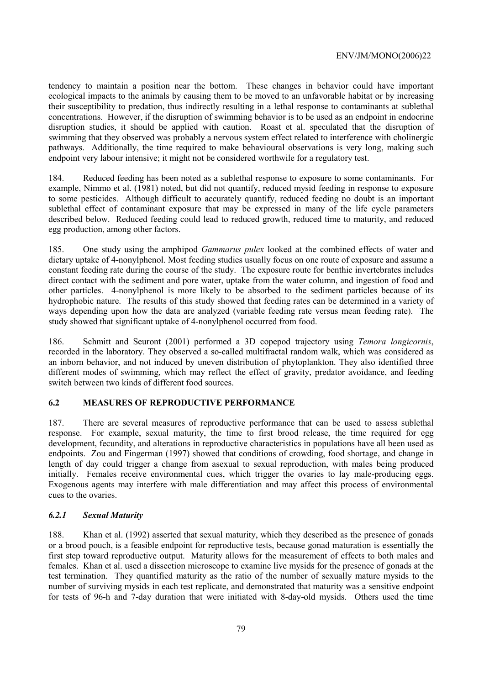tendency to maintain a position near the bottom. These changes in behavior could have important ecological impacts to the animals by causing them to be moved to an unfavorable habitat or by increasing their susceptibility to predation, thus indirectly resulting in a lethal response to contaminants at sublethal concentrations. However, if the disruption of swimming behavior is to be used as an endpoint in endocrine disruption studies, it should be applied with caution. Roast et al. speculated that the disruption of swimming that they observed was probably a nervous system effect related to interference with cholinergic pathways. Additionally, the time required to make behavioural observations is very long, making such endpoint very labour intensive; it might not be considered worthwile for a regulatory test.

184. Reduced feeding has been noted as a sublethal response to exposure to some contaminants. For example, Nimmo et al. (1981) noted, but did not quantify, reduced mysid feeding in response to exposure to some pesticides. Although difficult to accurately quantify, reduced feeding no doubt is an important sublethal effect of contaminant exposure that may be expressed in many of the life cycle parameters described below. Reduced feeding could lead to reduced growth, reduced time to maturity, and reduced egg production, among other factors.

185. One study using the amphipod *Gammarus pulex* looked at the combined effects of water and dietary uptake of 4-nonylphenol. Most feeding studies usually focus on one route of exposure and assume a constant feeding rate during the course of the study. The exposure route for benthic invertebrates includes direct contact with the sediment and pore water, uptake from the water column, and ingestion of food and other particles. 4-nonylphenol is more likely to be absorbed to the sediment particles because of its hydrophobic nature. The results of this study showed that feeding rates can be determined in a variety of ways depending upon how the data are analyzed (variable feeding rate versus mean feeding rate). The study showed that significant uptake of 4-nonylphenol occurred from food.

186. Schmitt and Seuront (2001) performed a 3D copepod trajectory using *Temora longicornis*, recorded in the laboratory. They observed a so-called multifractal random walk, which was considered as an inborn behavior, and not induced by uneven distribution of phytoplankton. They also identified three different modes of swimming, which may reflect the effect of gravity, predator avoidance, and feeding switch between two kinds of different food sources.

### **6.2 MEASURES OF REPRODUCTIVE PERFORMANCE**

187. There are several measures of reproductive performance that can be used to assess sublethal response. For example, sexual maturity, the time to first brood release, the time required for egg development, fecundity, and alterations in reproductive characteristics in populations have all been used as endpoints. Zou and Fingerman (1997) showed that conditions of crowding, food shortage, and change in length of day could trigger a change from asexual to sexual reproduction, with males being produced initially. Females receive environmental cues, which trigger the ovaries to lay male-producing eggs. Exogenous agents may interfere with male differentiation and may affect this process of environmental cues to the ovaries.

### *6.2.1 Sexual Maturity*

188. Khan et al. (1992) asserted that sexual maturity, which they described as the presence of gonads or a brood pouch, is a feasible endpoint for reproductive tests, because gonad maturation is essentially the first step toward reproductive output. Maturity allows for the measurement of effects to both males and females. Khan et al. used a dissection microscope to examine live mysids for the presence of gonads at the test termination. They quantified maturity as the ratio of the number of sexually mature mysids to the number of surviving mysids in each test replicate, and demonstrated that maturity was a sensitive endpoint for tests of 96-h and 7-day duration that were initiated with 8-day-old mysids. Others used the time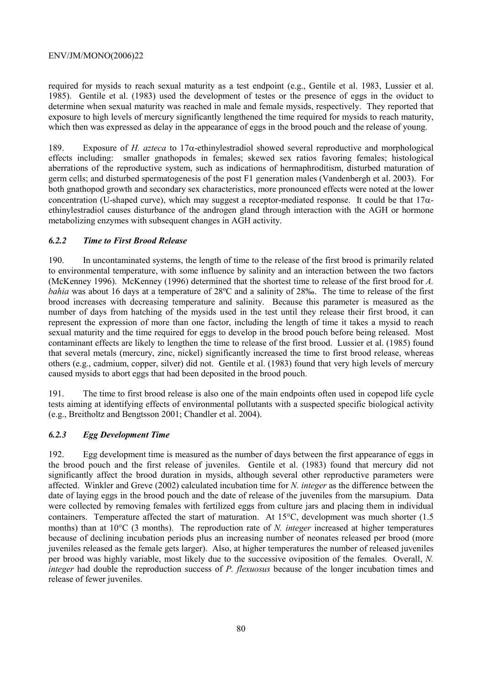required for mysids to reach sexual maturity as a test endpoint (e.g., Gentile et al. 1983, Lussier et al. 1985). Gentile et al. (1983) used the development of testes or the presence of eggs in the oviduct to determine when sexual maturity was reached in male and female mysids, respectively. They reported that exposure to high levels of mercury significantly lengthened the time required for mysids to reach maturity, which then was expressed as delay in the appearance of eggs in the brood pouch and the release of young.

189. Exposure of *H. azteca* to 17α-ethinylestradiol showed several reproductive and morphological effects including: smaller gnathopods in females; skewed sex ratios favoring females; histological aberrations of the reproductive system, such as indications of hermaphroditism, disturbed maturation of germ cells; and disturbed spermatogenesis of the post F1 generation males (Vandenbergh et al. 2003). For both gnathopod growth and secondary sex characteristics, more pronounced effects were noted at the lower concentration (U-shaped curve), which may suggest a receptor-mediated response. It could be that  $17\alpha$ ethinylestradiol causes disturbance of the androgen gland through interaction with the AGH or hormone metabolizing enzymes with subsequent changes in AGH activity.

# *6.2.2 Time to First Brood Release*

190. In uncontaminated systems, the length of time to the release of the first brood is primarily related to environmental temperature, with some influence by salinity and an interaction between the two factors (McKenney 1996). McKenney (1996) determined that the shortest time to release of the first brood for *A. bahia* was about 16 days at a temperature of 28°C and a salinity of 28‰. The time to release of the first brood increases with decreasing temperature and salinity. Because this parameter is measured as the number of days from hatching of the mysids used in the test until they release their first brood, it can represent the expression of more than one factor, including the length of time it takes a mysid to reach sexual maturity and the time required for eggs to develop in the brood pouch before being released. Most contaminant effects are likely to lengthen the time to release of the first brood. Lussier et al. (1985) found that several metals (mercury, zinc, nickel) significantly increased the time to first brood release, whereas others (e.g., cadmium, copper, silver) did not. Gentile et al. (1983) found that very high levels of mercury caused mysids to abort eggs that had been deposited in the brood pouch.

191. The time to first brood release is also one of the main endpoints often used in copepod life cycle tests aiming at identifying effects of environmental pollutants with a suspected specific biological activity (e.g., Breitholtz and Bengtsson 2001; Chandler et al. 2004).

### *6.2.3 Egg Development Time*

192. Egg development time is measured as the number of days between the first appearance of eggs in the brood pouch and the first release of juveniles. Gentile et al. (1983) found that mercury did not significantly affect the brood duration in mysids, although several other reproductive parameters were affected. Winkler and Greve (2002) calculated incubation time for *N. integer* as the difference between the date of laying eggs in the brood pouch and the date of release of the juveniles from the marsupium. Data were collected by removing females with fertilized eggs from culture jars and placing them in individual containers. Temperature affected the start of maturation. At 15°C, development was much shorter (1.5 months) than at 10°C (3 months). The reproduction rate of *N. integer* increased at higher temperatures because of declining incubation periods plus an increasing number of neonates released per brood (more juveniles released as the female gets larger). Also, at higher temperatures the number of released juveniles per brood was highly variable, most likely due to the successive oviposition of the females. Overall, *N. integer* had double the reproduction success of *P. flexuosus* because of the longer incubation times and release of fewer juveniles.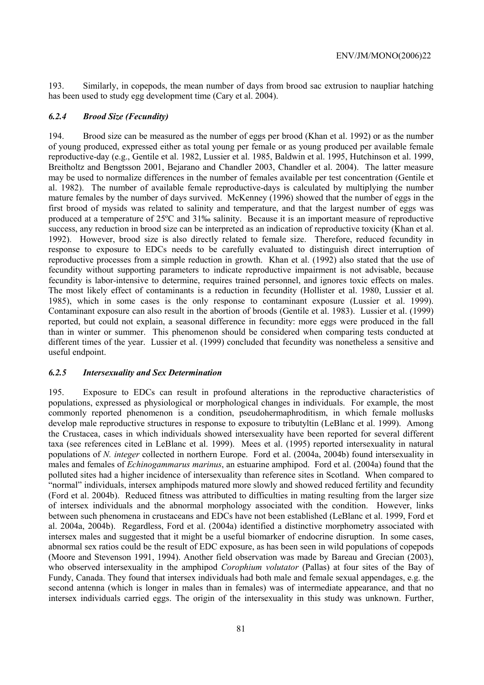193. Similarly, in copepods, the mean number of days from brood sac extrusion to naupliar hatching has been used to study egg development time (Cary et al. 2004).

#### *6.2.4 Brood Size (Fecundity)*

194. Brood size can be measured as the number of eggs per brood (Khan et al. 1992) or as the number of young produced, expressed either as total young per female or as young produced per available female reproductive-day (e.g., Gentile et al. 1982, Lussier et al. 1985, Baldwin et al. 1995, Hutchinson et al. 1999, Breitholtz and Bengtsson 2001, Bejarano and Chandler 2003, Chandler et al. 2004). The latter measure may be used to normalize differences in the number of females available per test concentration (Gentile et al. 1982). The number of available female reproductive-days is calculated by multiplying the number mature females by the number of days survived. McKenney (1996) showed that the number of eggs in the first brood of mysids was related to salinity and temperature, and that the largest number of eggs was produced at a temperature of 25ºC and 31‰ salinity. Because it is an important measure of reproductive success, any reduction in brood size can be interpreted as an indication of reproductive toxicity (Khan et al. 1992). However, brood size is also directly related to female size. Therefore, reduced fecundity in response to exposure to EDCs needs to be carefully evaluated to distinguish direct interruption of reproductive processes from a simple reduction in growth. Khan et al. (1992) also stated that the use of fecundity without supporting parameters to indicate reproductive impairment is not advisable, because fecundity is labor-intensive to determine, requires trained personnel, and ignores toxic effects on males. The most likely effect of contaminants is a reduction in fecundity (Hollister et al. 1980, Lussier et al. 1985), which in some cases is the only response to contaminant exposure (Lussier et al. 1999). Contaminant exposure can also result in the abortion of broods (Gentile et al. 1983). Lussier et al. (1999) reported, but could not explain, a seasonal difference in fecundity: more eggs were produced in the fall than in winter or summer. This phenomenon should be considered when comparing tests conducted at different times of the year. Lussier et al. (1999) concluded that fecundity was nonetheless a sensitive and useful endpoint.

### *6.2.5 Intersexuality and Sex Determination*

195. Exposure to EDCs can result in profound alterations in the reproductive characteristics of populations, expressed as physiological or morphological changes in individuals. For example, the most commonly reported phenomenon is a condition, pseudohermaphroditism, in which female mollusks develop male reproductive structures in response to exposure to tributyltin (LeBlanc et al. 1999). Among the Crustacea, cases in which individuals showed intersexuality have been reported for several different taxa (see references cited in LeBlanc et al. 1999). Mees et al. (1995) reported intersexuality in natural populations of *N. integer* collected in northern Europe. Ford et al. (2004a, 2004b) found intersexuality in males and females of *Echinogammarus marinus*, an estuarine amphipod. Ford et al. (2004a) found that the polluted sites had a higher incidence of intersexuality than reference sites in Scotland. When compared to "normal" individuals, intersex amphipods matured more slowly and showed reduced fertility and fecundity (Ford et al. 2004b). Reduced fitness was attributed to difficulties in mating resulting from the larger size of intersex individuals and the abnormal morphology associated with the condition. However, links between such phenomena in crustaceans and EDCs have not been established (LeBlanc et al. 1999, Ford et al. 2004a, 2004b). Regardless, Ford et al. (2004a) identified a distinctive morphometry associated with intersex males and suggested that it might be a useful biomarker of endocrine disruption. In some cases, abnormal sex ratios could be the result of EDC exposure, as has been seen in wild populations of copepods (Moore and Stevenson 1991, 1994). Another field observation was made by Bareau and Grecian (2003), who observed intersexuality in the amphipod *Corophium volutator* (Pallas) at four sites of the Bay of Fundy, Canada. They found that intersex individuals had both male and female sexual appendages, e.g. the second antenna (which is longer in males than in females) was of intermediate appearance, and that no intersex individuals carried eggs. The origin of the intersexuality in this study was unknown. Further,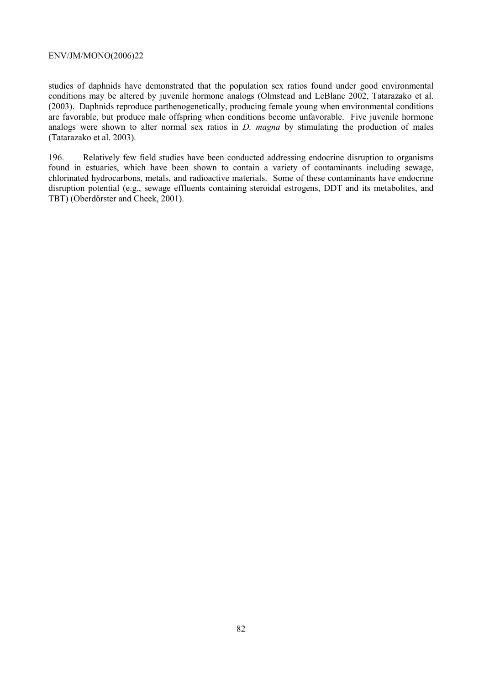studies of daphnids have demonstrated that the population sex ratios found under good environmental conditions may be altered by juvenile hormone analogs (Olmstead and LeBlanc 2002, Tatarazako et al. (2003). Daphnids reproduce parthenogenetically, producing female young when environmental conditions are favorable, but produce male offspring when conditions become unfavorable. Five juvenile hormone analogs were shown to alter normal sex ratios in *D. magna* by stimulating the production of males (Tatarazako et al. 2003).

196. Relatively few field studies have been conducted addressing endocrine disruption to organisms found in estuaries, which have been shown to contain a variety of contaminants including sewage, collated hydrocarbons, metals, and radioactive materials. Some of these contaminants have endocrine disruption potential (e.g., sewage effluents containing steroidal estrogens, DDT and its metabolites, and TBT) (Oberdörster and Cheek, 2001).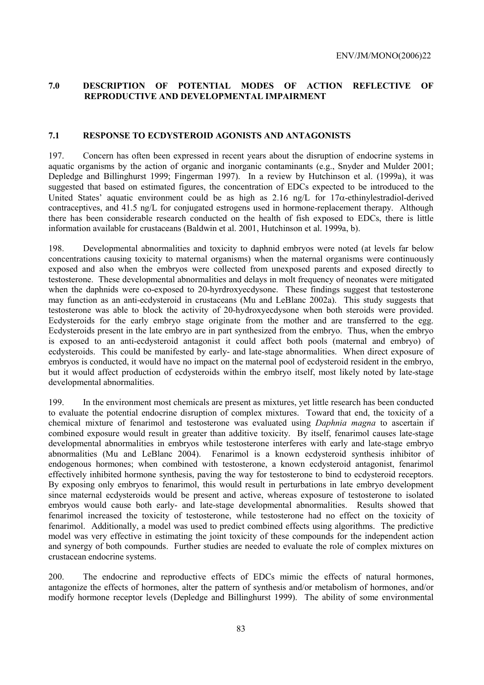# **7.0 DESCRIPTION OF POTENTIAL MODES OF ACTION REFLECTIVE OF REPRODUCTIVE AND DEVELOPMENTAL IMPAIRMENT**

#### **7.1 RESPONSE TO ECDYSTEROID AGONISTS AND ANTAGONISTS**

197. Concern has often been expressed in recent years about the disruption of endocrine systems in aquatic organisms by the action of organic and inorganic contaminants (e.g., Snyder and Mulder 2001; Depledge and Billinghurst 1999; Fingerman 1997). In a review by Hutchinson et al. (1999a), it was suggested that based on estimated figures, the concentration of EDCs expected to be introduced to the United States' aquatic environment could be as high as  $2.16 \text{ ng/L}$  for  $17\alpha$ -ethinylestradiol-derived contraceptives, and 41.5 ng/L for conjugated estrogens used in hormone-replacement therapy. Although there has been considerable research conducted on the health of fish exposed to EDCs, there is little information available for crustaceans (Baldwin et al. 2001, Hutchinson et al. 1999a, b).

198. Developmental abnormalities and toxicity to daphnid embryos were noted (at levels far below concentrations causing toxicity to maternal organisms) when the maternal organisms were continuously exposed and also when the embryos were collected from unexposed parents and exposed directly to testosterone. These developmental abnormalities and delays in molt frequency of neonates were mitigated when the daphnids were co-exposed to 20-hyrdroxyecdysone. These findings suggest that testosterone may function as an anti-ecdysteroid in crustaceans (Mu and LeBlanc 2002a). This study suggests that testosterone was able to block the activity of 20-hydroxyecdysone when both steroids were provided. Ecdysteroids for the early embryo stage originate from the mother and are transferred to the egg. Ecdysteroids present in the late embryo are in part synthesized from the embryo. Thus, when the embryo is exposed to an anti-ecdysteroid antagonist it could affect both pools (maternal and embryo) of ecdysteroids. This could be manifested by early- and late-stage abnormalities. When direct exposure of embryos is conducted, it would have no impact on the maternal pool of ecdysteroid resident in the embryo, but it would affect production of ecdysteroids within the embryo itself, most likely noted by late-stage developmental abnormalities.

199. In the environment most chemicals are present as mixtures, yet little research has been conducted to evaluate the potential endocrine disruption of complex mixtures. Toward that end, the toxicity of a chemical mixture of fenarimol and testosterone was evaluated using *Daphnia magna* to ascertain if combined exposure would result in greater than additive toxicity. By itself, fenarimol causes late-stage developmental abnormalities in embryos while testosterone interferes with early and late-stage embryo abnormalities (Mu and LeBlanc 2004). Fenarimol is a known ecdysteroid synthesis inhibitor of endogenous hormones; when combined with testosterone, a known ecdysteroid antagonist, fenarimol effectively inhibited hormone synthesis, paving the way for testosterone to bind to ecdysteroid receptors. By exposing only embryos to fenarimol, this would result in perturbations in late embryo development since maternal ecdysteroids would be present and active, whereas exposure of testosterone to isolated embryos would cause both early- and late-stage developmental abnormalities. Results showed that fenarimol increased the toxicity of testosterone, while testosterone had no effect on the toxicity of fenarimol. Additionally, a model was used to predict combined effects using algorithms. The predictive model was very effective in estimating the joint toxicity of these compounds for the independent action and synergy of both compounds. Further studies are needed to evaluate the role of complex mixtures on crustacean endocrine systems.

200. The endocrine and reproductive effects of EDCs mimic the effects of natural hormones, antagonize the effects of hormones, alter the pattern of synthesis and/or metabolism of hormones, and/or modify hormone receptor levels (Depledge and Billinghurst 1999). The ability of some environmental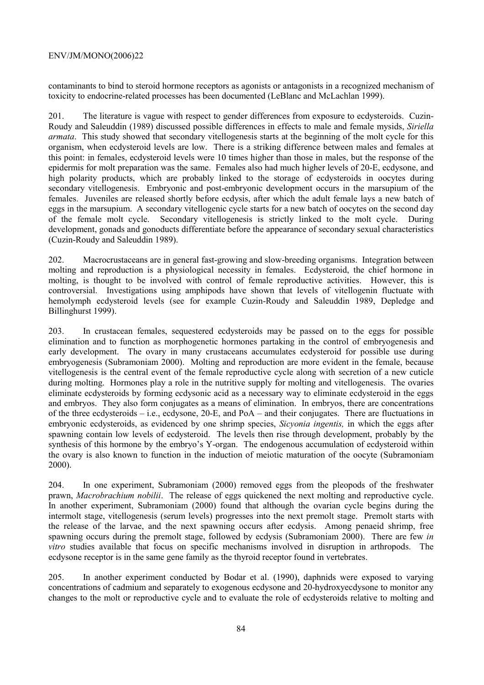contaminants to bind to steroid hormone receptors as agonists or antagonists in a recognized mechanism of toxicity to endocrine-related processes has been documented (LeBlanc and McLachlan 1999).

201. The literature is vague with respect to gender differences from exposure to ecdysteroids. Cuzin-Roudy and Saleuddin (1989) discussed possible differences in effects to male and female mysids, *Siriella armata*. This study showed that secondary vitellogenesis starts at the beginning of the molt cycle for this organism, when ecdysteroid levels are low. There is a striking difference between males and females at this point: in females, ecdysteroid levels were 10 times higher than those in males, but the response of the epidermis for molt preparation was the same. Females also had much higher levels of 20-E, ecdysone, and high polarity products, which are probably linked to the storage of ecdysteroids in oocytes during secondary vitellogenesis. Embryonic and post-embryonic development occurs in the marsupium of the females. Juveniles are released shortly before ecdysis, after which the adult female lays a new batch of eggs in the marsupium. A secondary vitellogenic cycle starts for a new batch of oocytes on the second day of the female molt cycle. Secondary vitellogenesis is strictly linked to the molt cycle. During development, gonads and gonoducts differentiate before the appearance of secondary sexual characteristics (Cuzin-Roudy and Saleuddin 1989).

202. Macrocrustaceans are in general fast-growing and slow-breeding organisms. Integration between molting and reproduction is a physiological necessity in females. Ecdysteroid, the chief hormone in molting, is thought to be involved with control of female reproductive activities. However, this is controversial. Investigations using amphipods have shown that levels of vitellogenin fluctuate with hemolymph ecdysteroid levels (see for example Cuzin-Roudy and Saleuddin 1989, Depledge and Billinghurst 1999).

203. In crustacean females, sequestered ecdysteroids may be passed on to the eggs for possible elimination and to function as morphogenetic hormones partaking in the control of embryogenesis and early development. The ovary in many crustaceans accumulates ecdysteroid for possible use during embryogenesis (Subramoniam 2000). Molting and reproduction are more evident in the female, because vitellogenesis is the central event of the female reproductive cycle along with secretion of a new cuticle during molting. Hormones play a role in the nutritive supply for molting and vitellogenesis. The ovaries eliminate ecdysteroids by forming ecdysonic acid as a necessary way to eliminate ecdysteroid in the eggs and embryos. They also form conjugates as a means of elimination. In embryos, there are concentrations of the three ecdysteroids – i.e., ecdysone, 20-E, and PoA – and their conjugates. There are fluctuations in embryonic ecdysteroids, as evidenced by one shrimp species, *Sicyonia ingentis,* in which the eggs after spawning contain low levels of ecdysteroid. The levels then rise through development, probably by the synthesis of this hormone by the embryo's Y-organ. The endogenous accumulation of ecdysteroid within the ovary is also known to function in the induction of meiotic maturation of the oocyte (Subramoniam 2000).

204. In one experiment, Subramoniam (2000) removed eggs from the pleopods of the freshwater prawn, *Macrobrachium nobilii*. The release of eggs quickened the next molting and reproductive cycle. In another experiment, Subramoniam (2000) found that although the ovarian cycle begins during the intermolt stage, vitellogenesis (serum levels) progresses into the next premolt stage. Premolt starts with the release of the larvae, and the next spawning occurs after ecdysis. Among penaeid shrimp, free spawning occurs during the premolt stage, followed by ecdysis (Subramoniam 2000). There are few *in vitro* studies available that focus on specific mechanisms involved in disruption in arthropods. The ecdysone receptor is in the same gene family as the thyroid receptor found in vertebrates.

205. In another experiment conducted by Bodar et al. (1990), daphnids were exposed to varying concentrations of cadmium and separately to exogenous ecdysone and 20-hydroxyecdysone to monitor any changes to the molt or reproductive cycle and to evaluate the role of ecdysteroids relative to molting and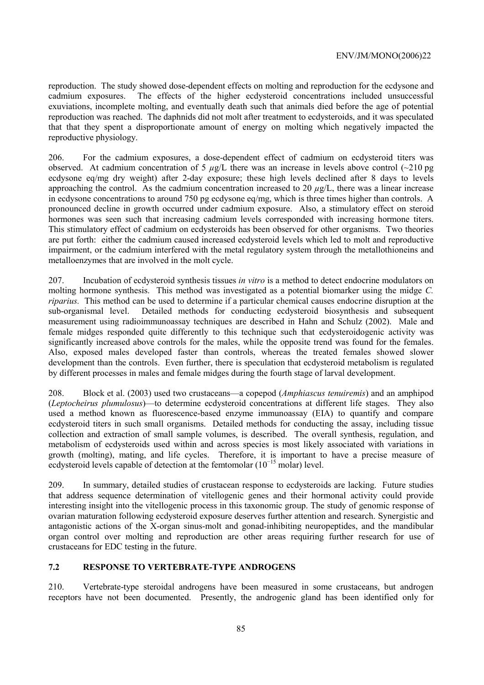reproduction. The study showed dose-dependent effects on molting and reproduction for the ecdysone and cadmium exposures. The effects of the higher ecdysteroid concentrations included unsuccessful exuviations, incomplete molting, and eventually death such that animals died before the age of potential reproduction was reached. The daphnids did not molt after treatment to ecdysteroids, and it was speculated that that they spent a disproportionate amount of energy on molting which negatively impacted the reproductive physiology.

206. For the cadmium exposures, a dose-dependent effect of cadmium on ecdysteroid titers was observed. At cadmium concentration of 5 *µ*g/L there was an increase in levels above control (~210 pg ecdysone eq/mg dry weight) after 2-day exposure; these high levels declined after 8 days to levels approaching the control. As the cadmium concentration increased to 20  $\mu$ g/L, there was a linear increase in ecdysone concentrations to around 750 pg ecdysone eq/mg, which is three times higher than controls. A pronounced decline in growth occurred under cadmium exposure. Also, a stimulatory effect on steroid hormones was seen such that increasing cadmium levels corresponded with increasing hormone titers. This stimulatory effect of cadmium on ecdysteroids has been observed for other organisms. Two theories are put forth: either the cadmium caused increased ecdysteroid levels which led to molt and reproductive impairment, or the cadmium interfered with the metal regulatory system through the metallothioneins and metalloenzymes that are involved in the molt cycle.

207. Incubation of ecdysteroid synthesis tissues *in vitro* is a method to detect endocrine modulators on molting hormone synthesis. This method was investigated as a potential biomarker using the midge *C. riparius.* This method can be used to determine if a particular chemical causes endocrine disruption at the sub-organismal level. Detailed methods for conducting ecdysteroid biosynthesis and subsequent measurement using radioimmunoassay techniques are described in Hahn and Schulz (2002). Male and female midges responded quite differently to this technique such that ecdysteroidogenic activity was significantly increased above controls for the males, while the opposite trend was found for the females. Also, exposed males developed faster than controls, whereas the treated females showed slower development than the controls. Even further, there is speculation that ecdysteroid metabolism is regulated by different processes in males and female midges during the fourth stage of larval development.

208. Block et al. (2003) used two crustaceans—a copepod (*Amphiascus tenuiremis*) and an amphipod (*Leptocheirus plumulosus*)—to determine ecdysteroid concentrations at different life stages. They also used a method known as fluorescence-based enzyme immunoassay (EIA) to quantify and compare ecdysteroid titers in such small organisms. Detailed methods for conducting the assay, including tissue collection and extraction of small sample volumes, is described. The overall synthesis, regulation, and metabolism of ecdysteroids used within and across species is most likely associated with variations in growth (molting), mating, and life cycles. Therefore, it is important to have a precise measure of ecdysteroid levels capable of detection at the femtomolar  $(10^{-15} \text{ molar})$  level.

209. In summary, detailed studies of crustacean response to ecdysteroids are lacking. Future studies that address sequence determination of vitellogenic genes and their hormonal activity could provide interesting insight into the vitellogenic process in this taxonomic group. The study of genomic response of ovarian maturation following ecdysteroid exposure deserves further attention and research. Synergistic and antagonistic actions of the X-organ sinus-molt and gonad-inhibiting neuropeptides, and the mandibular organ control over molting and reproduction are other areas requiring further research for use of crustaceans for EDC testing in the future.

### **7.2 RESPONSE TO VERTEBRATE-TYPE ANDROGENS**

210. Vertebrate-type steroidal androgens have been measured in some crustaceans, but androgen receptors have not been documented. Presently, the androgenic gland has been identified only for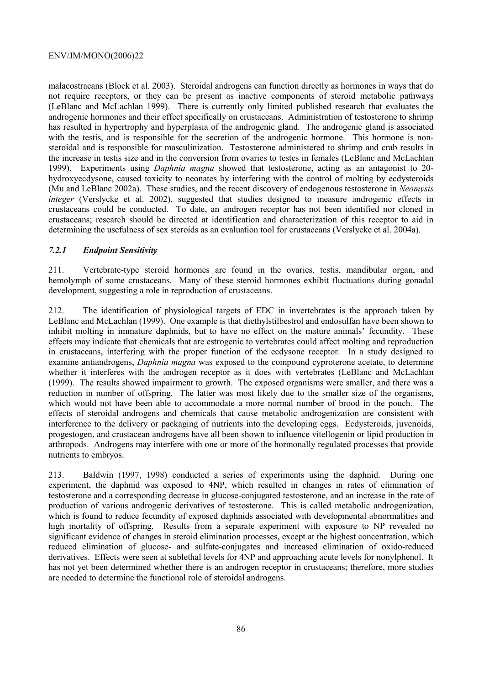malacostracans (Block et al. 2003). Steroidal androgens can function directly as hormones in ways that do not require receptors, or they can be present as inactive components of steroid metabolic pathways (LeBlanc and McLachlan 1999). There is currently only limited published research that evaluates the androgenic hormones and their effect specifically on crustaceans. Administration of testosterone to shrimp has resulted in hypertrophy and hyperplasia of the androgenic gland. The androgenic gland is associated with the testis, and is responsible for the secretion of the androgenic hormone. This hormone is nonsteroidal and is responsible for masculinization. Testosterone administered to shrimp and crab results in the increase in testis size and in the conversion from ovaries to testes in females (LeBlanc and McLachlan 1999). Experiments using *Daphnia magna* showed that testosterone, acting as an antagonist to 20 hydroxyecdysone, caused toxicity to neonates by interfering with the control of molting by ecdysteroids (Mu and LeBlanc 2002a). These studies, and the recent discovery of endogenous testosterone in *Neomysis integer* (Verslycke et al. 2002), suggested that studies designed to measure androgenic effects in crustaceans could be conducted. To date, an androgen receptor has not been identified nor cloned in crustaceans; research should be directed at identification and characterization of this receptor to aid in determining the usefulness of sex steroids as an evaluation tool for crustaceans (Verslycke et al. 2004a).

### *7.2.1 Endpoint Sensitivity*

211. Vertebrate-type steroid hormones are found in the ovaries, testis, mandibular organ, and hemolymph of some crustaceans. Many of these steroid hormones exhibit fluctuations during gonadal development, suggesting a role in reproduction of crustaceans.

212. The identification of physiological targets of EDC in invertebrates is the approach taken by LeBlanc and McLachlan (1999). One example is that diethylstilbestrol and endosulfan have been shown to inhibit molting in immature daphnids, but to have no effect on the mature animals' fecundity. These effects may indicate that chemicals that are estrogenic to vertebrates could affect molting and reproduction in crustaceans, interfering with the proper function of the ecdysone receptor. In a study designed to examine antiandrogens, *Daphnia magna* was exposed to the compound cyproterone acetate, to determine whether it interferes with the androgen receptor as it does with vertebrates (LeBlanc and McLachlan (1999). The results showed impairment to growth. The exposed organisms were smaller, and there was a reduction in number of offspring. The latter was most likely due to the smaller size of the organisms, which would not have been able to accommodate a more normal number of brood in the pouch. The effects of steroidal androgens and chemicals that cause metabolic androgenization are consistent with interference to the delivery or packaging of nutrients into the developing eggs. Ecdysteroids, juvenoids, progestogen, and crustacean androgens have all been shown to influence vitellogenin or lipid production in arthropods. Androgens may interfere with one or more of the hormonally regulated processes that provide nutrients to embryos.

213. Baldwin (1997, 1998) conducted a series of experiments using the daphnid. During one experiment, the daphnid was exposed to 4NP, which resulted in changes in rates of elimination of testosterone and a corresponding decrease in glucose-conjugated testosterone, and an increase in the rate of production of various androgenic derivatives of testosterone. This is called metabolic androgenization, which is found to reduce fecundity of exposed daphnids associated with developmental abnormalities and high mortality of offspring. Results from a separate experiment with exposure to NP revealed no significant evidence of changes in steroid elimination processes, except at the highest concentration, which reduced elimination of glucose- and sulfate-conjugates and increased elimination of oxido-reduced derivatives. Effects were seen at sublethal levels for 4NP and approaching acute levels for nonylphenol. It has not yet been determined whether there is an androgen receptor in crustaceans; therefore, more studies are needed to determine the functional role of steroidal androgens.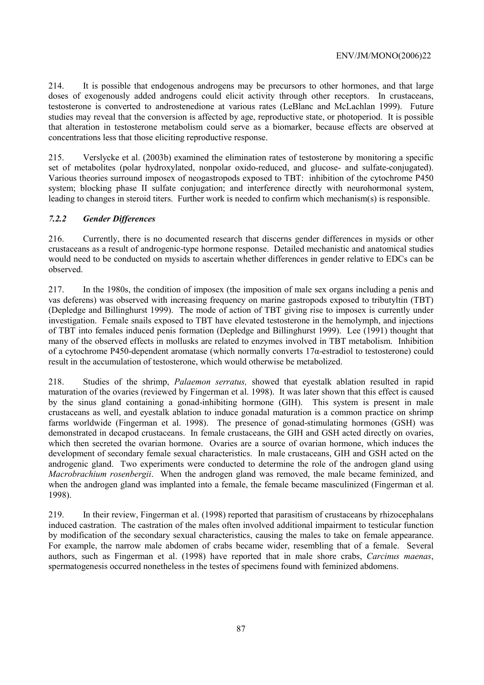214. It is possible that endogenous androgens may be precursors to other hormones, and that large doses of exogenously added androgens could elicit activity through other receptors. In crustaceans, testosterone is converted to androstenedione at various rates (LeBlanc and McLachlan 1999). Future studies may reveal that the conversion is affected by age, reproductive state, or photoperiod. It is possible that alteration in testosterone metabolism could serve as a biomarker, because effects are observed at concentrations less that those eliciting reproductive response.

215. Verslycke et al. (2003b) examined the elimination rates of testosterone by monitoring a specific set of metabolites (polar hydroxylated, nonpolar oxido-reduced, and glucose- and sulfate-conjugated). Various theories surround imposex of neogastropods exposed to TBT: inhibition of the cytochrome P450 system; blocking phase II sulfate conjugation; and interference directly with neurohormonal system, leading to changes in steroid titers. Further work is needed to confirm which mechanism(s) is responsible.

# *7.2.2 Gender Differences*

216. Currently, there is no documented research that discerns gender differences in mysids or other crustaceans as a result of androgenic-type hormone response. Detailed mechanistic and anatomical studies would need to be conducted on mysids to ascertain whether differences in gender relative to EDCs can be observed.

217. In the 1980s, the condition of imposex (the imposition of male sex organs including a penis and vas deferens) was observed with increasing frequency on marine gastropods exposed to tributyltin (TBT) (Depledge and Billinghurst 1999). The mode of action of TBT giving rise to imposex is currently under investigation. Female snails exposed to TBT have elevated testosterone in the hemolymph, and injections of TBT into females induced penis formation (Depledge and Billinghurst 1999). Lee (1991) thought that many of the observed effects in mollusks are related to enzymes involved in TBT metabolism. Inhibition of a cytochrome P450-dependent aromatase (which normally converts 17α-estradiol to testosterone) could result in the accumulation of testosterone, which would otherwise be metabolized.

218. Studies of the shrimp, *Palaemon serratus,* showed that eyestalk ablation resulted in rapid maturation of the ovaries (reviewed by Fingerman et al. 1998). It was later shown that this effect is caused by the sinus gland containing a gonad-inhibiting hormone (GIH). This system is present in male crustaceans as well, and eyestalk ablation to induce gonadal maturation is a common practice on shrimp farms worldwide (Fingerman et al. 1998). The presence of gonad-stimulating hormones (GSH) was demonstrated in decapod crustaceans. In female crustaceans, the GIH and GSH acted directly on ovaries, which then secreted the ovarian hormone. Ovaries are a source of ovarian hormone, which induces the development of secondary female sexual characteristics. In male crustaceans, GIH and GSH acted on the androgenic gland. Two experiments were conducted to determine the role of the androgen gland using *Macrobrachium rosenbergii*. When the androgen gland was removed, the male became feminized, and when the androgen gland was implanted into a female, the female became masculinized (Fingerman et al. 1998).

219. In their review, Fingerman et al. (1998) reported that parasitism of crustaceans by rhizocephalans induced castration. The castration of the males often involved additional impairment to testicular function by modification of the secondary sexual characteristics, causing the males to take on female appearance. For example, the narrow male abdomen of crabs became wider, resembling that of a female. Several authors, such as Fingerman et al. (1998) have reported that in male shore crabs, *Carcinus maenas*, spermatogenesis occurred nonetheless in the testes of specimens found with feminized abdomens.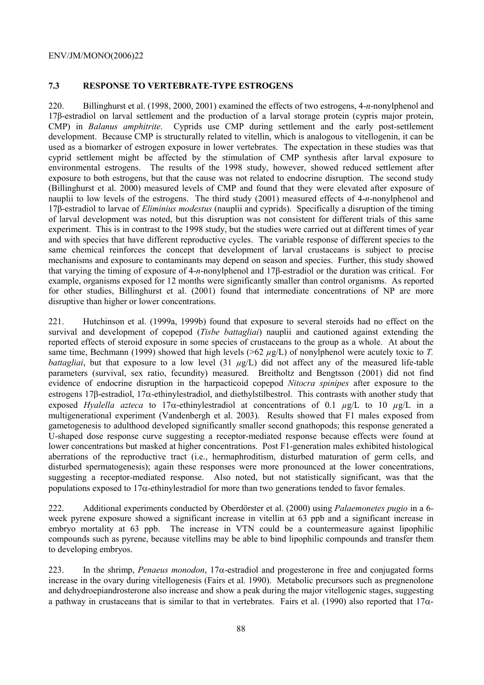# **7.3 RESPONSE TO VERTEBRATE-TYPE ESTROGENS**

220. Billinghurst et al. (1998, 2000, 2001) examined the effects of two estrogens, 4-*n*-nonylphenol and 17β-estradiol on larval settlement and the production of a larval storage protein (cypris major protein, CMP) in *Balanus amphitrite*. Cyprids use CMP during settlement and the early post-settlement development. Because CMP is structurally related to vitellin, which is analogous to vitellogenin, it can be used as a biomarker of estrogen exposure in lower vertebrates. The expectation in these studies was that cyprid settlement might be affected by the stimulation of CMP synthesis after larval exposure to environmental estrogens. The results of the 1998 study, however, showed reduced settlement after exposure to both estrogens, but that the cause was not related to endocrine disruption. The second study (Billinghurst et al. 2000) measured levels of CMP and found that they were elevated after exposure of nauplii to low levels of the estrogens. The third study (2001) measured effects of 4-*n*-nonylphenol and 17β-estradiol to larvae of *Eliminius modestus* (nauplii and cyprids). Specifically a disruption of the timing of larval development was noted, but this disruption was not consistent for different trials of this same experiment. This is in contrast to the 1998 study, but the studies were carried out at different times of year and with species that have different reproductive cycles. The variable response of different species to the same chemical reinforces the concept that development of larval crustaceans is subject to precise mechanisms and exposure to contaminants may depend on season and species. Further, this study showed that varying the timing of exposure of 4-*n*-nonylphenol and 17β-estradiol or the duration was critical. For example, organisms exposed for 12 months were significantly smaller than control organisms. As reported for other studies, Billinghurst et al. (2001) found that intermediate concentrations of NP are more disruptive than higher or lower concentrations.

221. Hutchinson et al. (1999a, 1999b) found that exposure to several steroids had no effect on the survival and development of copepod (*Tisbe battagliai*) nauplii and cautioned against extending the reported effects of steroid exposure in some species of crustaceans to the group as a whole. At about the same time, Bechmann (1999) showed that high levels ( $>62 \mu$ g/L) of nonylphenol were acutely toxic to *T*. *battagliai*, but that exposure to a low level (31 *µg*/L) did not affect any of the measured life-table parameters (survival, sex ratio, fecundity) measured. Breitholtz and Bengtsson (2001) did not find evidence of endocrine disruption in the harpacticoid copepod *Nitocra spinipes* after exposure to the estrogens 17β-estradiol, 17α-ethinylestradiol, and diethylstilbestrol. This contrasts with another study that exposed *Hyalella azteca* to 17α-ethinylestradiol at concentrations of 0.1 *µ*g/L to 10 *µ*g/L in a multigenerational experiment (Vandenbergh et al. 2003). Results showed that F1 males exposed from gametogenesis to adulthood developed significantly smaller second gnathopods; this response generated a U-shaped dose response curve suggesting a receptor-mediated response because effects were found at lower concentrations but masked at higher concentrations. Post F1-generation males exhibited histological aberrations of the reproductive tract (i.e., hermaphroditism, disturbed maturation of germ cells, and disturbed spermatogenesis); again these responses were more pronounced at the lower concentrations, suggesting a receptor-mediated response. Also noted, but not statistically significant, was that the populations exposed to  $17\alpha$ -ethinylestradiol for more than two generations tended to favor females.

222. Additional experiments conducted by Oberdörster et al. (2000) using *Palaemonetes pugio* in a 6 week pyrene exposure showed a significant increase in vitellin at 63 ppb and a significant increase in embryo mortality at 63 ppb. The increase in VTN could be a countermeasure against lipophilic compounds such as pyrene, because vitellins may be able to bind lipophilic compounds and transfer them to developing embryos.

223. In the shrimp, *Penaeus monodon*, 17α-estradiol and progesterone in free and conjugated forms increase in the ovary during vitellogenesis (Fairs et al. 1990). Metabolic precursors such as pregnenolone and dehydroepiandrosterone also increase and show a peak during the major vitellogenic stages, suggesting a pathway in crustaceans that is similar to that in vertebrates. Fairs et al. (1990) also reported that 17α-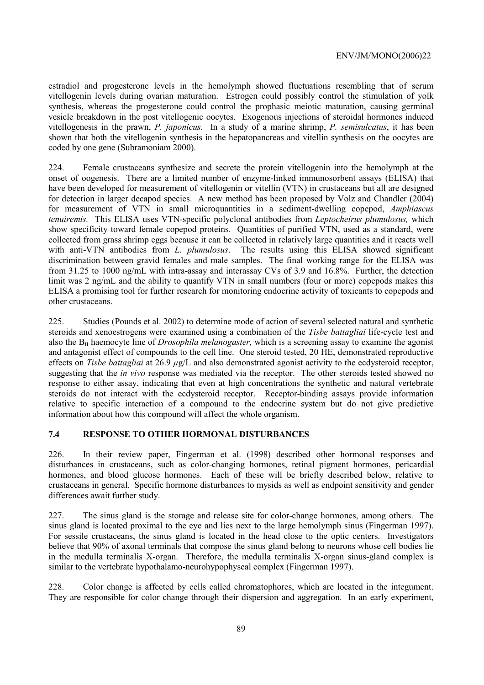estradiol and progesterone levels in the hemolymph showed fluctuations resembling that of serum vitellogenin levels during ovarian maturation. Estrogen could possibly control the stimulation of yolk synthesis, whereas the progesterone could control the prophasic meiotic maturation, causing germinal vesicle breakdown in the post vitellogenic oocytes. Exogenous injections of steroidal hormones induced vitellogenesis in the prawn, *P. japonicus*. In a study of a marine shrimp, *P. semisulcatus*, it has been shown that both the vitellogenin synthesis in the hepatopancreas and vitellin synthesis on the oocytes are coded by one gene (Subramoniam 2000).

224. Female crustaceans synthesize and secrete the protein vitellogenin into the hemolymph at the onset of oogenesis. There are a limited number of enzyme-linked immunosorbent assays (ELISA) that have been developed for measurement of vitellogenin or vitellin (VTN) in crustaceans but all are designed for detection in larger decapod species. A new method has been proposed by Volz and Chandler (2004) for measurement of VTN in small microquantities in a sediment-dwelling copepod, *Amphiascus tenuiremis.* This ELISA uses VTN-specific polyclonal antibodies from *Leptocheirus plumulosus,* which show specificity toward female copepod proteins. Quantities of purified VTN, used as a standard, were collected from grass shrimp eggs because it can be collected in relatively large quantities and it reacts well with anti-VTN antibodies from *L. plumulosus*. The results using this ELISA showed significant discrimination between gravid females and male samples. The final working range for the ELISA was from 31.25 to 1000 ng/mL with intra-assay and interassay CVs of 3.9 and 16.8%. Further, the detection limit was 2 ng/mL and the ability to quantify VTN in small numbers (four or more) copepods makes this ELISA a promising tool for further research for monitoring endocrine activity of toxicants to copepods and other crustaceans.

225. Studies (Pounds et al. 2002) to determine mode of action of several selected natural and synthetic steroids and xenoestrogens were examined using a combination of the *Tisbe battagliai* life-cycle test and also the BII haemocyte line of *Drosophila melanogaster,* which is a screening assay to examine the agonist and antagonist effect of compounds to the cell line. One steroid tested, 20 HE, demonstrated reproductive effects on *Tisbe battagliai* at 26.9 *µ*g/L and also demonstrated agonist activity to the ecdysteroid receptor, suggesting that the *in vivo* response was mediated via the receptor. The other steroids tested showed no response to either assay, indicating that even at high concentrations the synthetic and natural vertebrate steroids do not interact with the ecdysteroid receptor. Receptor-binding assays provide information relative to specific interaction of a compound to the endocrine system but do not give predictive information about how this compound will affect the whole organism.

### **7.4 RESPONSE TO OTHER HORMONAL DISTURBANCES**

226. In their review paper, Fingerman et al. (1998) described other hormonal responses and disturbances in crustaceans, such as color-changing hormones, retinal pigment hormones, pericardial hormones, and blood glucose hormones. Each of these will be briefly described below, relative to crustaceans in general. Specific hormone disturbances to mysids as well as endpoint sensitivity and gender differences await further study.

227. The sinus gland is the storage and release site for color-change hormones, among others. The sinus gland is located proximal to the eye and lies next to the large hemolymph sinus (Fingerman 1997). For sessile crustaceans, the sinus gland is located in the head close to the optic centers. Investigators believe that 90% of axonal terminals that compose the sinus gland belong to neurons whose cell bodies lie in the medulla terminalis X-organ. Therefore, the medulla terminalis X-organ sinus-gland complex is similar to the vertebrate hypothalamo-neurohypophyseal complex (Fingerman 1997).

228. Color change is affected by cells called chromatophores, which are located in the integument. They are responsible for color change through their dispersion and aggregation. In an early experiment,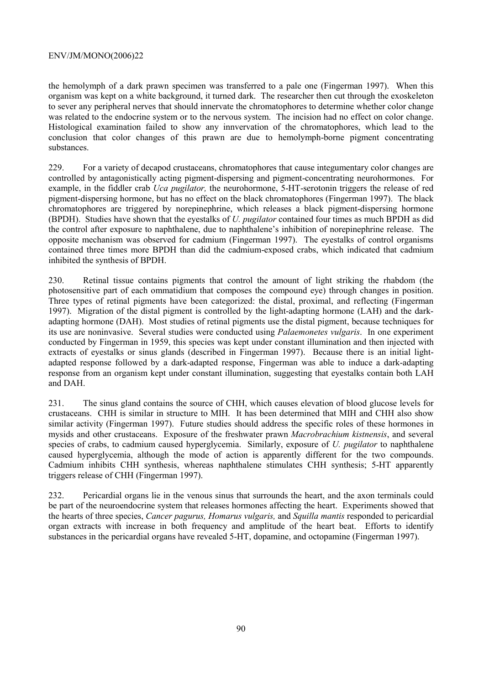the hemolymph of a dark prawn specimen was transferred to a pale one (Fingerman 1997). When this organism was kept on a white background, it turned dark. The researcher then cut through the exoskeleton to sever any peripheral nerves that should innervate the chromatophores to determine whether color change was related to the endocrine system or to the nervous system. The incision had no effect on color change. Histological examination failed to show any innvervation of the chromatophores, which lead to the conclusion that color changes of this prawn are due to hemolymph-borne pigment concentrating substances.

229. For a variety of decapod crustaceans, chromatophores that cause integumentary color changes are controlled by antagonistically acting pigment-dispersing and pigment-concentrating neurohormones. For example, in the fiddler crab *Uca pugilator,* the neurohormone, 5-HT-serotonin triggers the release of red pigment-dispersing hormone, but has no effect on the black chromatophores (Fingerman 1997). The black chromatophores are triggered by norepinephrine, which releases a black pigment-dispersing hormone (BPDH). Studies have shown that the eyestalks of *U. pugilator* contained four times as much BPDH as did the control after exposure to naphthalene, due to naphthalene's inhibition of norepinephrine release. The opposite mechanism was observed for cadmium (Fingerman 1997). The eyestalks of control organisms contained three times more BPDH than did the cadmium-exposed crabs, which indicated that cadmium inhibited the synthesis of BPDH.

230. Retinal tissue contains pigments that control the amount of light striking the rhabdom (the photosensitive part of each ommatidium that composes the compound eye) through changes in position. Three types of retinal pigments have been categorized: the distal, proximal, and reflecting (Fingerman 1997). Migration of the distal pigment is controlled by the light-adapting hormone (LAH) and the darkadapting hormone (DAH). Most studies of retinal pigments use the distal pigment, because techniques for its use are noninvasive. Several studies were conducted using *Palaemonetes vulgaris*. In one experiment conducted by Fingerman in 1959, this species was kept under constant illumination and then injected with extracts of eyestalks or sinus glands (described in Fingerman 1997). Because there is an initial lightadapted response followed by a dark-adapted response, Fingerman was able to induce a dark-adapting response from an organism kept under constant illumination, suggesting that eyestalks contain both LAH and DAH.

231. The sinus gland contains the source of CHH, which causes elevation of blood glucose levels for crustaceans. CHH is similar in structure to MIH. It has been determined that MIH and CHH also show similar activity (Fingerman 1997). Future studies should address the specific roles of these hormones in mysids and other crustaceans. Exposure of the freshwater prawn *Macrobrachium kistnensis*, and several species of crabs, to cadmium caused hyperglycemia. Similarly, exposure of *U. pugilator* to naphthalene caused hyperglycemia, although the mode of action is apparently different for the two compounds. Cadmium inhibits CHH synthesis, whereas naphthalene stimulates CHH synthesis; 5-HT apparently triggers release of CHH (Fingerman 1997).

232. Pericardial organs lie in the venous sinus that surrounds the heart, and the axon terminals could be part of the neuroendocrine system that releases hormones affecting the heart. Experiments showed that the hearts of three species, *Cancer pagurus, Homarus vulgaris,* and *Squilla mantis* responded to pericardial organ extracts with increase in both frequency and amplitude of the heart beat. Efforts to identify substances in the pericardial organs have revealed 5-HT, dopamine, and octopamine (Fingerman 1997).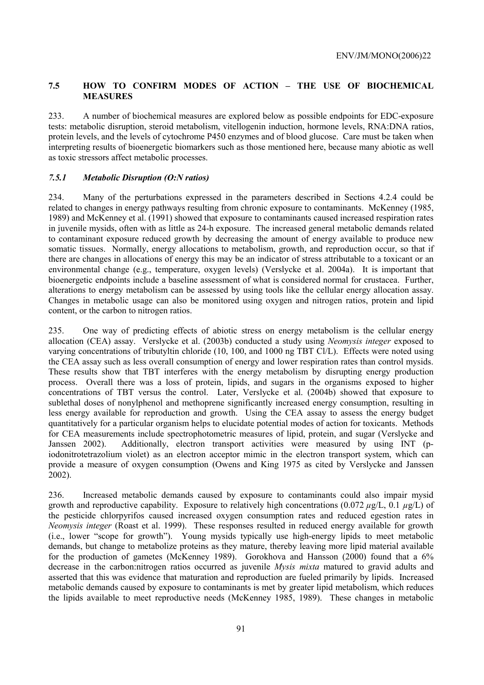# **7.5 HOW TO CONFIRM MODES OF ACTION – THE USE OF BIOCHEMICAL MEASURES**

233. A number of biochemical measures are explored below as possible endpoints for EDC-exposure tests: metabolic disruption, steroid metabolism, vitellogenin induction, hormone levels, RNA:DNA ratios, protein levels, and the levels of cytochrome P450 enzymes and of blood glucose. Care must be taken when interpreting results of bioenergetic biomarkers such as those mentioned here, because many abiotic as well as toxic stressors affect metabolic processes.

# *7.5.1 Metabolic Disruption (O:N ratios)*

234. Many of the perturbations expressed in the parameters described in Sections 4.2.4 could be related to changes in energy pathways resulting from chronic exposure to contaminants. McKenney (1985, 1989) and McKenney et al. (1991) showed that exposure to contaminants caused increased respiration rates in juvenile mysids, often with as little as 24-h exposure. The increased general metabolic demands related to contaminant exposure reduced growth by decreasing the amount of energy available to produce new somatic tissues. Normally, energy allocations to metabolism, growth, and reproduction occur, so that if there are changes in allocations of energy this may be an indicator of stress attributable to a toxicant or an environmental change (e.g., temperature, oxygen levels) (Verslycke et al. 2004a). It is important that bioenergetic endpoints include a baseline assessment of what is considered normal for crustacea. Further, alterations to energy metabolism can be assessed by using tools like the cellular energy allocation assay. Changes in metabolic usage can also be monitored using oxygen and nitrogen ratios, protein and lipid content, or the carbon to nitrogen ratios.

235. One way of predicting effects of abiotic stress on energy metabolism is the cellular energy allocation (CEA) assay. Verslycke et al. (2003b) conducted a study using *Neomysis integer* exposed to varying concentrations of tributyltin chloride (10, 100, and 1000 ng TBT Cl/L). Effects were noted using the CEA assay such as less overall consumption of energy and lower respiration rates than control mysids. These results show that TBT interferes with the energy metabolism by disrupting energy production process. Overall there was a loss of protein, lipids, and sugars in the organisms exposed to higher concentrations of TBT versus the control. Later, Verslycke et al. (2004b) showed that exposure to sublethal doses of nonylphenol and methoprene significantly increased energy consumption, resulting in less energy available for reproduction and growth. Using the CEA assay to assess the energy budget quantitatively for a particular organism helps to elucidate potential modes of action for toxicants. Methods for CEA measurements include spectrophotometric measures of lipid, protein, and sugar (Verslycke and Janssen 2002). Additionally, electron transport activities were measured by using INT (piodonitrotetrazolium violet) as an electron acceptor mimic in the electron transport system, which can provide a measure of oxygen consumption (Owens and King 1975 as cited by Verslycke and Janssen 2002).

236. Increased metabolic demands caused by exposure to contaminants could also impair mysid growth and reproductive capability. Exposure to relatively high concentrations (0.072 *µ*g/L, 0.1 *µ*g/L) of the pesticide chlorpyrifos caused increased oxygen consumption rates and reduced egestion rates in *Neomysis integer* (Roast et al. 1999). These responses resulted in reduced energy available for growth (i.e., lower "scope for growth"). Young mysids typically use high-energy lipids to meet metabolic demands, but change to metabolize proteins as they mature, thereby leaving more lipid material available for the production of gametes (McKenney 1989). Gorokhova and Hansson (2000) found that a 6% decrease in the carbon:nitrogen ratios occurred as juvenile *Mysis mixta* matured to gravid adults and asserted that this was evidence that maturation and reproduction are fueled primarily by lipids. Increased metabolic demands caused by exposure to contaminants is met by greater lipid metabolism, which reduces the lipids available to meet reproductive needs (McKenney 1985, 1989). These changes in metabolic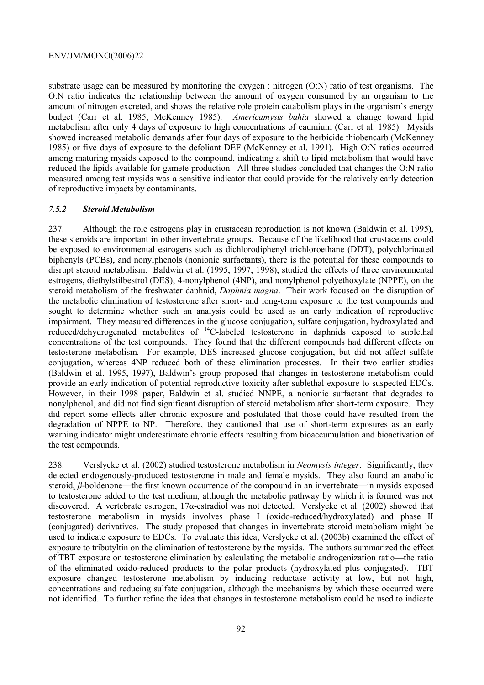substrate usage can be measured by monitoring the oxygen : nitrogen (O:N) ratio of test organisms. The O:N ratio indicates the relationship between the amount of oxygen consumed by an organism to the amount of nitrogen excreted, and shows the relative role protein catabolism plays in the organism's energy budget (Carr et al. 1985; McKenney 1985). *Americamysis bahia* showed a change toward lipid metabolism after only 4 days of exposure to high concentrations of cadmium (Carr et al. 1985). Mysids showed increased metabolic demands after four days of exposure to the herbicide thiobencarb (McKenney 1985) or five days of exposure to the defoliant DEF (McKenney et al. 1991). High O:N ratios occurred among maturing mysids exposed to the compound, indicating a shift to lipid metabolism that would have reduced the lipids available for gamete production. All three studies concluded that changes the O:N ratio measured among test mysids was a sensitive indicator that could provide for the relatively early detection of reproductive impacts by contaminants.

#### *7.5.2 Steroid Metabolism*

237. Although the role estrogens play in crustacean reproduction is not known (Baldwin et al. 1995), these steroids are important in other invertebrate groups. Because of the likelihood that crustaceans could be exposed to environmental estrogens such as dichlorodiphenyl trichloroethane (DDT), polychlorinated biphenyls (PCBs), and nonylphenols (nonionic surfactants), there is the potential for these compounds to disrupt steroid metabolism. Baldwin et al. (1995, 1997, 1998), studied the effects of three environmental estrogens, diethylstilbestrol (DES), 4-nonylphenol (4NP), and nonylphenol polyethoxylate (NPPE), on the steroid metabolism of the freshwater daphnid, *Daphnia magna*. Their work focused on the disruption of the metabolic elimination of testosterone after short- and long-term exposure to the test compounds and sought to determine whether such an analysis could be used as an early indication of reproductive impairment. They measured differences in the glucose conjugation, sulfate conjugation, hydroxylated and reduced/dehydrogenated metabolites of <sup>14</sup>C-labeled testosterone in daphnids exposed to sublethal concentrations of the test compounds. They found that the different compounds had different effects on testosterone metabolism. For example, DES increased glucose conjugation, but did not affect sulfate conjugation, whereas 4NP reduced both of these elimination processes. In their two earlier studies (Baldwin et al. 1995, 1997), Baldwin's group proposed that changes in testosterone metabolism could provide an early indication of potential reproductive toxicity after sublethal exposure to suspected EDCs. However, in their 1998 paper, Baldwin et al. studied NNPE, a nonionic surfactant that degrades to nonylphenol, and did not find significant disruption of steroid metabolism after short-term exposure. They did report some effects after chronic exposure and postulated that those could have resulted from the degradation of NPPE to NP. Therefore, they cautioned that use of short-term exposures as an early warning indicator might underestimate chronic effects resulting from bioaccumulation and bioactivation of the test compounds.

238. Verslycke et al. (2002) studied testosterone metabolism in *Neomysis integer*. Significantly, they detected endogenously-produced testosterone in male and female mysids. They also found an anabolic steroid, *β*-boldenone—the first known occurrence of the compound in an invertebrate—in mysids exposed to testosterone added to the test medium, although the metabolic pathway by which it is formed was not discovered. A vertebrate estrogen, 17α-estradiol was not detected. Verslycke et al. (2002) showed that testosterone metabolism in mysids involves phase I (oxido-reduced/hydroxylated) and phase II (conjugated) derivatives. The study proposed that changes in invertebrate steroid metabolism might be used to indicate exposure to EDCs. To evaluate this idea, Verslycke et al. (2003b) examined the effect of exposure to tributyltin on the elimination of testosterone by the mysids. The authors summarized the effect of TBT exposure on testosterone elimination by calculating the metabolic androgenization ratio—the ratio of the eliminated oxido-reduced products to the polar products (hydroxylated plus conjugated). TBT exposure changed testosterone metabolism by inducing reductase activity at low, but not high, concentrations and reducing sulfate conjugation, although the mechanisms by which these occurred were not identified. To further refine the idea that changes in testosterone metabolism could be used to indicate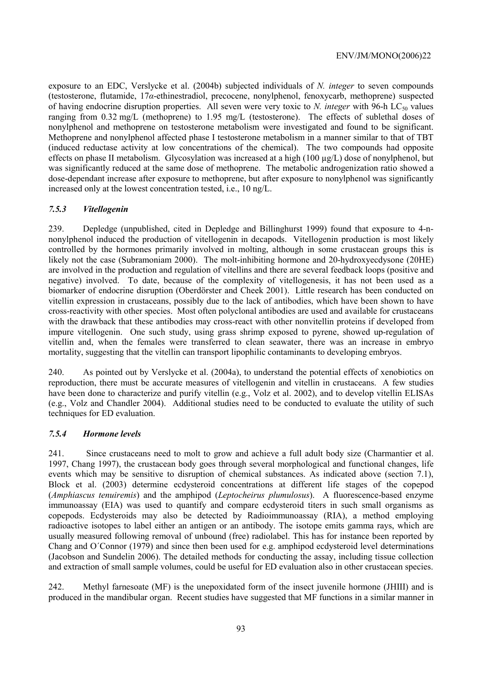exposure to an EDC, Verslycke et al. (2004b) subjected individuals of *N. integer* to seven compounds (testosterone, flutamide, 17*α*-ethinestradiol, precocene, nonylphenol, fenoxycarb, methoprene) suspected of having endocrine disruption properties. All seven were very toxic to *N. integer* with 96-h LC<sub>50</sub> values ranging from 0.32 mg/L (methoprene) to 1.95 mg/L (testosterone). The effects of sublethal doses of nonylphenol and methoprene on testosterone metabolism were investigated and found to be significant. Methoprene and nonylphenol affected phase I testosterone metabolism in a manner similar to that of TBT (induced reductase activity at low concentrations of the chemical). The two compounds had opposite effects on phase II metabolism. Glycosylation was increased at a high (100 µg/L) dose of nonylphenol, but was significantly reduced at the same dose of methoprene. The metabolic androgenization ratio showed a dose-dependant increase after exposure to methoprene, but after exposure to nonylphenol was significantly increased only at the lowest concentration tested, i.e., 10 ng/L.

### *7.5.3 Vitellogenin*

239. Depledge (unpublished, cited in Depledge and Billinghurst 1999) found that exposure to 4-nnonylphenol induced the production of vitellogenin in decapods. Vitellogenin production is most likely controlled by the hormones primarily involved in molting, although in some crustacean groups this is likely not the case (Subramoniam 2000). The molt-inhibiting hormone and 20-hydroxyecdysone (20HE) are involved in the production and regulation of vitellins and there are several feedback loops (positive and negative) involved. To date, because of the complexity of vitellogenesis, it has not been used as a biomarker of endocrine disruption (Oberdörster and Cheek 2001). Little research has been conducted on vitellin expression in crustaceans, possibly due to the lack of antibodies, which have been shown to have cross-reactivity with other species. Most often polyclonal antibodies are used and available for crustaceans with the drawback that these antibodies may cross-react with other nonvitellin proteins if developed from impure vitellogenin. One such study, using grass shrimp exposed to pyrene, showed up-regulation of vitellin and, when the females were transferred to clean seawater, there was an increase in embryo mortality, suggesting that the vitellin can transport lipophilic contaminants to developing embryos.

240. As pointed out by Verslycke et al. (2004a), to understand the potential effects of xenobiotics on reproduction, there must be accurate measures of vitellogenin and vitellin in crustaceans. A few studies have been done to characterize and purify vitellin (e.g., Volz et al. 2002), and to develop vitellin ELISAs (e.g., Volz and Chandler 2004). Additional studies need to be conducted to evaluate the utility of such techniques for ED evaluation.

### *7.5.4 Hormone levels*

241. Since crustaceans need to molt to grow and achieve a full adult body size (Charmantier et al. 1997, Chang 1997), the crustacean body goes through several morphological and functional changes, life events which may be sensitive to disruption of chemical substances. As indicated above (section 7.1), Block et al. (2003) determine ecdysteroid concentrations at different life stages of the copepod (*Amphiascus tenuiremis*) and the amphipod (*Leptocheirus plumulosus*). A fluorescence-based enzyme immunoassay (EIA) was used to quantify and compare ecdysteroid titers in such small organisms as copepods. Ecdysteroids may also be detected by Radioimmunoassay (RIA), a method employing radioactive isotopes to label either an antigen or an antibody. The isotope emits gamma rays, which are usually measured following removal of unbound (free) radiolabel. This has for instance been reported by Chang and O´Connor (1979) and since then been used for e.g. amphipod ecdysteroid level determinations (Jacobson and Sundelin 2006). The detailed methods for conducting the assay, including tissue collection and extraction of small sample volumes, could be useful for ED evaluation also in other crustacean species.

242. Methyl farnesoate (MF) is the unepoxidated form of the insect juvenile hormone (JHIII) and is produced in the mandibular organ. Recent studies have suggested that MF functions in a similar manner in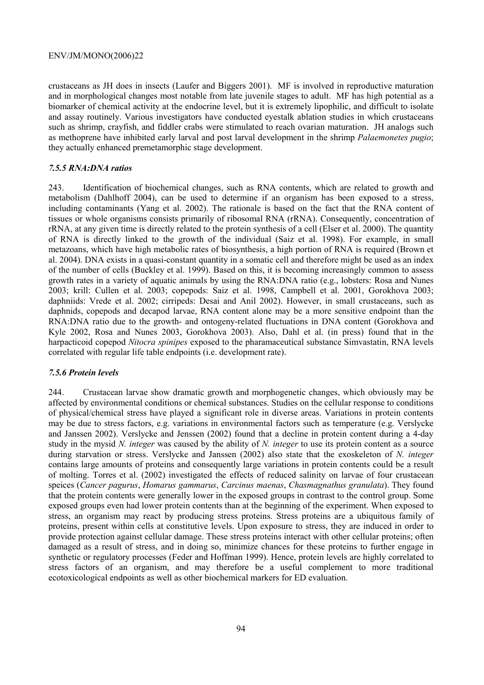crustaceans as JH does in insects (Laufer and Biggers 2001). MF is involved in reproductive maturation and in morphological changes most notable from late juvenile stages to adult. MF has high potential as a biomarker of chemical activity at the endocrine level, but it is extremely lipophilic, and difficult to isolate and assay routinely. Various investigators have conducted eyestalk ablation studies in which crustaceans such as shrimp, crayfish, and fiddler crabs were stimulated to reach ovarian maturation. JH analogs such as methoprene have inhibited early larval and post larval development in the shrimp *Palaemonetes pugio*; they actually enhanced premetamorphic stage development.

### *7.5.5 RNA:DNA ratios*

243. Identification of biochemical changes, such as RNA contents, which are related to growth and metabolism (Dahlhoff 2004), can be used to determine if an organism has been exposed to a stress, including contaminants (Yang et al. 2002). The rationale is based on the fact that the RNA content of tissues or whole organisms consists primarily of ribosomal RNA (rRNA). Consequently, concentration of rRNA, at any given time is directly related to the protein synthesis of a cell (Elser et al. 2000). The quantity of RNA is directly linked to the growth of the individual (Saiz et al. 1998). For example, in small metazoans, which have high metabolic rates of biosynthesis, a high portion of RNA is required (Brown et al. 2004). DNA exists in a quasi-constant quantity in a somatic cell and therefore might be used as an index of the number of cells (Buckley et al. 1999). Based on this, it is becoming increasingly common to assess growth rates in a variety of aquatic animals by using the RNA:DNA ratio (e.g., lobsters: Rosa and Nunes 2003; krill: Cullen et al. 2003; copepods: Saiz et al. 1998, Campbell et al. 2001, Gorokhova 2003; daphniids: Vrede et al. 2002; cirripeds: Desai and Anil 2002). However, in small crustaceans, such as daphnids, copepods and decapod larvae, RNA content alone may be a more sensitive endpoint than the RNA:DNA ratio due to the growth- and ontogeny-related fluctuations in DNA content (Gorokhova and Kyle 2002, Rosa and Nunes 2003, Gorokhova 2003). Also, Dahl et al. (in press) found that in the harpacticoid copepod *Nitocra spinipes* exposed to the pharamaceutical substance Simvastatin, RNA levels correlated with regular life table endpoints (i.e. development rate).

### *7.5.6 Protein levels*

244. Crustacean larvae show dramatic growth and morphogenetic changes, which obviously may be affected by environmental conditions or chemical substances. Studies on the cellular response to conditions of physical/chemical stress have played a significant role in diverse areas. Variations in protein contents may be due to stress factors, e.g. variations in environmental factors such as temperature (e.g. Verslycke and Janssen 2002). Verslycke and Jenssen (2002) found that a decline in protein content during a 4-day study in the mysid *N. integer* was caused by the ability of *N. integer* to use its protein content as a source during starvation or stress. Verslycke and Janssen (2002) also state that the exoskeleton of *N. integer* contains large amounts of proteins and consequently large variations in protein contents could be a result of molting. Torres et al. (2002) investigated the effects of reduced salinity on larvae of four crustacean speices (*Cancer pagurus*, *Homarus gammarus*, *Carcinus maenas*, *Chasmagnathus granulata*). They found that the protein contents were generally lower in the exposed groups in contrast to the control group. Some exposed groups even had lower protein contents than at the beginning of the experiment. When exposed to stress, an organism may react by producing stress proteins. Stress proteins are a ubiquitous family of proteins, present within cells at constitutive levels. Upon exposure to stress, they are induced in order to provide protection against cellular damage. These stress proteins interact with other cellular proteins; often damaged as a result of stress, and in doing so, minimize chances for these proteins to further engage in synthetic or regulatory processes (Feder and Hoffman 1999). Hence, protein levels are highly correlated to stress factors of an organism, and may therefore be a useful complement to more traditional ecotoxicological endpoints as well as other biochemical markers for ED evaluation.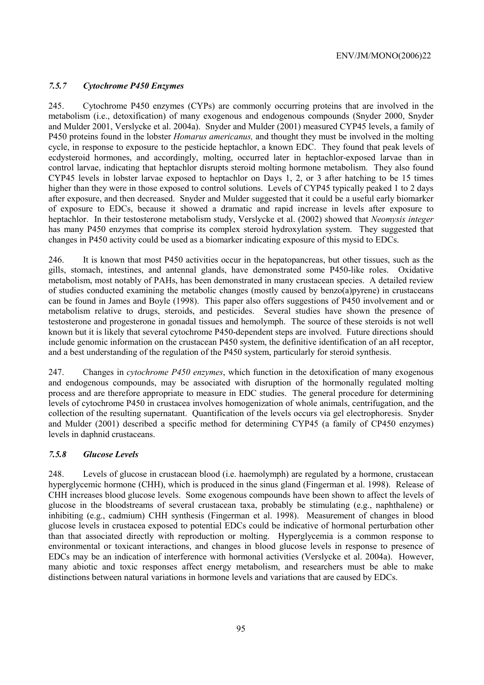### *7.5.7 Cytochrome P450 Enzymes*

245. Cytochrome P450 enzymes (CYPs) are commonly occurring proteins that are involved in the metabolism (i.e., detoxification) of many exogenous and endogenous compounds (Snyder 2000, Snyder and Mulder 2001, Verslycke et al. 2004a). Snyder and Mulder (2001) measured CYP45 levels, a family of P450 proteins found in the lobster *Homarus americanus,* and thought they must be involved in the molting cycle, in response to exposure to the pesticide heptachlor, a known EDC. They found that peak levels of ecdysteroid hormones, and accordingly, molting, occurred later in heptachlor-exposed larvae than in control larvae, indicating that heptachlor disrupts steroid molting hormone metabolism. They also found CYP45 levels in lobster larvae exposed to heptachlor on Days 1, 2, or 3 after hatching to be 15 times higher than they were in those exposed to control solutions. Levels of CYP45 typically peaked 1 to 2 days after exposure, and then decreased. Snyder and Mulder suggested that it could be a useful early biomarker of exposure to EDCs, because it showed a dramatic and rapid increase in levels after exposure to heptachlor. In their testosterone metabolism study, Verslycke et al. (2002) showed that *Neomysis integer* has many P450 enzymes that comprise its complex steroid hydroxylation system. They suggested that changes in P450 activity could be used as a biomarker indicating exposure of this mysid to EDCs.

246. It is known that most P450 activities occur in the hepatopancreas, but other tissues, such as the gills, stomach, intestines, and antennal glands, have demonstrated some P450-like roles. Oxidative metabolism, most notably of PAHs, has been demonstrated in many crustacean species. A detailed review of studies conducted examining the metabolic changes (mostly caused by benzo(a)pyrene) in crustaceans can be found in James and Boyle (1998). This paper also offers suggestions of P450 involvement and or metabolism relative to drugs, steroids, and pesticides. Several studies have shown the presence of testosterone and progesterone in gonadal tissues and hemolymph. The source of these steroids is not well known but it is likely that several cytochrome P450-dependent steps are involved. Future directions should include genomic information on the crustacean P450 system, the definitive identification of an aH receptor, and a best understanding of the regulation of the P450 system, particularly for steroid synthesis.

247. Changes in *cytochrome P450 enzymes*, which function in the detoxification of many exogenous and endogenous compounds, may be associated with disruption of the hormonally regulated molting process and are therefore appropriate to measure in EDC studies. The general procedure for determining levels of cytochrome P450 in crustacea involves homogenization of whole animals, centrifugation, and the collection of the resulting supernatant. Quantification of the levels occurs via gel electrophoresis. Snyder and Mulder (2001) described a specific method for determining CYP45 (a family of CP450 enzymes) levels in daphnid crustaceans.

#### *7.5.8 Glucose Levels*

248. Levels of glucose in crustacean blood (i.e. haemolymph) are regulated by a hormone, crustacean hyperglycemic hormone (CHH), which is produced in the sinus gland (Fingerman et al. 1998). Release of CHH increases blood glucose levels. Some exogenous compounds have been shown to affect the levels of glucose in the bloodstreams of several crustacean taxa, probably be stimulating (e.g., naphthalene) or inhibiting (e.g., cadmium) CHH synthesis (Fingerman et al. 1998). Measurement of changes in blood glucose levels in crustacea exposed to potential EDCs could be indicative of hormonal perturbation other than that associated directly with reproduction or molting. Hyperglycemia is a common response to environmental or toxicant interactions, and changes in blood glucose levels in response to presence of EDCs may be an indication of interference with hormonal activities (Verslycke et al. 2004a). However, many abiotic and toxic responses affect energy metabolism, and researchers must be able to make distinctions between natural variations in hormone levels and variations that are caused by EDCs.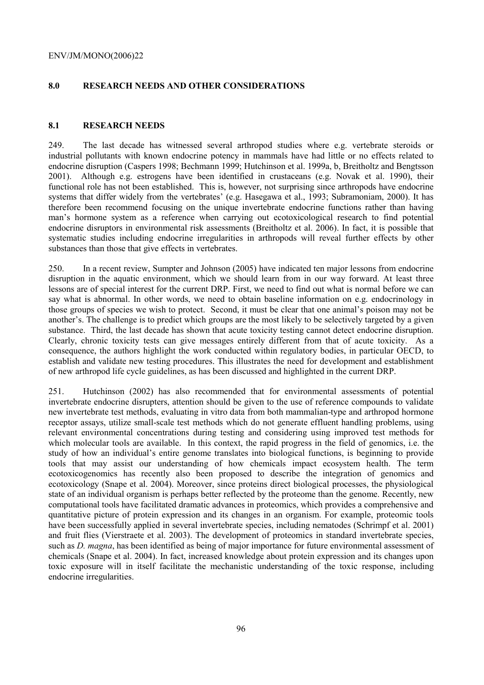# **8.0 RESEARCH NEEDS AND OTHER CONSIDERATIONS**

### **8.1 RESEARCH NEEDS**

249. The last decade has witnessed several arthropod studies where e.g. vertebrate steroids or industrial pollutants with known endocrine potency in mammals have had little or no effects related to endocrine disruption (Caspers 1998; Bechmann 1999; Hutchinson et al. 1999a, b, Breitholtz and Bengtsson 2001). Although e.g. estrogens have been identified in crustaceans (e.g. Novak et al. 1990), their functional role has not been established. This is, however, not surprising since arthropods have endocrine systems that differ widely from the vertebrates' (e.g. Hasegawa et al., 1993; Subramoniam, 2000). It has therefore been recommend focusing on the unique invertebrate endocrine functions rather than having man's hormone system as a reference when carrying out ecotoxicological research to find potential endocrine disruptors in environmental risk assessments (Breitholtz et al. 2006). In fact, it is possible that systematic studies including endocrine irregularities in arthropods will reveal further effects by other substances than those that give effects in vertebrates.

250. In a recent review, Sumpter and Johnson (2005) have indicated ten major lessons from endocrine disruption in the aquatic environment, which we should learn from in our way forward. At least three lessons are of special interest for the current DRP. First, we need to find out what is normal before we can say what is abnormal. In other words, we need to obtain baseline information on e.g. endocrinology in those groups of species we wish to protect. Second, it must be clear that one animal's poison may not be another's. The challenge is to predict which groups are the most likely to be selectively targeted by a given substance. Third, the last decade has shown that acute toxicity testing cannot detect endocrine disruption. Clearly, chronic toxicity tests can give messages entirely different from that of acute toxicity. As a consequence, the authors highlight the work conducted within regulatory bodies, in particular OECD, to establish and validate new testing procedures. This illustrates the need for development and establishment of new arthropod life cycle guidelines, as has been discussed and highlighted in the current DRP.

251. Hutchinson (2002) has also recommended that for environmental assessments of potential invertebrate endocrine disrupters, attention should be given to the use of reference compounds to validate new invertebrate test methods, evaluating in vitro data from both mammalian-type and arthropod hormone receptor assays, utilize small-scale test methods which do not generate effluent handling problems, using relevant environmental concentrations during testing and considering using improved test methods for which molecular tools are available. In this context, the rapid progress in the field of genomics, i.e. the study of how an individual's entire genome translates into biological functions, is beginning to provide tools that may assist our understanding of how chemicals impact ecosystem health. The term ecotoxicogenomics has recently also been proposed to describe the integration of genomics and ecotoxicology (Snape et al. 2004). Moreover, since proteins direct biological processes, the physiological state of an individual organism is perhaps better reflected by the proteome than the genome. Recently, new computational tools have facilitated dramatic advances in proteomics, which provides a comprehensive and quantitative picture of protein expression and its changes in an organism. For example, proteomic tools have been successfully applied in several invertebrate species, including nematodes (Schrimpf et al. 2001) and fruit flies (Vierstraete et al. 2003). The development of proteomics in standard invertebrate species, such as *D. magna*, has been identified as being of major importance for future environmental assessment of chemicals (Snape et al. 2004). In fact, increased knowledge about protein expression and its changes upon toxic exposure will in itself facilitate the mechanistic understanding of the toxic response, including endocrine irregularities.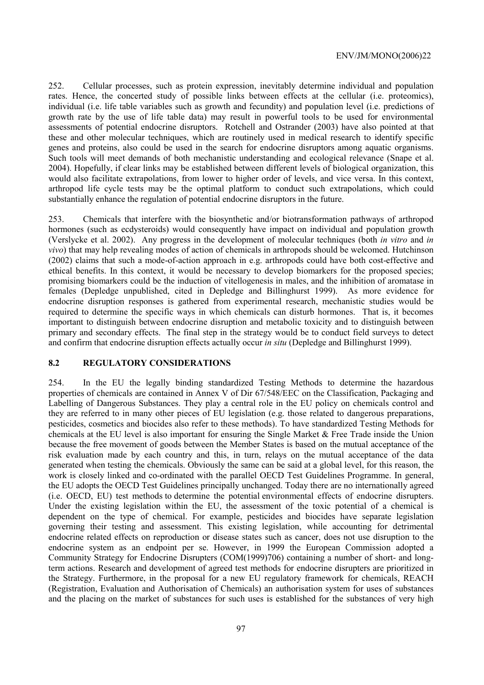252. Cellular processes, such as protein expression, inevitably determine individual and population rates. Hence, the concerted study of possible links between effects at the cellular (i.e. proteomics), individual (i.e. life table variables such as growth and fecundity) and population level (i.e. predictions of growth rate by the use of life table data) may result in powerful tools to be used for environmental assessments of potential endocrine disruptors. Rotchell and Ostrander (2003) have also pointed at that these and other molecular techniques, which are routinely used in medical research to identify specific genes and proteins, also could be used in the search for endocrine disruptors among aquatic organisms. Such tools will meet demands of both mechanistic understanding and ecological relevance (Snape et al. 2004). Hopefully, if clear links may be established between different levels of biological organization, this would also facilitate extrapolations, from lower to higher order of levels, and vice versa. In this context, arthropod life cycle tests may be the optimal platform to conduct such extrapolations, which could substantially enhance the regulation of potential endocrine disruptors in the future.

253. Chemicals that interfere with the biosynthetic and/or biotransformation pathways of arthropod hormones (such as ecdysteroids) would consequently have impact on individual and population growth (Verslycke et al. 2002). Any progress in the development of molecular techniques (both *in vitro* and *in vivo*) that may help revealing modes of action of chemicals in arthropods should be welcomed. Hutchinson (2002) claims that such a mode-of-action approach in e.g. arthropods could have both cost-effective and ethical benefits. In this context, it would be necessary to develop biomarkers for the proposed species; promising biomarkers could be the induction of vitellogenesis in males, and the inhibition of aromatase in females (Depledge unpublished, cited in Depledge and Billinghurst 1999). As more evidence for endocrine disruption responses is gathered from experimental research, mechanistic studies would be required to determine the specific ways in which chemicals can disturb hormones. That is, it becomes important to distinguish between endocrine disruption and metabolic toxicity and to distinguish between primary and secondary effects. The final step in the strategy would be to conduct field surveys to detect and confirm that endocrine disruption effects actually occur *in situ* (Depledge and Billinghurst 1999).

#### **8.2 REGULATORY CONSIDERATIONS**

254. In the EU the legally binding standardized Testing Methods to determine the hazardous properties of chemicals are contained in Annex V of Dir 67/548/EEC on the Classification, Packaging and Labelling of Dangerous Substances. They play a central role in the EU policy on chemicals control and they are referred to in many other pieces of EU legislation (e.g. those related to dangerous preparations, pesticides, cosmetics and biocides also refer to these methods). To have standardized Testing Methods for chemicals at the EU level is also important for ensuring the Single Market & Free Trade inside the Union because the free movement of goods between the Member States is based on the mutual acceptance of the risk evaluation made by each country and this, in turn, relays on the mutual acceptance of the data generated when testing the chemicals. Obviously the same can be said at a global level, for this reason, the work is closely linked and co-ordinated with the parallel OECD Test Guidelines Programme. In general, the EU adopts the OECD Test Guidelines principally unchanged. Today there are no internationally agreed (i.e. OECD, EU) test methods to determine the potential environmental effects of endocrine disrupters. Under the existing legislation within the EU, the assessment of the toxic potential of a chemical is dependent on the type of chemical. For example, pesticides and biocides have separate legislation governing their testing and assessment. This existing legislation, while accounting for detrimental endocrine related effects on reproduction or disease states such as cancer, does not use disruption to the endocrine system as an endpoint per se. However, in 1999 the European Commission adopted a Community Strategy for Endocrine Disrupters (COM(1999)706) containing a number of short- and longterm actions. Research and development of agreed test methods for endocrine disrupters are prioritized in the Strategy. Furthermore, in the proposal for a new EU regulatory framework for chemicals, REACH (Registration, Evaluation and Authorisation of Chemicals) an authorisation system for uses of substances and the placing on the market of substances for such uses is established for the substances of very high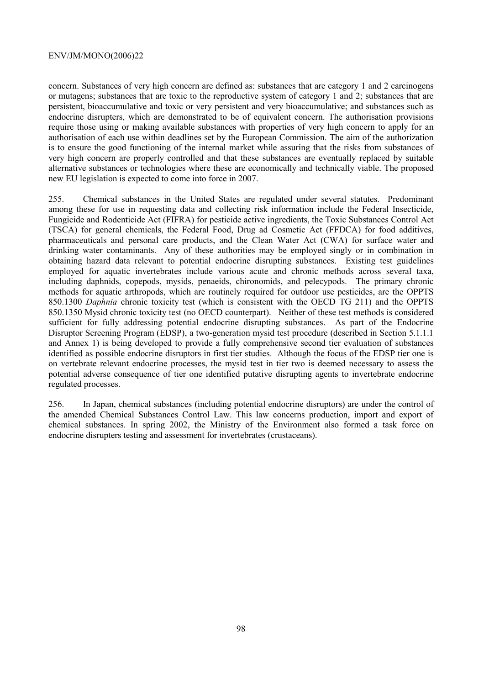concern. Substances of very high concern are defined as: substances that are category 1 and 2 carcinogens or mutagens; substances that are toxic to the reproductive system of category 1 and 2; substances that are persistent, bioaccumulative and toxic or very persistent and very bioaccumulative; and substances such as endocrine disrupters, which are demonstrated to be of equivalent concern. The authorisation provisions require those using or making available substances with properties of very high concern to apply for an authorisation of each use within deadlines set by the European Commission. The aim of the authorization is to ensure the good functioning of the internal market while assuring that the risks from substances of very high concern are properly controlled and that these substances are eventually replaced by suitable alternative substances or technologies where these are economically and technically viable. The proposed new EU legislation is expected to come into force in 2007.

255. Chemical substances in the United States are regulated under several statutes. Predominant among these for use in requesting data and collecting risk information include the Federal Insecticide, Fungicide and Rodenticide Act (FIFRA) for pesticide active ingredients, the Toxic Substances Control Act (TSCA) for general chemicals, the Federal Food, Drug ad Cosmetic Act (FFDCA) for food additives, pharmaceuticals and personal care products, and the Clean Water Act (CWA) for surface water and drinking water contaminants. Any of these authorities may be employed singly or in combination in obtaining hazard data relevant to potential endocrine disrupting substances. Existing test guidelines employed for aquatic invertebrates include various acute and chronic methods across several taxa, including daphnids, copepods, mysids, penaeids, chironomids, and pelecypods. The primary chronic methods for aquatic arthropods, which are routinely required for outdoor use pesticides, are the OPPTS 850.1300 *Daphnia* chronic toxicity test (which is consistent with the OECD TG 211) and the OPPTS 850.1350 Mysid chronic toxicity test (no OECD counterpart). Neither of these test methods is considered sufficient for fully addressing potential endocrine disrupting substances. As part of the Endocrine Disruptor Screening Program (EDSP), a two-generation mysid test procedure (described in Section 5.1.1.1 and Annex 1) is being developed to provide a fully comprehensive second tier evaluation of substances identified as possible endocrine disruptors in first tier studies. Although the focus of the EDSP tier one is on vertebrate relevant endocrine processes, the mysid test in tier two is deemed necessary to assess the potential adverse consequence of tier one identified putative disrupting agents to invertebrate endocrine regulated processes.

256. In Japan, chemical substances (including potential endocrine disruptors) are under the control of the amended Chemical Substances Control Law. This law concerns production, import and export of chemical substances. In spring 2002, the Ministry of the Environment also formed a task force on endocrine disrupters testing and assessment for invertebrates (crustaceans).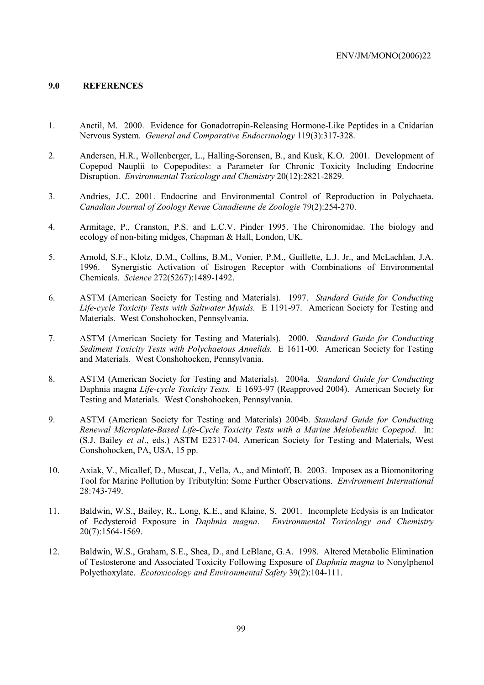### **9.0 REFERENCES**

- 1. Anctil, M. 2000. Evidence for Gonadotropin-Releasing Hormone-Like Peptides in a Cnidarian Nervous System. *General and Comparative Endocrinology* 119(3):317-328.
- 2. Andersen, H.R., Wollenberger, L., Halling-Sorensen, B., and Kusk, K.O. 2001. Development of Copepod Nauplii to Copepodites: a Parameter for Chronic Toxicity Including Endocrine Disruption. *Environmental Toxicology and Chemistry* 20(12):2821-2829.
- 3. Andries, J.C. 2001. Endocrine and Environmental Control of Reproduction in Polychaeta. *Canadian Journal of Zoology Revue Canadienne de Zoologie* 79(2):254-270.
- 4. Armitage, P., Cranston, P.S. and L.C.V. Pinder 1995. The Chironomidae. The biology and ecology of non-biting midges, Chapman & Hall, London, UK.
- 5. Arnold, S.F., Klotz, D.M., Collins, B.M., Vonier, P.M., Guillette, L.J. Jr., and McLachlan, J.A. 1996. Synergistic Activation of Estrogen Receptor with Combinations of Environmental Chemicals. *Science* 272(5267):1489-1492.
- 6. ASTM (American Society for Testing and Materials). 1997. *Standard Guide for Conducting Life-cycle Toxicity Tests with Saltwater Mysids.* E 1191-97. American Society for Testing and Materials. West Conshohocken, Pennsylvania.
- 7. ASTM (American Society for Testing and Materials). 2000. *Standard Guide for Conducting Sediment Toxicity Tests with Polychaetous Annelids.* E 1611-00. American Society for Testing and Materials. West Conshohocken, Pennsylvania.
- 8. ASTM (American Society for Testing and Materials). 2004a. *Standard Guide for Conducting*  Daphnia magna *Life-cycle Toxicity Tests.* E 1693-97 (Reapproved 2004). American Society for Testing and Materials. West Conshohocken, Pennsylvania.
- 9. ASTM (American Society for Testing and Materials) 2004b. *Standard Guide for Conducting Renewal Microplate-Based Life-Cycle Toxicity Tests with a Marine Meiobenthic Copepod.* In: (S.J. Bailey *et al*., eds.) ASTM E2317-04, American Society for Testing and Materials, West Conshohocken, PA, USA, 15 pp.
- 10. Axiak, V., Micallef, D., Muscat, J., Vella, A., and Mintoff, B. 2003. Imposex as a Biomonitoring Tool for Marine Pollution by Tributyltin: Some Further Observations. *Environment International* 28:743-749.
- 11. Baldwin, W.S., Bailey, R., Long, K.E., and Klaine, S. 2001. Incomplete Ecdysis is an Indicator of Ecdysteroid Exposure in *Daphnia magna*. *Environmental Toxicology and Chemistry* 20(7):1564-1569.
- 12. Baldwin, W.S., Graham, S.E., Shea, D., and LeBlanc, G.A. 1998. Altered Metabolic Elimination of Testosterone and Associated Toxicity Following Exposure of *Daphnia magna* to Nonylphenol Polyethoxylate. *Ecotoxicology and Environmental Safety* 39(2):104-111.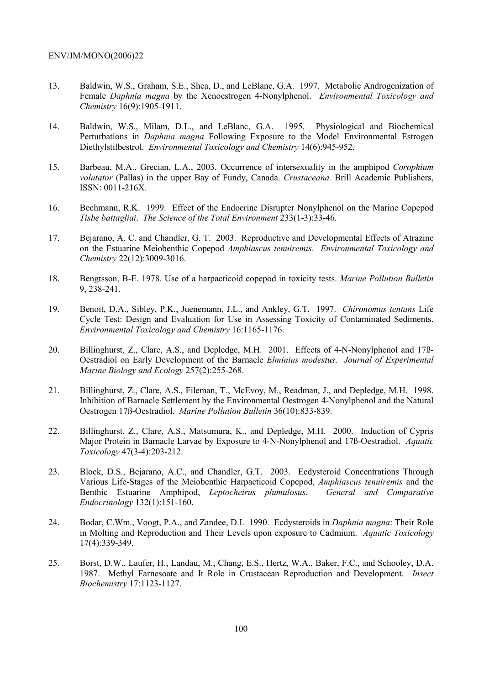- 13. Baldwin, W.S., Graham, S.E., Shea, D., and LeBlanc, G.A. 1997. Metabolic Androgenization of Female *Daphnia magna* by the Xenoestrogen 4-Nonylphenol. *Environmental Toxicology and Chemistry* 16(9):1905-1911.
- 14. Baldwin, W.S., Milam, D.L., and LeBlanc, G.A. 1995. Physiological and Biochemical Perturbations in *Daphnia magna* Following Exposure to the Model Environmental Estrogen Diethylstilbestrol. *Environmental Toxicology and Chemistry* 14(6):945-952.
- 15. Barbeau, M.A., Grecian, L.A., 2003. Occurrence of intersexuality in the amphipod *Corophium volutator* (Pallas) in the upper Bay of Fundy, Canada. *Crustaceana.* Brill Academic Publishers, ISSN: 0011-216X.
- 16. Bechmann, R.K. 1999. Effect of the Endocrine Disrupter Nonylphenol on the Marine Copepod *Tisbe battagliai*. *The Science of the Total Environment* 233(1-3):33-46.
- 17. Bejarano, A. C. and Chandler, G. T. 2003. Reproductive and Developmental Effects of Atrazine on the Estuarine Meiobenthic Copepod *Amphiascus tenuiremis*. *Environmental Toxicology and Chemistry* 22(12):3009-3016.
- 18. Bengtsson, B-E. 1978. Use of a harpacticoid copepod in toxicity tests. *Marine Pollution Bulletin* 9, 238-241.
- 19. Benoit, D.A., Sibley, P.K., Juenemann, J.L., and Ankley, G.T. 1997. *Chironomus tentans* Life Cycle Test: Design and Evaluation for Use in Assessing Toxicity of Contaminated Sediments. *Environmental Toxicology and Chemistry* 16:1165-1176.
- 20. Billinghurst, Z., Clare, A.S., and Depledge, M.H. 2001. Effects of 4-N-Nonylphenol and 17ß-Oestradiol on Early Development of the Barnacle *Elminius modestus*. *Journal of Experimental Marine Biology and Ecology* 257(2):255-268.
- 21. Billinghurst, Z., Clare, A.S., Fileman, T., McEvoy, M., Readman, J., and Depledge, M.H. 1998. Inhibition of Barnacle Settlement by the Environmental Oestrogen 4-Nonylphenol and the Natural Oestrogen 17ß-Oestradiol. *Marine Pollution Bulletin* 36(10):833-839.
- 22. Billinghurst, Z., Clare, A.S., Matsumura, K., and Depledge, M.H. 2000. Induction of Cypris Major Protein in Barnacle Larvae by Exposure to 4-N-Nonylphenol and 17ß-Oestradiol. *Aquatic Toxicology* 47(3-4):203-212.
- 23. Block, D.S., Bejarano, A.C., and Chandler, G.T. 2003. Ecdysteroid Concentrations Through Various Life-Stages of the Meiobenthic Harpacticoid Copepod, *Amphiascus tenuiremis* and the Benthic Estuarine Amphipod, *Leptocheirus plumulosus*. *General and Comparative Endocrinology* 132(1):151-160.
- 24. Bodar, C.Wm., Voogt, P.A., and Zandee, D.I. 1990. Ecdysteroids in *Daphnia magna*: Their Role in Molting and Reproduction and Their Levels upon exposure to Cadmium. *Aquatic Toxicology* 17(4):339-349.
- 25. Borst, D.W., Laufer, H., Landau, M., Chang, E.S., Hertz, W.A., Baker, F.C., and Schooley, D.A. 1987. Methyl Farnesoate and It Role in Crustacean Reproduction and Development. *Insect Biochemistry* 17:1123-1127.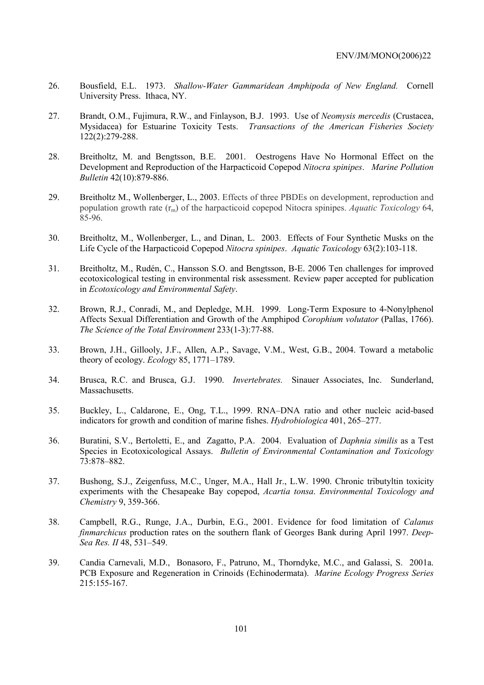- 26. Bousfield, E.L. 1973. *Shallow-Water Gammaridean Amphipoda of New England.* Cornell University Press. Ithaca, NY.
- 27. Brandt, O.M., Fujimura, R.W., and Finlayson, B.J. 1993. Use of *Neomysis mercedis* (Crustacea, Mysidacea) for Estuarine Toxicity Tests. *Transactions of the American Fisheries Society* 122(2):279-288.
- 28. Breitholtz, M. and Bengtsson, B.E. 2001. Oestrogens Have No Hormonal Effect on the Development and Reproduction of the Harpacticoid Copepod *Nitocra spinipes*. *Marine Pollution Bulletin* 42(10):879-886.
- 29. Breitholtz M., Wollenberger, L., 2003. Effects of three PBDEs on development, reproduction and population growth rate (rm) of the harpacticoid copepod Nitocra spinipes. *Aquatic Toxicology* 64, 85-96.
- 30. Breitholtz, M., Wollenberger, L., and Dinan, L. 2003. Effects of Four Synthetic Musks on the Life Cycle of the Harpacticoid Copepod *Nitocra spinipes*. *Aquatic Toxicology* 63(2):103-118.
- 31. Breitholtz, M., Rudén, C., Hansson S.O. and Bengtsson, B-E. 2006 Ten challenges for improved ecotoxicological testing in environmental risk assessment. Review paper accepted for publication in *Ecotoxicology and Environmental Safety*.
- 32. Brown, R.J., Conradi, M., and Depledge, M.H. 1999. Long-Term Exposure to 4-Nonylphenol Affects Sexual Differentiation and Growth of the Amphipod *Corophium volutator* (Pallas, 1766). *The Science of the Total Environment* 233(1-3):77-88.
- 33. Brown, J.H., Gillooly, J.F., Allen, A.P., Savage, V.M., West, G.B., 2004. Toward a metabolic theory of ecology. *Ecology* 85, 1771–1789.
- 34. Brusca, R.C. and Brusca, G.J. 1990. *Invertebrates.* Sinauer Associates, Inc. Sunderland, Massachusetts.
- 35. Buckley, L., Caldarone, E., Ong, T.L., 1999. RNA–DNA ratio and other nucleic acid-based indicators for growth and condition of marine fishes. *Hydrobiologica* 401, 265–277.
- 36. Buratini, S.V., Bertoletti, E., and Zagatto, P.A. 2004. Evaluation of *Daphnia similis* as a Test Species in Ecotoxicological Assays. *Bulletin of Environmental Contamination and Toxicology* 73:878–882.
- 37. Bushong, S.J., Zeigenfuss, M.C., Unger, M.A., Hall Jr., L.W. 1990. Chronic tributyltin toxicity experiments with the Chesapeake Bay copepod, *Acartia tonsa*. *Environmental Toxicology and Chemistry* 9, 359-366.
- 38. Campbell, R.G., Runge, J.A., Durbin, E.G., 2001. Evidence for food limitation of *Calanus finmarchicus* production rates on the southern flank of Georges Bank during April 1997. *Deep-Sea Res. II* 48, 531–549.
- 39. Candia Carnevali, M.D., Bonasoro, F., Patruno, M., Thorndyke, M.C., and Galassi, S. 2001a. PCB Exposure and Regeneration in Crinoids (Echinodermata). *Marine Ecology Progress Series* 215:155-167.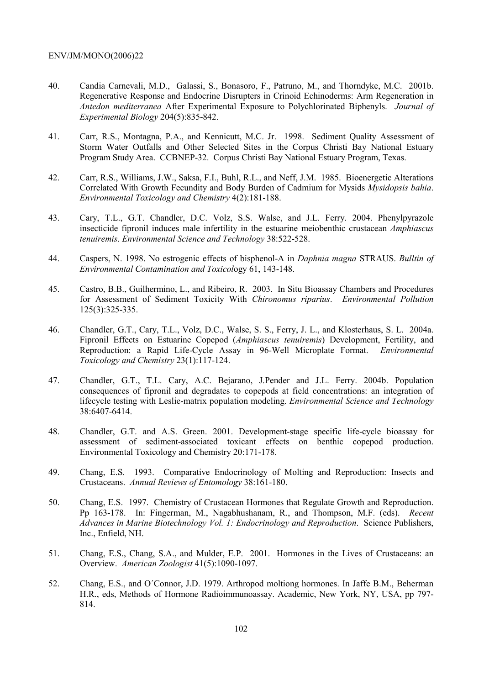- 40. Candia Carnevali, M.D., Galassi, S., Bonasoro, F., Patruno, M., and Thorndyke, M.C. 2001b. Regenerative Response and Endocrine Disrupters in Crinoid Echinoderms: Arm Regeneration in *Antedon mediterranea* After Experimental Exposure to Polychlorinated Biphenyls. *Journal of Experimental Biology* 204(5):835-842.
- 41. Carr, R.S., Montagna, P.A., and Kennicutt, M.C. Jr. 1998. Sediment Quality Assessment of Storm Water Outfalls and Other Selected Sites in the Corpus Christi Bay National Estuary Program Study Area. CCBNEP-32. Corpus Christi Bay National Estuary Program, Texas.
- 42. Carr, R.S., Williams, J.W., Saksa, F.I., Buhl, R.L., and Neff, J.M. 1985. Bioenergetic Alterations Correlated With Growth Fecundity and Body Burden of Cadmium for Mysids *Mysidopsis bahia*. *Environmental Toxicology and Chemistry* 4(2):181-188.
- 43. Cary, T.L., G.T. Chandler, D.C. Volz, S.S. Walse, and J.L. Ferry. 2004. Phenylpyrazole insecticide fipronil induces male infertility in the estuarine meiobenthic crustacean *Amphiascus tenuiremis*. *Environmental Science and Technology* 38:522-528.
- 44. Caspers, N. 1998. No estrogenic effects of bisphenol-A in *Daphnia magna* STRAUS. *Bulltin of Environmental Contamination and Toxicol*ogy 61, 143-148.
- 45. Castro, B.B., Guilhermino, L., and Ribeiro, R. 2003. In Situ Bioassay Chambers and Procedures for Assessment of Sediment Toxicity With *Chironomus riparius*. *Environmental Pollution* 125(3):325-335.
- 46. Chandler, G.T., Cary, T.L., Volz, D.C., Walse, S. S., Ferry, J. L., and Klosterhaus, S. L. 2004a. Fipronil Effects on Estuarine Copepod (*Amphiascus tenuiremis*) Development, Fertility, and Reproduction: a Rapid Life-Cycle Assay in 96-Well Microplate Format. *Environmental Toxicology and Chemistry* 23(1):117-124.
- 47. Chandler, G.T., T.L. Cary, A.C. Bejarano, J.Pender and J.L. Ferry. 2004b. Population consequences of fipronil and degradates to copepods at field concentrations: an integration of lifecycle testing with Leslie-matrix population modeling. *Environmental Science and Technology*  38:6407-6414.
- 48. Chandler, G.T. and A.S. Green. 2001. Development-stage specific life-cycle bioassay for assessment of sediment-associated toxicant effects on benthic copepod production. Environmental Toxicology and Chemistry 20:171-178.
- 49. Chang, E.S. 1993. Comparative Endocrinology of Molting and Reproduction: Insects and Crustaceans. *Annual Reviews of Entomology* 38:161-180.
- 50. Chang, E.S. 1997. Chemistry of Crustacean Hormones that Regulate Growth and Reproduction. Pp 163-178. In: Fingerman, M., Nagabhushanam, R., and Thompson, M.F. (eds). *Recent Advances in Marine Biotechnology Vol. 1: Endocrinology and Reproduction*. Science Publishers, Inc., Enfield, NH.
- 51. Chang, E.S., Chang, S.A., and Mulder, E.P. 2001. Hormones in the Lives of Crustaceans: an Overview. *American Zoologist* 41(5):1090-1097.
- 52. Chang, E.S., and O´Connor, J.D. 1979. Arthropod moltiong hormones. In Jaffe B.M., Beherman H.R., eds, Methods of Hormone Radioimmunoassay. Academic, New York, NY, USA, pp 797- 814.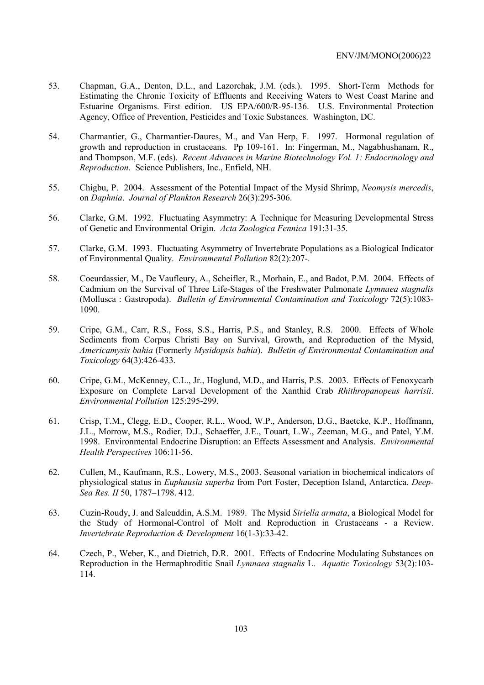- 53. Chapman, G.A., Denton, D.L., and Lazorchak, J.M. (eds.). 1995. Short-Term Methods for Estimating the Chronic Toxicity of Effluents and Receiving Waters to West Coast Marine and Estuarine Organisms. First edition. US EPA/600/R-95-136. U.S. Environmental Protection Agency, Office of Prevention, Pesticides and Toxic Substances. Washington, DC.
- 54. Charmantier, G., Charmantier-Daures, M., and Van Herp, F. 1997. Hormonal regulation of growth and reproduction in crustaceans. Pp 109-161. In: Fingerman, M., Nagabhushanam, R., and Thompson, M.F. (eds). *Recent Advances in Marine Biotechnology Vol. 1: Endocrinology and Reproduction*. Science Publishers, Inc., Enfield, NH.
- 55. Chigbu, P. 2004. Assessment of the Potential Impact of the Mysid Shrimp, *Neomysis mercedis*, on *Daphnia*. *Journal of Plankton Research* 26(3):295-306.
- 56. Clarke, G.M. 1992. Fluctuating Asymmetry: A Technique for Measuring Developmental Stress of Genetic and Environmental Origin. *Acta Zoologica Fennica* 191:31-35.
- 57. Clarke, G.M. 1993. Fluctuating Asymmetry of Invertebrate Populations as a Biological Indicator of Environmental Quality. *Environmental Pollution* 82(2):207-.
- 58. Coeurdassier, M., De Vaufleury, A., Scheifler, R., Morhain, E., and Badot, P.M. 2004. Effects of Cadmium on the Survival of Three Life-Stages of the Freshwater Pulmonate *Lymnaea stagnalis* (Mollusca : Gastropoda). *Bulletin of Environmental Contamination and Toxicology* 72(5):1083- 1090.
- 59. Cripe, G.M., Carr, R.S., Foss, S.S., Harris, P.S., and Stanley, R.S. 2000. Effects of Whole Sediments from Corpus Christi Bay on Survival, Growth, and Reproduction of the Mysid, *Americamysis bahia* (Formerly *Mysidopsis bahia*). *Bulletin of Environmental Contamination and Toxicology* 64(3):426-433.
- 60. Cripe, G.M., McKenney, C.L., Jr., Hoglund, M.D., and Harris, P.S. 2003. Effects of Fenoxycarb Exposure on Complete Larval Development of the Xanthid Crab *Rhithropanopeus harrisii*. *Environmental Pollution* 125:295-299.
- 61. Crisp, T.M., Clegg, E.D., Cooper, R.L., Wood, W.P., Anderson, D.G., Baetcke, K.P., Hoffmann, J.L., Morrow, M.S., Rodier, D.J., Schaeffer, J.E., Touart, L.W., Zeeman, M.G., and Patel, Y.M. 1998. Environmental Endocrine Disruption: an Effects Assessment and Analysis. *Environmental Health Perspectives* 106:11-56.
- 62. Cullen, M., Kaufmann, R.S., Lowery, M.S., 2003. Seasonal variation in biochemical indicators of physiological status in *Euphausia superba* from Port Foster, Deception Island, Antarctica. *Deep-Sea Res. II* 50, 1787–1798. 412.
- 63. Cuzin-Roudy, J. and Saleuddin, A.S.M. 1989. The Mysid *Siriella armata*, a Biological Model for the Study of Hormonal-Control of Molt and Reproduction in Crustaceans - a Review. *Invertebrate Reproduction & Development* 16(1-3):33-42.
- 64. Czech, P., Weber, K., and Dietrich, D.R. 2001. Effects of Endocrine Modulating Substances on Reproduction in the Hermaphroditic Snail *Lymnaea stagnalis* L. *Aquatic Toxicology* 53(2):103- 114.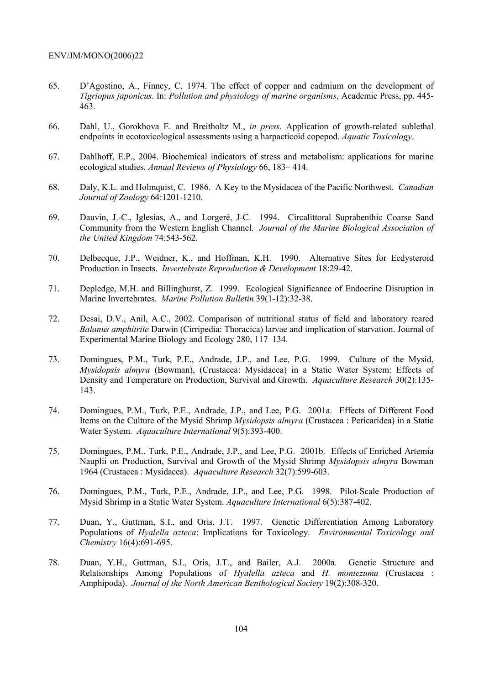- 65. D'Agostino, A., Finney, C. 1974. The effect of copper and cadmium on the development of *Tigriopus japonicus*. In: *Pollution and physiology of marine organisms*, Academic Press, pp. 445- 463.
- 66. Dahl, U., Gorokhova E. and Breitholtz M., *in press*. Application of growth-related sublethal endpoints in ecotoxicological assessments using a harpacticoid copepod. *Aquatic Toxicology*.
- 67. Dahlhoff, E.P., 2004. Biochemical indicators of stress and metabolism: applications for marine ecological studies. *Annual Reviews of Physiology* 66, 183– 414.
- 68. Daly, K.L. and Holmquist, C. 1986. A Key to the Mysidacea of the Pacific Northwest. *Canadian Journal of Zoology* 64:1201-1210.
- 69. Dauvin, J.-C., Iglesias, A., and Lorgeré, J-C. 1994. Circalittoral Suprabenthic Coarse Sand Community from the Western English Channel. *Journal of the Marine Biological Association of the United Kingdom* 74:543-562.
- 70. Delbecque, J.P., Weidner, K., and Hoffman, K.H. 1990. Alternative Sites for Ecdysteroid Production in Insects. *Invertebrate Reproduction & Development* 18:29-42.
- 71. Depledge, M.H. and Billinghurst, Z. 1999. Ecological Significance of Endocrine Disruption in Marine Invertebrates. *Marine Pollution Bulletin* 39(1-12):32-38.
- 72. Desai, D.V., Anil, A.C., 2002. Comparison of nutritional status of field and laboratory reared *Balanus amphitrite* Darwin (Cirripedia: Thoracica) larvae and implication of starvation. Journal of Experimental Marine Biology and Ecology 280, 117–134.
- 73. Domingues, P.M., Turk, P.E., Andrade, J.P., and Lee, P.G. 1999. Culture of the Mysid, *Mysidopsis almyra* (Bowman), (Crustacea: Mysidacea) in a Static Water System: Effects of Density and Temperature on Production, Survival and Growth. *Aquaculture Research* 30(2):135- 143.
- 74. Domingues, P.M., Turk, P.E., Andrade, J.P., and Lee, P.G. 2001a. Effects of Different Food Items on the Culture of the Mysid Shrimp *Mysidopsis almyra* (Crustacea : Pericaridea) in a Static Water System. *Aquaculture International* 9(5):393-400.
- 75. Domingues, P.M., Turk, P.E., Andrade, J.P., and Lee, P.G. 2001b. Effects of Enriched Artemia Nauplii on Production, Survival and Growth of the Mysid Shrimp *Mysidopsis almyra* Bowman 1964 (Crustacea : Mysidacea). *Aquaculture Research* 32(7):599-603.
- 76. Domingues, P.M., Turk, P.E., Andrade, J.P., and Lee, P.G. 1998. Pilot-Scale Production of Mysid Shrimp in a Static Water System. *Aquaculture International* 6(5):387-402.
- 77. Duan, Y., Guttman, S.I., and Oris, J.T. 1997. Genetic Differentiation Among Laboratory Populations of *Hyalella azteca*: Implications for Toxicology. *Environmental Toxicology and Chemistry* 16(4):691-695.
- 78. Duan, Y.H., Guttman, S.I., Oris, J.T., and Bailer, A.J. 2000a. Genetic Structure and Relationships Among Populations of *Hyalella azteca* and *H. montezuma* (Crustacea : Amphipoda). *Journal of the North American Benthological Society* 19(2):308-320.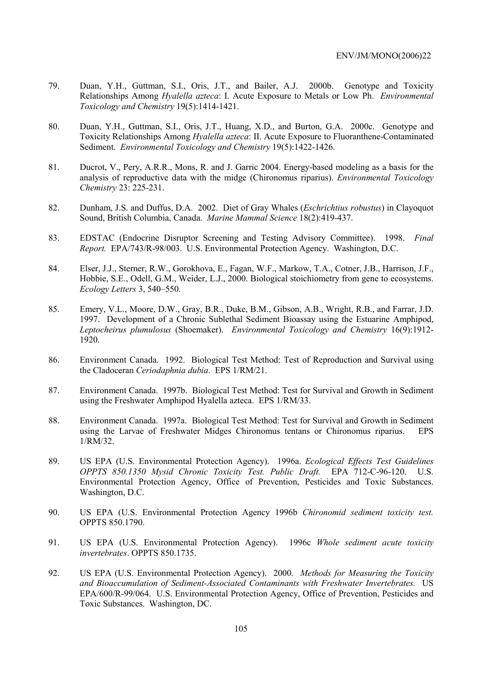- 79. Duan, Y.H., Guttman, S.I., Oris, J.T., and Bailer, A.J. 2000b. Genotype and Toxicity Relationships Among *Hyalella azteca*: I. Acute Exposure to Metals or Low Ph. *Environmental Toxicology and Chemistry* 19(5):1414-1421.
- 80. Duan, Y.H., Guttman, S.I., Oris, J.T., Huang, X.D., and Burton, G.A. 2000c. Genotype and Toxicity Relationships Among *Hyalella azteca*: II. Acute Exposure to Fluoranthene-Contaminated Sediment. *Environmental Toxicology and Chemistry* 19(5):1422-1426.
- 81. Ducrot, V., Pery, A.R.R., Mons, R. and J. Garric 2004. Energy-based modeling as a basis for the analysis of reproductive data with the midge (Chironomus riparius). *Environmental Toxicology Chemistry* 23: 225-231.
- 82. Dunham, J.S. and Duffus, D.A. 2002. Diet of Gray Whales (*Eschrichtius robustus*) in Clayoquot Sound, British Columbia, Canada. *Marine Mammal Science* 18(2):419-437.
- 83. EDSTAC (Endocrine Disruptor Screening and Testing Advisory Committee). 1998. *Final Report.* EPA/743/R-98/003. U.S. Environmental Protection Agency. Washington, D.C.
- 84. Elser, J.J., Sterner, R.W., Gorokhova, E., Fagan, W.F., Markow, T.A., Cotner, J.B., Harrison, J.F., Hobbie, S.E., Odell, G.M., Weider, L.J., 2000. Biological stoichiometry from gene to ecosystems. *Ecology Letters* 3, 540–550.
- 85. Emery, V.L., Moore, D.W., Gray, B.R., Duke, B.M., Gibson, A.B., Wright, R.B., and Farrar, J.D. 1997. Development of a Chronic Sublethal Sediment Bioassay using the Estuarine Amphipod, *Leptocheirus plumulosus* (Shoemaker). *Environmental Toxicology and Chemistry* 16(9):1912- 1920.
- 86. Environment Canada. 1992. Biological Test Method: Test of Reproduction and Survival using the Cladoceran *Ceriodaphnia dubia*. EPS 1/RM/21.
- 87. Environment Canada. 1997b. Biological Test Method: Test for Survival and Growth in Sediment using the Freshwater Amphipod Hyalella azteca. EPS 1/RM/33.
- 88. Environment Canada. 1997a. Biological Test Method: Test for Survival and Growth in Sediment using the Larvae of Freshwater Midges Chironomus tentans or Chironomus riparius. EPS 1/RM/32.
- 89. US EPA (U.S. Environmental Protection Agency). 1996a. *Ecological Effects Test Guidelines OPPTS 850.1350 Mysid Chronic Toxicity Test. Public Draft.* EPA 712-C-96-120. U.S. Environmental Protection Agency, Office of Prevention, Pesticides and Toxic Substances. Washington, D.C.
- 90. US EPA (U.S. Environmental Protection Agency 1996b *Chironomid sediment toxicity test.* OPPTS 850.1790.
- 91. US EPA (U.S. Environmental Protection Agency). 1996c *Whole sediment acute toxicity invertebrates*. OPPTS 850.1735.
- 92. US EPA (U.S. Environmental Protection Agency). 2000. *Methods for Measuring the Toxicity and Bioaccumulation of Sediment-Associated Contaminants with Freshwater Invertebrates.* US EPA/600/R-99/064. U.S. Environmental Protection Agency, Office of Prevention, Pesticides and Toxic Substances. Washington, DC.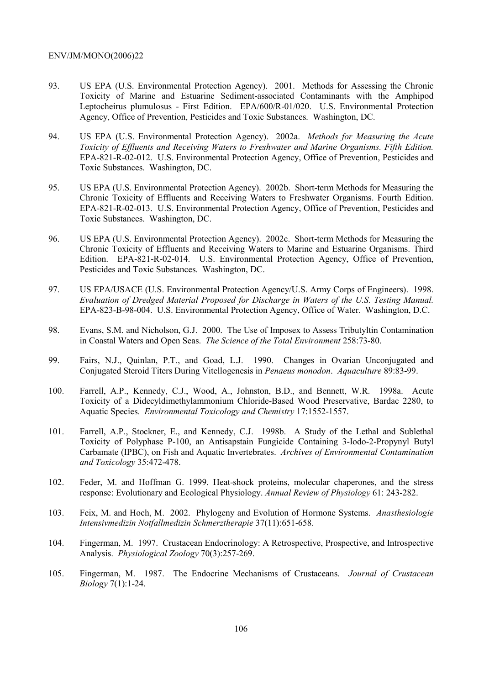- 93. US EPA (U.S. Environmental Protection Agency). 2001. Methods for Assessing the Chronic Toxicity of Marine and Estuarine Sediment-associated Contaminants with the Amphipod Leptocheirus plumulosus - First Edition. EPA/600/R-01/020. U.S. Environmental Protection Agency, Office of Prevention, Pesticides and Toxic Substances. Washington, DC.
- 94. US EPA (U.S. Environmental Protection Agency). 2002a. *Methods for Measuring the Acute Toxicity of Effluents and Receiving Waters to Freshwater and Marine Organisms. Fifth Edition.* EPA-821-R-02-012. U.S. Environmental Protection Agency, Office of Prevention, Pesticides and Toxic Substances. Washington, DC.
- 95. US EPA (U.S. Environmental Protection Agency). 2002b. Short-term Methods for Measuring the Chronic Toxicity of Effluents and Receiving Waters to Freshwater Organisms. Fourth Edition. EPA-821-R-02-013. U.S. Environmental Protection Agency, Office of Prevention, Pesticides and Toxic Substances. Washington, DC.
- 96. US EPA (U.S. Environmental Protection Agency). 2002c. Short-term Methods for Measuring the Chronic Toxicity of Effluents and Receiving Waters to Marine and Estuarine Organisms. Third Edition. EPA-821-R-02-014. U.S. Environmental Protection Agency, Office of Prevention, Pesticides and Toxic Substances. Washington, DC.
- 97. US EPA/USACE (U.S. Environmental Protection Agency/U.S. Army Corps of Engineers). 1998. *Evaluation of Dredged Material Proposed for Discharge in Waters of the U.S. Testing Manual.* EPA-823-B-98-004. U.S. Environmental Protection Agency, Office of Water. Washington, D.C.
- 98. Evans, S.M. and Nicholson, G.J. 2000. The Use of Imposex to Assess Tributyltin Contamination in Coastal Waters and Open Seas. *The Science of the Total Environment* 258:73-80.
- 99. Fairs, N.J., Quinlan, P.T., and Goad, L.J. 1990. Changes in Ovarian Unconjugated and Conjugated Steroid Titers During Vitellogenesis in *Penaeus monodon*. *Aquaculture* 89:83-99.
- 100. Farrell, A.P., Kennedy, C.J., Wood, A., Johnston, B.D., and Bennett, W.R. 1998a. Acute Toxicity of a Didecyldimethylammonium Chloride-Based Wood Preservative, Bardac 2280, to Aquatic Species. *Environmental Toxicology and Chemistry* 17:1552-1557.
- 101. Farrell, A.P., Stockner, E., and Kennedy, C.J. 1998b. A Study of the Lethal and Sublethal Toxicity of Polyphase P-100, an Antisapstain Fungicide Containing 3-Iodo-2-Propynyl Butyl Carbamate (IPBC), on Fish and Aquatic Invertebrates. *Archives of Environmental Contamination and Toxicology* 35:472-478.
- 102. Feder, M. and Hoffman G. 1999. Heat-shock proteins, molecular chaperones, and the stress response: Evolutionary and Ecological Physiology. *Annual Review of Physiology* 61: 243-282.
- 103. Feix, M. and Hoch, M. 2002. Phylogeny and Evolution of Hormone Systems. *Anasthesiologie Intensivmedizin Notfallmedizin Schmerztherapie* 37(11):651-658.
- 104. Fingerman, M. 1997. Crustacean Endocrinology: A Retrospective, Prospective, and Introspective Analysis. *Physiological Zoology* 70(3):257-269.
- 105. Fingerman, M. 1987. The Endocrine Mechanisms of Crustaceans. *Journal of Crustacean Biology* 7(1):1-24.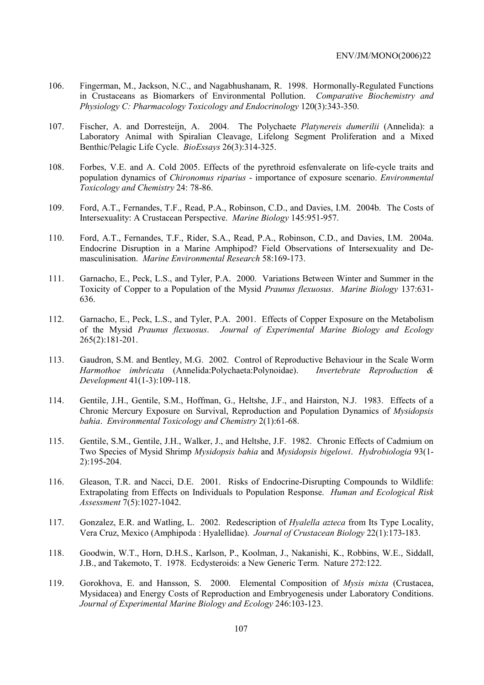- 106. Fingerman, M., Jackson, N.C., and Nagabhushanam, R. 1998. Hormonally-Regulated Functions in Crustaceans as Biomarkers of Environmental Pollution. *Comparative Biochemistry and Physiology C: Pharmacology Toxicology and Endocrinology* 120(3):343-350.
- 107. Fischer, A. and Dorresteijn, A. 2004. The Polychaete *Platynereis dumerilii* (Annelida): a Laboratory Animal with Spiralian Cleavage, Lifelong Segment Proliferation and a Mixed Benthic/Pelagic Life Cycle. *BioEssays* 26(3):314-325.
- 108. Forbes, V.E. and A. Cold 2005. Effects of the pyrethroid esfenvalerate on life-cycle traits and population dynamics of *Chironomus riparius* - importance of exposure scenario. *Environmental Toxicology and Chemistry* 24: 78-86.
- 109. Ford, A.T., Fernandes, T.F., Read, P.A., Robinson, C.D., and Davies, I.M. 2004b. The Costs of Intersexuality: A Crustacean Perspective. *Marine Biology* 145:951-957.
- 110. Ford, A.T., Fernandes, T.F., Rider, S.A., Read, P.A., Robinson, C.D., and Davies, I.M. 2004a. Endocrine Disruption in a Marine Amphipod? Field Observations of Intersexuality and Demasculinisation. *Marine Environmental Research* 58:169-173.
- 111. Garnacho, E., Peck, L.S., and Tyler, P.A. 2000. Variations Between Winter and Summer in the Toxicity of Copper to a Population of the Mysid *Praunus flexuosus*. *Marine Biology* 137:631- 636.
- 112. Garnacho, E., Peck, L.S., and Tyler, P.A. 2001. Effects of Copper Exposure on the Metabolism of the Mysid *Praunus flexuosus*. *Journal of Experimental Marine Biology and Ecology* 265(2):181-201.
- 113. Gaudron, S.M. and Bentley, M.G. 2002. Control of Reproductive Behaviour in the Scale Worm *Harmothoe imbricata* (Annelida:Polychaeta:Polynoidae). *Invertebrate Reproduction & Development* 41(1-3):109-118.
- 114. Gentile, J.H., Gentile, S.M., Hoffman, G., Heltshe, J.F., and Hairston, N.J. 1983. Effects of a Chronic Mercury Exposure on Survival, Reproduction and Population Dynamics of *Mysidopsis bahia*. *Environmental Toxicology and Chemistry* 2(1):61-68.
- 115. Gentile, S.M., Gentile, J.H., Walker, J., and Heltshe, J.F. 1982. Chronic Effects of Cadmium on Two Species of Mysid Shrimp *Mysidopsis bahia* and *Mysidopsis bigelowi*. *Hydrobiologia* 93(1- 2):195-204.
- 116. Gleason, T.R. and Nacci, D.E. 2001. Risks of Endocrine-Disrupting Compounds to Wildlife: Extrapolating from Effects on Individuals to Population Response. *Human and Ecological Risk Assessment* 7(5):1027-1042.
- 117. Gonzalez, E.R. and Watling, L. 2002. Redescription of *Hyalella azteca* from Its Type Locality, Vera Cruz, Mexico (Amphipoda : Hyalellidae). *Journal of Crustacean Biology* 22(1):173-183.
- 118. Goodwin, W.T., Horn, D.H.S., Karlson, P., Koolman, J., Nakanishi, K., Robbins, W.E., Siddall, J.B., and Takemoto, T. 1978. Ecdysteroids: a New Generic Term. Nature 272:122.
- 119. Gorokhova, E. and Hansson, S. 2000. Elemental Composition of *Mysis mixta* (Crustacea, Mysidacea) and Energy Costs of Reproduction and Embryogenesis under Laboratory Conditions. *Journal of Experimental Marine Biology and Ecology* 246:103-123.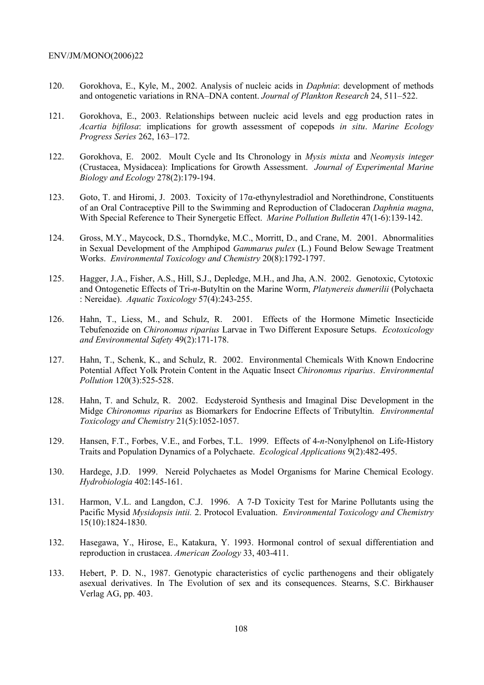- 120. Gorokhova, E., Kyle, M., 2002. Analysis of nucleic acids in *Daphnia*: development of methods and ontogenetic variations in RNA–DNA content. *Journal of Plankton Research* 24, 511–522.
- 121. Gorokhova, E., 2003. Relationships between nucleic acid levels and egg production rates in *Acartia bifilosa*: implications for growth assessment of copepods *in situ*. *Marine Ecology Progress Series* 262, 163–172.
- 122. Gorokhova, E. 2002. Moult Cycle and Its Chronology in *Mysis mixta* and *Neomysis integer*  (Crustacea, Mysidacea): Implications for Growth Assessment. *Journal of Experimental Marine Biology and Ecology* 278(2):179-194.
- 123. Goto, T. and Hiromi, J. 2003. Toxicity of 17α-ethynylestradiol and Norethindrone, Constituents of an Oral Contraceptive Pill to the Swimming and Reproduction of Cladoceran *Daphnia magna*, With Special Reference to Their Synergetic Effect. *Marine Pollution Bulletin* 47(1-6):139-142.
- 124. Gross, M.Y., Maycock, D.S., Thorndyke, M.C., Morritt, D., and Crane, M. 2001. Abnormalities in Sexual Development of the Amphipod *Gammarus pulex* (L.) Found Below Sewage Treatment Works. *Environmental Toxicology and Chemistry* 20(8):1792-1797.
- 125. Hagger, J.A., Fisher, A.S., Hill, S.J., Depledge, M.H., and Jha, A.N. 2002. Genotoxic, Cytotoxic and Ontogenetic Effects of Tri-*n*-Butyltin on the Marine Worm, *Platynereis dumerilii* (Polychaeta : Nereidae). *Aquatic Toxicology* 57(4):243-255.
- 126. Hahn, T., Liess, M., and Schulz, R. 2001. Effects of the Hormone Mimetic Insecticide Tebufenozide on *Chironomus riparius* Larvae in Two Different Exposure Setups. *Ecotoxicology and Environmental Safety* 49(2):171-178.
- 127. Hahn, T., Schenk, K., and Schulz, R. 2002. Environmental Chemicals With Known Endocrine Potential Affect Yolk Protein Content in the Aquatic Insect *Chironomus riparius*. *Environmental Pollution* 120(3):525-528.
- 128. Hahn, T. and Schulz, R. 2002. Ecdysteroid Synthesis and Imaginal Disc Development in the Midge *Chironomus riparius* as Biomarkers for Endocrine Effects of Tributyltin. *Environmental Toxicology and Chemistry* 21(5):1052-1057.
- 129. Hansen, F.T., Forbes, V.E., and Forbes, T.L. 1999. Effects of 4-*n*-Nonylphenol on Life-History Traits and Population Dynamics of a Polychaete. *Ecological Applications* 9(2):482-495.
- 130. Hardege, J.D. 1999. Nereid Polychaetes as Model Organisms for Marine Chemical Ecology. *Hydrobiologia* 402:145-161.
- 131. Harmon, V.L. and Langdon, C.J. 1996. A 7-D Toxicity Test for Marine Pollutants using the Pacific Mysid *Mysidopsis intii.* 2. Protocol Evaluation. *Environmental Toxicology and Chemistry* 15(10):1824-1830.
- 132. Hasegawa, Y., Hirose, E., Katakura, Y. 1993. Hormonal control of sexual differentiation and reproduction in crustacea. *American Zoology* 33, 403-411.
- 133. Hebert, P. D. N., 1987. Genotypic characteristics of cyclic parthenogens and their obligately asexual derivatives. In The Evolution of sex and its consequences. Stearns, S.C. Birkhauser Verlag AG, pp. 403.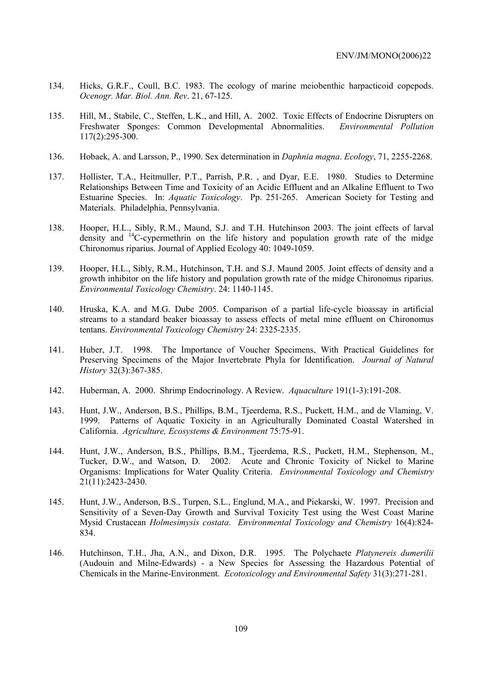- 134. Hicks, G.R.F., Coull, B.C. 1983. The ecology of marine meiobenthic harpacticoid copepods. *Ocenogr. Mar. Biol. Ann. Rev*. 21, 67-125.
- 135. Hill, M., Stabile, C., Steffen, L.K., and Hill, A. 2002. Toxic Effects of Endocrine Disrupters on Freshwater Sponges: Common Developmental Abnormalities. *Environmental Pollution* 117(2):295-300.
- 136. Hobaek, A. and Larsson, P., 1990. Sex determination in *Daphnia magna*. *Ecology*, 71, 2255-2268.
- 137. Hollister, T.A., Heitmuller, P.T., Parrish, P.R. , and Dyar, E.E. 1980. Studies to Determine Relationships Between Time and Toxicity of an Acidic Effluent and an Alkaline Effluent to Two Estuarine Species. In: *Aquatic Toxicology*. Pp. 251-265. American Society for Testing and Materials. Philadelphia, Pennsylvania.
- 138. Hooper, H.L., Sibly, R.M., Maund, S.J. and T.H. Hutchinson 2003. The joint effects of larval density and <sup>14</sup>C-cypermethrin on the life history and population growth rate of the midge Chironomus riparius. Journal of Applied Ecology 40: 1049-1059.
- 139. Hooper, H.L., Sibly, R.M., Hutchinson, T.H. and S.J. Maund 2005. Joint effects of density and a growth inhibitor on the life history and population growth rate of the midge Chironomus riparius. *Environmental Toxicology Chemistry*. 24: 1140-1145.
- 140. Hruska, K.A. and M.G. Dube 2005. Comparison of a partial life-cycle bioassay in artificial streams to a standard beaker bioassay to assess effects of metal mine effluent on Chironomus tentans. *Environmental Toxicology Chemistry* 24: 2325-2335.
- 141. Huber, J.T. 1998. The Importance of Voucher Specimens, With Practical Guidelines for Preserving Specimens of the Major Invertebrate Phyla for Identification. *Journal of Natural History* 32(3):367-385.
- 142. Huberman, A. 2000. Shrimp Endocrinology. A Review. *Aquaculture* 191(1-3):191-208.
- 143. Hunt, J.W., Anderson, B.S., Phillips, B.M., Tjeerdema, R.S., Puckett, H.M., and de Vlaming, V. 1999. Patterns of Aquatic Toxicity in an Agriculturally Dominated Coastal Watershed in California. *Agriculture, Ecosystems & Environment* 75:75-91.
- 144. Hunt, J.W., Anderson, B.S., Phillips, B.M., Tjeerdema, R.S., Puckett, H.M., Stephenson, M., Tucker, D.W., and Watson, D. 2002. Acute and Chronic Toxicity of Nickel to Marine Organisms: Implications for Water Quality Criteria. *Environmental Toxicology and Chemistry* 21(11):2423-2430.
- 145. Hunt, J.W., Anderson, B.S., Turpen, S.L., Englund, M.A., and Piekarski, W. 1997. Precision and Sensitivity of a Seven-Day Growth and Survival Toxicity Test using the West Coast Marine Mysid Crustacean *Holmesimysis costata*. *Environmental Toxicology and Chemistry* 16(4):824- 834.
- 146. Hutchinson, T.H., Jha, A.N., and Dixon, D.R. 1995. The Polychaete *Platynereis dumerilii* (Audouin and Milne-Edwards) - a New Species for Assessing the Hazardous Potential of Chemicals in the Marine-Environment. *Ecotoxicology and Environmental Safety* 31(3):271-281.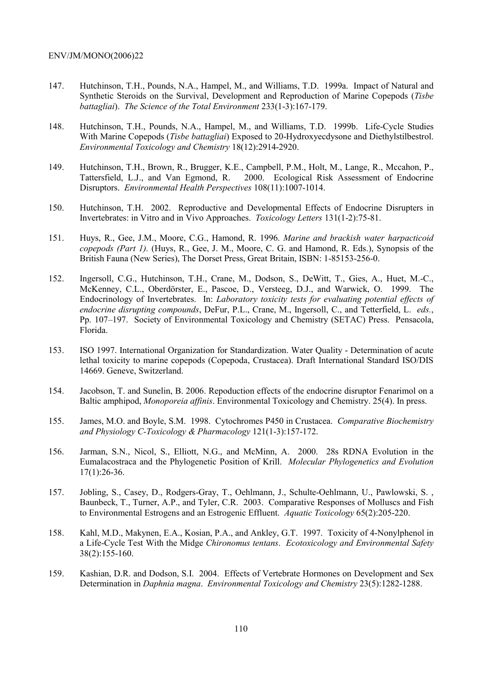- 147. Hutchinson, T.H., Pounds, N.A., Hampel, M., and Williams, T.D. 1999a. Impact of Natural and Synthetic Steroids on the Survival, Development and Reproduction of Marine Copepods (*Tisbe battagliai*). *The Science of the Total Environment* 233(1-3):167-179.
- 148. Hutchinson, T.H., Pounds, N.A., Hampel, M., and Williams, T.D. 1999b. Life-Cycle Studies With Marine Copepods (*Tisbe battagliai*) Exposed to 20-Hydroxyecdysone and Diethylstilbestrol. *Environmental Toxicology and Chemistry* 18(12):2914-2920.
- 149. Hutchinson, T.H., Brown, R., Brugger, K.E., Campbell, P.M., Holt, M., Lange, R., Mccahon, P., Tattersfield, L.J., and Van Egmond, R. 2000. Ecological Risk Assessment of Endocrine Disruptors. *Environmental Health Perspectives* 108(11):1007-1014.
- 150. Hutchinson, T.H. 2002. Reproductive and Developmental Effects of Endocrine Disrupters in Invertebrates: in Vitro and in Vivo Approaches. *Toxicology Letters* 131(1-2):75-81.
- 151. Huys, R., Gee, J.M., Moore, C.G., Hamond, R. 1996. *Marine and brackish water harpacticoid copepods (Part 1).* (Huys, R., Gee, J. M., Moore, C. G. and Hamond, R. Eds.), Synopsis of the British Fauna (New Series), The Dorset Press, Great Britain, ISBN: 1-85153-256-0.
- 152. Ingersoll, C.G., Hutchinson, T.H., Crane, M., Dodson, S., DeWitt, T., Gies, A., Huet, M.-C., McKenney, C.L., Oberdörster, E., Pascoe, D., Versteeg, D.J., and Warwick, O. 1999. The Endocrinology of Invertebrates. In: *Laboratory toxicity tests for evaluating potential effects of endocrine disrupting compounds*, DeFur, P.L., Crane, M., Ingersoll, C., and Tetterfield, L. *eds.*, Pp. 107–197. Society of Environmental Toxicology and Chemistry (SETAC) Press. Pensacola, Florida.
- 153. ISO 1997. International Organization for Standardization. Water Quality Determination of acute lethal toxicity to marine copepods (Copepoda, Crustacea). Draft International Standard ISO/DIS 14669. Geneve, Switzerland.
- 154. Jacobson, T. and Sunelin, B. 2006. Repoduction effects of the endocrine disruptor Fenarimol on a Baltic amphipod, *Monoporeia affinis*. Environmental Toxicology and Chemistry. 25(4). In press.
- 155. James, M.O. and Boyle, S.M. 1998. Cytochromes P450 in Crustacea. *Comparative Biochemistry and Physiology C-Toxicology & Pharmacology* 121(1-3):157-172.
- 156. Jarman, S.N., Nicol, S., Elliott, N.G., and McMinn, A. 2000. 28s RDNA Evolution in the Eumalacostraca and the Phylogenetic Position of Krill. *Molecular Phylogenetics and Evolution* 17(1):26-36.
- 157. Jobling, S., Casey, D., Rodgers-Gray, T., Oehlmann, J., Schulte-Oehlmann, U., Pawlowski, S. , Baunbeck, T., Turner, A.P., and Tyler, C.R. 2003. Comparative Responses of Molluscs and Fish to Environmental Estrogens and an Estrogenic Effluent. *Aquatic Toxicology* 65(2):205-220.
- 158. Kahl, M.D., Makynen, E.A., Kosian, P.A., and Ankley, G.T. 1997. Toxicity of 4-Nonylphenol in a Life-Cycle Test With the Midge *Chironomus tentans*. *Ecotoxicology and Environmental Safety* 38(2):155-160.
- 159. Kashian, D.R. and Dodson, S.I. 2004. Effects of Vertebrate Hormones on Development and Sex Determination in *Daphnia magna*. *Environmental Toxicology and Chemistry* 23(5):1282-1288.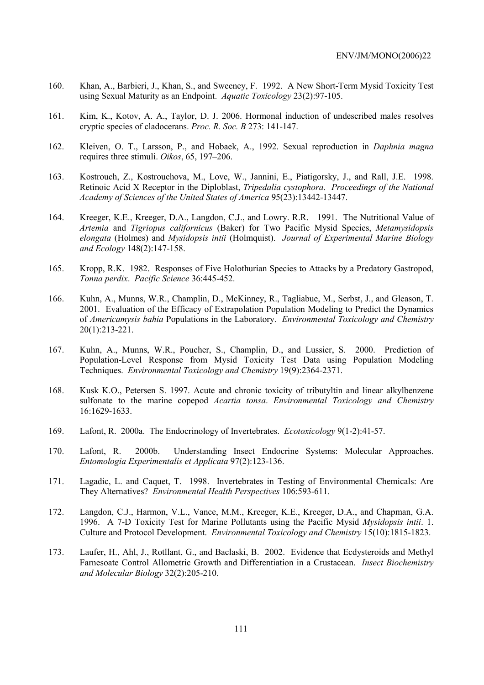- 160. Khan, A., Barbieri, J., Khan, S., and Sweeney, F. 1992. A New Short-Term Mysid Toxicity Test using Sexual Maturity as an Endpoint. *Aquatic Toxicology* 23(2):97-105.
- 161. Kim, K., Kotov, A. A., Taylor, D. J. 2006. Hormonal induction of undescribed males resolves cryptic species of cladocerans. *Proc. R. Soc. B* 273: 141-147.
- 162. Kleiven, O. T., Larsson, P., and Hobaek, A., 1992. Sexual reproduction in *Daphnia magna* requires three stimuli. *Oikos*, 65, 197–206.
- 163. Kostrouch, Z., Kostrouchova, M., Love, W., Jannini, E., Piatigorsky, J., and Rall, J.E. 1998. Retinoic Acid X Receptor in the Diploblast, *Tripedalia cystophora*. *Proceedings of the National Academy of Sciences of the United States of America* 95(23):13442-13447.
- 164. Kreeger, K.E., Kreeger, D.A., Langdon, C.J., and Lowry. R.R. 1991. The Nutritional Value of *Artemia* and *Tigriopus californicus* (Baker) for Two Pacific Mysid Species, *Metamysidopsis elongata* (Holmes) and *Mysidopsis intii* (Holmquist). *Journal of Experimental Marine Biology and Ecology* 148(2):147-158.
- 165. Kropp, R.K. 1982. Responses of Five Holothurian Species to Attacks by a Predatory Gastropod, *Tonna perdix*. *Pacific Science* 36:445-452.
- 166. Kuhn, A., Munns, W.R., Champlin, D., McKinney, R., Tagliabue, M., Serbst, J., and Gleason, T. 2001. Evaluation of the Efficacy of Extrapolation Population Modeling to Predict the Dynamics of *Americamysis bahia* Populations in the Laboratory. *Environmental Toxicology and Chemistry* 20(1):213-221.
- 167. Kuhn, A., Munns, W.R., Poucher, S., Champlin, D., and Lussier, S. 2000. Prediction of Population-Level Response from Mysid Toxicity Test Data using Population Modeling Techniques. *Environmental Toxicology and Chemistry* 19(9):2364-2371.
- 168. Kusk K.O., Petersen S. 1997. Acute and chronic toxicity of tributyltin and linear alkylbenzene sulfonate to the marine copepod *Acartia tonsa*. *Environmental Toxicology and Chemistry* 16:1629-1633.
- 169. Lafont, R. 2000a. The Endocrinology of Invertebrates. *Ecotoxicology* 9(1-2):41-57.
- 170. Lafont, R. 2000b. Understanding Insect Endocrine Systems: Molecular Approaches. *Entomologia Experimentalis et Applicata* 97(2):123-136.
- 171. Lagadic, L. and Caquet, T. 1998. Invertebrates in Testing of Environmental Chemicals: Are They Alternatives? *Environmental Health Perspectives* 106:593-611.
- 172. Langdon, C.J., Harmon, V.L., Vance, M.M., Kreeger, K.E., Kreeger, D.A., and Chapman, G.A. 1996. A 7-D Toxicity Test for Marine Pollutants using the Pacific Mysid *Mysidopsis intii*. 1. Culture and Protocol Development. *Environmental Toxicology and Chemistry* 15(10):1815-1823.
- 173. Laufer, H., Ahl, J., Rotllant, G., and Baclaski, B. 2002. Evidence that Ecdysteroids and Methyl Farnesoate Control Allometric Growth and Differentiation in a Crustacean. *Insect Biochemistry and Molecular Biology* 32(2):205-210.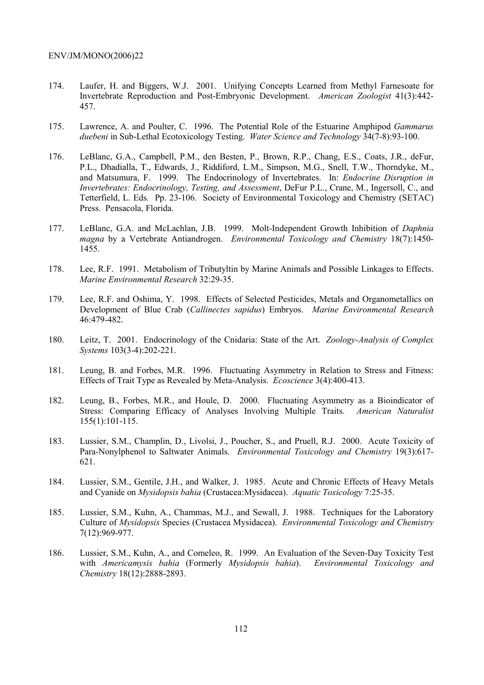- 174. Laufer, H. and Biggers, W.J. 2001. Unifying Concepts Learned from Methyl Farnesoate for Invertebrate Reproduction and Post-Embryonic Development. *American Zoologist* 41(3):442- 457.
- 175. Lawrence, A. and Poulter, C. 1996. The Potential Role of the Estuarine Amphipod *Gammarus duebeni* in Sub-Lethal Ecotoxicology Testing. *Water Science and Technology* 34(7-8):93-100.
- 176. LeBlanc, G.A., Campbell, P.M., den Besten, P., Brown, R.P., Chang, E.S., Coats, J.R., deFur, P.L., Dhadialla, T., Edwards, J., Riddiford, L.M., Simpson, M.G., Snell, T.W., Thorndyke, M., and Matsumura, F. 1999. The Endocrinology of Invertebrates. In: *Endocrine Disruption in Invertebrates: Endocrinology, Testing, and Assessment*, DeFur P.L., Crane, M., Ingersoll, C., and Tetterfield, L. Eds*.* Pp. 23-106. Society of Environmental Toxicology and Chemistry (SETAC) Press. Pensacola, Florida.
- 177. LeBlanc, G.A. and McLachlan, J.B. 1999. Molt-Independent Growth Inhibition of *Daphnia magna* by a Vertebrate Antiandrogen. *Environmental Toxicology and Chemistry* 18(7):1450- 1455.
- 178. Lee, R.F. 1991. Metabolism of Tributyltin by Marine Animals and Possible Linkages to Effects. *Marine Environmental Research* 32:29-35.
- 179. Lee, R.F. and Oshima, Y. 1998. Effects of Selected Pesticides, Metals and Organometallics on Development of Blue Crab (*Callinectes sapidus*) Embryos. *Marine Environmental Research* 46:479-482.
- 180. Leitz, T. 2001. Endocrinology of the Cnidaria: State of the Art. *Zoology-Analysis of Complex Systems* 103(3-4):202-221.
- 181. Leung, B. and Forbes, M.R. 1996. Fluctuating Asymmetry in Relation to Stress and Fitness: Effects of Trait Type as Revealed by Meta-Analysis. *Ecoscience* 3(4):400-413.
- 182. Leung, B., Forbes, M.R., and Houle, D. 2000. Fluctuating Asymmetry as a Bioindicator of Stress: Comparing Efficacy of Analyses Involving Multiple Traits. *American Naturalist* 155(1):101-115.
- 183. Lussier, S.M., Champlin, D., Livolsi, J., Poucher, S., and Pruell, R.J. 2000. Acute Toxicity of Para-Nonylphenol to Saltwater Animals. *Environmental Toxicology and Chemistry* 19(3):617- 621.
- 184. Lussier, S.M., Gentile, J.H., and Walker, J. 1985. Acute and Chronic Effects of Heavy Metals and Cyanide on *Mysidopsis bahia* (Crustacea:Mysidacea). *Aquatic Toxicology* 7:25-35.
- 185. Lussier, S.M., Kuhn, A., Chammas, M.J., and Sewall, J. 1988. Techniques for the Laboratory Culture of *Mysidopsis* Species (Crustacea Mysidacea). *Environmental Toxicology and Chemistry* 7(12):969-977.
- 186. Lussier, S.M., Kuhn, A., and Comeleo, R. 1999. An Evaluation of the Seven-Day Toxicity Test with *Americamysis bahia* (Formerly *Mysidopsis bahia*). *Environmental Toxicology and Chemistry* 18(12):2888-2893.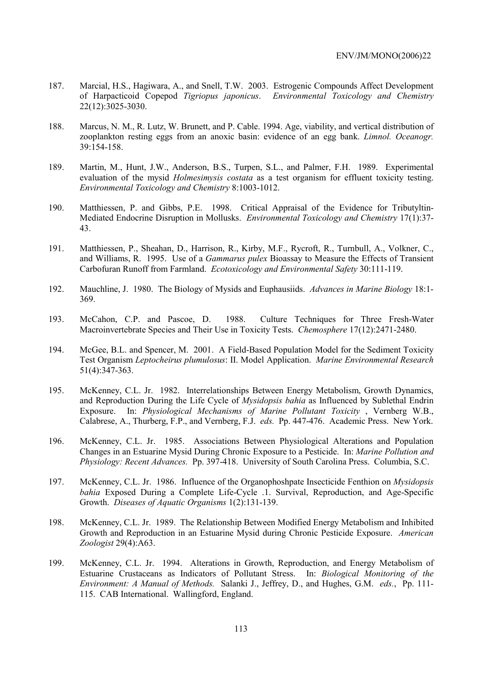- 187. Marcial, H.S., Hagiwara, A., and Snell, T.W. 2003. Estrogenic Compounds Affect Development of Harpacticoid Copepod *Tigriopus japonicus*. *Environmental Toxicology and Chemistry* 22(12):3025-3030.
- 188. Marcus, N. M., R. Lutz, W. Brunett, and P. Cable. 1994. Age, viability, and vertical distribution of zooplankton resting eggs from an anoxic basin: evidence of an egg bank. *Limnol. Oceanogr.* 39:154-158.
- 189. Martin, M., Hunt, J.W., Anderson, B.S., Turpen, S.L., and Palmer, F.H. 1989. Experimental evaluation of the mysid *Holmesimysis costata* as a test organism for effluent toxicity testing. *Environmental Toxicology and Chemistry* 8:1003-1012.
- 190. Matthiessen, P. and Gibbs, P.E. 1998. Critical Appraisal of the Evidence for Tributyltin-Mediated Endocrine Disruption in Mollusks. *Environmental Toxicology and Chemistry* 17(1):37- 43.
- 191. Matthiessen, P., Sheahan, D., Harrison, R., Kirby, M.F., Rycroft, R., Turnbull, A., Volkner, C., and Williams, R. 1995. Use of a *Gammarus pulex* Bioassay to Measure the Effects of Transient Carbofuran Runoff from Farmland. *Ecotoxicology and Environmental Safety* 30:111-119.
- 192. Mauchline, J. 1980. The Biology of Mysids and Euphausiids. *Advances in Marine Biology* 18:1- 369.
- 193. McCahon, C.P. and Pascoe, D. 1988. Culture Techniques for Three Fresh-Water Macroinvertebrate Species and Their Use in Toxicity Tests. *Chemosphere* 17(12):2471-2480.
- 194. McGee, B.L. and Spencer, M. 2001. A Field-Based Population Model for the Sediment Toxicity Test Organism *Leptocheirus plumulosus*: II. Model Application. *Marine Environmental Research* 51(4):347-363.
- 195. McKenney, C.L. Jr. 1982. Interrelationships Between Energy Metabolism, Growth Dynamics, and Reproduction During the Life Cycle of *Mysidopsis bahia* as Influenced by Sublethal Endrin Exposure. In: *Physiological Mechanisms of Marine Pollutant Toxicity* , Vernberg W.B., Calabrese, A., Thurberg, F.P., and Vernberg, F.J. *eds.* Pp. 447-476. Academic Press. New York.
- 196. McKenney, C.L. Jr. 1985. Associations Between Physiological Alterations and Population Changes in an Estuarine Mysid During Chronic Exposure to a Pesticide. In: *Marine Pollution and Physiology: Recent Advances.* Pp. 397-418. University of South Carolina Press. Columbia, S.C.
- 197. McKenney, C.L. Jr. 1986. Influence of the Organophoshpate Insecticide Fenthion on *Mysidopsis bahia* Exposed During a Complete Life-Cycle .1. Survival, Reproduction, and Age-Specific Growth. *Diseases of Aquatic Organisms* 1(2):131-139.
- 198. McKenney, C.L. Jr. 1989. The Relationship Between Modified Energy Metabolism and Inhibited Growth and Reproduction in an Estuarine Mysid during Chronic Pesticide Exposure. *American Zoologist* 29(4):A63.
- 199. McKenney, C.L. Jr. 1994. Alterations in Growth, Reproduction, and Energy Metabolism of Estuarine Crustaceans as Indicators of Pollutant Stress. In: *Biological Monitoring of the Environment: A Manual of Methods.* Salanki J., Jeffrey, D., and Hughes, G.M. *eds.*, Pp. 111- 115. CAB International. Wallingford, England.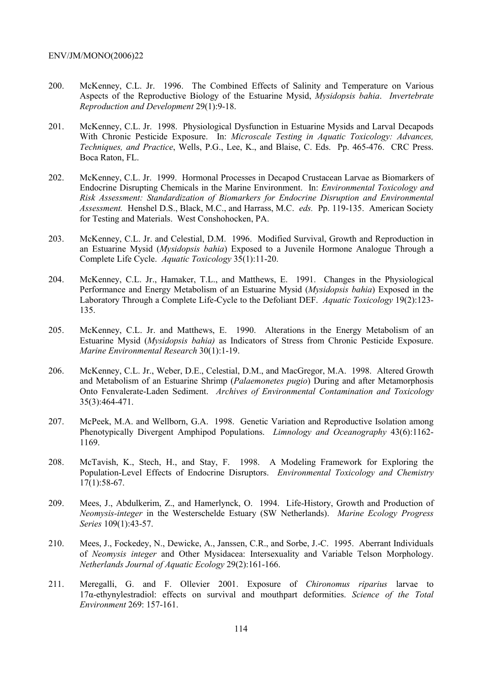- 200. McKenney, C.L. Jr. 1996. The Combined Effects of Salinity and Temperature on Various Aspects of the Reproductive Biology of the Estuarine Mysid, *Mysidopsis bahia*. *Invertebrate Reproduction and Development* 29(1):9-18.
- 201. McKenney, C.L. Jr. 1998. Physiological Dysfunction in Estuarine Mysids and Larval Decapods With Chronic Pesticide Exposure. In: *Microscale Testing in Aquatic Toxicology: Advances, Techniques, and Practice*, Wells, P.G., Lee, K., and Blaise, C. Eds. Pp. 465-476. CRC Press. Boca Raton, FL.
- 202. McKenney, C.L. Jr. 1999. Hormonal Processes in Decapod Crustacean Larvae as Biomarkers of Endocrine Disrupting Chemicals in the Marine Environment. In: *Environmental Toxicology and Risk Assessment: Standardization of Biomarkers for Endocrine Disruption and Environmental Assessment.* Henshel D.S., Black, M.C., and Harrass, M.C. *eds.* Pp. 119-135. American Society for Testing and Materials. West Conshohocken, PA.
- 203. McKenney, C.L. Jr. and Celestial, D.M. 1996. Modified Survival, Growth and Reproduction in an Estuarine Mysid (*Mysidopsis bahia*) Exposed to a Juvenile Hormone Analogue Through a Complete Life Cycle. *Aquatic Toxicology* 35(1):11-20.
- 204. McKenney, C.L. Jr., Hamaker, T.L., and Matthews, E. 1991. Changes in the Physiological Performance and Energy Metabolism of an Estuarine Mysid (*Mysidopsis bahia*) Exposed in the Laboratory Through a Complete Life-Cycle to the Defoliant DEF. *Aquatic Toxicology* 19(2):123- 135.
- 205. McKenney, C.L. Jr. and Matthews, E. 1990. Alterations in the Energy Metabolism of an Estuarine Mysid (*Mysidopsis bahia)* as Indicators of Stress from Chronic Pesticide Exposure. *Marine Environmental Research* 30(1):1-19.
- 206. McKenney, C.L. Jr., Weber, D.E., Celestial, D.M., and MacGregor, M.A. 1998. Altered Growth and Metabolism of an Estuarine Shrimp (*Palaemonetes pugio*) During and after Metamorphosis Onto Fenvalerate-Laden Sediment. *Archives of Environmental Contamination and Toxicology* 35(3):464-471.
- 207. McPeek, M.A. and Wellborn, G.A. 1998. Genetic Variation and Reproductive Isolation among Phenotypically Divergent Amphipod Populations. *Limnology and Oceanography* 43(6):1162- 1169.
- 208. McTavish, K., Stech, H., and Stay, F. 1998. A Modeling Framework for Exploring the Population-Level Effects of Endocrine Disruptors. *Environmental Toxicology and Chemistry* 17(1):58-67.
- 209. Mees, J., Abdulkerim, Z., and Hamerlynck, O. 1994. Life-History, Growth and Production of *Neomysis-integer* in the Westerschelde Estuary (SW Netherlands). *Marine Ecology Progress Series* 109(1):43-57.
- 210. Mees, J., Fockedey, N., Dewicke, A., Janssen, C.R., and Sorbe, J.-C. 1995. Aberrant Individuals of *Neomysis integer* and Other Mysidacea: Intersexuality and Variable Telson Morphology. *Netherlands Journal of Aquatic Ecology* 29(2):161-166.
- 211. Meregalli, G. and F. Ollevier 2001. Exposure of *Chironomus riparius* larvae to 17α-ethynylestradiol: effects on survival and mouthpart deformities. *Science of the Total Environment* 269: 157-161.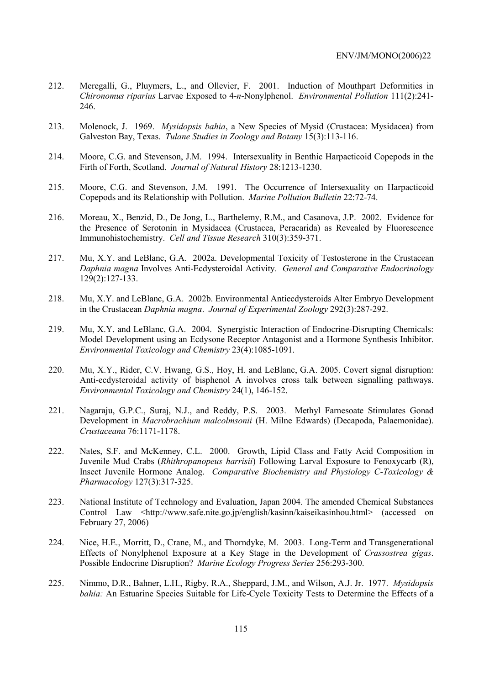- 212. Meregalli, G., Pluymers, L., and Ollevier, F. 2001. Induction of Mouthpart Deformities in *Chironomus riparius* Larvae Exposed to 4-*n*-Nonylphenol. *Environmental Pollution* 111(2):241- 246.
- 213. Molenock, J. 1969. *Mysidopsis bahia*, a New Species of Mysid (Crustacea: Mysidacea) from Galveston Bay, Texas. *Tulane Studies in Zoology and Botany* 15(3):113-116.
- 214. Moore, C.G. and Stevenson, J.M. 1994. Intersexuality in Benthic Harpacticoid Copepods in the Firth of Forth, Scotland. *Journal of Natural History* 28:1213-1230.
- 215. Moore, C.G. and Stevenson, J.M. 1991. The Occurrence of Intersexuality on Harpacticoid Copepods and its Relationship with Pollution. *Marine Pollution Bulletin* 22:72-74.
- 216. Moreau, X., Benzid, D., De Jong, L., Barthelemy, R.M., and Casanova, J.P. 2002. Evidence for the Presence of Serotonin in Mysidacea (Crustacea, Peracarida) as Revealed by Fluorescence Immunohistochemistry. *Cell and Tissue Research* 310(3):359-371.
- 217. Mu, X.Y. and LeBlanc, G.A. 2002a. Developmental Toxicity of Testosterone in the Crustacean *Daphnia magna* Involves Anti-Ecdysteroidal Activity. *General and Comparative Endocrinology* 129(2):127-133.
- 218. Mu, X.Y. and LeBlanc, G.A. 2002b. Environmental Antiecdysteroids Alter Embryo Development in the Crustacean *Daphnia magna*. *Journal of Experimental Zoology* 292(3):287-292.
- 219. Mu, X.Y. and LeBlanc, G.A. 2004. Synergistic Interaction of Endocrine-Disrupting Chemicals: Model Development using an Ecdysone Receptor Antagonist and a Hormone Synthesis Inhibitor. *Environmental Toxicology and Chemistry* 23(4):1085-1091.
- 220. Mu, X.Y., Rider, C.V. Hwang, G.S., Hoy, H. and LeBlanc, G.A. 2005. Covert signal disruption: Anti-ecdysteroidal activity of bisphenol A involves cross talk between signalling pathways. *Environmental Toxicology and Chemistry* 24(1), 146-152.
- 221. Nagaraju, G.P.C., Suraj, N.J., and Reddy, P.S. 2003. Methyl Farnesoate Stimulates Gonad Development in *Macrobrachium malcolmsonii* (H. Milne Edwards) (Decapoda, Palaemonidae). *Crustaceana* 76:1171-1178.
- 222. Nates, S.F. and McKenney, C.L. 2000. Growth, Lipid Class and Fatty Acid Composition in Juvenile Mud Crabs (*Rhithropanopeus harrisii*) Following Larval Exposure to Fenoxycarb (R), Insect Juvenile Hormone Analog. *Comparative Biochemistry and Physiology C-Toxicology & Pharmacology* 127(3):317-325.
- 223. National Institute of Technology and Evaluation, Japan 2004. The amended Chemical Substances Control Law <http://www.safe.nite.go.jp/english/kasinn/kaiseikasinhou.html> (accessed on February 27, 2006)
- 224. Nice, H.E., Morritt, D., Crane, M., and Thorndyke, M. 2003. Long-Term and Transgenerational Effects of Nonylphenol Exposure at a Key Stage in the Development of *Crassostrea gigas*. Possible Endocrine Disruption? *Marine Ecology Progress Series* 256:293-300.
- 225. Nimmo, D.R., Bahner, L.H., Rigby, R.A., Sheppard, J.M., and Wilson, A.J. Jr. 1977. *Mysidopsis bahia:* An Estuarine Species Suitable for Life-Cycle Toxicity Tests to Determine the Effects of a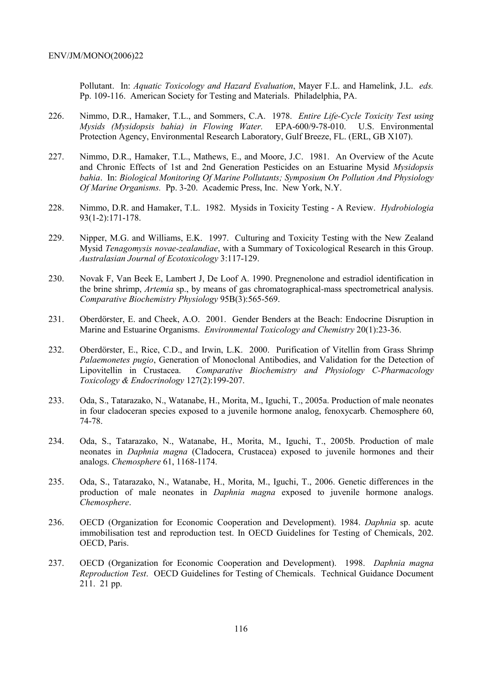Pollutant. In: *Aquatic Toxicology and Hazard Evaluation*, Mayer F.L. and Hamelink, J.L. *eds.* Pp. 109-116. American Society for Testing and Materials. Philadelphia, PA.

- 226. Nimmo, D.R., Hamaker, T.L., and Sommers, C.A. 1978. *Entire Life-Cycle Toxicity Test using Mysids (Mysidopsis bahia) in Flowing Water.* EPA-600/9-78-010. U.S. Environmental Protection Agency, Environmental Research Laboratory, Gulf Breeze, FL. (ERL, GB X107).
- 227. Nimmo, D.R., Hamaker, T.L., Mathews, E., and Moore, J.C. 1981. An Overview of the Acute and Chronic Effects of 1st and 2nd Generation Pesticides on an Estuarine Mysid *Mysidopsis bahia*. In: *Biological Monitoring Of Marine Pollutants; Symposium On Pollution And Physiology Of Marine Organisms.* Pp. 3-20. Academic Press, Inc. New York, N.Y.
- 228. Nimmo, D.R. and Hamaker, T.L. 1982. Mysids in Toxicity Testing A Review. *Hydrobiologia* 93(1-2):171-178.
- 229. Nipper, M.G. and Williams, E.K. 1997. Culturing and Toxicity Testing with the New Zealand Mysid *Tenagomysis novae-zealandiae*, with a Summary of Toxicological Research in this Group. *Australasian Journal of Ecotoxicology* 3:117-129.
- 230. Novak F, Van Beek E, Lambert J, De Loof A. 1990. Pregnenolone and estradiol identification in the brine shrimp, *Artemia* sp., by means of gas chromatographical-mass spectrometrical analysis. *Comparative Biochemistry Physiology* 95B(3):565-569.
- 231. Oberdörster, E. and Cheek, A.O. 2001. Gender Benders at the Beach: Endocrine Disruption in Marine and Estuarine Organisms. *Environmental Toxicology and Chemistry* 20(1):23-36.
- 232. Oberdörster, E., Rice, C.D., and Irwin, L.K. 2000. Purification of Vitellin from Grass Shrimp *Palaemonetes pugio*, Generation of Monoclonal Antibodies, and Validation for the Detection of Lipovitellin in Crustacea. *Comparative Biochemistry and Physiology C-Pharmacology Toxicology & Endocrinology* 127(2):199-207.
- 233. Oda, S., Tatarazako, N., Watanabe, H., Morita, M., Iguchi, T., 2005a. Production of male neonates in four cladoceran species exposed to a juvenile hormone analog, fenoxycarb. Chemosphere 60, 74-78.
- 234. Oda, S., Tatarazako, N., Watanabe, H., Morita, M., Iguchi, T., 2005b. Production of male neonates in *Daphnia magna* (Cladocera, Crustacea) exposed to juvenile hormones and their analogs. *Chemosphere* 61, 1168-1174.
- 235. Oda, S., Tatarazako, N., Watanabe, H., Morita, M., Iguchi, T., 2006. Genetic differences in the production of male neonates in *Daphnia magna* exposed to juvenile hormone analogs. *Chemosphere*.
- 236. OECD (Organization for Economic Cooperation and Development). 1984. *Daphnia* sp. acute immobilisation test and reproduction test. In OECD Guidelines for Testing of Chemicals, 202. OECD, Paris.
- 237. OECD (Organization for Economic Cooperation and Development). 1998. *Daphnia magna Reproduction Test*. OECD Guidelines for Testing of Chemicals. Technical Guidance Document 211. 21 pp.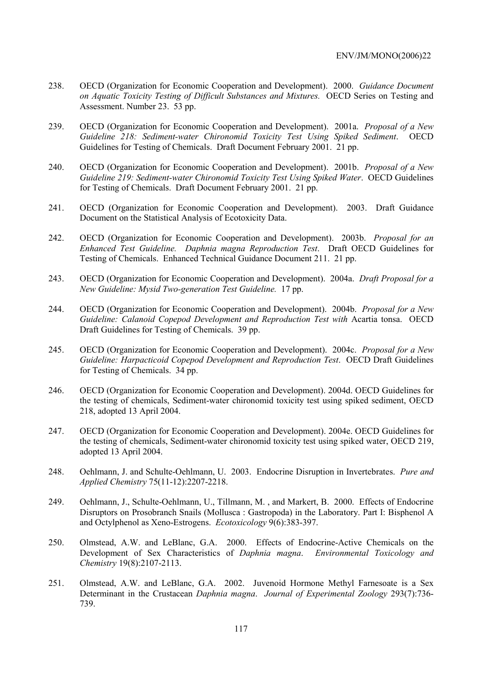- 238. OECD (Organization for Economic Cooperation and Development). 2000. *Guidance Document on Aquatic Toxicity Testing of Difficult Substances and Mixtures.* OECD Series on Testing and Assessment. Number 23. 53 pp.
- 239. OECD (Organization for Economic Cooperation and Development). 2001a. *Proposal of a New Guideline 218: Sediment-water Chironomid Toxicity Test Using Spiked Sediment*. OECD Guidelines for Testing of Chemicals. Draft Document February 2001. 21 pp.
- 240. OECD (Organization for Economic Cooperation and Development). 2001b. *Proposal of a New Guideline 219: Sediment-water Chironomid Toxicity Test Using Spiked Water*. OECD Guidelines for Testing of Chemicals. Draft Document February 2001. 21 pp.
- 241. OECD (Organization for Economic Cooperation and Development). 2003. Draft Guidance Document on the Statistical Analysis of Ecotoxicity Data.
- 242. OECD (Organization for Economic Cooperation and Development). 2003b. *Proposal for an Enhanced Test Guideline. Daphnia magna Reproduction Test*. Draft OECD Guidelines for Testing of Chemicals. Enhanced Technical Guidance Document 211. 21 pp.
- 243. OECD (Organization for Economic Cooperation and Development). 2004a. *Draft Proposal for a New Guideline: Mysid Two-generation Test Guideline.* 17 pp.
- 244. OECD (Organization for Economic Cooperation and Development). 2004b. *Proposal for a New Guideline: Calanoid Copepod Development and Reproduction Test with Acartia tonsa. OECD* Draft Guidelines for Testing of Chemicals. 39 pp.
- 245. OECD (Organization for Economic Cooperation and Development). 2004c. *Proposal for a New Guideline: Harpacticoid Copepod Development and Reproduction Test*. OECD Draft Guidelines for Testing of Chemicals. 34 pp.
- 246. OECD (Organization for Economic Cooperation and Development). 2004d. OECD Guidelines for the testing of chemicals, Sediment-water chironomid toxicity test using spiked sediment, OECD 218, adopted 13 April 2004.
- 247. OECD (Organization for Economic Cooperation and Development). 2004e. OECD Guidelines for the testing of chemicals, Sediment-water chironomid toxicity test using spiked water, OECD 219, adopted 13 April 2004.
- 248. Oehlmann, J. and Schulte-Oehlmann, U. 2003. Endocrine Disruption in Invertebrates. *Pure and Applied Chemistry* 75(11-12):2207-2218.
- 249. Oehlmann, J., Schulte-Oehlmann, U., Tillmann, M. , and Markert, B. 2000. Effects of Endocrine Disruptors on Prosobranch Snails (Mollusca : Gastropoda) in the Laboratory. Part I: Bisphenol A and Octylphenol as Xeno-Estrogens. *Ecotoxicology* 9(6):383-397.
- 250. Olmstead, A.W. and LeBlanc, G.A. 2000. Effects of Endocrine-Active Chemicals on the Development of Sex Characteristics of *Daphnia magna*. *Environmental Toxicology and Chemistry* 19(8):2107-2113.
- 251. Olmstead, A.W. and LeBlanc, G.A. 2002. Juvenoid Hormone Methyl Farnesoate is a Sex Determinant in the Crustacean *Daphnia magna*. *Journal of Experimental Zoology* 293(7):736- 739.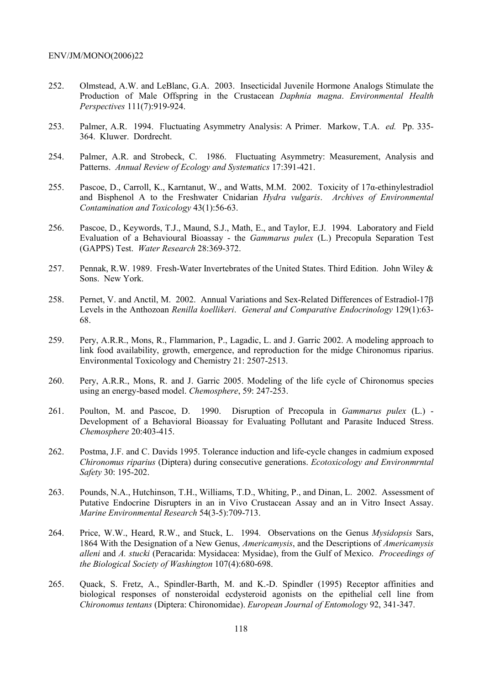- 252. Olmstead, A.W. and LeBlanc, G.A. 2003. Insecticidal Juvenile Hormone Analogs Stimulate the Production of Male Offspring in the Crustacean *Daphnia magna*. *Environmental Health Perspectives* 111(7):919-924.
- 253. Palmer, A.R. 1994. Fluctuating Asymmetry Analysis: A Primer. Markow, T.A. *ed.* Pp. 335- 364. Kluwer. Dordrecht.
- 254. Palmer, A.R. and Strobeck, C. 1986. Fluctuating Asymmetry: Measurement, Analysis and Patterns. *Annual Review of Ecology and Systematics* 17:391-421.
- 255. Pascoe, D., Carroll, K., Karntanut, W., and Watts, M.M. 2002. Toxicity of 17α-ethinylestradiol and Bisphenol A to the Freshwater Cnidarian *Hydra vulgaris*. *Archives of Environmental Contamination and Toxicology* 43(1):56-63.
- 256. Pascoe, D., Keywords, T.J., Maund, S.J., Math, E., and Taylor, E.J. 1994. Laboratory and Field Evaluation of a Behavioural Bioassay - the *Gammarus pulex* (L.) Precopula Separation Test (GAPPS) Test. *Water Research* 28:369-372.
- 257. Pennak, R.W. 1989. Fresh-Water Invertebrates of the United States. Third Edition. John Wiley & Sons. New York.
- 258. Pernet, V. and Anctil, M. 2002. Annual Variations and Sex-Related Differences of Estradiol-17β Levels in the Anthozoan *Renilla koellikeri*. *General and Comparative Endocrinology* 129(1):63- 68.
- 259. Pery, A.R.R., Mons, R., Flammarion, P., Lagadic, L. and J. Garric 2002. A modeling approach to link food availability, growth, emergence, and reproduction for the midge Chironomus riparius. Environmental Toxicology and Chemistry 21: 2507-2513.
- 260. Pery, A.R.R., Mons, R. and J. Garric 2005. Modeling of the life cycle of Chironomus species using an energy-based model. *Chemosphere*, 59: 247-253.
- 261. Poulton, M. and Pascoe, D. 1990. Disruption of Precopula in *Gammarus pulex* (L.) Development of a Behavioral Bioassay for Evaluating Pollutant and Parasite Induced Stress. *Chemosphere* 20:403-415.
- 262. Postma, J.F. and C. Davids 1995. Tolerance induction and life-cycle changes in cadmium exposed *Chironomus riparius* (Diptera) during consecutive generations. *Ecotoxicology and Environmrntal Safety* 30: 195-202.
- 263. Pounds, N.A., Hutchinson, T.H., Williams, T.D., Whiting, P., and Dinan, L. 2002. Assessment of Putative Endocrine Disrupters in an in Vivo Crustacean Assay and an in Vitro Insect Assay. *Marine Environmental Research* 54(3-5):709-713.
- 264. Price, W.W., Heard, R.W., and Stuck, L. 1994. Observations on the Genus *Mysidopsis* Sars, 1864 With the Designation of a New Genus, *Americamysis*, and the Descriptions of *Americamysis alleni* and *A. stucki* (Peracarida: Mysidacea: Mysidae), from the Gulf of Mexico. *Proceedings of the Biological Society of Washington* 107(4):680-698.
- 265. Quack, S. Fretz, A., Spindler-Barth, M. and K.-D. Spindler (1995) Receptor affinities and biological responses of nonsteroidal ecdysteroid agonists on the epithelial cell line from *Chironomus tentans* (Diptera: Chironomidae). *European Journal of Entomology* 92, 341-347.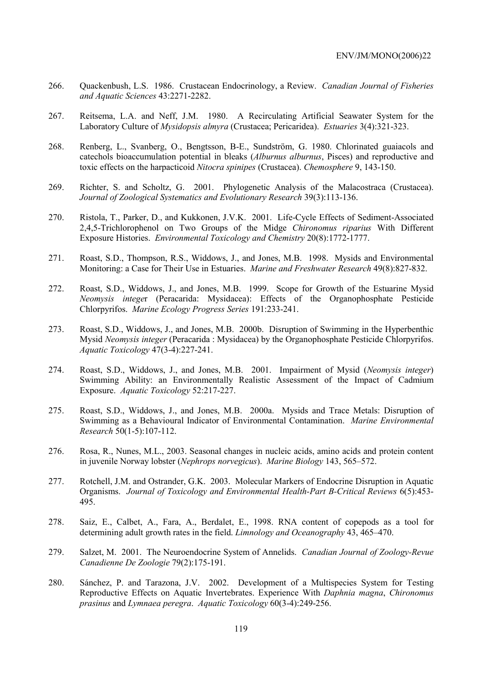- 266. Quackenbush, L.S. 1986. Crustacean Endocrinology, a Review. *Canadian Journal of Fisheries and Aquatic Sciences* 43:2271-2282.
- 267. Reitsema, L.A. and Neff, J.M. 1980. A Recirculating Artificial Seawater System for the Laboratory Culture of *Mysidopsis almyra* (Crustacea; Pericaridea). *Estuaries* 3(4):321-323.
- 268. Renberg, L., Svanberg, O., Bengtsson, B-E., Sundström, G. 1980. Chlorinated guaiacols and catechols bioaccumulation potential in bleaks (*Alburnus alburnus*, Pisces) and reproductive and toxic effects on the harpacticoid *Nitocra spinipes* (Crustacea). *Chemosphere* 9, 143-150.
- 269. Richter, S. and Scholtz, G. 2001. Phylogenetic Analysis of the Malacostraca (Crustacea). *Journal of Zoological Systematics and Evolutionary Research* 39(3):113-136.
- 270. Ristola, T., Parker, D., and Kukkonen, J.V.K. 2001. Life-Cycle Effects of Sediment-Associated 2,4,5-Trichlorophenol on Two Groups of the Midge *Chironomus riparius* With Different Exposure Histories. *Environmental Toxicology and Chemistry* 20(8):1772-1777.
- 271. Roast, S.D., Thompson, R.S., Widdows, J., and Jones, M.B. 1998. Mysids and Environmental Monitoring: a Case for Their Use in Estuaries. *Marine and Freshwater Research* 49(8):827-832.
- 272. Roast, S.D., Widdows, J., and Jones, M.B. 1999. Scope for Growth of the Estuarine Mysid *Neomysis intege*r (Peracarida: Mysidacea): Effects of the Organophosphate Pesticide Chlorpyrifos. *Marine Ecology Progress Series* 191:233-241.
- 273. Roast, S.D., Widdows, J., and Jones, M.B. 2000b. Disruption of Swimming in the Hyperbenthic Mysid *Neomysis integer* (Peracarida : Mysidacea) by the Organophosphate Pesticide Chlorpyrifos. *Aquatic Toxicology* 47(3-4):227-241.
- 274. Roast, S.D., Widdows, J., and Jones, M.B. 2001. Impairment of Mysid (*Neomysis integer*) Swimming Ability: an Environmentally Realistic Assessment of the Impact of Cadmium Exposure. *Aquatic Toxicology* 52:217-227.
- 275. Roast, S.D., Widdows, J., and Jones, M.B. 2000a. Mysids and Trace Metals: Disruption of Swimming as a Behavioural Indicator of Environmental Contamination. *Marine Environmental Research* 50(1-5):107-112.
- 276. Rosa, R., Nunes, M.L., 2003. Seasonal changes in nucleic acids, amino acids and protein content in juvenile Norway lobster (*Nephrops norvegicus*). *Marine Biology* 143, 565–572.
- 277. Rotchell, J.M. and Ostrander, G.K. 2003. Molecular Markers of Endocrine Disruption in Aquatic Organisms. *Journal of Toxicology and Environmental Health-Part B-Critical Reviews* 6(5):453- 495.
- 278. Saiz, E., Calbet, A., Fara, A., Berdalet, E., 1998. RNA content of copepods as a tool for determining adult growth rates in the field. *Limnology and Oceanography* 43, 465–470.
- 279. Salzet, M. 2001. The Neuroendocrine System of Annelids. *Canadian Journal of Zoology-Revue Canadienne De Zoologie* 79(2):175-191.
- 280. Sánchez, P. and Tarazona, J.V. 2002. Development of a Multispecies System for Testing Reproductive Effects on Aquatic Invertebrates. Experience With *Daphnia magna*, *Chironomus prasinus* and *Lymnaea peregra*. *Aquatic Toxicology* 60(3-4):249-256.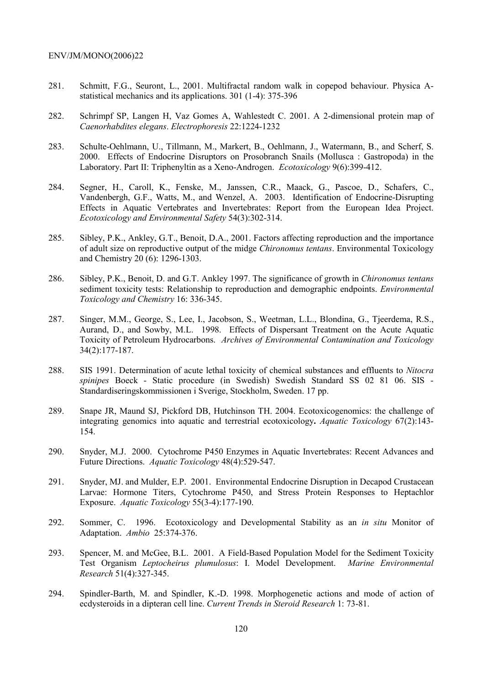- 281. Schmitt, F.G., Seuront, L., 2001. Multifractal random walk in copepod behaviour. Physica Astatistical mechanics and its applications. 301 (1-4): 375-396
- 282. Schrimpf SP, Langen H, Vaz Gomes A, Wahlestedt C. 2001. A 2-dimensional protein map of *Caenorhabdites elegans*. *Electrophoresis* 22:1224-1232
- 283. Schulte-Oehlmann, U., Tillmann, M., Markert, B., Oehlmann, J., Watermann, B., and Scherf, S. 2000. Effects of Endocrine Disruptors on Prosobranch Snails (Mollusca : Gastropoda) in the Laboratory. Part II: Triphenyltin as a Xeno-Androgen. *Ecotoxicology* 9(6):399-412.
- 284. Segner, H., Caroll, K., Fenske, M., Janssen, C.R., Maack, G., Pascoe, D., Schafers, C., Vandenbergh, G.F., Watts, M., and Wenzel, A. 2003. Identification of Endocrine-Disrupting Effects in Aquatic Vertebrates and Invertebrates: Report from the European Idea Project. *Ecotoxicology and Environmental Safety* 54(3):302-314.
- 285. Sibley, P.K., Ankley, G.T., Benoit, D.A., 2001. Factors affecting reproduction and the importance of adult size on reproductive output of the midge *Chironomus tentans*. Environmental Toxicology and Chemistry 20 (6): 1296-1303.
- 286. Sibley, P.K., Benoit, D. and G.T. Ankley 1997. The significance of growth in *Chironomus tentans* sediment toxicity tests: Relationship to reproduction and demographic endpoints. *Environmental Toxicology and Chemistry* 16: 336-345.
- 287. Singer, M.M., George, S., Lee, I., Jacobson, S., Weetman, L.L., Blondina, G., Tjeerdema, R.S., Aurand, D., and Sowby, M.L. 1998. Effects of Dispersant Treatment on the Acute Aquatic Toxicity of Petroleum Hydrocarbons. *Archives of Environmental Contamination and Toxicology* 34(2):177-187.
- 288. SIS 1991. Determination of acute lethal toxicity of chemical substances and effluents to *Nitocra spinipes* Boeck - Static procedure (in Swedish) Swedish Standard SS 02 81 06. SIS - Standardiseringskommissionen i Sverige, Stockholm, Sweden. 17 pp.
- 289. Snape JR, Maund SJ, Pickford DB, Hutchinson TH. 2004. Ecotoxicogenomics: the challenge of integrating genomics into aquatic and terrestrial ecotoxicology**.** *Aquatic Toxicology* 67(2):143- 154.
- 290. Snyder, M.J. 2000. Cytochrome P450 Enzymes in Aquatic Invertebrates: Recent Advances and Future Directions. *Aquatic Toxicology* 48(4):529-547.
- 291. Snyder, MJ. and Mulder, E.P. 2001. Environmental Endocrine Disruption in Decapod Crustacean Larvae: Hormone Titers, Cytochrome P450, and Stress Protein Responses to Heptachlor Exposure. *Aquatic Toxicology* 55(3-4):177-190.
- 292. Sommer, C. 1996. Ecotoxicology and Developmental Stability as an *in situ* Monitor of Adaptation. *Ambio* 25:374-376.
- 293. Spencer, M. and McGee, B.L. 2001. A Field-Based Population Model for the Sediment Toxicity Test Organism *Leptocheirus plumulosus*: I. Model Development. *Marine Environmental Research* 51(4):327-345.
- 294. Spindler-Barth, M. and Spindler, K.-D. 1998. Morphogenetic actions and mode of action of ecdysteroids in a dipteran cell line. *Current Trends in Steroid Research* 1: 73-81.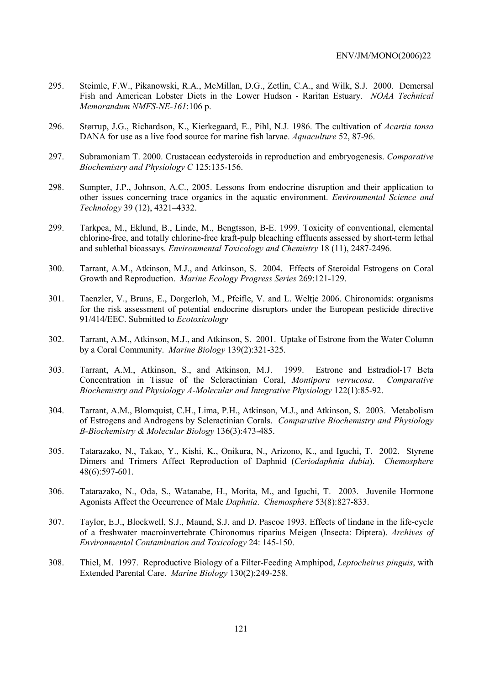- 295. Steimle, F.W., Pikanowski, R.A., McMillan, D.G., Zetlin, C.A., and Wilk, S.J. 2000. Demersal Fish and American Lobster Diets in the Lower Hudson - Raritan Estuary. *NOAA Technical Memorandum NMFS-NE-161*:106 p.
- 296. Størrup, J.G., Richardson, K., Kierkegaard, E., Pihl, N.J. 1986. The cultivation of *Acartia tonsa* DANA for use as a live food source for marine fish larvae. *Aquaculture* 52, 87-96.
- 297. Subramoniam T. 2000. Crustacean ecdysteroids in reproduction and embryogenesis. *Comparative Biochemistry and Physiology C* 125:135-156.
- 298. Sumpter, J.P., Johnson, A.C., 2005. Lessons from endocrine disruption and their application to other issues concerning trace organics in the aquatic environment. *Environmental Science and Technology* 39 (12), 4321–4332.
- 299. Tarkpea, M., Eklund, B., Linde, M., Bengtsson, B-E. 1999. Toxicity of conventional, elemental chlorine-free, and totally chlorine-free kraft-pulp bleaching effluents assessed by short-term lethal and sublethal bioassays. *Environmental Toxicology and Chemistry* 18 (11), 2487-2496.
- 300. Tarrant, A.M., Atkinson, M.J., and Atkinson, S. 2004. Effects of Steroidal Estrogens on Coral Growth and Reproduction. *Marine Ecology Progress Series* 269:121-129.
- 301. Taenzler, V., Bruns, E., Dorgerloh, M., Pfeifle, V. and L. Weltje 2006. Chironomids: organisms for the risk assessment of potential endocrine disruptors under the European pesticide directive 91/414/EEC. Submitted to *Ecotoxicology*
- 302. Tarrant, A.M., Atkinson, M.J., and Atkinson, S. 2001. Uptake of Estrone from the Water Column by a Coral Community. *Marine Biology* 139(2):321-325.
- 303. Tarrant, A.M., Atkinson, S., and Atkinson, M.J. 1999. Estrone and Estradiol-17 Beta Concentration in Tissue of the Scleractinian Coral, *Montipora verrucosa*. *Comparative Biochemistry and Physiology A-Molecular and Integrative Physiology* 122(1):85-92.
- 304. Tarrant, A.M., Blomquist, C.H., Lima, P.H., Atkinson, M.J., and Atkinson, S. 2003. Metabolism of Estrogens and Androgens by Scleractinian Corals. *Comparative Biochemistry and Physiology B-Biochemistry & Molecular Biology* 136(3):473-485.
- 305. Tatarazako, N., Takao, Y., Kishi, K., Onikura, N., Arizono, K., and Iguchi, T. 2002. Styrene Dimers and Trimers Affect Reproduction of Daphnid (*Ceriodaphnia dubia*). *Chemosphere* 48(6):597-601.
- 306. Tatarazako, N., Oda, S., Watanabe, H., Morita, M., and Iguchi, T. 2003. Juvenile Hormone Agonists Affect the Occurrence of Male *Daphnia*. *Chemosphere* 53(8):827-833.
- 307. Taylor, E.J., Blockwell, S.J., Maund, S.J. and D. Pascoe 1993. Effects of lindane in the life-cycle of a freshwater macroinvertebrate Chironomus riparius Meigen (Insecta: Diptera). *Archives of Environmental Contamination and Toxicology* 24: 145-150.
- 308. Thiel, M. 1997. Reproductive Biology of a Filter-Feeding Amphipod, *Leptocheirus pinguis*, with Extended Parental Care. *Marine Biology* 130(2):249-258.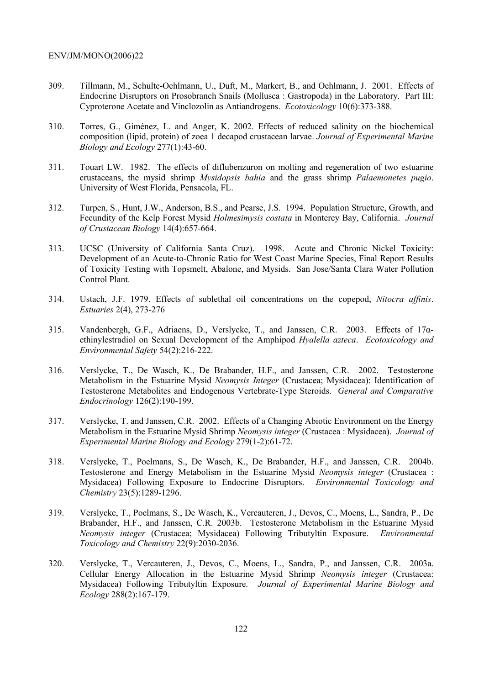- 309. Tillmann, M., Schulte-Oehlmann, U., Duft, M., Markert, B., and Oehlmann, J. 2001. Effects of Endocrine Disruptors on Prosobranch Snails (Mollusca : Gastropoda) in the Laboratory. Part III: Cyproterone Acetate and Vinclozolin as Antiandrogens. *Ecotoxicology* 10(6):373-388.
- 310. Torres, G., Giménez, L. and Anger, K. 2002. Effects of reduced salinity on the biochemical composition (lipid, protein) of zoea 1 decapod crustacean larvae. *Journal of Experimental Marine Biology and Ecology* 277(1):43-60.
- 311. Touart LW. 1982. The effects of diflubenzuron on molting and regeneration of two estuarine crustaceans, the mysid shrimp *Mysidopsis bahia* and the grass shrimp *Palaemonetes pugio*. University of West Florida, Pensacola, FL.
- 312. Turpen, S., Hunt, J.W., Anderson, B.S., and Pearse, J.S. 1994. Population Structure, Growth, and Fecundity of the Kelp Forest Mysid *Holmesimysis costata* in Monterey Bay, California. *Journal of Crustacean Biology* 14(4):657-664.
- 313. UCSC (University of California Santa Cruz). 1998. Acute and Chronic Nickel Toxicity: Development of an Acute-to-Chronic Ratio for West Coast Marine Species, Final Report Results of Toxicity Testing with Topsmelt, Abalone, and Mysids. San Jose/Santa Clara Water Pollution Control Plant.
- 314. Ustach, J.F. 1979. Effects of sublethal oil concentrations on the copepod, *Nitocra affinis*. *Estuaries* 2(4), 273-276
- 315. Vandenbergh, G.F., Adriaens, D., Verslycke, T., and Janssen, C.R. 2003. Effects of 17αethinylestradiol on Sexual Development of the Amphipod *Hyalella azteca*. *Ecotoxicology and Environmental Safety* 54(2):216-222.
- 316. Verslycke, T., De Wasch, K., De Brabander, H.F., and Janssen, C.R. 2002. Testosterone Metabolism in the Estuarine Mysid *Neomysis Integer* (Crustacea; Mysidacea): Identification of Testosterone Metabolites and Endogenous Vertebrate-Type Steroids. *General and Comparative Endocrinology* 126(2):190-199.
- 317. Verslycke, T. and Janssen, C.R. 2002. Effects of a Changing Abiotic Environment on the Energy Metabolism in the Estuarine Mysid Shrimp *Neomysis integer* (Crustacea : Mysidacea). *Journal of Experimental Marine Biology and Ecology* 279(1-2):61-72.
- 318. Verslycke, T., Poelmans, S., De Wasch, K., De Brabander, H.F., and Janssen, C.R. 2004b. Testosterone and Energy Metabolism in the Estuarine Mysid *Neomysis integer* (Crustacea : Mysidacea) Following Exposure to Endocrine Disruptors. *Environmental Toxicology and Chemistry* 23(5):1289-1296.
- 319. Verslycke, T., Poelmans, S., De Wasch, K., Vercauteren, J., Devos, C., Moens, L., Sandra, P., De Brabander, H.F., and Janssen, C.R. 2003b. Testosterone Metabolism in the Estuarine Mysid *Neomysis integer* (Crustacea; Mysidacea) Following Tributyltin Exposure. *Environmental Toxicology and Chemistry* 22(9):2030-2036.
- 320. Verslycke, T., Vercauteren, J., Devos, C., Moens, L., Sandra, P., and Janssen, C.R. 2003a. Cellular Energy Allocation in the Estuarine Mysid Shrimp *Neomysis integer* (Crustacea: Mysidacea) Following Tributyltin Exposure. *Journal of Experimental Marine Biology and Ecology* 288(2):167-179.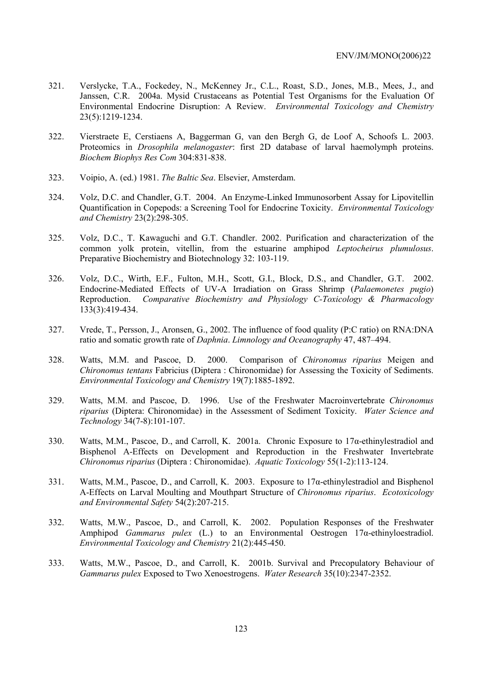- 321. Verslycke, T.A., Fockedey, N., McKenney Jr., C.L., Roast, S.D., Jones, M.B., Mees, J., and Janssen, C.R. 2004a. Mysid Crustaceans as Potential Test Organisms for the Evaluation Of Environmental Endocrine Disruption: A Review. *Environmental Toxicology and Chemistry* 23(5):1219-1234.
- 322. Vierstraete E, Cerstiaens A, Baggerman G, van den Bergh G, de Loof A, Schoofs L. 2003. Proteomics in *Drosophila melanogaster*: first 2D database of larval haemolymph proteins. *Biochem Biophys Res Com* 304:831-838.
- 323. Voipio, A. (ed.) 1981. *The Baltic Sea*. Elsevier, Amsterdam.
- 324. Volz, D.C. and Chandler, G.T. 2004. An Enzyme-Linked Immunosorbent Assay for Lipovitellin Quantification in Copepods: a Screening Tool for Endocrine Toxicity. *Environmental Toxicology and Chemistry* 23(2):298-305.
- 325. Volz, D.C., T. Kawaguchi and G.T. Chandler. 2002. Purification and characterization of the common yolk protein, vitellin, from the estuarine amphipod *Leptocheirus plumulosus*. Preparative Biochemistry and Biotechnology 32: 103-119.
- 326. Volz, D.C., Wirth, E.F., Fulton, M.H., Scott, G.I., Block, D.S., and Chandler, G.T. 2002. Endocrine-Mediated Effects of UV-A Irradiation on Grass Shrimp (*Palaemonetes pugio*) Reproduction. *Comparative Biochemistry and Physiology C-Toxicology & Pharmacology* 133(3):419-434.
- 327. Vrede, T., Persson, J., Aronsen, G., 2002. The influence of food quality (P:C ratio) on RNA:DNA ratio and somatic growth rate of *Daphnia*. *Limnology and Oceanography* 47, 487–494.
- 328. Watts, M.M. and Pascoe, D. 2000. Comparison of *Chironomus riparius* Meigen and *Chironomus tentans* Fabricius (Diptera : Chironomidae) for Assessing the Toxicity of Sediments. *Environmental Toxicology and Chemistry* 19(7):1885-1892.
- 329. Watts, M.M. and Pascoe, D. 1996. Use of the Freshwater Macroinvertebrate *Chironomus riparius* (Diptera: Chironomidae) in the Assessment of Sediment Toxicity. *Water Science and Technology* 34(7-8):101-107.
- 330. Watts, M.M., Pascoe, D., and Carroll, K. 2001a. Chronic Exposure to  $17\alpha$ -ethinylestradiol and Bisphenol A-Effects on Development and Reproduction in the Freshwater Invertebrate *Chironomus riparius* (Diptera : Chironomidae). *Aquatic Toxicology* 55(1-2):113-124.
- 331. Watts, M.M., Pascoe, D., and Carroll, K. 2003. Exposure to 17α-ethinylestradiol and Bisphenol A-Effects on Larval Moulting and Mouthpart Structure of *Chironomus riparius*. *Ecotoxicology and Environmental Safety* 54(2):207-215.
- 332. Watts, M.W., Pascoe, D., and Carroll, K. 2002. Population Responses of the Freshwater Amphipod *Gammarus pulex* (L.) to an Environmental Oestrogen 17α-ethinyloestradiol. *Environmental Toxicology and Chemistry* 21(2):445-450.
- 333. Watts, M.W., Pascoe, D., and Carroll, K. 2001b. Survival and Precopulatory Behaviour of *Gammarus pulex* Exposed to Two Xenoestrogens. *Water Research* 35(10):2347-2352.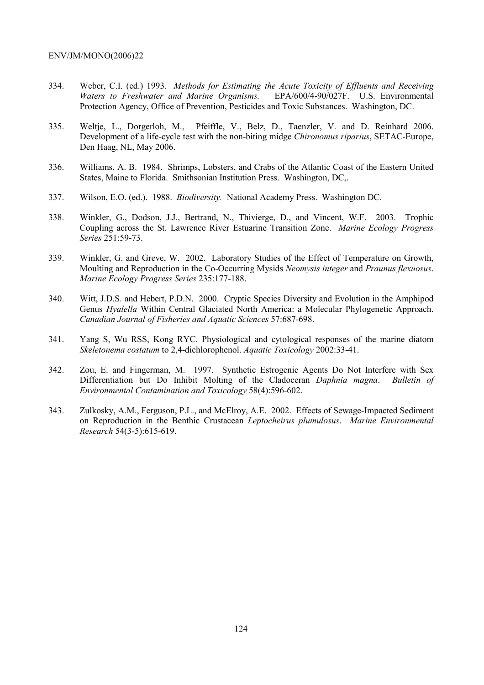- 334. Weber, C.I. (ed.) 1993. *Methods for Estimating the Acute Toxicity of Effluents and Receiving Waters to Freshwater and Marine Organisms.* EPA/600/4-90/027F. U.S. Environmental Protection Agency, Office of Prevention, Pesticides and Toxic Substances. Washington, DC.
- 335. Weltje, L., Dorgerloh, M., Pfeiffle, V., Belz, D., Taenzler, V. and D. Reinhard 2006. Development of a life-cycle test with the non-biting midge *Chironomus riparius*, SETAC-Europe, Den Haag, NL, May 2006.
- 336. Williams, A. B. 1984. Shrimps, Lobsters, and Crabs of the Atlantic Coast of the Eastern United States, Maine to Florida. Smithsonian Institution Press. Washington, DC,.
- 337. Wilson, E.O. (ed.). 1988. *Biodiversity.* National Academy Press. Washington DC.
- 338. Winkler, G., Dodson, J.J., Bertrand, N., Thivierge, D., and Vincent, W.F. 2003. Trophic Coupling across the St. Lawrence River Estuarine Transition Zone. *Marine Ecology Progress Series* 251:59-73.
- 339. Winkler, G. and Greve, W. 2002. Laboratory Studies of the Effect of Temperature on Growth, Moulting and Reproduction in the Co-Occurring Mysids *Neomysis integer* and *Praunus flexuosus*. *Marine Ecology Progress Series* 235:177-188.
- 340. Witt, J.D.S. and Hebert, P.D.N. 2000. Cryptic Species Diversity and Evolution in the Amphipod Genus *Hyalella* Within Central Glaciated North America: a Molecular Phylogenetic Approach. *Canadian Journal of Fisheries and Aquatic Sciences* 57:687-698.
- 341. Yang S, Wu RSS, Kong RYC. Physiological and cytological responses of the marine diatom *Skeletonema costatum* to 2,4-dichlorophenol. *Aquatic Toxicology* 2002:33-41.
- 342. Zou, E. and Fingerman, M. 1997. Synthetic Estrogenic Agents Do Not Interfere with Sex Differentiation but Do Inhibit Molting of the Cladoceran *Daphnia magna*. *Bulletin of Environmental Contamination and Toxicology* 58(4):596-602.
- 343. Zulkosky, A.M., Ferguson, P.L., and McElroy, A.E. 2002. Effects of Sewage-Impacted Sediment on Reproduction in the Benthic Crustacean *Leptocheirus plumulosus*. *Marine Environmental Research* 54(3-5):615-619.